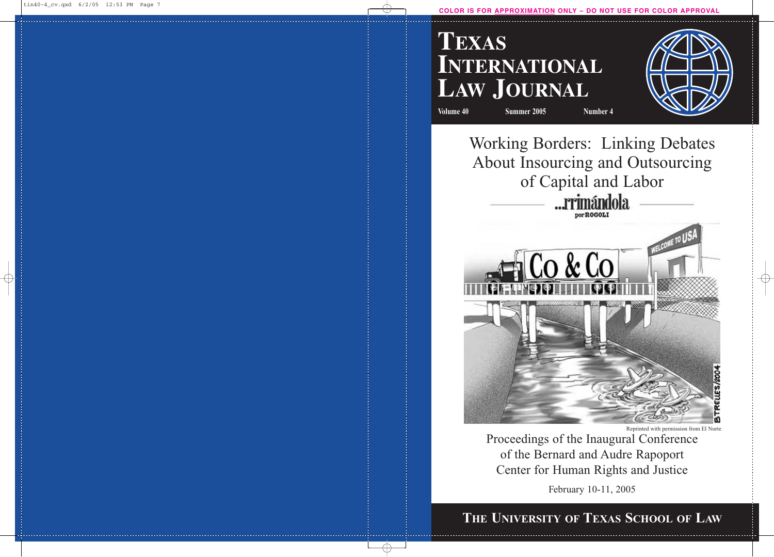



Working Borders: Linking Debates About Insourcing and Outsourcing of Capital and Labor …rrimándola



Reprinted with permission from El Norte

Proceedings of the Inaugural Conference of the Bernard and Audre Rapoport Center for Human Rights and Justice

February 10-11, 2005

# **THE UNIVERSITY OF TEXAS SCHOOL OF LAW**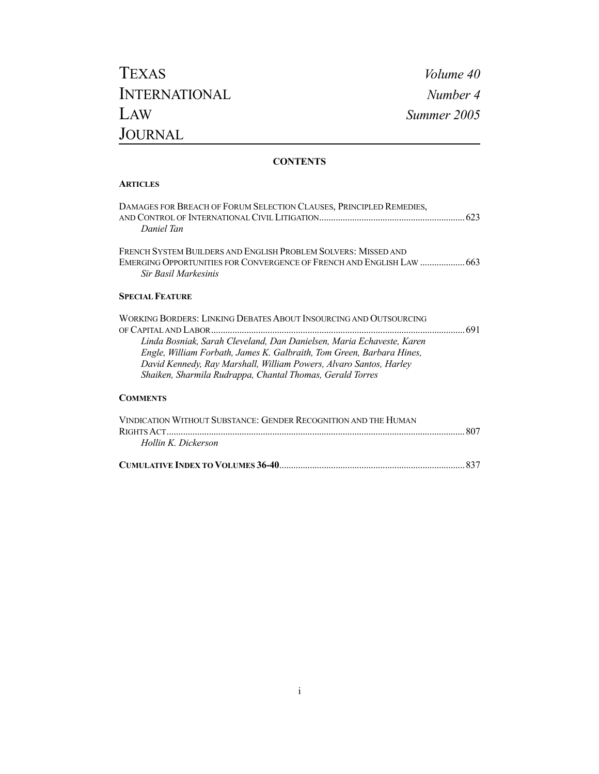# TEXAS *Volume 40* INTERNATIONAL *Number 4* LAW *Summer 2005* JOURNAL

# **CONTENTS**

# **ARTICLES**

| DAMAGES FOR BREACH OF FORUM SELECTION CLAUSES, PRINCIPLED REMEDIES,<br>Daniel Tan                                                                                                                                                                                                                                                                                               |
|---------------------------------------------------------------------------------------------------------------------------------------------------------------------------------------------------------------------------------------------------------------------------------------------------------------------------------------------------------------------------------|
| FRENCH SYSTEM BUILDERS AND ENGLISH PROBLEM SOLVERS: MISSED AND<br>EMERGING OPPORTUNITIES FOR CONVERGENCE OF FRENCH AND ENGLISH LAW  663<br>Sir Basil Markesinis                                                                                                                                                                                                                 |
| <b>SPECIAL FEATURE</b>                                                                                                                                                                                                                                                                                                                                                          |
| WORKING BORDERS: LINKING DEBATES ABOUT INSOURCING AND OUTSOURCING<br>OF CAPITAL AND LABOR.<br>Linda Bosniak, Sarah Cleveland, Dan Danielsen, Maria Echaveste, Karen<br>Engle, William Forbath, James K. Galbraith, Tom Green, Barbara Hines,<br>David Kennedy, Ray Marshall, William Powers, Alvaro Santos, Harley<br>Shaiken, Sharmila Rudrappa, Chantal Thomas, Gerald Torres |
| <b>COMMENTS</b>                                                                                                                                                                                                                                                                                                                                                                 |
| VINDICATION WITHOUT SUBSTANCE: GENDER RECOGNITION AND THE HUMAN<br>Hollin K. Dickerson                                                                                                                                                                                                                                                                                          |
|                                                                                                                                                                                                                                                                                                                                                                                 |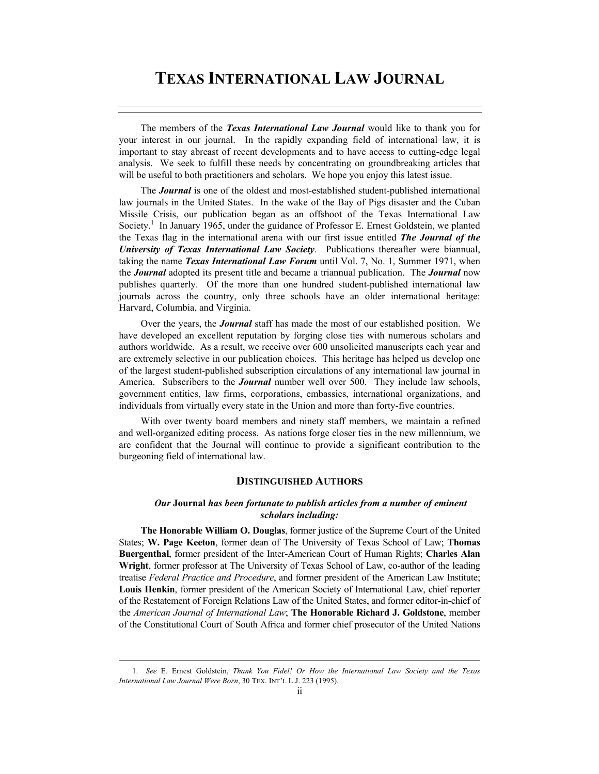# **TEXAS INTERNATIONAL LAW JOURNAL**

The members of the *Texas International Law Journal* would like to thank you for your interest in our journal.In the rapidly expanding field of international law, it is important to stay abreast of recent developments and to have access to cutting-edge legal analysis. We seek to fulfill these needs by concentrating on groundbreaking articles that will be useful to both practitioners and scholars. We hope you enjoy this latest issue.

The *Journal* is one of the oldest and most-established student-published international law journals in the United States. In the wake of the Bay of Pigs disaster and the Cuban Missile Crisis, our publication began as an offshoot of the Texas International Law Society.<sup>1</sup> In January 1965, under the guidance of Professor E. Ernest Goldstein, we planted the Texas flag in the international arena with our first issue entitled *The Journal of the University of Texas International Law Society*. Publications thereafter were biannual, taking the name *Texas International Law Forum* until Vol. 7, No. 1, Summer 1971, when the *Journal* adopted its present title and became a triannual publication. The *Journal* now publishes quarterly. Of the more than one hundred student-published international law journals across the country, only three schools have an older international heritage: Harvard, Columbia, and Virginia.

Over the years, the *Journal* staff has made the most of our established position. We have developed an excellent reputation by forging close ties with numerous scholars and authors worldwide. As a result, we receive over 600 unsolicited manuscripts each year and are extremely selective in our publication choices. This heritage has helped us develop one of the largest student-published subscription circulations of any international law journal in America. Subscribers to the *Journal* number well over 500. They include law schools, government entities, law firms, corporations, embassies, international organizations, and individuals from virtually every state in the Union and more than forty-five countries.

With over twenty board members and ninety staff members, we maintain a refined and well-organized editing process. As nations forge closer ties in the new millennium, we are confident that the Journal will continue to provide a significant contribution to the burgeoning field of international law.

#### **DISTINGUISHED AUTHORS**

# *Our* **Journal** *has been fortunate to publish articles from a number of eminent scholars including:*

**The Honorable William O. Douglas**, former justice of the Supreme Court of the United States; **W. Page Keeton**, former dean of The University of Texas School of Law; **Thomas Buergenthal**, former president of the Inter-American Court of Human Rights; **Charles Alan Wright**, former professor at The University of Texas School of Law, co-author of the leading treatise *Federal Practice and Procedure*, and former president of the American Law Institute; **Louis Henkin**, former president of the American Society of International Law, chief reporter of the Restatement of Foreign Relations Law of the United States, and former editor-in-chief of the *American Journal of International Law*; **The Honorable Richard J. Goldstone**, member of the Constitutional Court of South Africa and former chief prosecutor of the United Nations

 <sup>1.</sup> *See* E. Ernest Goldstein, *Thank You Fidel! Or How the International Law Society and the Texas International Law Journal Were Born*, 30 TEX. INT'L L.J. 223 (1995).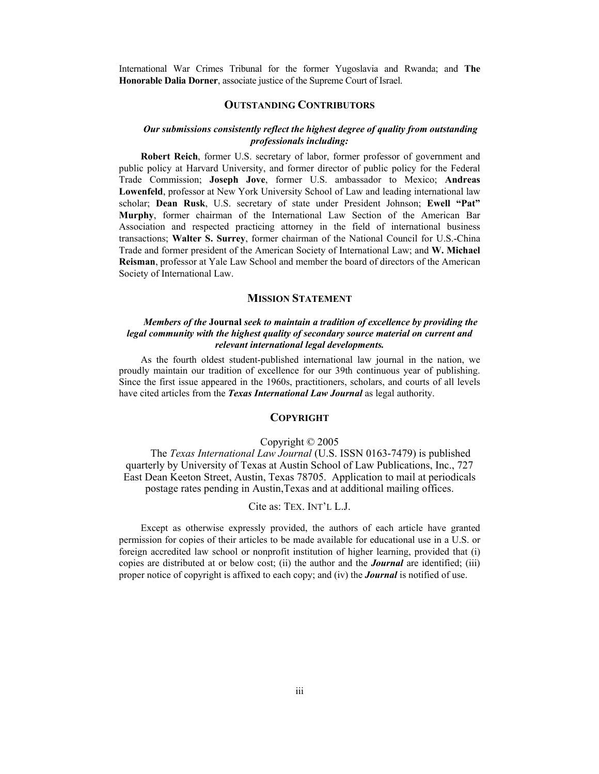International War Crimes Tribunal for the former Yugoslavia and Rwanda; and **The Honorable Dalia Dorner**, associate justice of the Supreme Court of Israel.

## **OUTSTANDING CONTRIBUTORS**

## *Our submissions consistently reflect the highest degree of quality from outstanding professionals including:*

**Robert Reich**, former U.S. secretary of labor, former professor of government and public policy at Harvard University, and former director of public policy for the Federal Trade Commission; **Joseph Jove**, former U.S. ambassador to Mexico; **Andreas Lowenfeld**, professor at New York University School of Law and leading international law scholar; **Dean Rusk**, U.S. secretary of state under President Johnson; **Ewell "Pat" Murphy**, former chairman of the International Law Section of the American Bar Association and respected practicing attorney in the field of international business transactions; **Walter S. Surrey**, former chairman of the National Council for U.S.-China Trade and former president of the American Society of International Law; and **W. Michael Reisman**, professor at Yale Law School and member the board of directors of the American Society of International Law.

## **MISSION STATEMENT**

# *Members of the* **Journal** *seek to maintain a tradition of excellence by providing the legal community with the highest quality of secondary source material on current and relevant international legal developments.*

As the fourth oldest student-published international law journal in the nation, we proudly maintain our tradition of excellence for our 39th continuous year of publishing. Since the first issue appeared in the 1960s, practitioners, scholars, and courts of all levels have cited articles from the *Texas International Law Journal* as legal authority.

# **COPYRIGHT**

#### Copyright © 2005

The *Texas International Law Journal* (U.S. ISSN 0163-7479) is published quarterly by University of Texas at Austin School of Law Publications, Inc., 727 East Dean Keeton Street, Austin, Texas 78705. Application to mail at periodicals postage rates pending in Austin,Texas and at additional mailing offices.

## Cite as: TEX. INT'L L.J.

Except as otherwise expressly provided, the authors of each article have granted permission for copies of their articles to be made available for educational use in a U.S. or foreign accredited law school or nonprofit institution of higher learning, provided that (i) copies are distributed at or below cost; (ii) the author and the *Journal* are identified; (iii) proper notice of copyright is affixed to each copy; and (iv) the *Journal* is notified of use.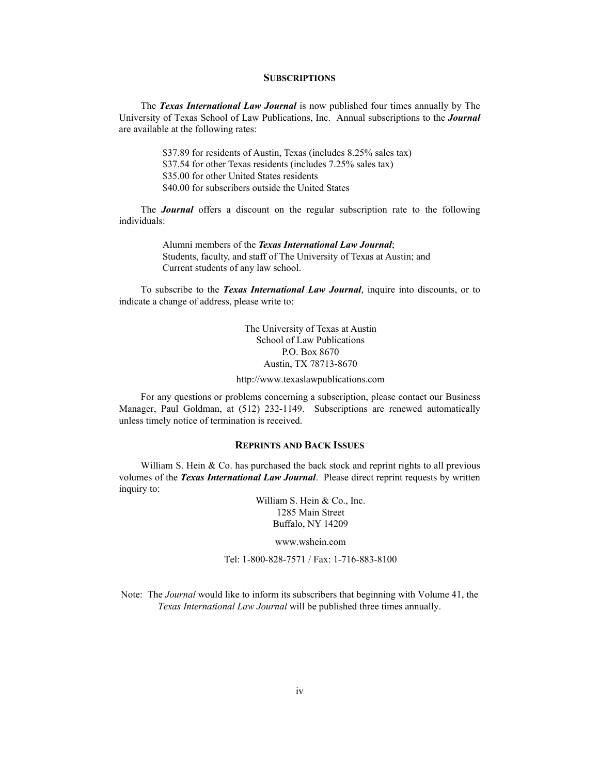#### **SUBSCRIPTIONS**

The *Texas International Law Journal* is now published four times annually by The University of Texas School of Law Publications, Inc. Annual subscriptions to the *Journal* are available at the following rates:

> \$37.89 for residents of Austin, Texas (includes 8.25% sales tax) \$37.54 for other Texas residents (includes 7.25% sales tax) \$35.00 for other United States residents \$40.00 for subscribers outside the United States

The *Journal* offers a discount on the regular subscription rate to the following individuals:

> Alumni members of the *Texas International Law Journal*; Students, faculty, and staff of The University of Texas at Austin; and Current students of any law school.

To subscribe to the *Texas International Law Journal*, inquire into discounts, or to indicate a change of address, please write to:

> The University of Texas at Austin School of Law Publications P.O. Box 8670 Austin, TX 78713-8670

http://www.texaslawpublications.com

For any questions or problems concerning a subscription, please contact our Business Manager, Paul Goldman, at (512) 232-1149. Subscriptions are renewed automatically unless timely notice of termination is received.

## **REPRINTS AND BACK ISSUES**

William S. Hein & Co. has purchased the back stock and reprint rights to all previous volumes of the *Texas International Law Journal*. Please direct reprint requests by written inquiry to:

> William S. Hein & Co., Inc. 1285 Main Street Buffalo, NY 14209

> > www.wshein.com

Tel: 1-800-828-7571 / Fax: 1-716-883-8100

Note: The *Journal* would like to inform its subscribers that beginning with Volume 41, the *Texas International Law Journal* will be published three times annually.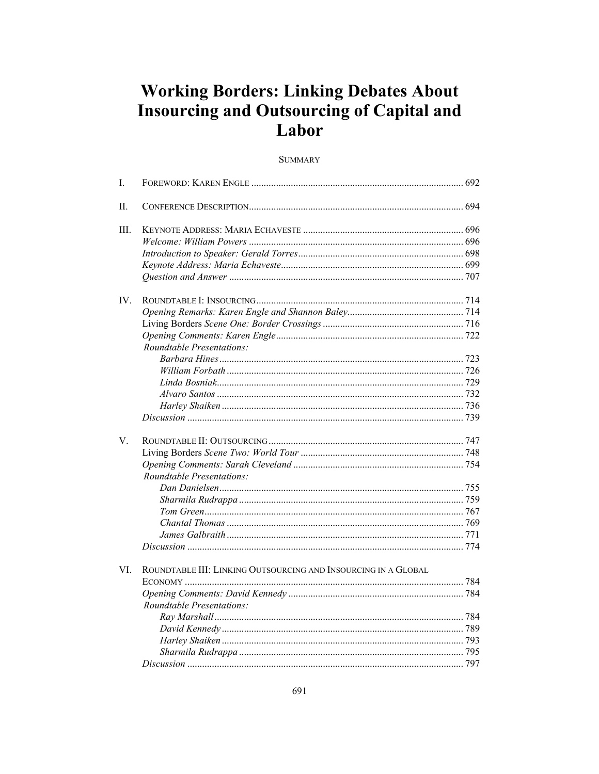# **Working Borders: Linking Debates About** Insourcing and Outsourcing of Capital and Labor

# **SUMMARY**

| I.   |                                                                |  |
|------|----------------------------------------------------------------|--|
| П.   |                                                                |  |
| III. |                                                                |  |
|      |                                                                |  |
|      |                                                                |  |
|      |                                                                |  |
|      |                                                                |  |
| IV.  |                                                                |  |
|      |                                                                |  |
|      |                                                                |  |
|      |                                                                |  |
|      | Roundtable Presentations:                                      |  |
|      |                                                                |  |
|      |                                                                |  |
|      |                                                                |  |
|      |                                                                |  |
|      |                                                                |  |
|      |                                                                |  |
| V.   |                                                                |  |
|      |                                                                |  |
|      |                                                                |  |
|      | <i>Roundtable Presentations:</i>                               |  |
|      |                                                                |  |
|      |                                                                |  |
|      |                                                                |  |
|      |                                                                |  |
|      |                                                                |  |
|      |                                                                |  |
| VI.  | ROUNDTABLE III: LINKING OUTSOURCING AND INSOURCING IN A GLOBAL |  |
|      |                                                                |  |
|      |                                                                |  |
|      | Roundtable Presentations:                                      |  |
|      |                                                                |  |
|      |                                                                |  |
|      |                                                                |  |
|      |                                                                |  |
|      |                                                                |  |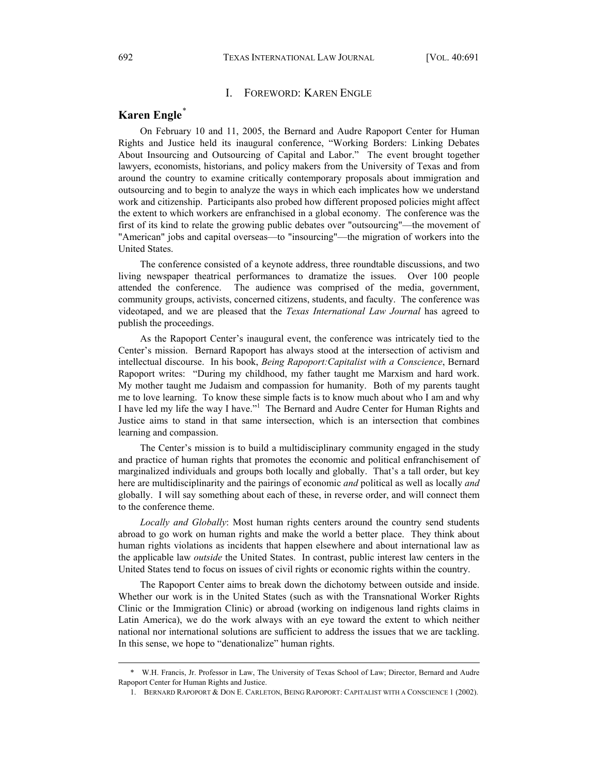# I. FOREWORD: KAREN ENGLE

# **Karen Engle***\**

On February 10 and 11, 2005, the Bernard and Audre Rapoport Center for Human Rights and Justice held its inaugural conference, "Working Borders: Linking Debates About Insourcing and Outsourcing of Capital and Labor." The event brought together lawyers, economists, historians, and policy makers from the University of Texas and from around the country to examine critically contemporary proposals about immigration and outsourcing and to begin to analyze the ways in which each implicates how we understand work and citizenship. Participants also probed how different proposed policies might affect the extent to which workers are enfranchised in a global economy. The conference was the first of its kind to relate the growing public debates over "outsourcing"—the movement of "American" jobs and capital overseas—to "insourcing"—the migration of workers into the United States.

The conference consisted of a keynote address, three roundtable discussions, and two living newspaper theatrical performances to dramatize the issues. Over 100 people attended the conference. The audience was comprised of the media, government, community groups, activists, concerned citizens, students, and faculty. The conference was videotaped, and we are pleased that the *Texas International Law Journal* has agreed to publish the proceedings.

As the Rapoport Center's inaugural event, the conference was intricately tied to the Center's mission. Bernard Rapoport has always stood at the intersection of activism and intellectual discourse. In his book, *Being Rapoport:Capitalist with a Conscience*, Bernard Rapoport writes: "During my childhood, my father taught me Marxism and hard work. My mother taught me Judaism and compassion for humanity. Both of my parents taught me to love learning. To know these simple facts is to know much about who I am and why I have led my life the way I have."<sup>1</sup> The Bernard and Audre Center for Human Rights and Justice aims to stand in that same intersection, which is an intersection that combines learning and compassion.

The Center's mission is to build a multidisciplinary community engaged in the study and practice of human rights that promotes the economic and political enfranchisement of marginalized individuals and groups both locally and globally. That's a tall order, but key here are multidisciplinarity and the pairings of economic *and* political as well as locally *and*  globally. I will say something about each of these, in reverse order, and will connect them to the conference theme.

*Locally and Globally*: Most human rights centers around the country send students abroad to go work on human rights and make the world a better place. They think about human rights violations as incidents that happen elsewhere and about international law as the applicable law *outside* the United States. In contrast, public interest law centers in the United States tend to focus on issues of civil rights or economic rights within the country.

The Rapoport Center aims to break down the dichotomy between outside and inside. Whether our work is in the United States (such as with the Transnational Worker Rights Clinic or the Immigration Clinic) or abroad (working on indigenous land rights claims in Latin America), we do the work always with an eye toward the extent to which neither national nor international solutions are sufficient to address the issues that we are tackling. In this sense, we hope to "denationalize" human rights.

1

<sup>\*</sup> W.H. Francis, Jr. Professor in Law, The University of Texas School of Law; Director, Bernard and Audre Rapoport Center for Human Rights and Justice.

<sup>1.</sup> BERNARD RAPOPORT & DON E. CARLETON, BEING RAPOPORT: CAPITALIST WITH A CONSCIENCE 1 (2002).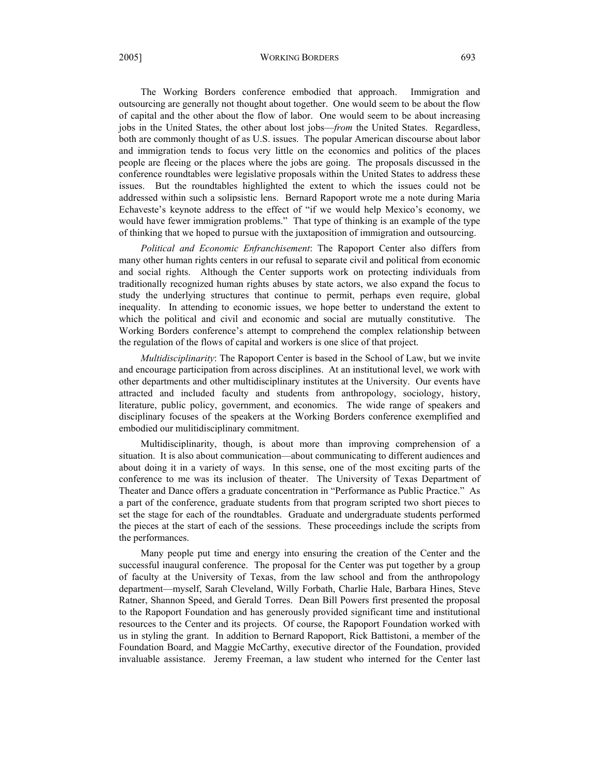The Working Borders conference embodied that approach. Immigration and outsourcing are generally not thought about together. One would seem to be about the flow of capital and the other about the flow of labor. One would seem to be about increasing jobs in the United States, the other about lost jobs—*from* the United States. Regardless, both are commonly thought of as U.S. issues. The popular American discourse about labor and immigration tends to focus very little on the economics and politics of the places people are fleeing or the places where the jobs are going. The proposals discussed in the conference roundtables were legislative proposals within the United States to address these issues. But the roundtables highlighted the extent to which the issues could not be addressed within such a solipsistic lens. Bernard Rapoport wrote me a note during Maria Echaveste's keynote address to the effect of "if we would help Mexico's economy, we would have fewer immigration problems." That type of thinking is an example of the type of thinking that we hoped to pursue with the juxtaposition of immigration and outsourcing.

*Political and Economic Enfranchisement*: The Rapoport Center also differs from many other human rights centers in our refusal to separate civil and political from economic and social rights. Although the Center supports work on protecting individuals from traditionally recognized human rights abuses by state actors, we also expand the focus to study the underlying structures that continue to permit, perhaps even require, global inequality. In attending to economic issues, we hope better to understand the extent to which the political and civil and economic and social are mutually constitutive. The Working Borders conference's attempt to comprehend the complex relationship between the regulation of the flows of capital and workers is one slice of that project.

*Multidisciplinarity*: The Rapoport Center is based in the School of Law, but we invite and encourage participation from across disciplines. At an institutional level, we work with other departments and other multidisciplinary institutes at the University. Our events have attracted and included faculty and students from anthropology, sociology, history, literature, public policy, government, and economics. The wide range of speakers and disciplinary focuses of the speakers at the Working Borders conference exemplified and embodied our mulitidisciplinary commitment.

Multidisciplinarity, though, is about more than improving comprehension of a situation. It is also about communication—about communicating to different audiences and about doing it in a variety of ways. In this sense, one of the most exciting parts of the conference to me was its inclusion of theater. The University of Texas Department of Theater and Dance offers a graduate concentration in "Performance as Public Practice." As a part of the conference, graduate students from that program scripted two short pieces to set the stage for each of the roundtables. Graduate and undergraduate students performed the pieces at the start of each of the sessions. These proceedings include the scripts from the performances.

Many people put time and energy into ensuring the creation of the Center and the successful inaugural conference. The proposal for the Center was put together by a group of faculty at the University of Texas, from the law school and from the anthropology department—myself, Sarah Cleveland, Willy Forbath, Charlie Hale, Barbara Hines, Steve Ratner, Shannon Speed, and Gerald Torres. Dean Bill Powers first presented the proposal to the Rapoport Foundation and has generously provided significant time and institutional resources to the Center and its projects. Of course, the Rapoport Foundation worked with us in styling the grant. In addition to Bernard Rapoport, Rick Battistoni, a member of the Foundation Board, and Maggie McCarthy, executive director of the Foundation, provided invaluable assistance. Jeremy Freeman, a law student who interned for the Center last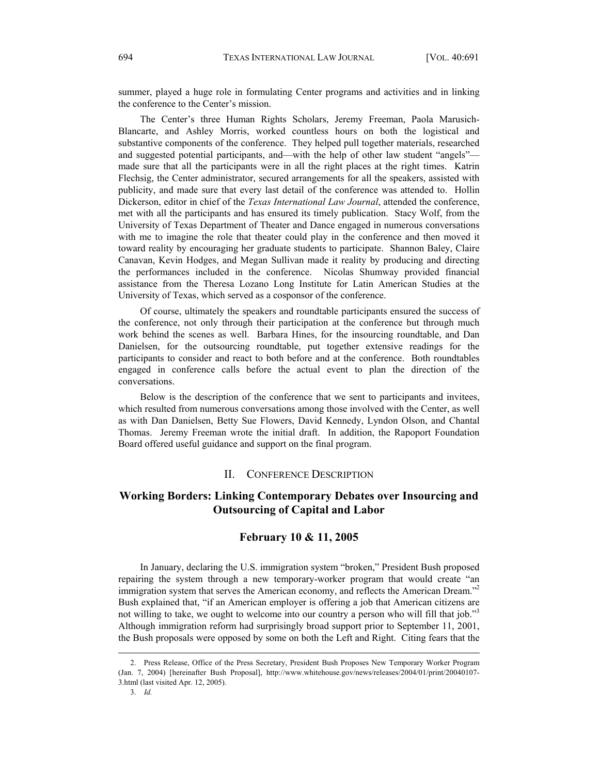summer, played a huge role in formulating Center programs and activities and in linking the conference to the Center's mission.

The Center's three Human Rights Scholars, Jeremy Freeman, Paola Marusich-Blancarte, and Ashley Morris, worked countless hours on both the logistical and substantive components of the conference. They helped pull together materials, researched and suggested potential participants, and—with the help of other law student "angels" made sure that all the participants were in all the right places at the right times. Katrin Flechsig, the Center administrator, secured arrangements for all the speakers, assisted with publicity, and made sure that every last detail of the conference was attended to. Hollin Dickerson, editor in chief of the *Texas International Law Journal*, attended the conference, met with all the participants and has ensured its timely publication. Stacy Wolf, from the University of Texas Department of Theater and Dance engaged in numerous conversations with me to imagine the role that theater could play in the conference and then moved it toward reality by encouraging her graduate students to participate. Shannon Baley, Claire Canavan, Kevin Hodges, and Megan Sullivan made it reality by producing and directing the performances included in the conference. Nicolas Shumway provided financial assistance from the Theresa Lozano Long Institute for Latin American Studies at the University of Texas, which served as a cosponsor of the conference.

Of course, ultimately the speakers and roundtable participants ensured the success of the conference, not only through their participation at the conference but through much work behind the scenes as well. Barbara Hines, for the insourcing roundtable, and Dan Danielsen, for the outsourcing roundtable, put together extensive readings for the participants to consider and react to both before and at the conference. Both roundtables engaged in conference calls before the actual event to plan the direction of the conversations.

Below is the description of the conference that we sent to participants and invitees, which resulted from numerous conversations among those involved with the Center, as well as with Dan Danielsen, Betty Sue Flowers, David Kennedy, Lyndon Olson, and Chantal Thomas. Jeremy Freeman wrote the initial draft. In addition, the Rapoport Foundation Board offered useful guidance and support on the final program.

#### II. CONFERENCE DESCRIPTION

# **Working Borders: Linking Contemporary Debates over Insourcing and Outsourcing of Capital and Labor**

# **February 10 & 11, 2005**

In January, declaring the U.S. immigration system "broken," President Bush proposed repairing the system through a new temporary-worker program that would create "an immigration system that serves the American economy, and reflects the American Dream."<sup>2</sup> Bush explained that, "if an American employer is offering a job that American citizens are not willing to take, we ought to welcome into our country a person who will fill that job."<sup>3</sup> Although immigration reform had surprisingly broad support prior to September 11, 2001, the Bush proposals were opposed by some on both the Left and Right. Citing fears that the

-

<sup>2.</sup> Press Release, Office of the Press Secretary, President Bush Proposes New Temporary Worker Program (Jan. 7, 2004) [hereinafter Bush Proposal], http://www.whitehouse.gov/news/releases/2004/01/print/20040107- 3.html (last visited Apr. 12, 2005).

<sup>3.</sup> *Id.*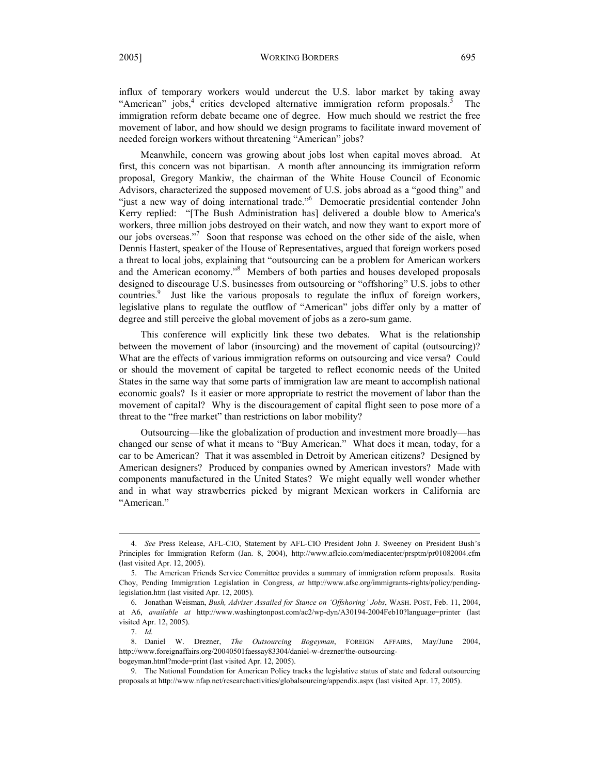influx of temporary workers would undercut the U.S. labor market by taking away "American" jobs,<sup>4</sup> critics developed alternative immigration reform proposals.<sup>5</sup> The immigration reform debate became one of degree. How much should we restrict the free movement of labor, and how should we design programs to facilitate inward movement of needed foreign workers without threatening "American" jobs?

Meanwhile, concern was growing about jobs lost when capital moves abroad. At first, this concern was not bipartisan. A month after announcing its immigration reform proposal, Gregory Mankiw, the chairman of the White House Council of Economic Advisors, characterized the supposed movement of U.S. jobs abroad as a "good thing" and "just a new way of doing international trade."<sup>6</sup> Democratic presidential contender John Kerry replied: "[The Bush Administration has] delivered a double blow to America's workers, three million jobs destroyed on their watch, and now they want to export more of our jobs overseas."<sup>7</sup> Soon that response was echoed on the other side of the aisle, when Dennis Hastert, speaker of the House of Representatives, argued that foreign workers posed a threat to local jobs, explaining that "outsourcing can be a problem for American workers and the American economy."<sup>8</sup> Members of both parties and houses developed proposals designed to discourage U.S. businesses from outsourcing or "offshoring" U.S. jobs to other countries.<sup>9</sup> Just like the various proposals to regulate the influx of foreign workers, legislative plans to regulate the outflow of "American" jobs differ only by a matter of degree and still perceive the global movement of jobs as a zero-sum game.

This conference will explicitly link these two debates. What is the relationship between the movement of labor (insourcing) and the movement of capital (outsourcing)? What are the effects of various immigration reforms on outsourcing and vice versa? Could or should the movement of capital be targeted to reflect economic needs of the United States in the same way that some parts of immigration law are meant to accomplish national economic goals? Is it easier or more appropriate to restrict the movement of labor than the movement of capital? Why is the discouragement of capital flight seen to pose more of a threat to the "free market" than restrictions on labor mobility?

Outsourcing—like the globalization of production and investment more broadly—has changed our sense of what it means to "Buy American." What does it mean, today, for a car to be American? That it was assembled in Detroit by American citizens? Designed by American designers? Produced by companies owned by American investors? Made with components manufactured in the United States? We might equally well wonder whether and in what way strawberries picked by migrant Mexican workers in California are "American."

l

<sup>4.</sup> *See* Press Release, AFL-CIO, Statement by AFL-CIO President John J. Sweeney on President Bush's Principles for Immigration Reform (Jan. 8, 2004), http://www.aflcio.com/mediacenter/prsptm/pr01082004.cfm (last visited Apr. 12, 2005).

<sup>5.</sup> The American Friends Service Committee provides a summary of immigration reform proposals. Rosita Choy, Pending Immigration Legislation in Congress, *at* http://www.afsc.org/immigrants-rights/policy/pendinglegislation.htm (last visited Apr. 12, 2005).

<sup>6.</sup> Jonathan Weisman, *Bush, Adviser Assailed for Stance on 'Offshoring' Jobs*, WASH. POST, Feb. 11, 2004, at A6, *available at* http://www.washingtonpost.com/ac2/wp-dyn/A30194-2004Feb10?language=printer (last visited Apr. 12, 2005).

<sup>7.</sup> *Id.*

<sup>8.</sup> Daniel W. Drezner, *The Outsourcing Bogeyman*, FOREIGN AFFAIRS, May/June 2004, http://www.foreignaffairs.org/20040501faessay83304/daniel-w-drezner/the-outsourcingbogeyman.html?mode=print (last visited Apr. 12, 2005).

<sup>9.</sup> The National Foundation for American Policy tracks the legislative status of state and federal outsourcing proposals at http://www.nfap.net/researchactivities/globalsourcing/appendix.aspx (last visited Apr. 17, 2005).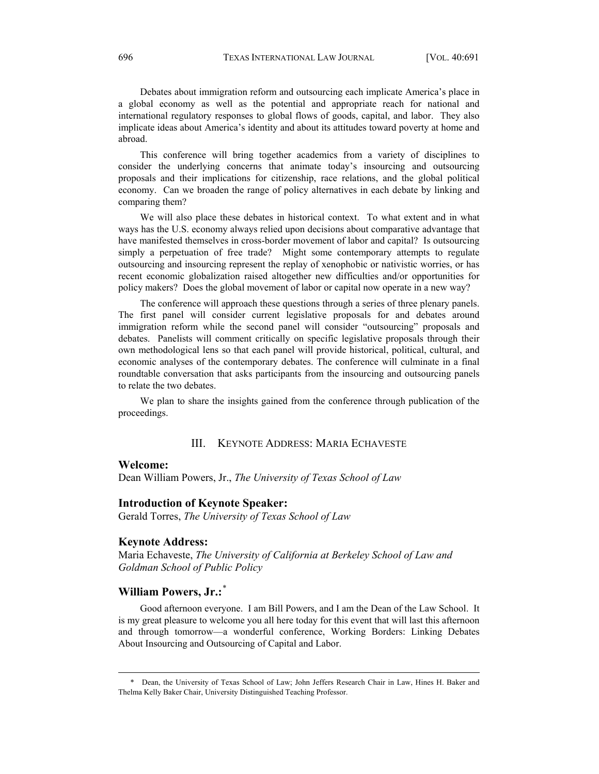Debates about immigration reform and outsourcing each implicate America's place in a global economy as well as the potential and appropriate reach for national and international regulatory responses to global flows of goods, capital, and labor. They also implicate ideas about America's identity and about its attitudes toward poverty at home and abroad.

This conference will bring together academics from a variety of disciplines to consider the underlying concerns that animate today's insourcing and outsourcing proposals and their implications for citizenship, race relations, and the global political economy. Can we broaden the range of policy alternatives in each debate by linking and comparing them?

We will also place these debates in historical context. To what extent and in what ways has the U.S. economy always relied upon decisions about comparative advantage that have manifested themselves in cross-border movement of labor and capital? Is outsourcing simply a perpetuation of free trade? Might some contemporary attempts to regulate outsourcing and insourcing represent the replay of xenophobic or nativistic worries, or has recent economic globalization raised altogether new difficulties and/or opportunities for policy makers? Does the global movement of labor or capital now operate in a new way?

The conference will approach these questions through a series of three plenary panels. The first panel will consider current legislative proposals for and debates around immigration reform while the second panel will consider "outsourcing" proposals and debates. Panelists will comment critically on specific legislative proposals through their own methodological lens so that each panel will provide historical, political, cultural, and economic analyses of the contemporary debates. The conference will culminate in a final roundtable conversation that asks participants from the insourcing and outsourcing panels to relate the two debates.

We plan to share the insights gained from the conference through publication of the proceedings.

## III. KEYNOTE ADDRESS: MARIA ECHAVESTE

#### **Welcome:**

-

Dean William Powers, Jr., *The University of Texas School of Law* 

#### **Introduction of Keynote Speaker:**

Gerald Torres, *The University of Texas School of Law* 

# **Keynote Address:**

Maria Echaveste, *The University of California at Berkeley School of Law and Goldman School of Public Policy*

# **William Powers, Jr.:***\**

Good afternoon everyone. I am Bill Powers, and I am the Dean of the Law School. It is my great pleasure to welcome you all here today for this event that will last this afternoon and through tomorrow—a wonderful conference, Working Borders: Linking Debates About Insourcing and Outsourcing of Capital and Labor.

<sup>\*</sup> Dean, the University of Texas School of Law; John Jeffers Research Chair in Law, Hines H. Baker and Thelma Kelly Baker Chair, University Distinguished Teaching Professor.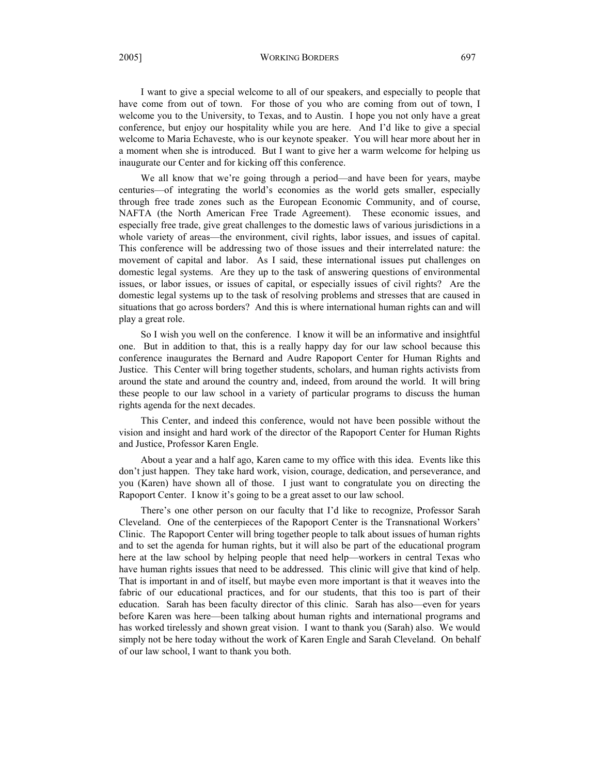I want to give a special welcome to all of our speakers, and especially to people that have come from out of town. For those of you who are coming from out of town, I welcome you to the University, to Texas, and to Austin. I hope you not only have a great conference, but enjoy our hospitality while you are here. And I'd like to give a special welcome to Maria Echaveste, who is our keynote speaker. You will hear more about her in a moment when she is introduced. But I want to give her a warm welcome for helping us inaugurate our Center and for kicking off this conference.

We all know that we're going through a period—and have been for years, maybe centuries—of integrating the world's economies as the world gets smaller, especially through free trade zones such as the European Economic Community, and of course, NAFTA (the North American Free Trade Agreement). These economic issues, and especially free trade, give great challenges to the domestic laws of various jurisdictions in a whole variety of areas—the environment, civil rights, labor issues, and issues of capital. This conference will be addressing two of those issues and their interrelated nature: the movement of capital and labor. As I said, these international issues put challenges on domestic legal systems. Are they up to the task of answering questions of environmental issues, or labor issues, or issues of capital, or especially issues of civil rights? Are the domestic legal systems up to the task of resolving problems and stresses that are caused in situations that go across borders? And this is where international human rights can and will play a great role.

So I wish you well on the conference. I know it will be an informative and insightful one. But in addition to that, this is a really happy day for our law school because this conference inaugurates the Bernard and Audre Rapoport Center for Human Rights and Justice. This Center will bring together students, scholars, and human rights activists from around the state and around the country and, indeed, from around the world. It will bring these people to our law school in a variety of particular programs to discuss the human rights agenda for the next decades.

This Center, and indeed this conference, would not have been possible without the vision and insight and hard work of the director of the Rapoport Center for Human Rights and Justice, Professor Karen Engle.

About a year and a half ago, Karen came to my office with this idea. Events like this don't just happen. They take hard work, vision, courage, dedication, and perseverance, and you (Karen) have shown all of those. I just want to congratulate you on directing the Rapoport Center. I know it's going to be a great asset to our law school.

There's one other person on our faculty that I'd like to recognize, Professor Sarah Cleveland. One of the centerpieces of the Rapoport Center is the Transnational Workers' Clinic. The Rapoport Center will bring together people to talk about issues of human rights and to set the agenda for human rights, but it will also be part of the educational program here at the law school by helping people that need help—workers in central Texas who have human rights issues that need to be addressed. This clinic will give that kind of help. That is important in and of itself, but maybe even more important is that it weaves into the fabric of our educational practices, and for our students, that this too is part of their education. Sarah has been faculty director of this clinic. Sarah has also—even for years before Karen was here—been talking about human rights and international programs and has worked tirelessly and shown great vision. I want to thank you (Sarah) also. We would simply not be here today without the work of Karen Engle and Sarah Cleveland. On behalf of our law school, I want to thank you both.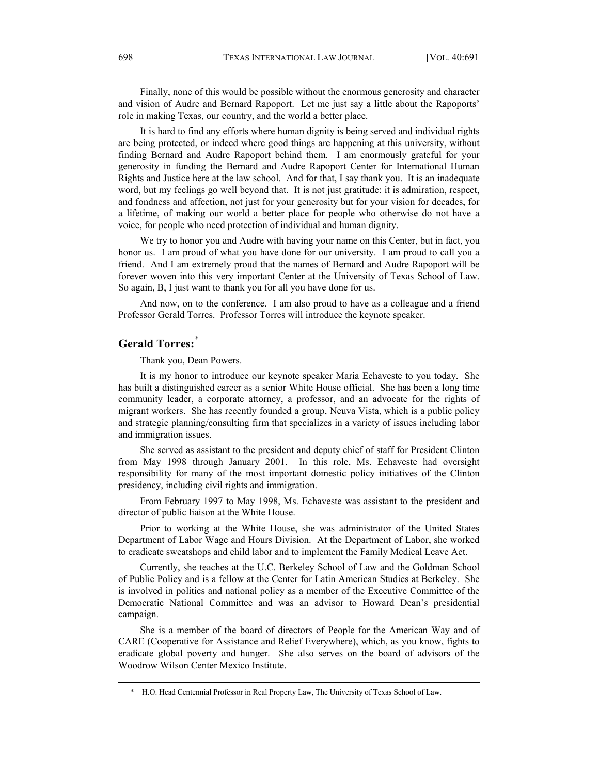Finally, none of this would be possible without the enormous generosity and character and vision of Audre and Bernard Rapoport. Let me just say a little about the Rapoports' role in making Texas, our country, and the world a better place.

It is hard to find any efforts where human dignity is being served and individual rights are being protected, or indeed where good things are happening at this university, without finding Bernard and Audre Rapoport behind them. I am enormously grateful for your generosity in funding the Bernard and Audre Rapoport Center for International Human Rights and Justice here at the law school. And for that, I say thank you. It is an inadequate word, but my feelings go well beyond that. It is not just gratitude: it is admiration, respect, and fondness and affection, not just for your generosity but for your vision for decades, for a lifetime, of making our world a better place for people who otherwise do not have a voice, for people who need protection of individual and human dignity.

We try to honor you and Audre with having your name on this Center, but in fact, you honor us. I am proud of what you have done for our university. I am proud to call you a friend. And I am extremely proud that the names of Bernard and Audre Rapoport will be forever woven into this very important Center at the University of Texas School of Law. So again, B, I just want to thank you for all you have done for us.

And now, on to the conference. I am also proud to have as a colleague and a friend Professor Gerald Torres. Professor Torres will introduce the keynote speaker.

# **Gerald Torres:***\**

-

Thank you, Dean Powers.

It is my honor to introduce our keynote speaker Maria Echaveste to you today. She has built a distinguished career as a senior White House official. She has been a long time community leader, a corporate attorney, a professor, and an advocate for the rights of migrant workers. She has recently founded a group, Neuva Vista, which is a public policy and strategic planning/consulting firm that specializes in a variety of issues including labor and immigration issues.

She served as assistant to the president and deputy chief of staff for President Clinton from May 1998 through January 2001. In this role, Ms. Echaveste had oversight responsibility for many of the most important domestic policy initiatives of the Clinton presidency, including civil rights and immigration.

From February 1997 to May 1998, Ms. Echaveste was assistant to the president and director of public liaison at the White House.

Prior to working at the White House, she was administrator of the United States Department of Labor Wage and Hours Division. At the Department of Labor, she worked to eradicate sweatshops and child labor and to implement the Family Medical Leave Act.

Currently, she teaches at the U.C. Berkeley School of Law and the Goldman School of Public Policy and is a fellow at the Center for Latin American Studies at Berkeley. She is involved in politics and national policy as a member of the Executive Committee of the Democratic National Committee and was an advisor to Howard Dean's presidential campaign.

She is a member of the board of directors of People for the American Way and of CARE (Cooperative for Assistance and Relief Everywhere), which, as you know, fights to eradicate global poverty and hunger. She also serves on the board of advisors of the Woodrow Wilson Center Mexico Institute.

<sup>\*</sup> H.O. Head Centennial Professor in Real Property Law, The University of Texas School of Law.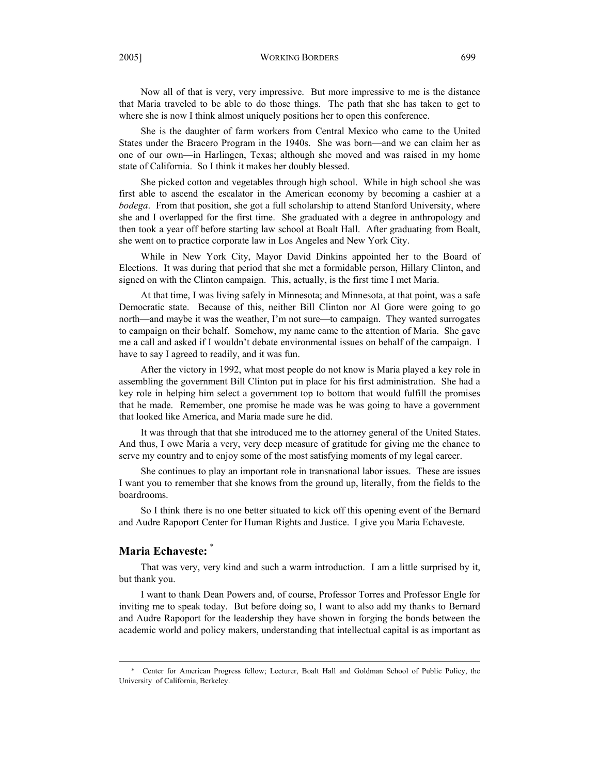Now all of that is very, very impressive. But more impressive to me is the distance that Maria traveled to be able to do those things. The path that she has taken to get to where she is now I think almost uniquely positions her to open this conference.

She is the daughter of farm workers from Central Mexico who came to the United States under the Bracero Program in the 1940s. She was born—and we can claim her as one of our own—in Harlingen, Texas; although she moved and was raised in my home state of California. So I think it makes her doubly blessed.

She picked cotton and vegetables through high school. While in high school she was first able to ascend the escalator in the American economy by becoming a cashier at a *bodega*. From that position, she got a full scholarship to attend Stanford University, where she and I overlapped for the first time. She graduated with a degree in anthropology and then took a year off before starting law school at Boalt Hall. After graduating from Boalt, she went on to practice corporate law in Los Angeles and New York City.

While in New York City, Mayor David Dinkins appointed her to the Board of Elections. It was during that period that she met a formidable person, Hillary Clinton, and signed on with the Clinton campaign. This, actually, is the first time I met Maria.

At that time, I was living safely in Minnesota; and Minnesota, at that point, was a safe Democratic state. Because of this, neither Bill Clinton nor Al Gore were going to go north—and maybe it was the weather, I'm not sure—to campaign. They wanted surrogates to campaign on their behalf. Somehow, my name came to the attention of Maria. She gave me a call and asked if I wouldn't debate environmental issues on behalf of the campaign. I have to say I agreed to readily, and it was fun.

After the victory in 1992, what most people do not know is Maria played a key role in assembling the government Bill Clinton put in place for his first administration. She had a key role in helping him select a government top to bottom that would fulfill the promises that he made. Remember, one promise he made was he was going to have a government that looked like America, and Maria made sure he did.

It was through that that she introduced me to the attorney general of the United States. And thus, I owe Maria a very, very deep measure of gratitude for giving me the chance to serve my country and to enjoy some of the most satisfying moments of my legal career.

She continues to play an important role in transnational labor issues. These are issues I want you to remember that she knows from the ground up, literally, from the fields to the boardrooms.

So I think there is no one better situated to kick off this opening event of the Bernard and Audre Rapoport Center for Human Rights and Justice. I give you Maria Echaveste.

# **Maria Echaveste:** *\**

l

That was very, very kind and such a warm introduction. I am a little surprised by it, but thank you.

I want to thank Dean Powers and, of course, Professor Torres and Professor Engle for inviting me to speak today. But before doing so, I want to also add my thanks to Bernard and Audre Rapoport for the leadership they have shown in forging the bonds between the academic world and policy makers, understanding that intellectual capital is as important as

<sup>\*</sup> Center for American Progress fellow; Lecturer, Boalt Hall and Goldman School of Public Policy, the University of California, Berkeley.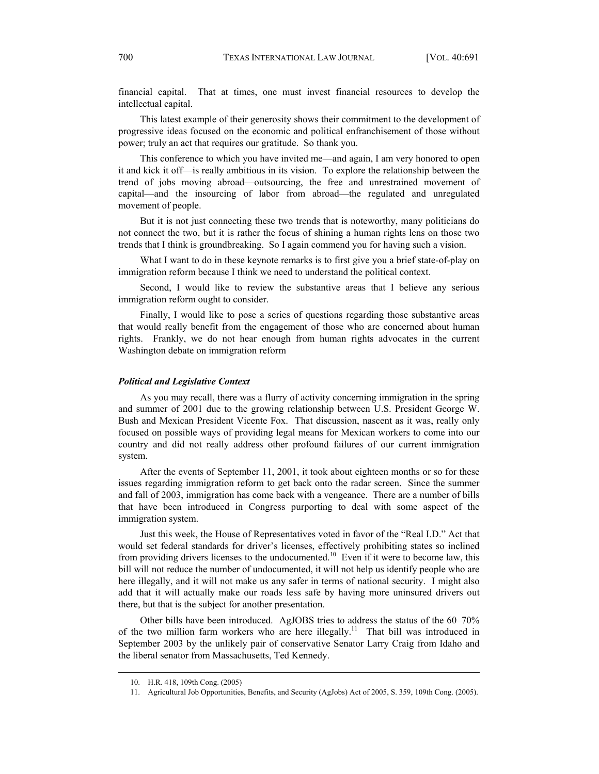financial capital. That at times, one must invest financial resources to develop the intellectual capital.

This latest example of their generosity shows their commitment to the development of progressive ideas focused on the economic and political enfranchisement of those without power; truly an act that requires our gratitude. So thank you.

This conference to which you have invited me—and again, I am very honored to open it and kick it off—is really ambitious in its vision. To explore the relationship between the trend of jobs moving abroad—outsourcing, the free and unrestrained movement of capital—and the insourcing of labor from abroad—the regulated and unregulated movement of people.

But it is not just connecting these two trends that is noteworthy, many politicians do not connect the two, but it is rather the focus of shining a human rights lens on those two trends that I think is groundbreaking. So I again commend you for having such a vision.

What I want to do in these keynote remarks is to first give you a brief state-of-play on immigration reform because I think we need to understand the political context.

Second, I would like to review the substantive areas that I believe any serious immigration reform ought to consider.

Finally, I would like to pose a series of questions regarding those substantive areas that would really benefit from the engagement of those who are concerned about human rights. Frankly, we do not hear enough from human rights advocates in the current Washington debate on immigration reform

#### *Political and Legislative Context*

As you may recall, there was a flurry of activity concerning immigration in the spring and summer of 2001 due to the growing relationship between U.S. President George W. Bush and Mexican President Vicente Fox. That discussion, nascent as it was, really only focused on possible ways of providing legal means for Mexican workers to come into our country and did not really address other profound failures of our current immigration system.

After the events of September 11, 2001, it took about eighteen months or so for these issues regarding immigration reform to get back onto the radar screen. Since the summer and fall of 2003, immigration has come back with a vengeance. There are a number of bills that have been introduced in Congress purporting to deal with some aspect of the immigration system.

Just this week, the House of Representatives voted in favor of the "Real I.D." Act that would set federal standards for driver's licenses, effectively prohibiting states so inclined from providing drivers licenses to the undocumented.<sup>10</sup> Even if it were to become law, this bill will not reduce the number of undocumented, it will not help us identify people who are here illegally, and it will not make us any safer in terms of national security. I might also add that it will actually make our roads less safe by having more uninsured drivers out there, but that is the subject for another presentation.

Other bills have been introduced. AgJOBS tries to address the status of the 60–70% of the two million farm workers who are here illegally.<sup>11</sup> That bill was introduced in September 2003 by the unlikely pair of conservative Senator Larry Craig from Idaho and the liberal senator from Massachusetts, Ted Kennedy.

-

<sup>10.</sup> H.R. 418, 109th Cong. (2005)

<sup>11.</sup> Agricultural Job Opportunities, Benefits, and Security (AgJobs) Act of 2005, S. 359, 109th Cong. (2005).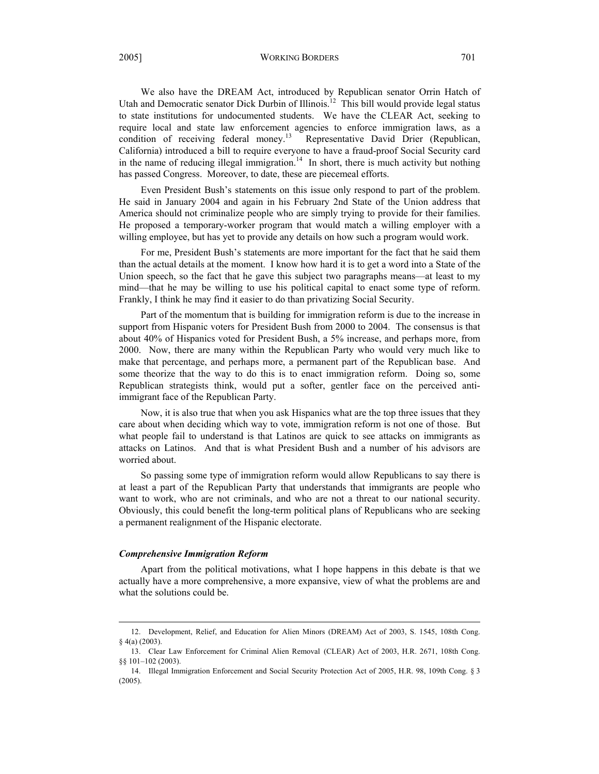We also have the DREAM Act, introduced by Republican senator Orrin Hatch of Utah and Democratic senator Dick Durbin of Illinois.<sup>12</sup> This bill would provide legal status to state institutions for undocumented students. We have the CLEAR Act, seeking to require local and state law enforcement agencies to enforce immigration laws, as a condition of receiving federal money.<sup>13</sup> Representative David Drier (Republican, California) introduced a bill to require everyone to have a fraud-proof Social Security card in the name of reducing illegal immigration.<sup>14</sup> In short, there is much activity but nothing has passed Congress. Moreover, to date, these are piecemeal efforts.

Even President Bush's statements on this issue only respond to part of the problem. He said in January 2004 and again in his February 2nd State of the Union address that America should not criminalize people who are simply trying to provide for their families. He proposed a temporary-worker program that would match a willing employer with a willing employee, but has yet to provide any details on how such a program would work.

For me, President Bush's statements are more important for the fact that he said them than the actual details at the moment. I know how hard it is to get a word into a State of the Union speech, so the fact that he gave this subject two paragraphs means—at least to my mind—that he may be willing to use his political capital to enact some type of reform. Frankly, I think he may find it easier to do than privatizing Social Security.

Part of the momentum that is building for immigration reform is due to the increase in support from Hispanic voters for President Bush from 2000 to 2004. The consensus is that about 40% of Hispanics voted for President Bush, a 5% increase, and perhaps more, from 2000. Now, there are many within the Republican Party who would very much like to make that percentage, and perhaps more, a permanent part of the Republican base. And some theorize that the way to do this is to enact immigration reform. Doing so, some Republican strategists think, would put a softer, gentler face on the perceived antiimmigrant face of the Republican Party.

Now, it is also true that when you ask Hispanics what are the top three issues that they care about when deciding which way to vote, immigration reform is not one of those. But what people fail to understand is that Latinos are quick to see attacks on immigrants as attacks on Latinos. And that is what President Bush and a number of his advisors are worried about.

So passing some type of immigration reform would allow Republicans to say there is at least a part of the Republican Party that understands that immigrants are people who want to work, who are not criminals, and who are not a threat to our national security. Obviously, this could benefit the long-term political plans of Republicans who are seeking a permanent realignment of the Hispanic electorate.

#### *Comprehensive Immigration Reform*

l

Apart from the political motivations, what I hope happens in this debate is that we actually have a more comprehensive, a more expansive, view of what the problems are and what the solutions could be.

<sup>12.</sup> Development, Relief, and Education for Alien Minors (DREAM) Act of 2003, S. 1545, 108th Cong. § 4(a) (2003).

<sup>13.</sup> Clear Law Enforcement for Criminal Alien Removal (CLEAR) Act of 2003, H.R. 2671, 108th Cong. §§ 101–102 (2003).

<sup>14.</sup> Illegal Immigration Enforcement and Social Security Protection Act of 2005, H.R. 98, 109th Cong. § 3 (2005).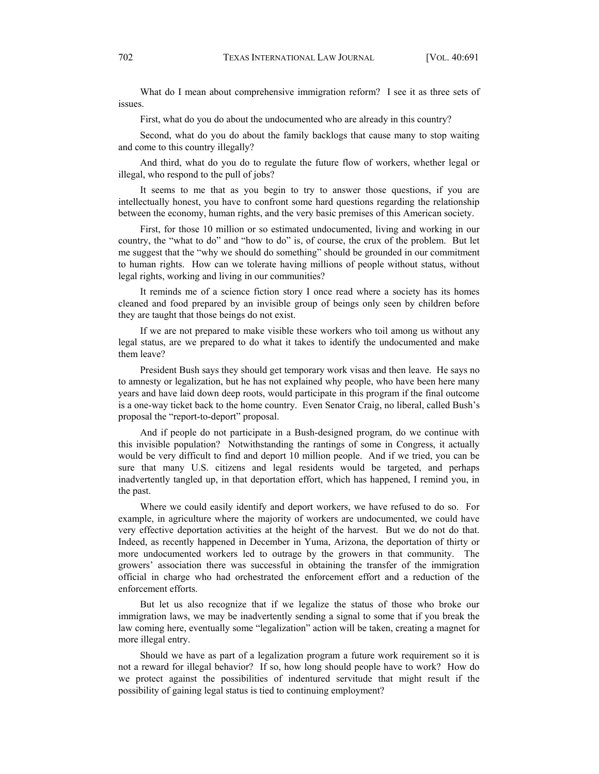What do I mean about comprehensive immigration reform? I see it as three sets of issues.

First, what do you do about the undocumented who are already in this country?

Second, what do you do about the family backlogs that cause many to stop waiting and come to this country illegally?

And third, what do you do to regulate the future flow of workers, whether legal or illegal, who respond to the pull of jobs?

It seems to me that as you begin to try to answer those questions, if you are intellectually honest, you have to confront some hard questions regarding the relationship between the economy, human rights, and the very basic premises of this American society.

First, for those 10 million or so estimated undocumented, living and working in our country, the "what to do" and "how to do" is, of course, the crux of the problem. But let me suggest that the "why we should do something" should be grounded in our commitment to human rights. How can we tolerate having millions of people without status, without legal rights, working and living in our communities?

It reminds me of a science fiction story I once read where a society has its homes cleaned and food prepared by an invisible group of beings only seen by children before they are taught that those beings do not exist.

If we are not prepared to make visible these workers who toil among us without any legal status, are we prepared to do what it takes to identify the undocumented and make them leave?

President Bush says they should get temporary work visas and then leave. He says no to amnesty or legalization, but he has not explained why people, who have been here many years and have laid down deep roots, would participate in this program if the final outcome is a one-way ticket back to the home country. Even Senator Craig, no liberal, called Bush's proposal the "report-to-deport" proposal.

And if people do not participate in a Bush-designed program, do we continue with this invisible population? Notwithstanding the rantings of some in Congress, it actually would be very difficult to find and deport 10 million people. And if we tried, you can be sure that many U.S. citizens and legal residents would be targeted, and perhaps inadvertently tangled up, in that deportation effort, which has happened, I remind you, in the past.

Where we could easily identify and deport workers, we have refused to do so. For example, in agriculture where the majority of workers are undocumented, we could have very effective deportation activities at the height of the harvest. But we do not do that. Indeed, as recently happened in December in Yuma, Arizona, the deportation of thirty or more undocumented workers led to outrage by the growers in that community. The growers' association there was successful in obtaining the transfer of the immigration official in charge who had orchestrated the enforcement effort and a reduction of the enforcement efforts.

But let us also recognize that if we legalize the status of those who broke our immigration laws, we may be inadvertently sending a signal to some that if you break the law coming here, eventually some "legalization" action will be taken, creating a magnet for more illegal entry.

Should we have as part of a legalization program a future work requirement so it is not a reward for illegal behavior? If so, how long should people have to work? How do we protect against the possibilities of indentured servitude that might result if the possibility of gaining legal status is tied to continuing employment?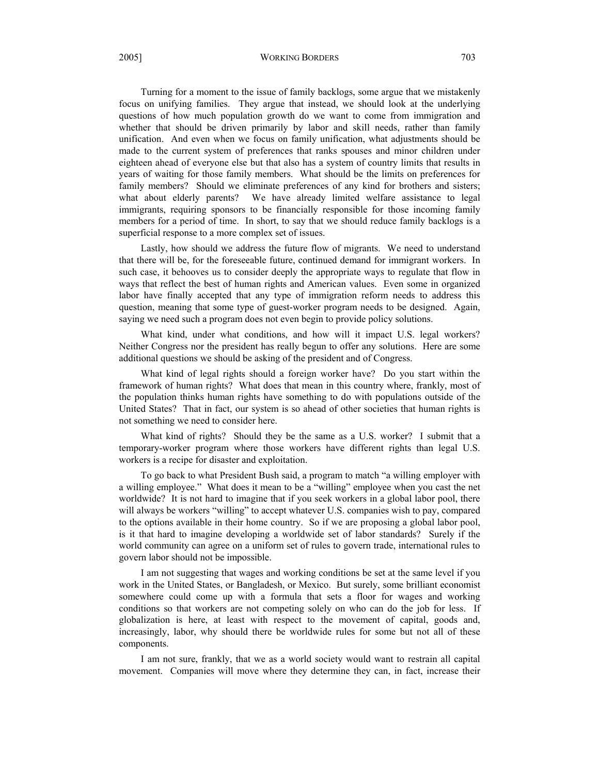Turning for a moment to the issue of family backlogs, some argue that we mistakenly focus on unifying families. They argue that instead, we should look at the underlying questions of how much population growth do we want to come from immigration and whether that should be driven primarily by labor and skill needs, rather than family unification. And even when we focus on family unification, what adjustments should be made to the current system of preferences that ranks spouses and minor children under eighteen ahead of everyone else but that also has a system of country limits that results in years of waiting for those family members. What should be the limits on preferences for family members? Should we eliminate preferences of any kind for brothers and sisters; what about elderly parents? We have already limited welfare assistance to legal immigrants, requiring sponsors to be financially responsible for those incoming family members for a period of time. In short, to say that we should reduce family backlogs is a superficial response to a more complex set of issues.

Lastly, how should we address the future flow of migrants. We need to understand that there will be, for the foreseeable future, continued demand for immigrant workers. In such case, it behooves us to consider deeply the appropriate ways to regulate that flow in ways that reflect the best of human rights and American values. Even some in organized labor have finally accepted that any type of immigration reform needs to address this question, meaning that some type of guest-worker program needs to be designed. Again, saying we need such a program does not even begin to provide policy solutions.

What kind, under what conditions, and how will it impact U.S. legal workers? Neither Congress nor the president has really begun to offer any solutions. Here are some additional questions we should be asking of the president and of Congress.

What kind of legal rights should a foreign worker have? Do you start within the framework of human rights? What does that mean in this country where, frankly, most of the population thinks human rights have something to do with populations outside of the United States? That in fact, our system is so ahead of other societies that human rights is not something we need to consider here.

What kind of rights? Should they be the same as a U.S. worker? I submit that a temporary-worker program where those workers have different rights than legal U.S. workers is a recipe for disaster and exploitation.

To go back to what President Bush said, a program to match "a willing employer with a willing employee." What does it mean to be a "willing" employee when you cast the net worldwide? It is not hard to imagine that if you seek workers in a global labor pool, there will always be workers "willing" to accept whatever U.S. companies wish to pay, compared to the options available in their home country. So if we are proposing a global labor pool, is it that hard to imagine developing a worldwide set of labor standards? Surely if the world community can agree on a uniform set of rules to govern trade, international rules to govern labor should not be impossible.

I am not suggesting that wages and working conditions be set at the same level if you work in the United States, or Bangladesh, or Mexico. But surely, some brilliant economist somewhere could come up with a formula that sets a floor for wages and working conditions so that workers are not competing solely on who can do the job for less. If globalization is here, at least with respect to the movement of capital, goods and, increasingly, labor, why should there be worldwide rules for some but not all of these components.

I am not sure, frankly, that we as a world society would want to restrain all capital movement. Companies will move where they determine they can, in fact, increase their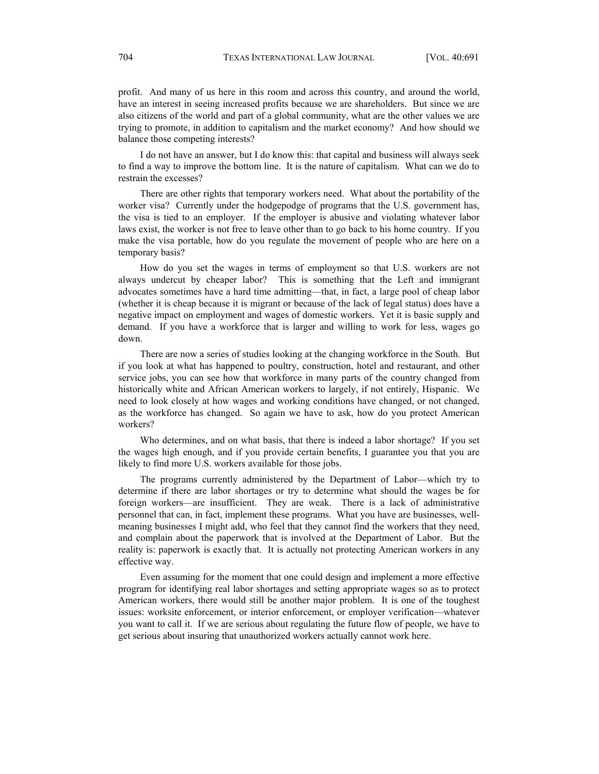profit. And many of us here in this room and across this country, and around the world, have an interest in seeing increased profits because we are shareholders. But since we are also citizens of the world and part of a global community, what are the other values we are trying to promote, in addition to capitalism and the market economy? And how should we balance those competing interests?

I do not have an answer, but I do know this: that capital and business will always seek to find a way to improve the bottom line. It is the nature of capitalism. What can we do to restrain the excesses?

There are other rights that temporary workers need. What about the portability of the worker visa? Currently under the hodgepodge of programs that the U.S. government has, the visa is tied to an employer. If the employer is abusive and violating whatever labor laws exist, the worker is not free to leave other than to go back to his home country. If you make the visa portable, how do you regulate the movement of people who are here on a temporary basis?

How do you set the wages in terms of employment so that U.S. workers are not always undercut by cheaper labor? This is something that the Left and immigrant advocates sometimes have a hard time admitting—that, in fact, a large pool of cheap labor (whether it is cheap because it is migrant or because of the lack of legal status) does have a negative impact on employment and wages of domestic workers. Yet it is basic supply and demand. If you have a workforce that is larger and willing to work for less, wages go down.

There are now a series of studies looking at the changing workforce in the South. But if you look at what has happened to poultry, construction, hotel and restaurant, and other service jobs, you can see how that workforce in many parts of the country changed from historically white and African American workers to largely, if not entirely, Hispanic. We need to look closely at how wages and working conditions have changed, or not changed, as the workforce has changed. So again we have to ask, how do you protect American workers?

Who determines, and on what basis, that there is indeed a labor shortage? If you set the wages high enough, and if you provide certain benefits, I guarantee you that you are likely to find more U.S. workers available for those jobs.

The programs currently administered by the Department of Labor—which try to determine if there are labor shortages or try to determine what should the wages be for foreign workers—are insufficient. They are weak. There is a lack of administrative personnel that can, in fact, implement these programs. What you have are businesses, wellmeaning businesses I might add, who feel that they cannot find the workers that they need, and complain about the paperwork that is involved at the Department of Labor. But the reality is: paperwork is exactly that. It is actually not protecting American workers in any effective way.

Even assuming for the moment that one could design and implement a more effective program for identifying real labor shortages and setting appropriate wages so as to protect American workers, there would still be another major problem. It is one of the toughest issues: worksite enforcement, or interior enforcement, or employer verification—whatever you want to call it. If we are serious about regulating the future flow of people, we have to get serious about insuring that unauthorized workers actually cannot work here.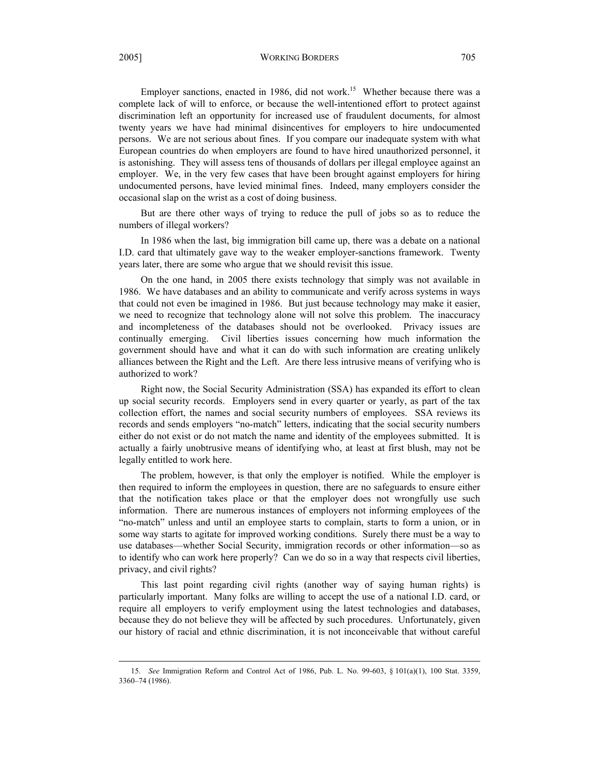Employer sanctions, enacted in 1986, did not work.<sup>15</sup> Whether because there was a complete lack of will to enforce, or because the well-intentioned effort to protect against discrimination left an opportunity for increased use of fraudulent documents, for almost twenty years we have had minimal disincentives for employers to hire undocumented persons. We are not serious about fines. If you compare our inadequate system with what European countries do when employers are found to have hired unauthorized personnel, it is astonishing. They will assess tens of thousands of dollars per illegal employee against an employer. We, in the very few cases that have been brought against employers for hiring undocumented persons, have levied minimal fines. Indeed, many employers consider the occasional slap on the wrist as a cost of doing business.

But are there other ways of trying to reduce the pull of jobs so as to reduce the numbers of illegal workers?

In 1986 when the last, big immigration bill came up, there was a debate on a national I.D. card that ultimately gave way to the weaker employer-sanctions framework. Twenty years later, there are some who argue that we should revisit this issue.

On the one hand, in 2005 there exists technology that simply was not available in 1986. We have databases and an ability to communicate and verify across systems in ways that could not even be imagined in 1986. But just because technology may make it easier, we need to recognize that technology alone will not solve this problem. The inaccuracy and incompleteness of the databases should not be overlooked. Privacy issues are continually emerging. Civil liberties issues concerning how much information the government should have and what it can do with such information are creating unlikely alliances between the Right and the Left. Are there less intrusive means of verifying who is authorized to work?

Right now, the Social Security Administration (SSA) has expanded its effort to clean up social security records. Employers send in every quarter or yearly, as part of the tax collection effort, the names and social security numbers of employees. SSA reviews its records and sends employers "no-match" letters, indicating that the social security numbers either do not exist or do not match the name and identity of the employees submitted. It is actually a fairly unobtrusive means of identifying who, at least at first blush, may not be legally entitled to work here.

The problem, however, is that only the employer is notified. While the employer is then required to inform the employees in question, there are no safeguards to ensure either that the notification takes place or that the employer does not wrongfully use such information. There are numerous instances of employers not informing employees of the "no-match" unless and until an employee starts to complain, starts to form a union, or in some way starts to agitate for improved working conditions. Surely there must be a way to use databases—whether Social Security, immigration records or other information—so as to identify who can work here properly? Can we do so in a way that respects civil liberties, privacy, and civil rights?

This last point regarding civil rights (another way of saying human rights) is particularly important. Many folks are willing to accept the use of a national I.D. card, or require all employers to verify employment using the latest technologies and databases, because they do not believe they will be affected by such procedures. Unfortunately, given our history of racial and ethnic discrimination, it is not inconceivable that without careful

l

<sup>15.</sup> *See* Immigration Reform and Control Act of 1986, Pub. L. No. 99-603, § 101(a)(1), 100 Stat. 3359, 3360–74 (1986).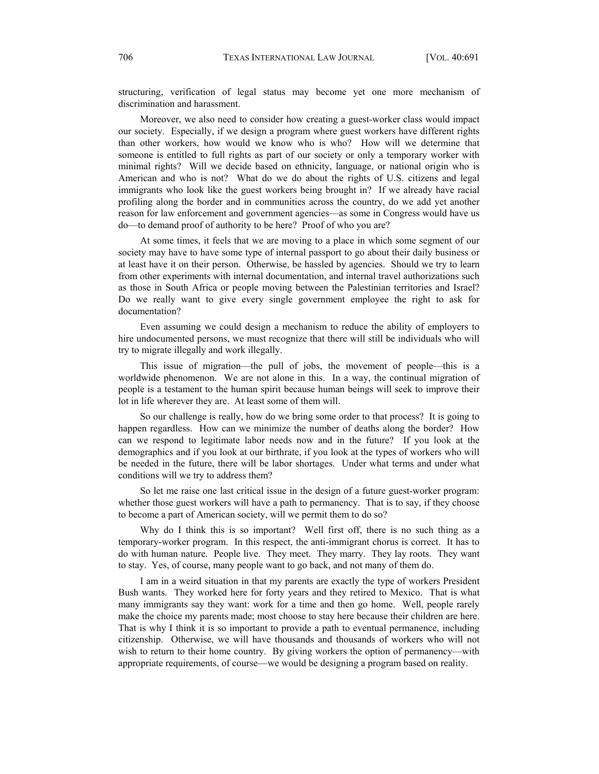structuring, verification of legal status may become yet one more mechanism of discrimination and harassment.

Moreover, we also need to consider how creating a guest-worker class would impact our society. Especially, if we design a program where guest workers have different rights than other workers, how would we know who is who? How will we determine that someone is entitled to full rights as part of our society or only a temporary worker with minimal rights? Will we decide based on ethnicity, language, or national origin who is American and who is not? What do we do about the rights of U.S. citizens and legal immigrants who look like the guest workers being brought in? If we already have racial profiling along the border and in communities across the country, do we add yet another reason for law enforcement and government agencies—as some in Congress would have us do—to demand proof of authority to be here? Proof of who you are?

At some times, it feels that we are moving to a place in which some segment of our society may have to have some type of internal passport to go about their daily business or at least have it on their person. Otherwise, be hassled by agencies. Should we try to learn from other experiments with internal documentation, and internal travel authorizations such as those in South Africa or people moving between the Palestinian territories and Israel? Do we really want to give every single government employee the right to ask for documentation?

Even assuming we could design a mechanism to reduce the ability of employers to hire undocumented persons, we must recognize that there will still be individuals who will try to migrate illegally and work illegally.

This issue of migration—the pull of jobs, the movement of people—this is a worldwide phenomenon. We are not alone in this. In a way, the continual migration of people is a testament to the human spirit because human beings will seek to improve their lot in life wherever they are. At least some of them will.

So our challenge is really, how do we bring some order to that process? It is going to happen regardless. How can we minimize the number of deaths along the border? How can we respond to legitimate labor needs now and in the future? If you look at the demographics and if you look at our birthrate, if you look at the types of workers who will be needed in the future, there will be labor shortages. Under what terms and under what conditions will we try to address them?

So let me raise one last critical issue in the design of a future guest-worker program: whether those guest workers will have a path to permanency. That is to say, if they choose to become a part of American society, will we permit them to do so?

Why do I think this is so important? Well first off, there is no such thing as a temporary-worker program. In this respect, the anti-immigrant chorus is correct. It has to do with human nature. People live. They meet. They marry. They lay roots. They want to stay. Yes, of course, many people want to go back, and not many of them do.

I am in a weird situation in that my parents are exactly the type of workers President Bush wants. They worked here for forty years and they retired to Mexico. That is what many immigrants say they want: work for a time and then go home. Well, people rarely make the choice my parents made; most choose to stay here because their children are here. That is why I think it is so important to provide a path to eventual permanence, including citizenship. Otherwise, we will have thousands and thousands of workers who will not wish to return to their home country. By giving workers the option of permanency—with appropriate requirements, of course—we would be designing a program based on reality.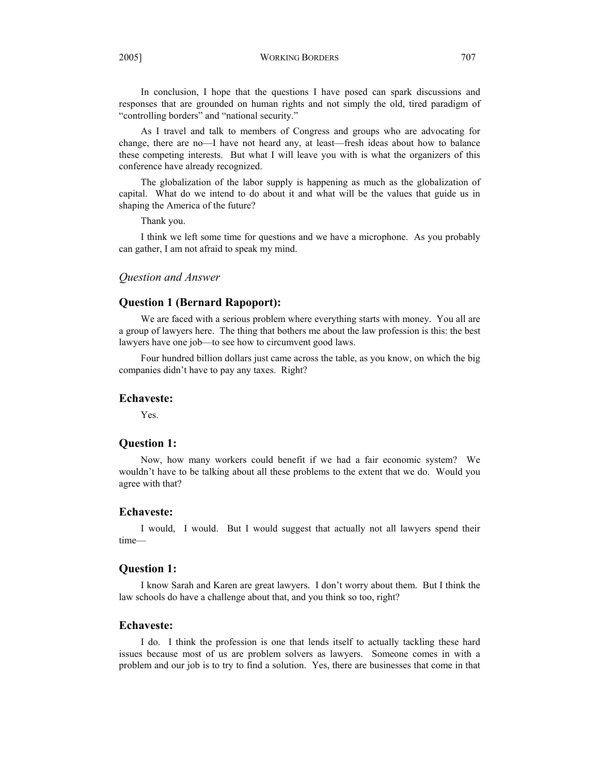In conclusion, I hope that the questions I have posed can spark discussions and responses that are grounded on human rights and not simply the old, tired paradigm of "controlling borders" and "national security."

As I travel and talk to members of Congress and groups who are advocating for change, there are no—I have not heard any, at least—fresh ideas about how to balance these competing interests. But what I will leave you with is what the organizers of this conference have already recognized.

The globalization of the labor supply is happening as much as the globalization of capital. What do we intend to do about it and what will be the values that guide us in shaping the America of the future?

Thank you.

I think we left some time for questions and we have a microphone. As you probably can gather, I am not afraid to speak my mind.

#### *Question and Answer*

#### **Question 1 (Bernard Rapoport):**

We are faced with a serious problem where everything starts with money. You all are a group of lawyers here. The thing that bothers me about the law profession is this: the best lawyers have one job—to see how to circumvent good laws.

Four hundred billion dollars just came across the table, as you know, on which the big companies didn't have to pay any taxes. Right?

#### **Echaveste:**

Yes.

## **Question 1:**

Now, how many workers could benefit if we had a fair economic system? We wouldn't have to be talking about all these problems to the extent that we do. Would you agree with that?

### **Echaveste:**

I would, I would. But I would suggest that actually not all lawyers spend their time—

#### **Question 1:**

I know Sarah and Karen are great lawyers. I don't worry about them. But I think the law schools do have a challenge about that, and you think so too, right?

# **Echaveste:**

I do. I think the profession is one that lends itself to actually tackling these hard issues because most of us are problem solvers as lawyers. Someone comes in with a problem and our job is to try to find a solution. Yes, there are businesses that come in that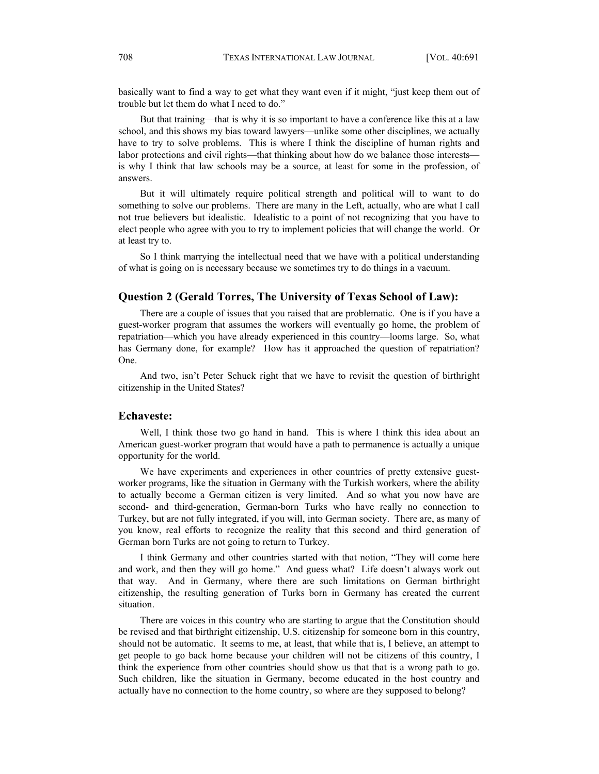basically want to find a way to get what they want even if it might, "just keep them out of trouble but let them do what I need to do."

But that training—that is why it is so important to have a conference like this at a law school, and this shows my bias toward lawyers—unlike some other disciplines, we actually have to try to solve problems. This is where I think the discipline of human rights and labor protections and civil rights—that thinking about how do we balance those interests is why I think that law schools may be a source, at least for some in the profession, of answers.

But it will ultimately require political strength and political will to want to do something to solve our problems. There are many in the Left, actually, who are what I call not true believers but idealistic. Idealistic to a point of not recognizing that you have to elect people who agree with you to try to implement policies that will change the world. Or at least try to.

So I think marrying the intellectual need that we have with a political understanding of what is going on is necessary because we sometimes try to do things in a vacuum.

# **Question 2 (Gerald Torres, The University of Texas School of Law):**

There are a couple of issues that you raised that are problematic. One is if you have a guest-worker program that assumes the workers will eventually go home, the problem of repatriation—which you have already experienced in this country—looms large. So, what has Germany done, for example? How has it approached the question of repatriation? One.

And two, isn't Peter Schuck right that we have to revisit the question of birthright citizenship in the United States?

# **Echaveste:**

Well, I think those two go hand in hand. This is where I think this idea about an American guest-worker program that would have a path to permanence is actually a unique opportunity for the world.

We have experiments and experiences in other countries of pretty extensive guestworker programs, like the situation in Germany with the Turkish workers, where the ability to actually become a German citizen is very limited. And so what you now have are second- and third-generation, German-born Turks who have really no connection to Turkey, but are not fully integrated, if you will, into German society. There are, as many of you know, real efforts to recognize the reality that this second and third generation of German born Turks are not going to return to Turkey.

I think Germany and other countries started with that notion, "They will come here and work, and then they will go home." And guess what? Life doesn't always work out that way. And in Germany, where there are such limitations on German birthright citizenship, the resulting generation of Turks born in Germany has created the current situation.

There are voices in this country who are starting to argue that the Constitution should be revised and that birthright citizenship, U.S. citizenship for someone born in this country, should not be automatic. It seems to me, at least, that while that is, I believe, an attempt to get people to go back home because your children will not be citizens of this country, I think the experience from other countries should show us that that is a wrong path to go. Such children, like the situation in Germany, become educated in the host country and actually have no connection to the home country, so where are they supposed to belong?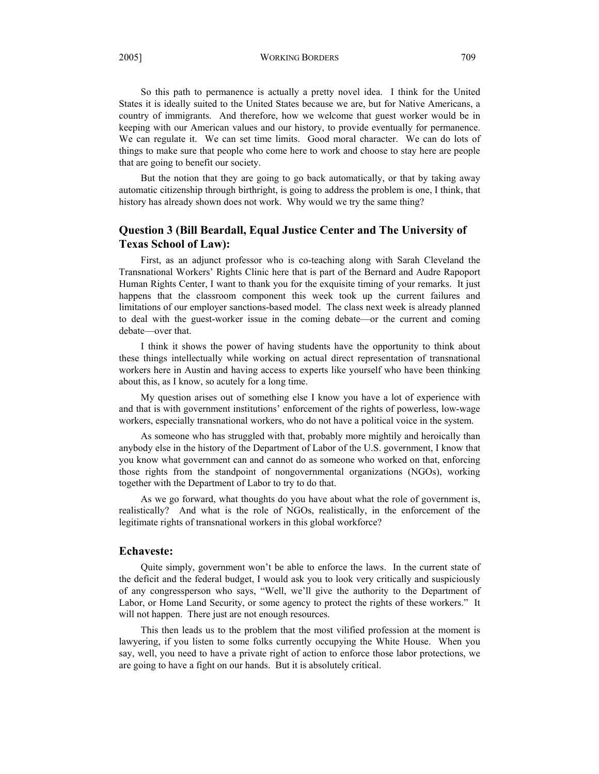So this path to permanence is actually a pretty novel idea. I think for the United States it is ideally suited to the United States because we are, but for Native Americans, a country of immigrants. And therefore, how we welcome that guest worker would be in keeping with our American values and our history, to provide eventually for permanence. We can regulate it. We can set time limits. Good moral character. We can do lots of things to make sure that people who come here to work and choose to stay here are people that are going to benefit our society.

But the notion that they are going to go back automatically, or that by taking away automatic citizenship through birthright, is going to address the problem is one, I think, that history has already shown does not work. Why would we try the same thing?

# **Question 3 (Bill Beardall, Equal Justice Center and The University of Texas School of Law):**

First, as an adjunct professor who is co-teaching along with Sarah Cleveland the Transnational Workers' Rights Clinic here that is part of the Bernard and Audre Rapoport Human Rights Center, I want to thank you for the exquisite timing of your remarks. It just happens that the classroom component this week took up the current failures and limitations of our employer sanctions-based model. The class next week is already planned to deal with the guest-worker issue in the coming debate—or the current and coming debate—over that.

I think it shows the power of having students have the opportunity to think about these things intellectually while working on actual direct representation of transnational workers here in Austin and having access to experts like yourself who have been thinking about this, as I know, so acutely for a long time.

My question arises out of something else I know you have a lot of experience with and that is with government institutions' enforcement of the rights of powerless, low-wage workers, especially transnational workers, who do not have a political voice in the system.

As someone who has struggled with that, probably more mightily and heroically than anybody else in the history of the Department of Labor of the U.S. government, I know that you know what government can and cannot do as someone who worked on that, enforcing those rights from the standpoint of nongovernmental organizations (NGOs), working together with the Department of Labor to try to do that.

As we go forward, what thoughts do you have about what the role of government is, realistically? And what is the role of NGOs, realistically, in the enforcement of the legitimate rights of transnational workers in this global workforce?

#### **Echaveste:**

Quite simply, government won't be able to enforce the laws. In the current state of the deficit and the federal budget, I would ask you to look very critically and suspiciously of any congressperson who says, "Well, we'll give the authority to the Department of Labor, or Home Land Security, or some agency to protect the rights of these workers." It will not happen. There just are not enough resources.

This then leads us to the problem that the most vilified profession at the moment is lawyering, if you listen to some folks currently occupying the White House. When you say, well, you need to have a private right of action to enforce those labor protections, we are going to have a fight on our hands. But it is absolutely critical.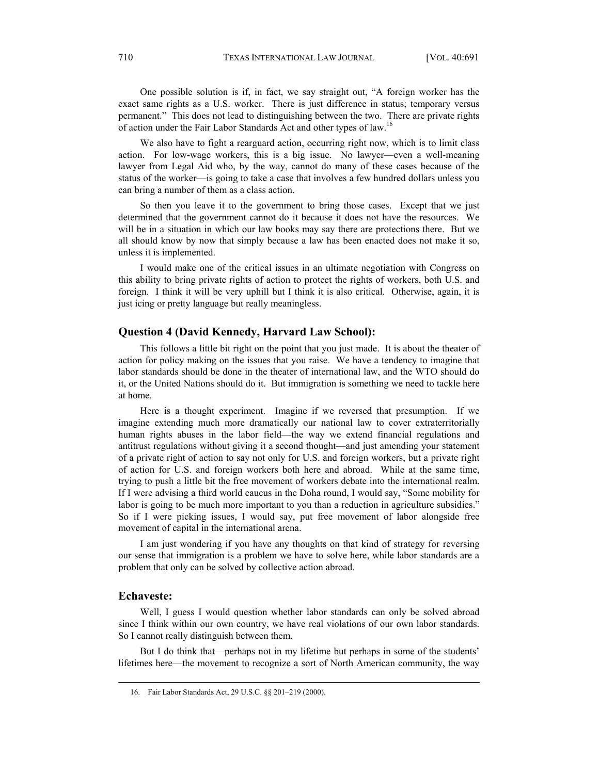One possible solution is if, in fact, we say straight out, "A foreign worker has the exact same rights as a U.S. worker. There is just difference in status; temporary versus permanent." This does not lead to distinguishing between the two. There are private rights of action under the Fair Labor Standards Act and other types of law.16

We also have to fight a rearguard action, occurring right now, which is to limit class action. For low-wage workers, this is a big issue. No lawyer—even a well-meaning lawyer from Legal Aid who, by the way, cannot do many of these cases because of the status of the worker—is going to take a case that involves a few hundred dollars unless you can bring a number of them as a class action.

So then you leave it to the government to bring those cases. Except that we just determined that the government cannot do it because it does not have the resources. We will be in a situation in which our law books may say there are protections there. But we all should know by now that simply because a law has been enacted does not make it so, unless it is implemented.

I would make one of the critical issues in an ultimate negotiation with Congress on this ability to bring private rights of action to protect the rights of workers, both U.S. and foreign. I think it will be very uphill but I think it is also critical. Otherwise, again, it is just icing or pretty language but really meaningless.

#### **Question 4 (David Kennedy, Harvard Law School):**

This follows a little bit right on the point that you just made. It is about the theater of action for policy making on the issues that you raise. We have a tendency to imagine that labor standards should be done in the theater of international law, and the WTO should do it, or the United Nations should do it. But immigration is something we need to tackle here at home.

Here is a thought experiment. Imagine if we reversed that presumption. If we imagine extending much more dramatically our national law to cover extraterritorially human rights abuses in the labor field—the way we extend financial regulations and antitrust regulations without giving it a second thought—and just amending your statement of a private right of action to say not only for U.S. and foreign workers, but a private right of action for U.S. and foreign workers both here and abroad. While at the same time, trying to push a little bit the free movement of workers debate into the international realm. If I were advising a third world caucus in the Doha round, I would say, "Some mobility for labor is going to be much more important to you than a reduction in agriculture subsidies." So if I were picking issues, I would say, put free movement of labor alongside free movement of capital in the international arena.

I am just wondering if you have any thoughts on that kind of strategy for reversing our sense that immigration is a problem we have to solve here, while labor standards are a problem that only can be solved by collective action abroad.

## **Echaveste:**

-

Well, I guess I would question whether labor standards can only be solved abroad since I think within our own country, we have real violations of our own labor standards. So I cannot really distinguish between them.

But I do think that—perhaps not in my lifetime but perhaps in some of the students' lifetimes here—the movement to recognize a sort of North American community, the way

<sup>16.</sup> Fair Labor Standards Act, 29 U.S.C. §§ 201–219 (2000).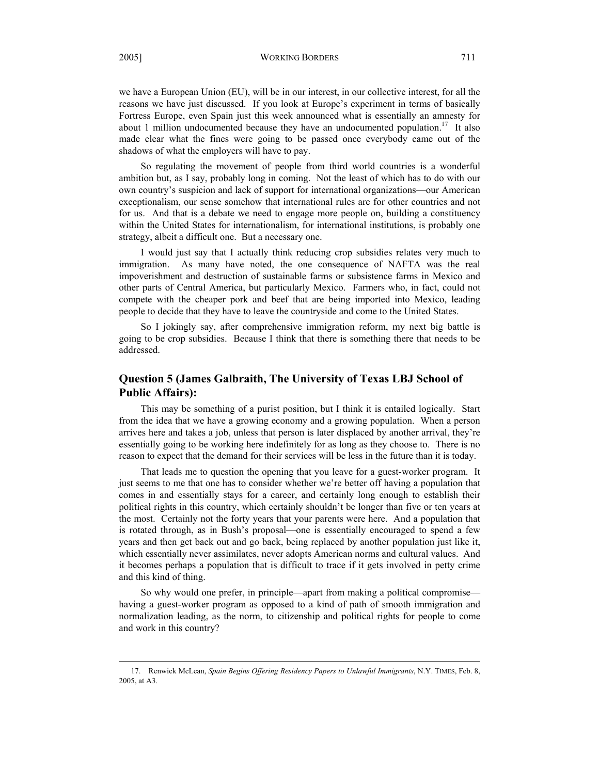we have a European Union (EU), will be in our interest, in our collective interest, for all the reasons we have just discussed. If you look at Europe's experiment in terms of basically Fortress Europe, even Spain just this week announced what is essentially an amnesty for about 1 million undocumented because they have an undocumented population.<sup>17</sup> It also made clear what the fines were going to be passed once everybody came out of the shadows of what the employers will have to pay.

So regulating the movement of people from third world countries is a wonderful ambition but, as I say, probably long in coming. Not the least of which has to do with our own country's suspicion and lack of support for international organizations—our American exceptionalism, our sense somehow that international rules are for other countries and not for us. And that is a debate we need to engage more people on, building a constituency within the United States for internationalism, for international institutions, is probably one strategy, albeit a difficult one. But a necessary one.

I would just say that I actually think reducing crop subsidies relates very much to immigration. As many have noted, the one consequence of NAFTA was the real impoverishment and destruction of sustainable farms or subsistence farms in Mexico and other parts of Central America, but particularly Mexico. Farmers who, in fact, could not compete with the cheaper pork and beef that are being imported into Mexico, leading people to decide that they have to leave the countryside and come to the United States.

So I jokingly say, after comprehensive immigration reform, my next big battle is going to be crop subsidies. Because I think that there is something there that needs to be addressed.

# **Question 5 (James Galbraith, The University of Texas LBJ School of Public Affairs):**

This may be something of a purist position, but I think it is entailed logically. Start from the idea that we have a growing economy and a growing population. When a person arrives here and takes a job, unless that person is later displaced by another arrival, they're essentially going to be working here indefinitely for as long as they choose to. There is no reason to expect that the demand for their services will be less in the future than it is today.

That leads me to question the opening that you leave for a guest-worker program. It just seems to me that one has to consider whether we're better off having a population that comes in and essentially stays for a career, and certainly long enough to establish their political rights in this country, which certainly shouldn't be longer than five or ten years at the most. Certainly not the forty years that your parents were here. And a population that is rotated through, as in Bush's proposal—one is essentially encouraged to spend a few years and then get back out and go back, being replaced by another population just like it, which essentially never assimilates, never adopts American norms and cultural values. And it becomes perhaps a population that is difficult to trace if it gets involved in petty crime and this kind of thing.

So why would one prefer, in principle—apart from making a political compromise having a guest-worker program as opposed to a kind of path of smooth immigration and normalization leading, as the norm, to citizenship and political rights for people to come and work in this country?

l

<sup>17.</sup> Renwick McLean, *Spain Begins Offering Residency Papers to Unlawful Immigrants*, N.Y. TIMES, Feb. 8, 2005, at A3.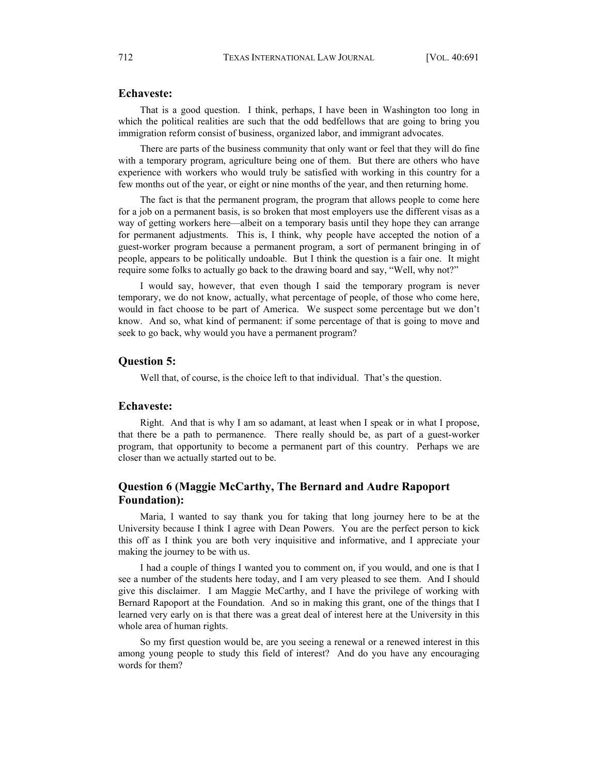# **Echaveste:**

That is a good question. I think, perhaps, I have been in Washington too long in which the political realities are such that the odd bedfellows that are going to bring you immigration reform consist of business, organized labor, and immigrant advocates.

There are parts of the business community that only want or feel that they will do fine with a temporary program, agriculture being one of them. But there are others who have experience with workers who would truly be satisfied with working in this country for a few months out of the year, or eight or nine months of the year, and then returning home.

The fact is that the permanent program, the program that allows people to come here for a job on a permanent basis, is so broken that most employers use the different visas as a way of getting workers here—albeit on a temporary basis until they hope they can arrange for permanent adjustments. This is, I think, why people have accepted the notion of a guest-worker program because a permanent program, a sort of permanent bringing in of people, appears to be politically undoable. But I think the question is a fair one. It might require some folks to actually go back to the drawing board and say, "Well, why not?"

I would say, however, that even though I said the temporary program is never temporary, we do not know, actually, what percentage of people, of those who come here, would in fact choose to be part of America. We suspect some percentage but we don't know. And so, what kind of permanent: if some percentage of that is going to move and seek to go back, why would you have a permanent program?

### **Question 5:**

Well that, of course, is the choice left to that individual. That's the question.

## **Echaveste:**

Right. And that is why I am so adamant, at least when I speak or in what I propose, that there be a path to permanence. There really should be, as part of a guest-worker program, that opportunity to become a permanent part of this country. Perhaps we are closer than we actually started out to be.

# **Question 6 (Maggie McCarthy, The Bernard and Audre Rapoport Foundation):**

Maria, I wanted to say thank you for taking that long journey here to be at the University because I think I agree with Dean Powers. You are the perfect person to kick this off as I think you are both very inquisitive and informative, and I appreciate your making the journey to be with us.

I had a couple of things I wanted you to comment on, if you would, and one is that I see a number of the students here today, and I am very pleased to see them. And I should give this disclaimer. I am Maggie McCarthy, and I have the privilege of working with Bernard Rapoport at the Foundation. And so in making this grant, one of the things that I learned very early on is that there was a great deal of interest here at the University in this whole area of human rights.

So my first question would be, are you seeing a renewal or a renewed interest in this among young people to study this field of interest? And do you have any encouraging words for them?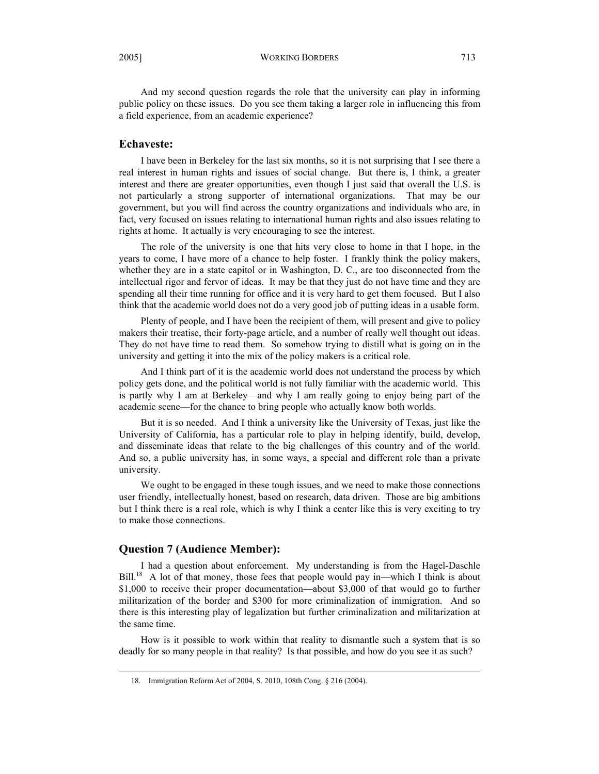And my second question regards the role that the university can play in informing public policy on these issues. Do you see them taking a larger role in influencing this from a field experience, from an academic experience?

# **Echaveste:**

I have been in Berkeley for the last six months, so it is not surprising that I see there a real interest in human rights and issues of social change. But there is, I think, a greater interest and there are greater opportunities, even though I just said that overall the U.S. is not particularly a strong supporter of international organizations. That may be our government, but you will find across the country organizations and individuals who are, in fact, very focused on issues relating to international human rights and also issues relating to rights at home. It actually is very encouraging to see the interest.

The role of the university is one that hits very close to home in that I hope, in the years to come, I have more of a chance to help foster. I frankly think the policy makers, whether they are in a state capitol or in Washington, D. C., are too disconnected from the intellectual rigor and fervor of ideas. It may be that they just do not have time and they are spending all their time running for office and it is very hard to get them focused. But I also think that the academic world does not do a very good job of putting ideas in a usable form.

Plenty of people, and I have been the recipient of them, will present and give to policy makers their treatise, their forty-page article, and a number of really well thought out ideas. They do not have time to read them. So somehow trying to distill what is going on in the university and getting it into the mix of the policy makers is a critical role.

And I think part of it is the academic world does not understand the process by which policy gets done, and the political world is not fully familiar with the academic world. This is partly why I am at Berkeley—and why I am really going to enjoy being part of the academic scene—for the chance to bring people who actually know both worlds.

But it is so needed. And I think a university like the University of Texas, just like the University of California, has a particular role to play in helping identify, build, develop, and disseminate ideas that relate to the big challenges of this country and of the world. And so, a public university has, in some ways, a special and different role than a private university.

We ought to be engaged in these tough issues, and we need to make those connections user friendly, intellectually honest, based on research, data driven. Those are big ambitions but I think there is a real role, which is why I think a center like this is very exciting to try to make those connections.

## **Question 7 (Audience Member):**

l

I had a question about enforcement. My understanding is from the Hagel-Daschle Bill.<sup>18</sup> A lot of that money, those fees that people would pay in—which I think is about \$1,000 to receive their proper documentation—about \$3,000 of that would go to further militarization of the border and \$300 for more criminalization of immigration. And so there is this interesting play of legalization but further criminalization and militarization at the same time.

How is it possible to work within that reality to dismantle such a system that is so deadly for so many people in that reality? Is that possible, and how do you see it as such?

<sup>18.</sup> Immigration Reform Act of 2004, S. 2010, 108th Cong. § 216 (2004).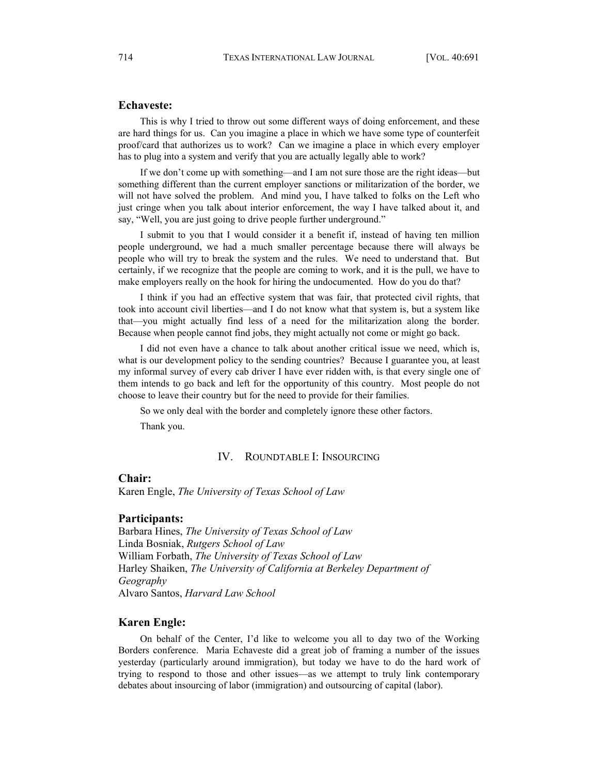#### **Echaveste:**

This is why I tried to throw out some different ways of doing enforcement, and these are hard things for us. Can you imagine a place in which we have some type of counterfeit proof/card that authorizes us to work? Can we imagine a place in which every employer has to plug into a system and verify that you are actually legally able to work?

If we don't come up with something—and I am not sure those are the right ideas—but something different than the current employer sanctions or militarization of the border, we will not have solved the problem. And mind you, I have talked to folks on the Left who just cringe when you talk about interior enforcement, the way I have talked about it, and say, "Well, you are just going to drive people further underground."

I submit to you that I would consider it a benefit if, instead of having ten million people underground, we had a much smaller percentage because there will always be people who will try to break the system and the rules. We need to understand that. But certainly, if we recognize that the people are coming to work, and it is the pull, we have to make employers really on the hook for hiring the undocumented. How do you do that?

I think if you had an effective system that was fair, that protected civil rights, that took into account civil liberties—and I do not know what that system is, but a system like that—you might actually find less of a need for the militarization along the border. Because when people cannot find jobs, they might actually not come or might go back.

I did not even have a chance to talk about another critical issue we need, which is, what is our development policy to the sending countries? Because I guarantee you, at least my informal survey of every cab driver I have ever ridden with, is that every single one of them intends to go back and left for the opportunity of this country. Most people do not choose to leave their country but for the need to provide for their families.

So we only deal with the border and completely ignore these other factors.

Thank you.

## IV. ROUNDTABLE I: INSOURCING

# **Chair:**

Karen Engle, *The University of Texas School of Law*

# **Participants:**

Barbara Hines, *The University of Texas School of Law*  Linda Bosniak, *Rutgers School of Law* William Forbath, *The University of Texas School of Law* Harley Shaiken, *The University of California at Berkeley Department of Geography* Alvaro Santos, *Harvard Law School*

# **Karen Engle:**

On behalf of the Center, I'd like to welcome you all to day two of the Working Borders conference. Maria Echaveste did a great job of framing a number of the issues yesterday (particularly around immigration), but today we have to do the hard work of trying to respond to those and other issues—as we attempt to truly link contemporary debates about insourcing of labor (immigration) and outsourcing of capital (labor).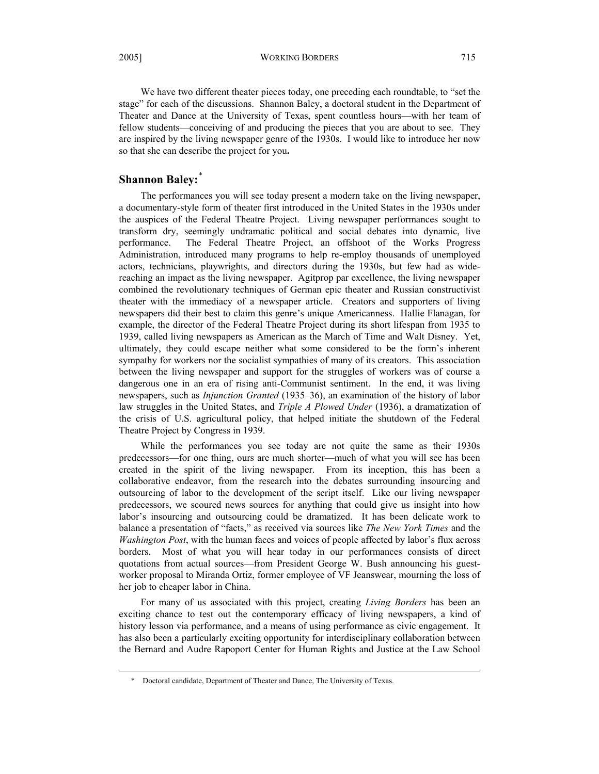l

We have two different theater pieces today, one preceding each roundtable, to "set the stage" for each of the discussions. Shannon Baley, a doctoral student in the Department of Theater and Dance at the University of Texas, spent countless hours—with her team of fellow students—conceiving of and producing the pieces that you are about to see. They are inspired by the living newspaper genre of the 1930s. I would like to introduce her now so that she can describe the project for you**.**

# **Shannon Baley:***\**

The performances you will see today present a modern take on the living newspaper, a documentary-style form of theater first introduced in the United States in the 1930s under the auspices of the Federal Theatre Project. Living newspaper performances sought to transform dry, seemingly undramatic political and social debates into dynamic, live performance. The Federal Theatre Project, an offshoot of the Works Progress Administration, introduced many programs to help re-employ thousands of unemployed actors, technicians, playwrights, and directors during the 1930s, but few had as widereaching an impact as the living newspaper. Agitprop par excellence, the living newspaper combined the revolutionary techniques of German epic theater and Russian constructivist theater with the immediacy of a newspaper article. Creators and supporters of living newspapers did their best to claim this genre's unique Americanness. Hallie Flanagan, for example, the director of the Federal Theatre Project during its short lifespan from 1935 to 1939, called living newspapers as American as the March of Time and Walt Disney. Yet, ultimately, they could escape neither what some considered to be the form's inherent sympathy for workers nor the socialist sympathies of many of its creators. This association between the living newspaper and support for the struggles of workers was of course a dangerous one in an era of rising anti-Communist sentiment. In the end, it was living newspapers, such as *Injunction Granted* (1935–36), an examination of the history of labor law struggles in the United States, and *Triple A Plowed Under* (1936), a dramatization of the crisis of U.S. agricultural policy, that helped initiate the shutdown of the Federal Theatre Project by Congress in 1939.

While the performances you see today are not quite the same as their 1930s predecessors—for one thing, ours are much shorter—much of what you will see has been created in the spirit of the living newspaper. From its inception, this has been a collaborative endeavor, from the research into the debates surrounding insourcing and outsourcing of labor to the development of the script itself. Like our living newspaper predecessors, we scoured news sources for anything that could give us insight into how labor's insourcing and outsourcing could be dramatized. It has been delicate work to balance a presentation of "facts," as received via sources like *The New York Times* and the *Washington Post*, with the human faces and voices of people affected by labor's flux across borders. Most of what you will hear today in our performances consists of direct quotations from actual sources—from President George W. Bush announcing his guestworker proposal to Miranda Ortiz, former employee of VF Jeanswear, mourning the loss of her job to cheaper labor in China.

For many of us associated with this project, creating *Living Borders* has been an exciting chance to test out the contemporary efficacy of living newspapers, a kind of history lesson via performance, and a means of using performance as civic engagement. It has also been a particularly exciting opportunity for interdisciplinary collaboration between the Bernard and Audre Rapoport Center for Human Rights and Justice at the Law School

<sup>\*</sup> Doctoral candidate, Department of Theater and Dance, The University of Texas.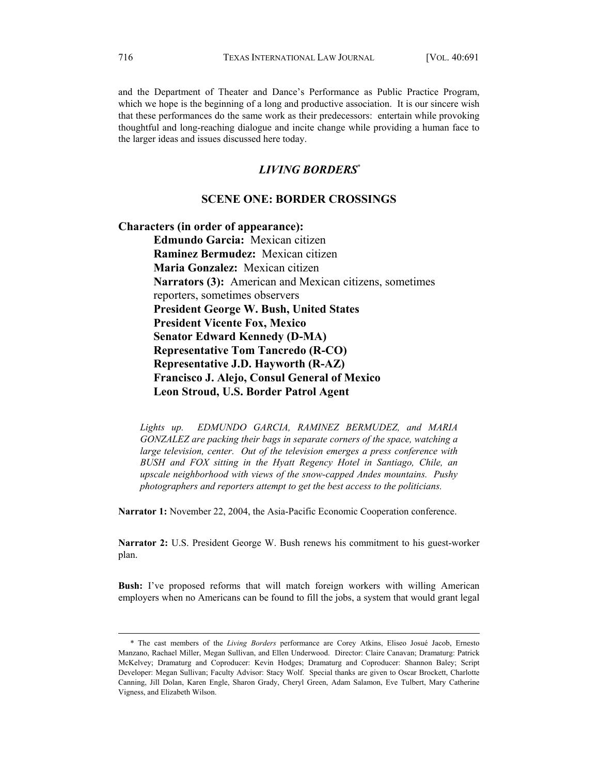and the Department of Theater and Dance's Performance as Public Practice Program, which we hope is the beginning of a long and productive association. It is our sincere wish that these performances do the same work as their predecessors: entertain while provoking thoughtful and long-reaching dialogue and incite change while providing a human face to the larger ideas and issues discussed here today.

# *LIVING BORDERS*\*

# **SCENE ONE: BORDER CROSSINGS**

# **Characters (in order of appearance):**

 **Edmundo Garcia:** Mexican citizen  **Raminez Bermudez:** Mexican citizen  **Maria Gonzalez:** Mexican citizen **Narrators (3):** American and Mexican citizens, sometimes reporters, sometimes observers  **President George W. Bush, United States President Vicente Fox, Mexico Senator Edward Kennedy (D-MA) Representative Tom Tancredo (R-CO) Representative J.D. Hayworth (R-AZ) Francisco J. Alejo, Consul General of Mexico Leon Stroud, U.S. Border Patrol Agent** 

*Lights up. EDMUNDO GARCIA, RAMINEZ BERMUDEZ, and MARIA GONZALEZ are packing their bags in separate corners of the space, watching a large television, center. Out of the television emerges a press conference with BUSH and FOX sitting in the Hyatt Regency Hotel in Santiago, Chile, an upscale neighborhood with views of the snow-capped Andes mountains. Pushy photographers and reporters attempt to get the best access to the politicians.* 

**Narrator 1:** November 22, 2004, the Asia-Pacific Economic Cooperation conference.

**Narrator 2:** U.S. President George W. Bush renews his commitment to his guest-worker plan.

**Bush:** I've proposed reforms that will match foreign workers with willing American employers when no Americans can be found to fill the jobs, a system that would grant legal

-

<sup>\*</sup> The cast members of the *Living Borders* performance are Corey Atkins, Eliseo Josué Jacob, Ernesto Manzano, Rachael Miller, Megan Sullivan, and Ellen Underwood. Director: Claire Canavan; Dramaturg: Patrick McKelvey; Dramaturg and Coproducer: Kevin Hodges; Dramaturg and Coproducer: Shannon Baley; Script Developer: Megan Sullivan; Faculty Advisor: Stacy Wolf. Special thanks are given to Oscar Brockett, Charlotte Canning, Jill Dolan, Karen Engle, Sharon Grady, Cheryl Green, Adam Salamon, Eve Tulbert, Mary Catherine Vigness, and Elizabeth Wilson.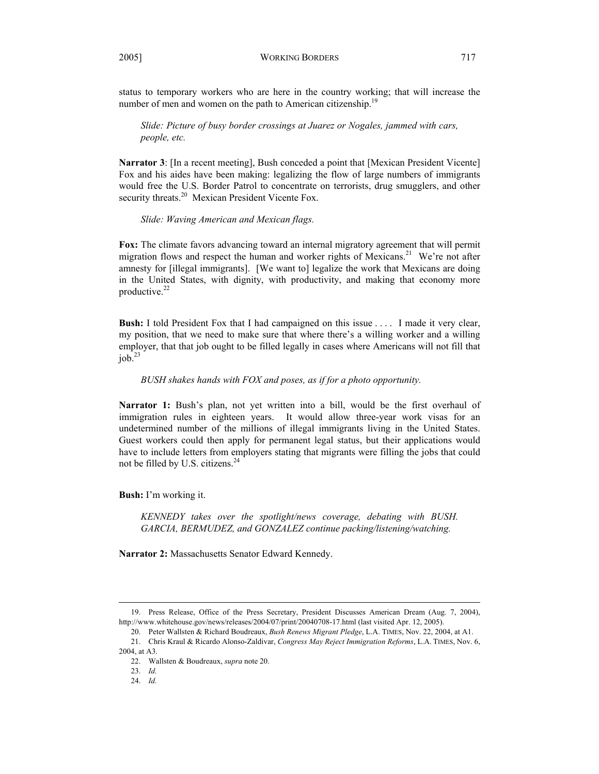status to temporary workers who are here in the country working; that will increase the number of men and women on the path to American citizenship.<sup>19</sup>

*Slide: Picture of busy border crossings at Juarez or Nogales, jammed with cars, people, etc.* 

**Narrator 3**: [In a recent meeting], Bush conceded a point that [Mexican President Vicente] Fox and his aides have been making: legalizing the flow of large numbers of immigrants would free the U.S. Border Patrol to concentrate on terrorists, drug smugglers, and other security threats.<sup>20</sup> Mexican President Vicente Fox.

*Slide: Waving American and Mexican flags.* 

**Fox:** The climate favors advancing toward an internal migratory agreement that will permit migration flows and respect the human and worker rights of Mexicans.21 We're not after amnesty for [illegal immigrants]. [We want to] legalize the work that Mexicans are doing in the United States, with dignity, with productivity, and making that economy more productive.<sup>22</sup>

**Bush:** I told President Fox that I had campaigned on this issue . . . . I made it very clear, my position, that we need to make sure that where there's a willing worker and a willing employer, that that job ought to be filled legally in cases where Americans will not fill that job. $^{23}$ 

*BUSH shakes hands with FOX and poses, as if for a photo opportunity.* 

**Narrator 1:** Bush's plan, not yet written into a bill, would be the first overhaul of immigration rules in eighteen years. It would allow three-year work visas for an undetermined number of the millions of illegal immigrants living in the United States. Guest workers could then apply for permanent legal status, but their applications would have to include letters from employers stating that migrants were filling the jobs that could not be filled by U.S. citizens.<sup>24</sup>

**Bush:** I'm working it.

*KENNEDY takes over the spotlight/news coverage, debating with BUSH. GARCIA, BERMUDEZ, and GONZALEZ continue packing/listening/watching.* 

**Narrator 2:** Massachusetts Senator Edward Kennedy.

l

<sup>19.</sup> Press Release, Office of the Press Secretary, President Discusses American Dream (Aug. 7, 2004), http://www.whitehouse.gov/news/releases/2004/07/print/20040708-17.html (last visited Apr. 12, 2005).

<sup>20.</sup> Peter Wallsten & Richard Boudreaux, *Bush Renews Migrant Pledge*, L.A. TIMES, Nov. 22, 2004, at A1.

<sup>21.</sup> Chris Kraul & Ricardo Alonso-Zaldivar, *Congress May Reject Immigration Reforms*, L.A. TIMES, Nov. 6, 2004, at A3.

<sup>22.</sup> Wallsten & Boudreaux, *supra* note 20.

<sup>23.</sup> *Id.* 

<sup>24.</sup> *Id.*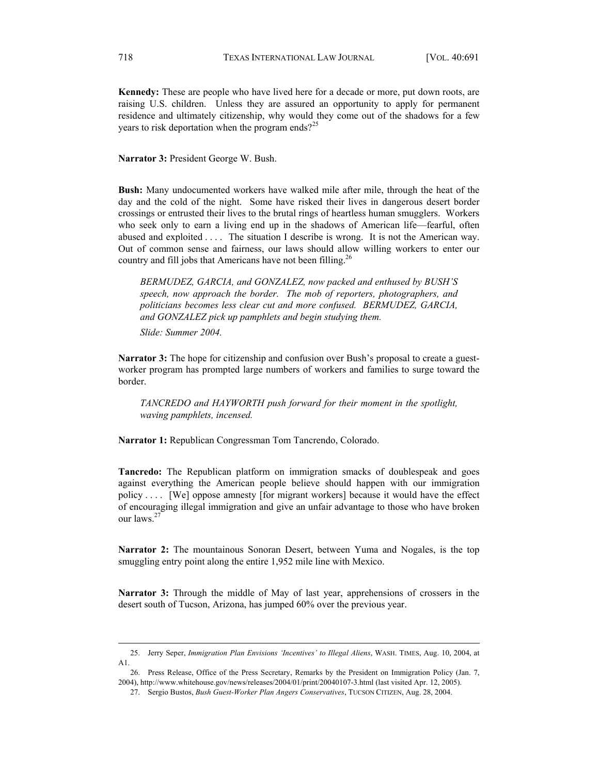**Kennedy:** These are people who have lived here for a decade or more, put down roots, are raising U.S. children. Unless they are assured an opportunity to apply for permanent residence and ultimately citizenship, why would they come out of the shadows for a few years to risk deportation when the program ends? $2^{25}$ 

**Narrator 3:** President George W. Bush.

**Bush:** Many undocumented workers have walked mile after mile, through the heat of the day and the cold of the night. Some have risked their lives in dangerous desert border crossings or entrusted their lives to the brutal rings of heartless human smugglers. Workers who seek only to earn a living end up in the shadows of American life—fearful, often abused and exploited . . . . The situation I describe is wrong. It is not the American way. Out of common sense and fairness, our laws should allow willing workers to enter our country and fill jobs that Americans have not been filling.<sup>26</sup>

*BERMUDEZ, GARCIA, and GONZALEZ, now packed and enthused by BUSH'S speech, now approach the border. The mob of reporters, photographers, and politicians becomes less clear cut and more confused. BERMUDEZ, GARCIA, and GONZALEZ pick up pamphlets and begin studying them.* 

*Slide: Summer 2004.* 

-

**Narrator 3:** The hope for citizenship and confusion over Bush's proposal to create a guestworker program has prompted large numbers of workers and families to surge toward the border.

*TANCREDO and HAYWORTH push forward for their moment in the spotlight, waving pamphlets, incensed.* 

**Narrator 1:** Republican Congressman Tom Tancrendo, Colorado.

**Tancredo:** The Republican platform on immigration smacks of doublespeak and goes against everything the American people believe should happen with our immigration policy . . . . [We] oppose amnesty [for migrant workers] because it would have the effect of encouraging illegal immigration and give an unfair advantage to those who have broken our laws.<sup>27</sup>

**Narrator 2:** The mountainous Sonoran Desert, between Yuma and Nogales, is the top smuggling entry point along the entire 1,952 mile line with Mexico.

**Narrator 3:** Through the middle of May of last year, apprehensions of crossers in the desert south of Tucson, Arizona, has jumped 60% over the previous year.

<sup>25.</sup> Jerry Seper, *Immigration Plan Envisions 'Incentives' to Illegal Aliens*, WASH. TIMES, Aug. 10, 2004, at A1.

<sup>26.</sup> Press Release, Office of the Press Secretary, Remarks by the President on Immigration Policy (Jan. 7, 2004), http://www.whitehouse.gov/news/releases/2004/01/print/20040107-3.html (last visited Apr. 12, 2005).

<sup>27.</sup> Sergio Bustos, *Bush Guest-Worker Plan Angers Conservatives*, TUCSON CITIZEN, Aug. 28, 2004.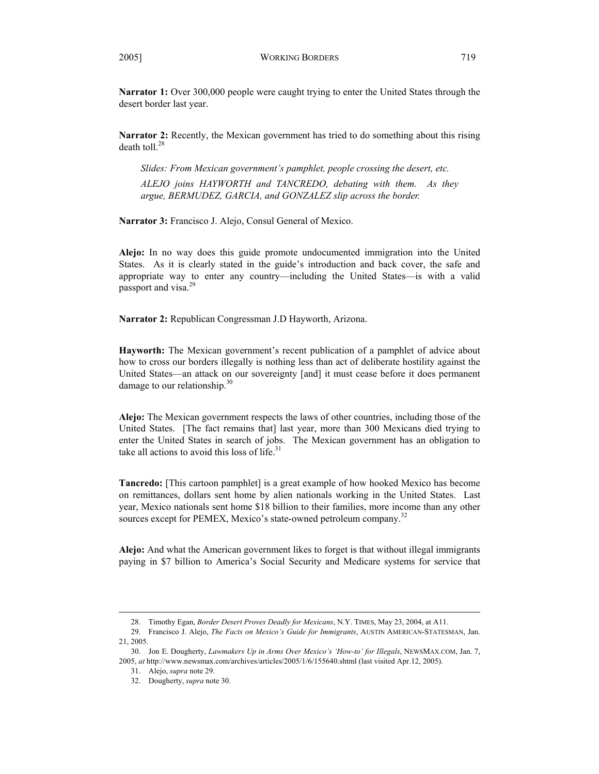**Narrator 1:** Over 300,000 people were caught trying to enter the United States through the desert border last year.

**Narrator 2:** Recently, the Mexican government has tried to do something about this rising death toll.<sup>28</sup>

*Slides: From Mexican government's pamphlet, people crossing the desert, etc.* 

*ALEJO joins HAYWORTH and TANCREDO, debating with them. As they argue, BERMUDEZ, GARCIA, and GONZALEZ slip across the border.*

**Narrator 3:** Francisco J. Alejo, Consul General of Mexico.

**Alejo:** In no way does this guide promote undocumented immigration into the United States. As it is clearly stated in the guide's introduction and back cover, the safe and appropriate way to enter any country—including the United States—is with a valid passport and visa.<sup>29</sup>

**Narrator 2:** Republican Congressman J.D Hayworth, Arizona.

**Hayworth:** The Mexican government's recent publication of a pamphlet of advice about how to cross our borders illegally is nothing less than act of deliberate hostility against the United States—an attack on our sovereignty [and] it must cease before it does permanent damage to our relationship. $30$ 

**Alejo:** The Mexican government respects the laws of other countries, including those of the United States. [The fact remains that] last year, more than 300 Mexicans died trying to enter the United States in search of jobs. The Mexican government has an obligation to take all actions to avoid this loss of life. $31$ 

**Tancredo:** [This cartoon pamphlet] is a great example of how hooked Mexico has become on remittances, dollars sent home by alien nationals working in the United States. Last year, Mexico nationals sent home \$18 billion to their families, more income than any other sources except for PEMEX, Mexico's state-owned petroleum company.<sup>32</sup>

**Alejo:** And what the American government likes to forget is that without illegal immigrants paying in \$7 billion to America's Social Security and Medicare systems for service that

l

<sup>28.</sup> Timothy Egan, *Border Desert Proves Deadly for Mexicans*, N.Y. TIMES, May 23, 2004, at A11.

<sup>29.</sup> Francisco J. Alejo, *The Facts on Mexico's Guide for Immigrants*, AUSTIN AMERICAN-STATESMAN, Jan. 21, 2005.

<sup>30.</sup> Jon E. Dougherty, *Lawmakers Up in Arms Over Mexico's 'How-to' for Illegals*, NEWSMAX.COM, Jan. 7, 2005, *at* http://www.newsmax.com/archives/articles/2005/1/6/155640.shtml (last visited Apr.12, 2005).

<sup>31.</sup> Alejo, *supra* note 29.

<sup>32.</sup> Dougherty, *supra* note 30.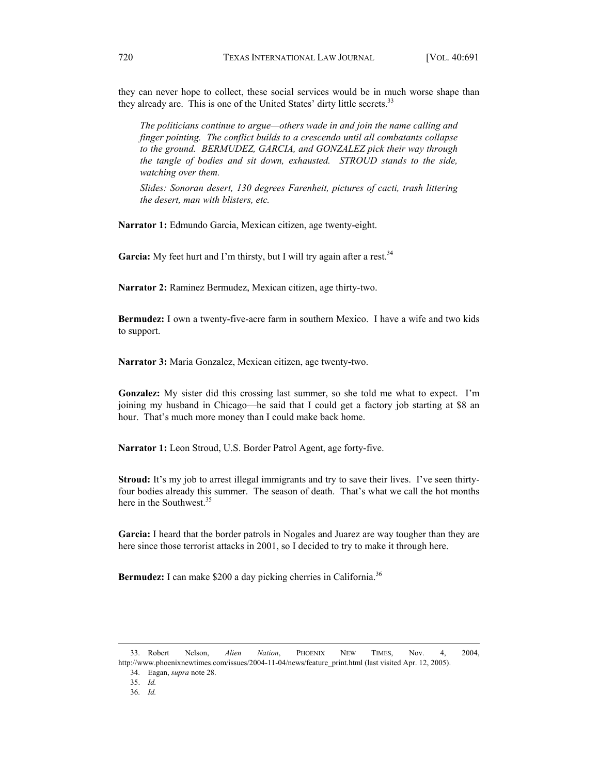they can never hope to collect, these social services would be in much worse shape than they already are. This is one of the United States' dirty little secrets.<sup>33</sup>

*The politicians continue to argue—others wade in and join the name calling and finger pointing. The conflict builds to a crescendo until all combatants collapse to the ground. BERMUDEZ, GARCIA, and GONZALEZ pick their way through the tangle of bodies and sit down, exhausted. STROUD stands to the side, watching over them.* 

*Slides: Sonoran desert, 130 degrees Farenheit, pictures of cacti, trash littering the desert, man with blisters, etc.*

**Narrator 1:** Edmundo Garcia, Mexican citizen, age twenty-eight.

Garcia: My feet hurt and I'm thirsty, but I will try again after a rest.<sup>34</sup>

**Narrator 2:** Raminez Bermudez, Mexican citizen, age thirty-two.

**Bermudez:** I own a twenty-five-acre farm in southern Mexico. I have a wife and two kids to support.

**Narrator 3:** Maria Gonzalez, Mexican citizen, age twenty-two.

**Gonzalez:** My sister did this crossing last summer, so she told me what to expect. I'm joining my husband in Chicago—he said that I could get a factory job starting at \$8 an hour. That's much more money than I could make back home.

**Narrator 1:** Leon Stroud, U.S. Border Patrol Agent, age forty-five.

**Stroud:** It's my job to arrest illegal immigrants and try to save their lives. I've seen thirtyfour bodies already this summer. The season of death. That's what we call the hot months here in the Southwest.<sup>35</sup>

**Garcia:** I heard that the border patrols in Nogales and Juarez are way tougher than they are here since those terrorist attacks in 2001, so I decided to try to make it through here.

**Bermudez:** I can make \$200 a day picking cherries in California.<sup>36</sup>

-

<sup>33.</sup> Robert Nelson, *Alien Nation*, PHOENIX NEW TIMES, Nov. 4, 2004, http://www.phoenixnewtimes.com/issues/2004-11-04/news/feature\_print.html (last visited Apr. 12, 2005).

<sup>34.</sup> Eagan, *supra* note 28.

<sup>35.</sup> *Id.* 

<sup>36.</sup> *Id.*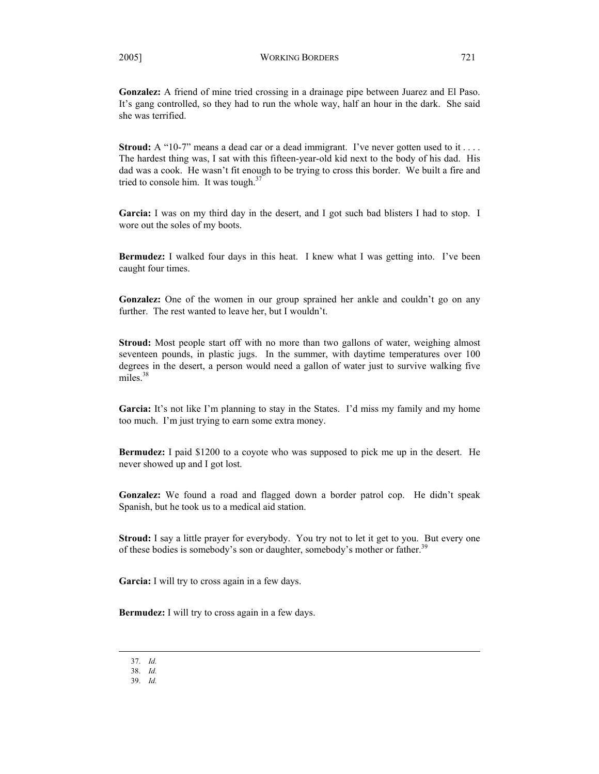**Gonzalez:** A friend of mine tried crossing in a drainage pipe between Juarez and El Paso. It's gang controlled, so they had to run the whole way, half an hour in the dark. She said she was terrified.

**Stroud:** A "10-7" means a dead car or a dead immigrant. I've never gotten used to it ... The hardest thing was, I sat with this fifteen-year-old kid next to the body of his dad. His dad was a cook. He wasn't fit enough to be trying to cross this border. We built a fire and tried to console him. It was tough. $37$ 

**Garcia:** I was on my third day in the desert, and I got such bad blisters I had to stop. I wore out the soles of my boots.

**Bermudez:** I walked four days in this heat. I knew what I was getting into. I've been caught four times.

**Gonzalez:** One of the women in our group sprained her ankle and couldn't go on any further. The rest wanted to leave her, but I wouldn't.

**Stroud:** Most people start off with no more than two gallons of water, weighing almost seventeen pounds, in plastic jugs. In the summer, with daytime temperatures over 100 degrees in the desert, a person would need a gallon of water just to survive walking five miles.<sup>38</sup>

Garcia: It's not like I'm planning to stay in the States. I'd miss my family and my home too much. I'm just trying to earn some extra money.

**Bermudez:** I paid \$1200 to a coyote who was supposed to pick me up in the desert. He never showed up and I got lost.

**Gonzalez:** We found a road and flagged down a border patrol cop. He didn't speak Spanish, but he took us to a medical aid station.

**Stroud:** I say a little prayer for everybody. You try not to let it get to you. But every one of these bodies is somebody's son or daughter, somebody's mother or father.<sup>39</sup>

**Garcia:** I will try to cross again in a few days.

**Bermudez:** I will try to cross again in a few days.

l

<sup>37.</sup> *Id.* 

<sup>38.</sup> *Id.* 

<sup>39.</sup> *Id.*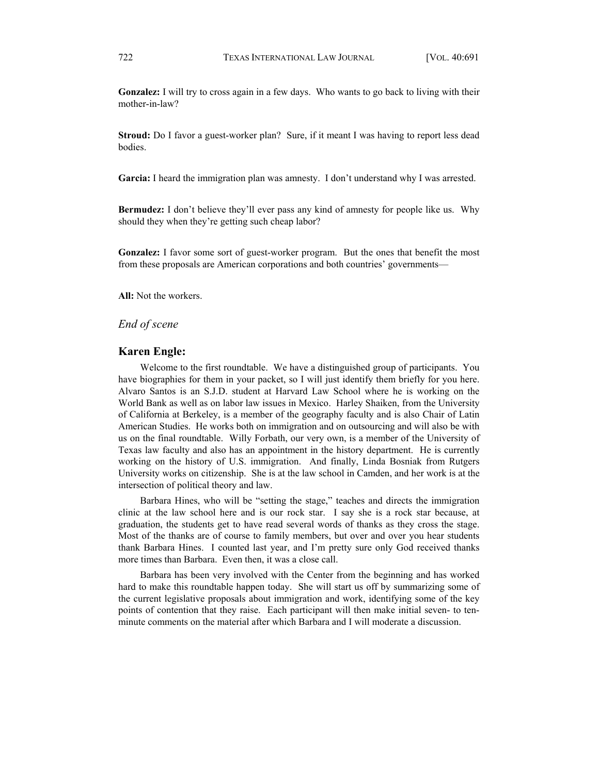**Gonzalez:** I will try to cross again in a few days. Who wants to go back to living with their mother-in-law?

**Stroud:** Do I favor a guest-worker plan? Sure, if it meant I was having to report less dead bodies.

**Garcia:** I heard the immigration plan was amnesty. I don't understand why I was arrested.

**Bermudez:** I don't believe they'll ever pass any kind of amnesty for people like us. Why should they when they're getting such cheap labor?

**Gonzalez:** I favor some sort of guest-worker program. But the ones that benefit the most from these proposals are American corporations and both countries' governments—

**All:** Not the workers.

## *End of scene*

### **Karen Engle:**

Welcome to the first roundtable. We have a distinguished group of participants. You have biographies for them in your packet, so I will just identify them briefly for you here. Alvaro Santos is an S.J.D. student at Harvard Law School where he is working on the World Bank as well as on labor law issues in Mexico. Harley Shaiken, from the University of California at Berkeley, is a member of the geography faculty and is also Chair of Latin American Studies. He works both on immigration and on outsourcing and will also be with us on the final roundtable. Willy Forbath, our very own, is a member of the University of Texas law faculty and also has an appointment in the history department. He is currently working on the history of U.S. immigration. And finally, Linda Bosniak from Rutgers University works on citizenship. She is at the law school in Camden, and her work is at the intersection of political theory and law.

Barbara Hines, who will be "setting the stage," teaches and directs the immigration clinic at the law school here and is our rock star. I say she is a rock star because, at graduation, the students get to have read several words of thanks as they cross the stage. Most of the thanks are of course to family members, but over and over you hear students thank Barbara Hines. I counted last year, and I'm pretty sure only God received thanks more times than Barbara. Even then, it was a close call.

Barbara has been very involved with the Center from the beginning and has worked hard to make this roundtable happen today. She will start us off by summarizing some of the current legislative proposals about immigration and work, identifying some of the key points of contention that they raise. Each participant will then make initial seven- to tenminute comments on the material after which Barbara and I will moderate a discussion.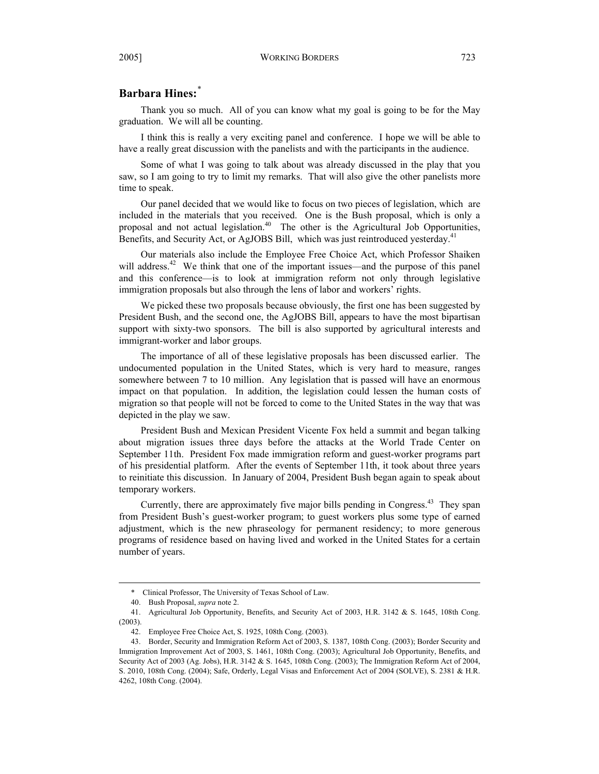# **Barbara Hines:***\**

Thank you so much. All of you can know what my goal is going to be for the May graduation. We will all be counting.

I think this is really a very exciting panel and conference. I hope we will be able to have a really great discussion with the panelists and with the participants in the audience.

Some of what I was going to talk about was already discussed in the play that you saw, so I am going to try to limit my remarks. That will also give the other panelists more time to speak.

Our panel decided that we would like to focus on two pieces of legislation, which are included in the materials that you received. One is the Bush proposal, which is only a proposal and not actual legislation.<sup>40</sup> The other is the Agricultural Job Opportunities, Benefits, and Security Act, or AgJOBS Bill, which was just reintroduced yesterday.<sup>41</sup>

Our materials also include the Employee Free Choice Act, which Professor Shaiken will address.<sup>42</sup> We think that one of the important issues—and the purpose of this panel and this conference—is to look at immigration reform not only through legislative immigration proposals but also through the lens of labor and workers' rights.

We picked these two proposals because obviously, the first one has been suggested by President Bush, and the second one, the AgJOBS Bill, appears to have the most bipartisan support with sixty-two sponsors. The bill is also supported by agricultural interests and immigrant-worker and labor groups.

The importance of all of these legislative proposals has been discussed earlier. The undocumented population in the United States, which is very hard to measure, ranges somewhere between 7 to 10 million. Any legislation that is passed will have an enormous impact on that population. In addition, the legislation could lessen the human costs of migration so that people will not be forced to come to the United States in the way that was depicted in the play we saw.

President Bush and Mexican President Vicente Fox held a summit and began talking about migration issues three days before the attacks at the World Trade Center on September 11th. President Fox made immigration reform and guest-worker programs part of his presidential platform. After the events of September 11th, it took about three years to reinitiate this discussion. In January of 2004, President Bush began again to speak about temporary workers.

Currently, there are approximately five major bills pending in Congress.<sup>43</sup> They span from President Bush's guest-worker program; to guest workers plus some type of earned adjustment, which is the new phraseology for permanent residency; to more generous programs of residence based on having lived and worked in the United States for a certain number of years.

<sup>\*</sup> Clinical Professor, The University of Texas School of Law.

<sup>40.</sup> Bush Proposal, *supra* note 2.

<sup>41.</sup> Agricultural Job Opportunity, Benefits, and Security Act of 2003, H.R. 3142 & S. 1645, 108th Cong. (2003).

<sup>42.</sup> Employee Free Choice Act, S. 1925, 108th Cong. (2003).

<sup>43.</sup> Border, Security and Immigration Reform Act of 2003, S. 1387, 108th Cong. (2003); Border Security and Immigration Improvement Act of 2003, S. 1461, 108th Cong. (2003); Agricultural Job Opportunity, Benefits, and Security Act of 2003 (Ag. Jobs), H.R. 3142 & S. 1645, 108th Cong. (2003); The Immigration Reform Act of 2004, S. 2010, 108th Cong. (2004); Safe, Orderly, Legal Visas and Enforcement Act of 2004 (SOLVE), S. 2381 & H.R. 4262, 108th Cong. (2004).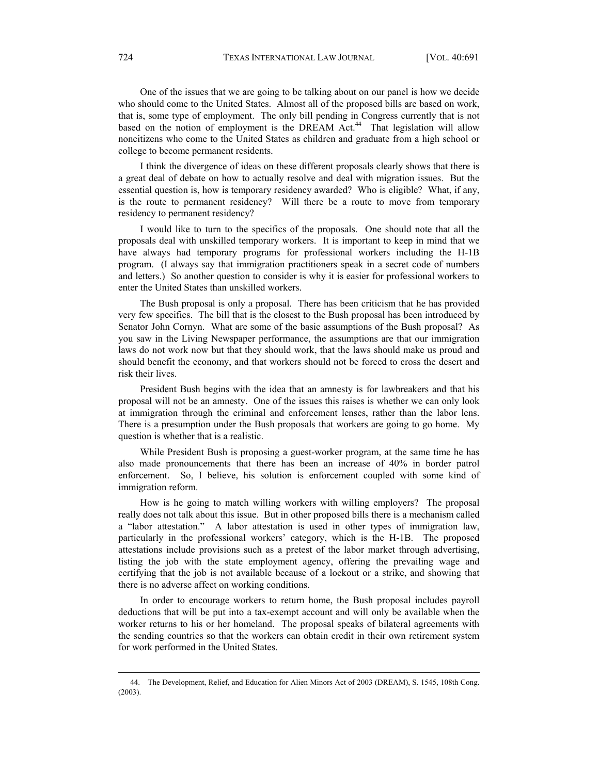One of the issues that we are going to be talking about on our panel is how we decide who should come to the United States. Almost all of the proposed bills are based on work, that is, some type of employment. The only bill pending in Congress currently that is not based on the notion of employment is the DREAM Act.<sup>44</sup> That legislation will allow noncitizens who come to the United States as children and graduate from a high school or college to become permanent residents.

I think the divergence of ideas on these different proposals clearly shows that there is a great deal of debate on how to actually resolve and deal with migration issues. But the essential question is, how is temporary residency awarded? Who is eligible? What, if any, is the route to permanent residency? Will there be a route to move from temporary residency to permanent residency?

I would like to turn to the specifics of the proposals. One should note that all the proposals deal with unskilled temporary workers. It is important to keep in mind that we have always had temporary programs for professional workers including the H-1B program. (I always say that immigration practitioners speak in a secret code of numbers and letters.) So another question to consider is why it is easier for professional workers to enter the United States than unskilled workers.

The Bush proposal is only a proposal. There has been criticism that he has provided very few specifics. The bill that is the closest to the Bush proposal has been introduced by Senator John Cornyn. What are some of the basic assumptions of the Bush proposal? As you saw in the Living Newspaper performance, the assumptions are that our immigration laws do not work now but that they should work, that the laws should make us proud and should benefit the economy, and that workers should not be forced to cross the desert and risk their lives.

President Bush begins with the idea that an amnesty is for lawbreakers and that his proposal will not be an amnesty. One of the issues this raises is whether we can only look at immigration through the criminal and enforcement lenses, rather than the labor lens. There is a presumption under the Bush proposals that workers are going to go home. My question is whether that is a realistic.

While President Bush is proposing a guest-worker program, at the same time he has also made pronouncements that there has been an increase of 40% in border patrol enforcement. So, I believe, his solution is enforcement coupled with some kind of immigration reform.

How is he going to match willing workers with willing employers? The proposal really does not talk about this issue. But in other proposed bills there is a mechanism called a "labor attestation." A labor attestation is used in other types of immigration law, particularly in the professional workers' category, which is the H-1B. The proposed attestations include provisions such as a pretest of the labor market through advertising, listing the job with the state employment agency, offering the prevailing wage and certifying that the job is not available because of a lockout or a strike, and showing that there is no adverse affect on working conditions.

In order to encourage workers to return home, the Bush proposal includes payroll deductions that will be put into a tax-exempt account and will only be available when the worker returns to his or her homeland. The proposal speaks of bilateral agreements with the sending countries so that the workers can obtain credit in their own retirement system for work performed in the United States.

<sup>44.</sup> The Development, Relief, and Education for Alien Minors Act of 2003 (DREAM), S. 1545, 108th Cong. (2003).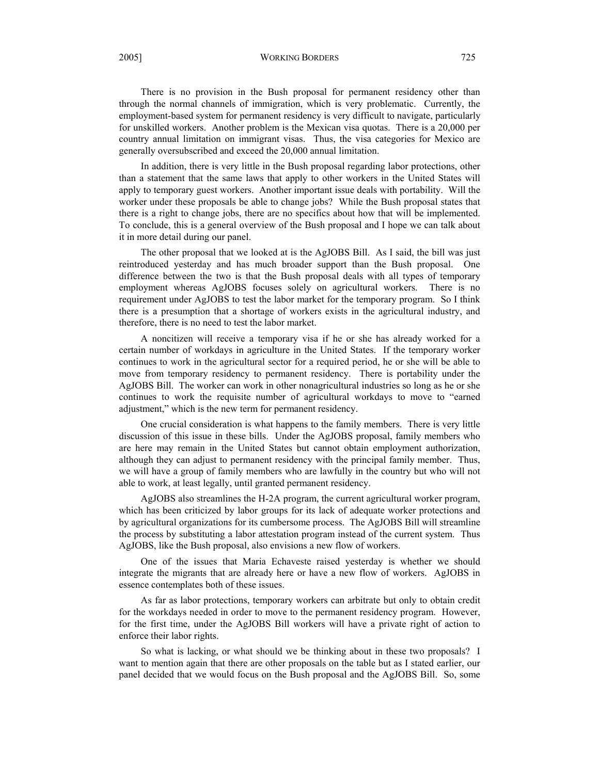2005] WORKING BORDERS 725

There is no provision in the Bush proposal for permanent residency other than through the normal channels of immigration, which is very problematic. Currently, the employment-based system for permanent residency is very difficult to navigate, particularly for unskilled workers. Another problem is the Mexican visa quotas. There is a 20,000 per country annual limitation on immigrant visas. Thus, the visa categories for Mexico are generally oversubscribed and exceed the 20,000 annual limitation.

In addition, there is very little in the Bush proposal regarding labor protections, other than a statement that the same laws that apply to other workers in the United States will apply to temporary guest workers. Another important issue deals with portability. Will the worker under these proposals be able to change jobs? While the Bush proposal states that there is a right to change jobs, there are no specifics about how that will be implemented. To conclude, this is a general overview of the Bush proposal and I hope we can talk about it in more detail during our panel.

The other proposal that we looked at is the AgJOBS Bill. As I said, the bill was just reintroduced yesterday and has much broader support than the Bush proposal. One difference between the two is that the Bush proposal deals with all types of temporary employment whereas AgJOBS focuses solely on agricultural workers. There is no requirement under AgJOBS to test the labor market for the temporary program. So I think there is a presumption that a shortage of workers exists in the agricultural industry, and therefore, there is no need to test the labor market.

A noncitizen will receive a temporary visa if he or she has already worked for a certain number of workdays in agriculture in the United States. If the temporary worker continues to work in the agricultural sector for a required period, he or she will be able to move from temporary residency to permanent residency. There is portability under the AgJOBS Bill. The worker can work in other nonagricultural industries so long as he or she continues to work the requisite number of agricultural workdays to move to "earned adjustment," which is the new term for permanent residency.

One crucial consideration is what happens to the family members. There is very little discussion of this issue in these bills. Under the AgJOBS proposal, family members who are here may remain in the United States but cannot obtain employment authorization, although they can adjust to permanent residency with the principal family member. Thus, we will have a group of family members who are lawfully in the country but who will not able to work, at least legally, until granted permanent residency.

AgJOBS also streamlines the H-2A program, the current agricultural worker program, which has been criticized by labor groups for its lack of adequate worker protections and by agricultural organizations for its cumbersome process. The AgJOBS Bill will streamline the process by substituting a labor attestation program instead of the current system. Thus AgJOBS, like the Bush proposal, also envisions a new flow of workers.

One of the issues that Maria Echaveste raised yesterday is whether we should integrate the migrants that are already here or have a new flow of workers. AgJOBS in essence contemplates both of these issues.

As far as labor protections, temporary workers can arbitrate but only to obtain credit for the workdays needed in order to move to the permanent residency program. However, for the first time, under the AgJOBS Bill workers will have a private right of action to enforce their labor rights.

So what is lacking, or what should we be thinking about in these two proposals? I want to mention again that there are other proposals on the table but as I stated earlier, our panel decided that we would focus on the Bush proposal and the AgJOBS Bill. So, some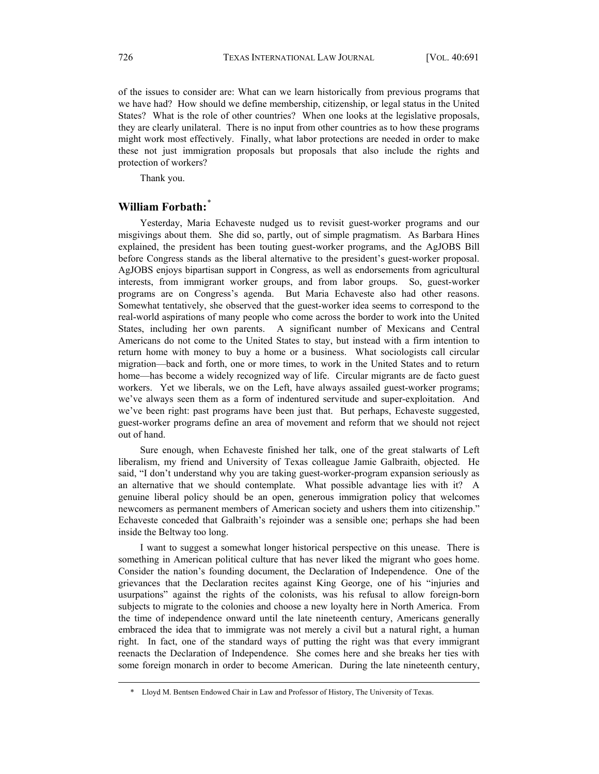of the issues to consider are: What can we learn historically from previous programs that we have had? How should we define membership, citizenship, or legal status in the United States? What is the role of other countries? When one looks at the legislative proposals, they are clearly unilateral. There is no input from other countries as to how these programs might work most effectively. Finally, what labor protections are needed in order to make these not just immigration proposals but proposals that also include the rights and protection of workers?

Thank you.

# **William Forbath:***\**

Yesterday, Maria Echaveste nudged us to revisit guest-worker programs and our misgivings about them. She did so, partly, out of simple pragmatism. As Barbara Hines explained, the president has been touting guest-worker programs, and the AgJOBS Bill before Congress stands as the liberal alternative to the president's guest-worker proposal. AgJOBS enjoys bipartisan support in Congress, as well as endorsements from agricultural interests, from immigrant worker groups, and from labor groups. So, guest-worker programs are on Congress's agenda. But Maria Echaveste also had other reasons. Somewhat tentatively, she observed that the guest-worker idea seems to correspond to the real-world aspirations of many people who come across the border to work into the United States, including her own parents. A significant number of Mexicans and Central Americans do not come to the United States to stay, but instead with a firm intention to return home with money to buy a home or a business. What sociologists call circular migration—back and forth, one or more times, to work in the United States and to return home—has become a widely recognized way of life. Circular migrants are de facto guest workers. Yet we liberals, we on the Left, have always assailed guest-worker programs; we've always seen them as a form of indentured servitude and super-exploitation. And we've been right: past programs have been just that. But perhaps, Echaveste suggested, guest-worker programs define an area of movement and reform that we should not reject out of hand.

Sure enough, when Echaveste finished her talk, one of the great stalwarts of Left liberalism, my friend and University of Texas colleague Jamie Galbraith, objected. He said, "I don't understand why you are taking guest-worker-program expansion seriously as an alternative that we should contemplate. What possible advantage lies with it? A genuine liberal policy should be an open, generous immigration policy that welcomes newcomers as permanent members of American society and ushers them into citizenship." Echaveste conceded that Galbraith's rejoinder was a sensible one; perhaps she had been inside the Beltway too long.

I want to suggest a somewhat longer historical perspective on this unease. There is something in American political culture that has never liked the migrant who goes home. Consider the nation's founding document, the Declaration of Independence. One of the grievances that the Declaration recites against King George, one of his "injuries and usurpations" against the rights of the colonists, was his refusal to allow foreign-born subjects to migrate to the colonies and choose a new loyalty here in North America. From the time of independence onward until the late nineteenth century, Americans generally embraced the idea that to immigrate was not merely a civil but a natural right, a human right. In fact, one of the standard ways of putting the right was that every immigrant reenacts the Declaration of Independence. She comes here and she breaks her ties with some foreign monarch in order to become American. During the late nineteenth century,

<sup>\*</sup> Lloyd M. Bentsen Endowed Chair in Law and Professor of History, The University of Texas.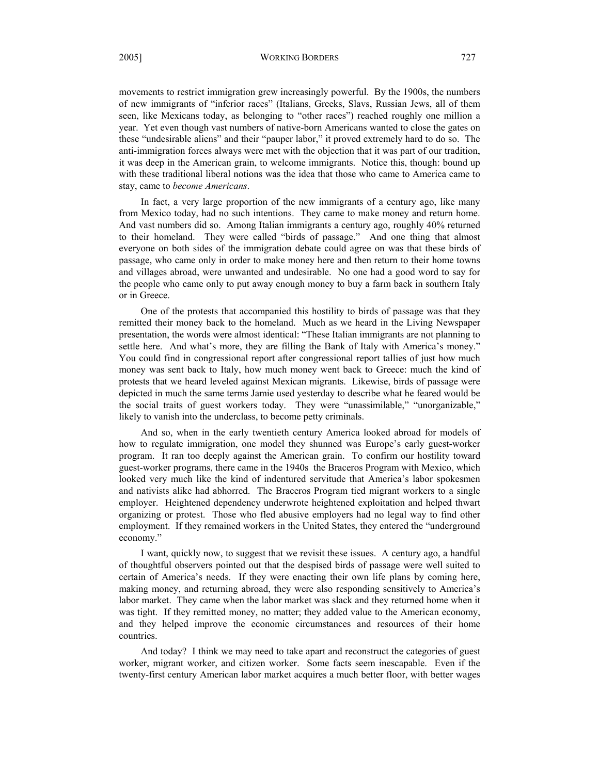2005] WORKING BORDERS 727

movements to restrict immigration grew increasingly powerful. By the 1900s, the numbers of new immigrants of "inferior races" (Italians, Greeks, Slavs, Russian Jews, all of them seen, like Mexicans today, as belonging to "other races") reached roughly one million a year. Yet even though vast numbers of native-born Americans wanted to close the gates on these "undesirable aliens" and their "pauper labor," it proved extremely hard to do so. The anti-immigration forces always were met with the objection that it was part of our tradition, it was deep in the American grain, to welcome immigrants. Notice this, though: bound up with these traditional liberal notions was the idea that those who came to America came to stay, came to *become Americans*.

In fact, a very large proportion of the new immigrants of a century ago, like many from Mexico today, had no such intentions. They came to make money and return home. And vast numbers did so. Among Italian immigrants a century ago, roughly 40% returned to their homeland. They were called "birds of passage." And one thing that almost everyone on both sides of the immigration debate could agree on was that these birds of passage, who came only in order to make money here and then return to their home towns and villages abroad, were unwanted and undesirable. No one had a good word to say for the people who came only to put away enough money to buy a farm back in southern Italy or in Greece.

One of the protests that accompanied this hostility to birds of passage was that they remitted their money back to the homeland. Much as we heard in the Living Newspaper presentation, the words were almost identical: "These Italian immigrants are not planning to settle here. And what's more, they are filling the Bank of Italy with America's money." You could find in congressional report after congressional report tallies of just how much money was sent back to Italy, how much money went back to Greece: much the kind of protests that we heard leveled against Mexican migrants. Likewise, birds of passage were depicted in much the same terms Jamie used yesterday to describe what he feared would be the social traits of guest workers today. They were "unassimilable," "unorganizable," likely to vanish into the underclass, to become petty criminals.

And so, when in the early twentieth century America looked abroad for models of how to regulate immigration, one model they shunned was Europe's early guest-worker program. It ran too deeply against the American grain. To confirm our hostility toward guest-worker programs, there came in the 1940s the Braceros Program with Mexico, which looked very much like the kind of indentured servitude that America's labor spokesmen and nativists alike had abhorred. The Braceros Program tied migrant workers to a single employer. Heightened dependency underwrote heightened exploitation and helped thwart organizing or protest. Those who fled abusive employers had no legal way to find other employment. If they remained workers in the United States, they entered the "underground economy."

I want, quickly now, to suggest that we revisit these issues. A century ago, a handful of thoughtful observers pointed out that the despised birds of passage were well suited to certain of America's needs. If they were enacting their own life plans by coming here, making money, and returning abroad, they were also responding sensitively to America's labor market. They came when the labor market was slack and they returned home when it was tight. If they remitted money, no matter; they added value to the American economy, and they helped improve the economic circumstances and resources of their home countries.

And today? I think we may need to take apart and reconstruct the categories of guest worker, migrant worker, and citizen worker. Some facts seem inescapable. Even if the twenty-first century American labor market acquires a much better floor, with better wages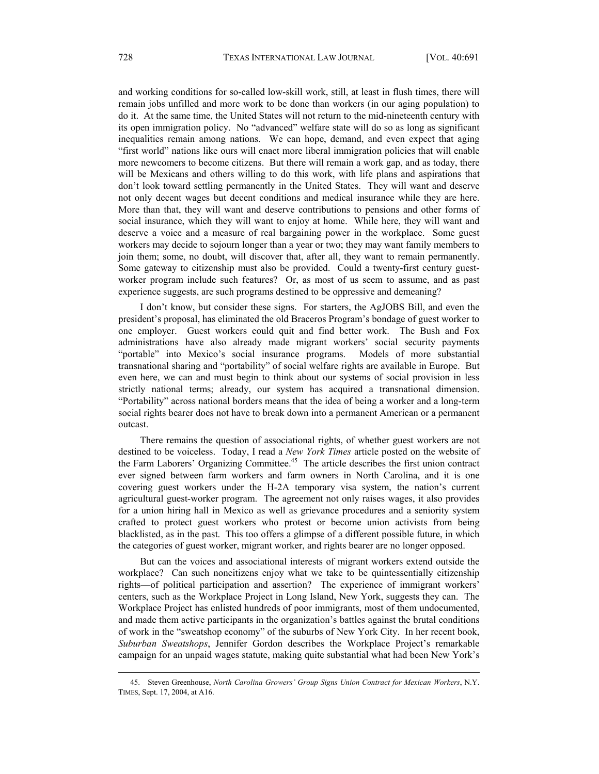and working conditions for so-called low-skill work, still, at least in flush times, there will remain jobs unfilled and more work to be done than workers (in our aging population) to do it. At the same time, the United States will not return to the mid-nineteenth century with its open immigration policy. No "advanced" welfare state will do so as long as significant inequalities remain among nations. We can hope, demand, and even expect that aging "first world" nations like ours will enact more liberal immigration policies that will enable more newcomers to become citizens. But there will remain a work gap, and as today, there will be Mexicans and others willing to do this work, with life plans and aspirations that don't look toward settling permanently in the United States. They will want and deserve not only decent wages but decent conditions and medical insurance while they are here. More than that, they will want and deserve contributions to pensions and other forms of social insurance, which they will want to enjoy at home. While here, they will want and deserve a voice and a measure of real bargaining power in the workplace. Some guest workers may decide to sojourn longer than a year or two; they may want family members to join them; some, no doubt, will discover that, after all, they want to remain permanently. Some gateway to citizenship must also be provided. Could a twenty-first century guestworker program include such features? Or, as most of us seem to assume, and as past experience suggests, are such programs destined to be oppressive and demeaning?

I don't know, but consider these signs. For starters, the AgJOBS Bill, and even the president's proposal, has eliminated the old Braceros Program's bondage of guest worker to one employer. Guest workers could quit and find better work. The Bush and Fox administrations have also already made migrant workers' social security payments "portable" into Mexico's social insurance programs. Models of more substantial transnational sharing and "portability" of social welfare rights are available in Europe. But even here, we can and must begin to think about our systems of social provision in less strictly national terms; already, our system has acquired a transnational dimension. "Portability" across national borders means that the idea of being a worker and a long-term social rights bearer does not have to break down into a permanent American or a permanent outcast.

There remains the question of associational rights, of whether guest workers are not destined to be voiceless. Today, I read a *New York Times* article posted on the website of the Farm Laborers' Organizing Committee.<sup>45</sup> The article describes the first union contract ever signed between farm workers and farm owners in North Carolina, and it is one covering guest workers under the H-2A temporary visa system, the nation's current agricultural guest-worker program. The agreement not only raises wages, it also provides for a union hiring hall in Mexico as well as grievance procedures and a seniority system crafted to protect guest workers who protest or become union activists from being blacklisted, as in the past. This too offers a glimpse of a different possible future, in which the categories of guest worker, migrant worker, and rights bearer are no longer opposed.

But can the voices and associational interests of migrant workers extend outside the workplace? Can such noncitizens enjoy what we take to be quintessentially citizenship rights—of political participation and assertion? The experience of immigrant workers' centers, such as the Workplace Project in Long Island, New York, suggests they can. The Workplace Project has enlisted hundreds of poor immigrants, most of them undocumented, and made them active participants in the organization's battles against the brutal conditions of work in the "sweatshop economy" of the suburbs of New York City. In her recent book, *Suburban Sweatshops*, Jennifer Gordon describes the Workplace Project's remarkable campaign for an unpaid wages statute, making quite substantial what had been New York's

<sup>45.</sup> Steven Greenhouse, *North Carolina Growers' Group Signs Union Contract for Mexican Workers*, N.Y. TIMES, Sept. 17, 2004, at A16.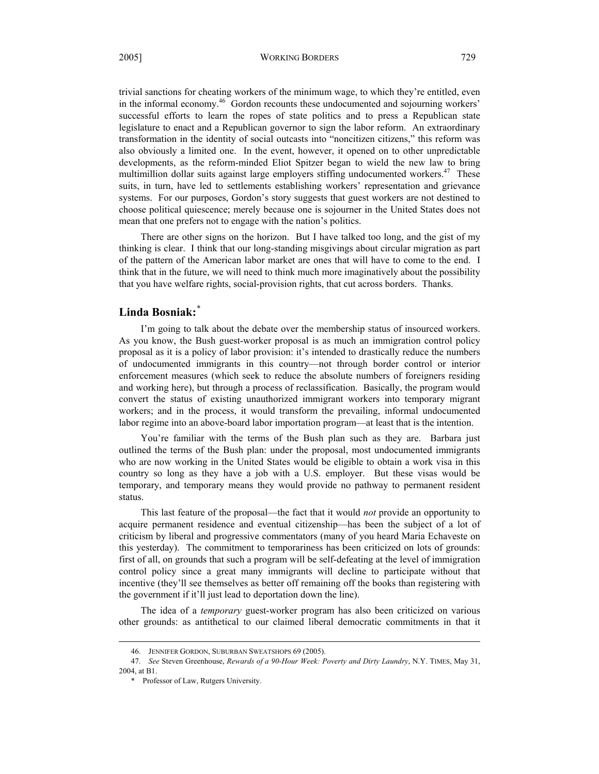2005] WORKING BORDERS 729

trivial sanctions for cheating workers of the minimum wage, to which they're entitled, even in the informal economy.<sup>46</sup> Gordon recounts these undocumented and sojourning workers' successful efforts to learn the ropes of state politics and to press a Republican state legislature to enact and a Republican governor to sign the labor reform. An extraordinary transformation in the identity of social outcasts into "noncitizen citizens," this reform was also obviously a limited one. In the event, however, it opened on to other unpredictable developments, as the reform-minded Eliot Spitzer began to wield the new law to bring multimillion dollar suits against large employers stiffing undocumented workers.<sup>47</sup> These suits, in turn, have led to settlements establishing workers' representation and grievance systems. For our purposes, Gordon's story suggests that guest workers are not destined to choose political quiescence; merely because one is sojourner in the United States does not mean that one prefers not to engage with the nation's politics.

There are other signs on the horizon. But I have talked too long, and the gist of my thinking is clear. I think that our long-standing misgivings about circular migration as part of the pattern of the American labor market are ones that will have to come to the end. I think that in the future, we will need to think much more imaginatively about the possibility that you have welfare rights, social-provision rights, that cut across borders. Thanks.

## **Linda Bosniak:***\**

I'm going to talk about the debate over the membership status of insourced workers. As you know, the Bush guest-worker proposal is as much an immigration control policy proposal as it is a policy of labor provision: it's intended to drastically reduce the numbers of undocumented immigrants in this country—not through border control or interior enforcement measures (which seek to reduce the absolute numbers of foreigners residing and working here), but through a process of reclassification. Basically, the program would convert the status of existing unauthorized immigrant workers into temporary migrant workers; and in the process, it would transform the prevailing, informal undocumented labor regime into an above-board labor importation program—at least that is the intention.

You're familiar with the terms of the Bush plan such as they are. Barbara just outlined the terms of the Bush plan: under the proposal, most undocumented immigrants who are now working in the United States would be eligible to obtain a work visa in this country so long as they have a job with a U.S. employer. But these visas would be temporary, and temporary means they would provide no pathway to permanent resident status.

This last feature of the proposal—the fact that it would *not* provide an opportunity to acquire permanent residence and eventual citizenship—has been the subject of a lot of criticism by liberal and progressive commentators (many of you heard Maria Echaveste on this yesterday). The commitment to temporariness has been criticized on lots of grounds: first of all, on grounds that such a program will be self-defeating at the level of immigration control policy since a great many immigrants will decline to participate without that incentive (they'll see themselves as better off remaining off the books than registering with the government if it'll just lead to deportation down the line).

The idea of a *temporary* guest-worker program has also been criticized on various other grounds: as antithetical to our claimed liberal democratic commitments in that it

<sup>46.</sup> JENNIFER GORDON, SUBURBAN SWEATSHOPS 69 (2005).

<sup>47.</sup> *See* Steven Greenhouse, *Rewards of a 90-Hour Week: Poverty and Dirty Laundry*, N.Y. TIMES, May 31, 2004, at B1.

<sup>\*</sup> Professor of Law, Rutgers University.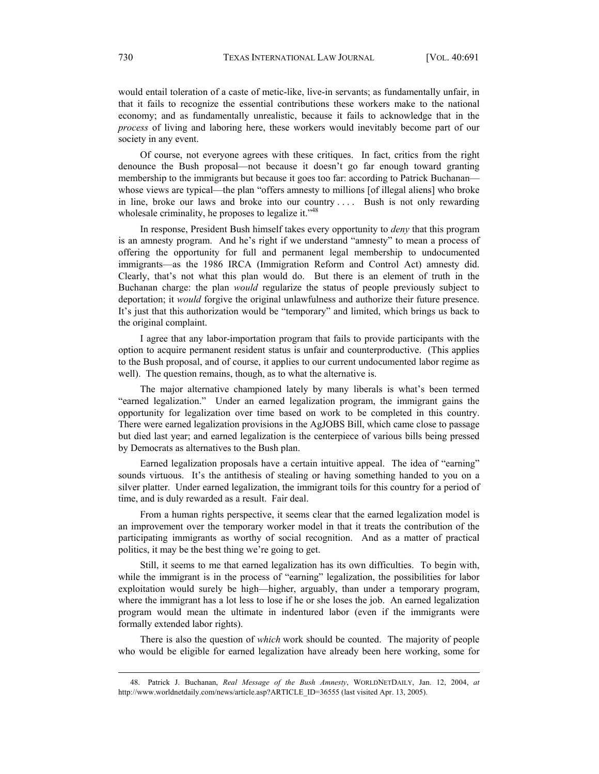would entail toleration of a caste of metic-like, live-in servants; as fundamentally unfair, in that it fails to recognize the essential contributions these workers make to the national economy; and as fundamentally unrealistic, because it fails to acknowledge that in the *process* of living and laboring here, these workers would inevitably become part of our society in any event.

Of course, not everyone agrees with these critiques. In fact, critics from the right denounce the Bush proposal—not because it doesn't go far enough toward granting membership to the immigrants but because it goes too far: according to Patrick Buchanan whose views are typical—the plan "offers amnesty to millions [of illegal aliens] who broke in line, broke our laws and broke into our country .... Bush is not only rewarding wholesale criminality, he proposes to legalize it."<sup>48</sup>

In response, President Bush himself takes every opportunity to *deny* that this program is an amnesty program. And he's right if we understand "amnesty" to mean a process of offering the opportunity for full and permanent legal membership to undocumented immigrants—as the 1986 IRCA (Immigration Reform and Control Act) amnesty did. Clearly, that's not what this plan would do. But there is an element of truth in the Buchanan charge: the plan *would* regularize the status of people previously subject to deportation; it *would* forgive the original unlawfulness and authorize their future presence. It's just that this authorization would be "temporary" and limited, which brings us back to the original complaint.

I agree that any labor-importation program that fails to provide participants with the option to acquire permanent resident status is unfair and counterproductive. (This applies to the Bush proposal, and of course, it applies to our current undocumented labor regime as well). The question remains, though, as to what the alternative is.

The major alternative championed lately by many liberals is what's been termed "earned legalization." Under an earned legalization program, the immigrant gains the opportunity for legalization over time based on work to be completed in this country. There were earned legalization provisions in the AgJOBS Bill, which came close to passage but died last year; and earned legalization is the centerpiece of various bills being pressed by Democrats as alternatives to the Bush plan.

Earned legalization proposals have a certain intuitive appeal. The idea of "earning" sounds virtuous. It's the antithesis of stealing or having something handed to you on a silver platter. Under earned legalization, the immigrant toils for this country for a period of time, and is duly rewarded as a result. Fair deal.

From a human rights perspective, it seems clear that the earned legalization model is an improvement over the temporary worker model in that it treats the contribution of the participating immigrants as worthy of social recognition. And as a matter of practical politics, it may be the best thing we're going to get.

Still, it seems to me that earned legalization has its own difficulties. To begin with, while the immigrant is in the process of "earning" legalization, the possibilities for labor exploitation would surely be high—higher, arguably, than under a temporary program, where the immigrant has a lot less to lose if he or she loses the job. An earned legalization program would mean the ultimate in indentured labor (even if the immigrants were formally extended labor rights).

There is also the question of *which* work should be counted. The majority of people who would be eligible for earned legalization have already been here working, some for

<sup>48.</sup> Patrick J. Buchanan, *Real Message of the Bush Amnesty*, WORLDNETDAILY, Jan. 12, 2004, *at* http://www.worldnetdaily.com/news/article.asp?ARTICLE\_ID=36555 (last visited Apr. 13, 2005).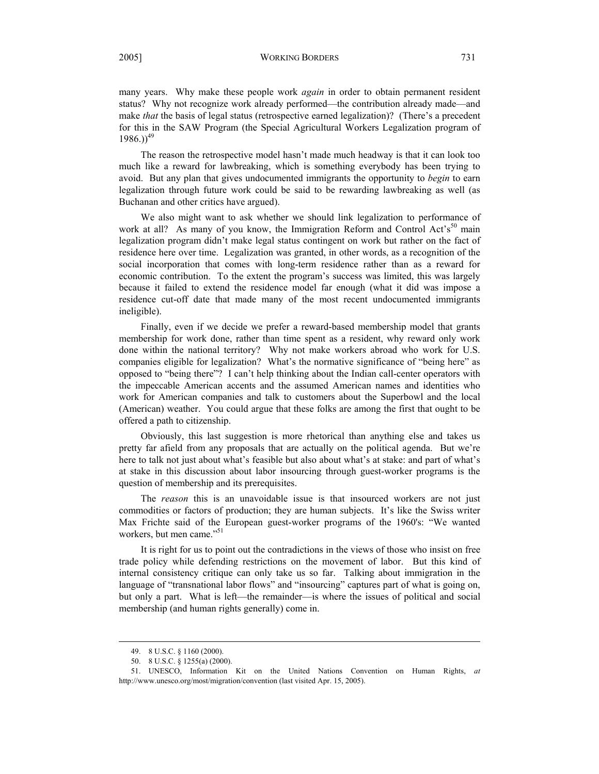many years. Why make these people work *again* in order to obtain permanent resident status? Why not recognize work already performed—the contribution already made—and make *that* the basis of legal status (retrospective earned legalization)? (There's a precedent for this in the SAW Program (the Special Agricultural Workers Legalization program of  $1986.$ )<sup>49</sup>

The reason the retrospective model hasn't made much headway is that it can look too much like a reward for lawbreaking, which is something everybody has been trying to avoid. But any plan that gives undocumented immigrants the opportunity to *begin* to earn legalization through future work could be said to be rewarding lawbreaking as well (as Buchanan and other critics have argued).

We also might want to ask whether we should link legalization to performance of work at all? As many of you know, the Immigration Reform and Control Act's<sup>50</sup> main legalization program didn't make legal status contingent on work but rather on the fact of residence here over time. Legalization was granted, in other words, as a recognition of the social incorporation that comes with long-term residence rather than as a reward for economic contribution. To the extent the program's success was limited, this was largely because it failed to extend the residence model far enough (what it did was impose a residence cut-off date that made many of the most recent undocumented immigrants ineligible).

Finally, even if we decide we prefer a reward-based membership model that grants membership for work done, rather than time spent as a resident, why reward only work done within the national territory? Why not make workers abroad who work for U.S. companies eligible for legalization? What's the normative significance of "being here" as opposed to "being there"? I can't help thinking about the Indian call-center operators with the impeccable American accents and the assumed American names and identities who work for American companies and talk to customers about the Superbowl and the local (American) weather. You could argue that these folks are among the first that ought to be offered a path to citizenship.

Obviously, this last suggestion is more rhetorical than anything else and takes us pretty far afield from any proposals that are actually on the political agenda. But we're here to talk not just about what's feasible but also about what's at stake: and part of what's at stake in this discussion about labor insourcing through guest-worker programs is the question of membership and its prerequisites.

The *reason* this is an unavoidable issue is that insourced workers are not just commodities or factors of production; they are human subjects. It's like the Swiss writer Max Frichte said of the European guest-worker programs of the 1960's: "We wanted workers, but men came."<sup>51</sup>

It is right for us to point out the contradictions in the views of those who insist on free trade policy while defending restrictions on the movement of labor. But this kind of internal consistency critique can only take us so far. Talking about immigration in the language of "transnational labor flows" and "insourcing" captures part of what is going on, but only a part. What is left—the remainder—is where the issues of political and social membership (and human rights generally) come in.

<sup>49. 8</sup> U.S.C. § 1160 (2000).

<sup>50. 8</sup> U.S.C. § 1255(a) (2000).

<sup>51.</sup> UNESCO, Information Kit on the United Nations Convention on Human Rights, *at* http://www.unesco.org/most/migration/convention (last visited Apr. 15, 2005).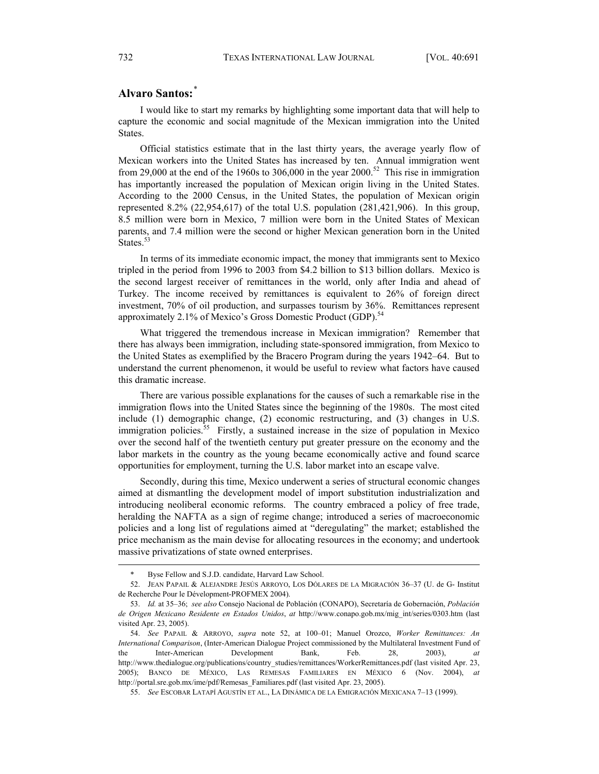# **Alvaro Santos:***\**

I would like to start my remarks by highlighting some important data that will help to capture the economic and social magnitude of the Mexican immigration into the United States.

Official statistics estimate that in the last thirty years, the average yearly flow of Mexican workers into the United States has increased by ten. Annual immigration went from 29,000 at the end of the 1960s to 306,000 in the year  $2000$ .<sup>52</sup> This rise in immigration has importantly increased the population of Mexican origin living in the United States. According to the 2000 Census, in the United States, the population of Mexican origin represented 8.2% (22,954,617) of the total U.S. population (281,421,906). In this group, 8.5 million were born in Mexico, 7 million were born in the United States of Mexican parents, and 7.4 million were the second or higher Mexican generation born in the United States.<sup>53</sup>

In terms of its immediate economic impact, the money that immigrants sent to Mexico tripled in the period from 1996 to 2003 from \$4.2 billion to \$13 billion dollars. Mexico is the second largest receiver of remittances in the world, only after India and ahead of Turkey. The income received by remittances is equivalent to 26% of foreign direct investment, 70% of oil production, and surpasses tourism by 36%. Remittances represent approximately 2.1% of Mexico's Gross Domestic Product (GDP). $^{54}$ 

What triggered the tremendous increase in Mexican immigration? Remember that there has always been immigration, including state-sponsored immigration, from Mexico to the United States as exemplified by the Bracero Program during the years 1942–64. But to understand the current phenomenon, it would be useful to review what factors have caused this dramatic increase.

There are various possible explanations for the causes of such a remarkable rise in the immigration flows into the United States since the beginning of the 1980s. The most cited include (1) demographic change, (2) economic restructuring, and (3) changes in U.S. immigration policies.<sup>55</sup> Firstly, a sustained increase in the size of population in Mexico over the second half of the twentieth century put greater pressure on the economy and the labor markets in the country as the young became economically active and found scarce opportunities for employment, turning the U.S. labor market into an escape valve.

Secondly, during this time, Mexico underwent a series of structural economic changes aimed at dismantling the development model of import substitution industrialization and introducing neoliberal economic reforms. The country embraced a policy of free trade, heralding the NAFTA as a sign of regime change; introduced a series of macroeconomic policies and a long list of regulations aimed at "deregulating" the market; established the price mechanism as the main devise for allocating resources in the economy; and undertook massive privatizations of state owned enterprises.

Byse Fellow and S.J.D. candidate, Harvard Law School.

<sup>52.</sup> JEAN PAPAIL & ALEJANDRE JESÚS ARROYO, LOS DÓLARES DE LA MIGRACIÓN 36–37 (U. de G- Institut de Recherche Pour le Dévelopment-PROFMEX 2004).

<sup>53.</sup> *Id.* at 35–36; *see also* Consejo Nacional de Población (CONAPO), Secretaría de Gobernación, *Población de Origen Mexicano Residente en Estados Unidos*, *at* http://www.conapo.gob.mx/mig\_int/series/0303.htm (last visited Apr. 23, 2005).

<sup>54.</sup> *See* PAPAIL & ARROYO, *supra* note 52, at 100–01; Manuel Orozco, *Worker Remittances: An International Comparison*, (Inter-American Dialogue Project commissioned by the Multilateral Investment Fund of the Inter-American Development Bank, Feb. 28, 2003), *at* http://www.thedialogue.org/publications/country\_studies/remittances/WorkerRemittances.pdf (last visited Apr. 23, 2005); BANCO DE MÉXICO, LAS REMESAS FAMILIARES EN MÉXICO 6 (Nov. 2004), *at* http://portal.sre.gob.mx/ime/pdf/Remesas\_Familiares.pdf (last visited Apr. 23, 2005).

<sup>55.</sup> *See* ESCOBAR LATAPÍ AGUSTÍN ET AL., LA DINÁMICA DE LA EMIGRACIÓN MEXICANA 7–13 (1999).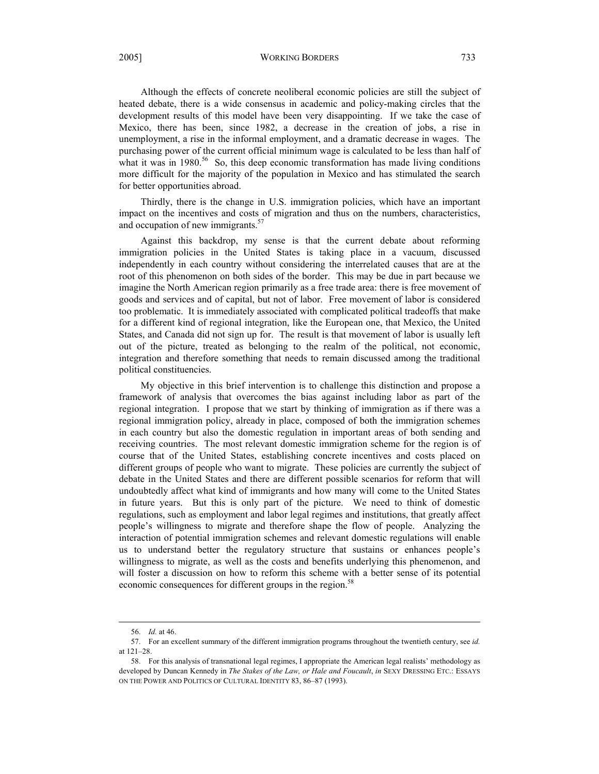2005] WORKING BORDERS 733

Although the effects of concrete neoliberal economic policies are still the subject of heated debate, there is a wide consensus in academic and policy-making circles that the development results of this model have been very disappointing. If we take the case of Mexico, there has been, since 1982, a decrease in the creation of jobs, a rise in unemployment, a rise in the informal employment, and a dramatic decrease in wages. The purchasing power of the current official minimum wage is calculated to be less than half of what it was in  $1980^{56}$  So, this deep economic transformation has made living conditions more difficult for the majority of the population in Mexico and has stimulated the search for better opportunities abroad.

Thirdly, there is the change in U.S. immigration policies, which have an important impact on the incentives and costs of migration and thus on the numbers, characteristics, and occupation of new immigrants.<sup>57</sup>

Against this backdrop, my sense is that the current debate about reforming immigration policies in the United States is taking place in a vacuum, discussed independently in each country without considering the interrelated causes that are at the root of this phenomenon on both sides of the border. This may be due in part because we imagine the North American region primarily as a free trade area: there is free movement of goods and services and of capital, but not of labor. Free movement of labor is considered too problematic. It is immediately associated with complicated political tradeoffs that make for a different kind of regional integration, like the European one, that Mexico, the United States, and Canada did not sign up for. The result is that movement of labor is usually left out of the picture, treated as belonging to the realm of the political, not economic, integration and therefore something that needs to remain discussed among the traditional political constituencies.

My objective in this brief intervention is to challenge this distinction and propose a framework of analysis that overcomes the bias against including labor as part of the regional integration. I propose that we start by thinking of immigration as if there was a regional immigration policy, already in place, composed of both the immigration schemes in each country but also the domestic regulation in important areas of both sending and receiving countries. The most relevant domestic immigration scheme for the region is of course that of the United States, establishing concrete incentives and costs placed on different groups of people who want to migrate. These policies are currently the subject of debate in the United States and there are different possible scenarios for reform that will undoubtedly affect what kind of immigrants and how many will come to the United States in future years. But this is only part of the picture. We need to think of domestic regulations, such as employment and labor legal regimes and institutions, that greatly affect people's willingness to migrate and therefore shape the flow of people. Analyzing the interaction of potential immigration schemes and relevant domestic regulations will enable us to understand better the regulatory structure that sustains or enhances people's willingness to migrate, as well as the costs and benefits underlying this phenomenon, and will foster a discussion on how to reform this scheme with a better sense of its potential economic consequences for different groups in the region.<sup>58</sup>

<sup>56.</sup> *Id.* at 46.

<sup>57.</sup> For an excellent summary of the different immigration programs throughout the twentieth century, see *id.* at 121–28.

<sup>58.</sup> For this analysis of transnational legal regimes, I appropriate the American legal realists' methodology as developed by Duncan Kennedy in *The Stakes of the Law, or Hale and Foucault*, *in* SEXY DRESSING ETC.: ESSAYS ON THE POWER AND POLITICS OF CULTURAL IDENTITY 83, 86–87 (1993).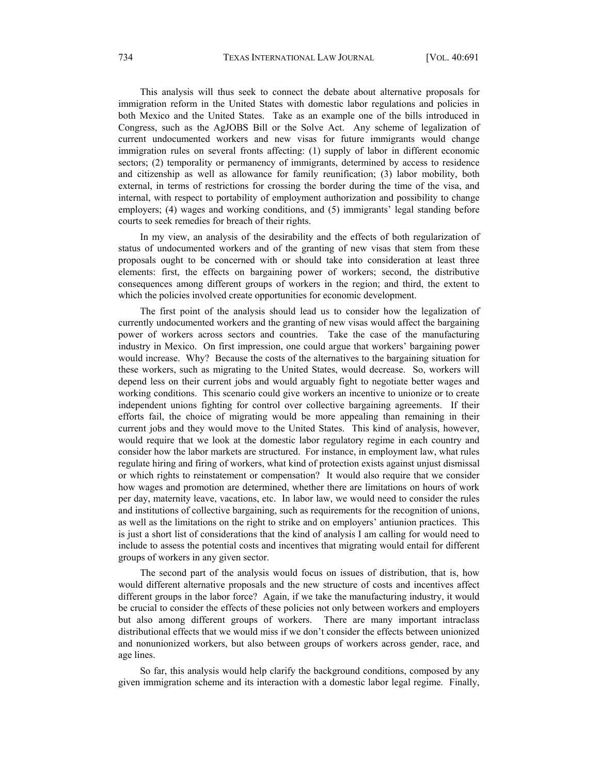This analysis will thus seek to connect the debate about alternative proposals for immigration reform in the United States with domestic labor regulations and policies in both Mexico and the United States. Take as an example one of the bills introduced in Congress, such as the AgJOBS Bill or the Solve Act. Any scheme of legalization of current undocumented workers and new visas for future immigrants would change immigration rules on several fronts affecting: (1) supply of labor in different economic sectors; (2) temporality or permanency of immigrants, determined by access to residence and citizenship as well as allowance for family reunification; (3) labor mobility, both external, in terms of restrictions for crossing the border during the time of the visa, and internal, with respect to portability of employment authorization and possibility to change employers; (4) wages and working conditions, and (5) immigrants' legal standing before courts to seek remedies for breach of their rights.

In my view, an analysis of the desirability and the effects of both regularization of status of undocumented workers and of the granting of new visas that stem from these proposals ought to be concerned with or should take into consideration at least three elements: first, the effects on bargaining power of workers; second, the distributive consequences among different groups of workers in the region; and third, the extent to which the policies involved create opportunities for economic development.

The first point of the analysis should lead us to consider how the legalization of currently undocumented workers and the granting of new visas would affect the bargaining power of workers across sectors and countries. Take the case of the manufacturing industry in Mexico. On first impression, one could argue that workers' bargaining power would increase. Why? Because the costs of the alternatives to the bargaining situation for these workers, such as migrating to the United States, would decrease. So, workers will depend less on their current jobs and would arguably fight to negotiate better wages and working conditions. This scenario could give workers an incentive to unionize or to create independent unions fighting for control over collective bargaining agreements. If their efforts fail, the choice of migrating would be more appealing than remaining in their current jobs and they would move to the United States. This kind of analysis, however, would require that we look at the domestic labor regulatory regime in each country and consider how the labor markets are structured. For instance, in employment law, what rules regulate hiring and firing of workers, what kind of protection exists against unjust dismissal or which rights to reinstatement or compensation? It would also require that we consider how wages and promotion are determined, whether there are limitations on hours of work per day, maternity leave, vacations, etc. In labor law, we would need to consider the rules and institutions of collective bargaining, such as requirements for the recognition of unions, as well as the limitations on the right to strike and on employers' antiunion practices. This is just a short list of considerations that the kind of analysis I am calling for would need to include to assess the potential costs and incentives that migrating would entail for different groups of workers in any given sector.

The second part of the analysis would focus on issues of distribution, that is, how would different alternative proposals and the new structure of costs and incentives affect different groups in the labor force? Again, if we take the manufacturing industry, it would be crucial to consider the effects of these policies not only between workers and employers but also among different groups of workers. There are many important intraclass distributional effects that we would miss if we don't consider the effects between unionized and nonunionized workers, but also between groups of workers across gender, race, and age lines.

So far, this analysis would help clarify the background conditions, composed by any given immigration scheme and its interaction with a domestic labor legal regime. Finally,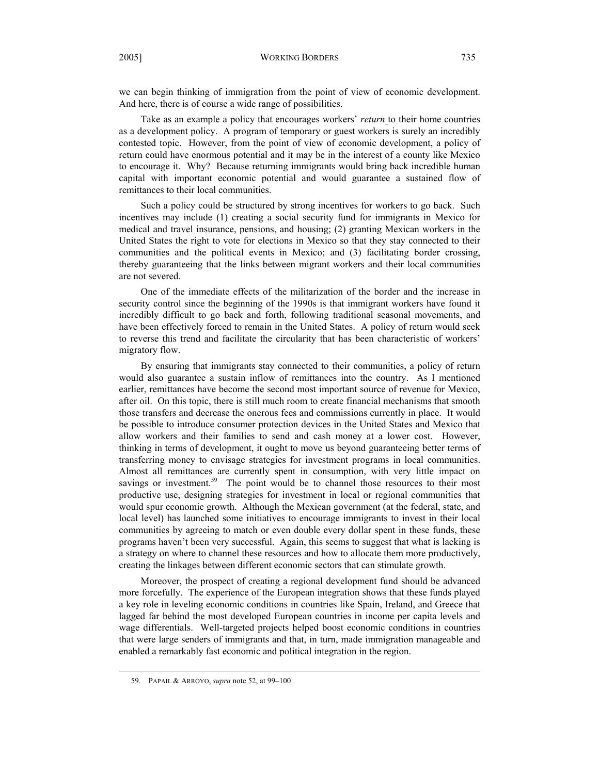we can begin thinking of immigration from the point of view of economic development.

And here, there is of course a wide range of possibilities.

Take as an example a policy that encourages workers' *return* to their home countries as a development policy. A program of temporary or guest workers is surely an incredibly contested topic. However, from the point of view of economic development, a policy of return could have enormous potential and it may be in the interest of a county like Mexico to encourage it. Why? Because returning immigrants would bring back incredible human capital with important economic potential and would guarantee a sustained flow of remittances to their local communities.

Such a policy could be structured by strong incentives for workers to go back. Such incentives may include (1) creating a social security fund for immigrants in Mexico for medical and travel insurance, pensions, and housing; (2) granting Mexican workers in the United States the right to vote for elections in Mexico so that they stay connected to their communities and the political events in Mexico; and (3) facilitating border crossing, thereby guaranteeing that the links between migrant workers and their local communities are not severed.

One of the immediate effects of the militarization of the border and the increase in security control since the beginning of the 1990s is that immigrant workers have found it incredibly difficult to go back and forth, following traditional seasonal movements, and have been effectively forced to remain in the United States. A policy of return would seek to reverse this trend and facilitate the circularity that has been characteristic of workers' migratory flow.

By ensuring that immigrants stay connected to their communities, a policy of return would also guarantee a sustain inflow of remittances into the country. As I mentioned earlier, remittances have become the second most important source of revenue for Mexico, after oil. On this topic, there is still much room to create financial mechanisms that smooth those transfers and decrease the onerous fees and commissions currently in place. It would be possible to introduce consumer protection devices in the United States and Mexico that allow workers and their families to send and cash money at a lower cost. However, thinking in terms of development, it ought to move us beyond guaranteeing better terms of transferring money to envisage strategies for investment programs in local communities. Almost all remittances are currently spent in consumption, with very little impact on savings or investment.<sup>59</sup> The point would be to channel those resources to their most productive use, designing strategies for investment in local or regional communities that would spur economic growth. Although the Mexican government (at the federal, state, and local level) has launched some initiatives to encourage immigrants to invest in their local communities by agreeing to match or even double every dollar spent in these funds, these programs haven't been very successful. Again, this seems to suggest that what is lacking is a strategy on where to channel these resources and how to allocate them more productively, creating the linkages between different economic sectors that can stimulate growth.

Moreover, the prospect of creating a regional development fund should be advanced more forcefully. The experience of the European integration shows that these funds played a key role in leveling economic conditions in countries like Spain, Ireland, and Greece that lagged far behind the most developed European countries in income per capita levels and wage differentials. Well-targeted projects helped boost economic conditions in countries that were large senders of immigrants and that, in turn, made immigration manageable and enabled a remarkably fast economic and political integration in the region.

<sup>59.</sup> PAPAIL & ARROYO, *supra* note 52, at 99–100.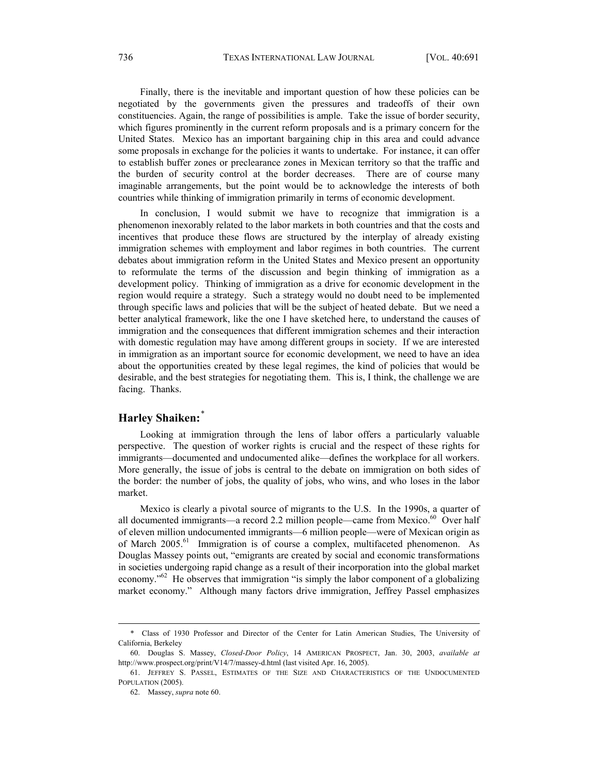Finally, there is the inevitable and important question of how these policies can be negotiated by the governments given the pressures and tradeoffs of their own constituencies. Again, the range of possibilities is ample. Take the issue of border security, which figures prominently in the current reform proposals and is a primary concern for the United States. Mexico has an important bargaining chip in this area and could advance some proposals in exchange for the policies it wants to undertake. For instance, it can offer to establish buffer zones or preclearance zones in Mexican territory so that the traffic and the burden of security control at the border decreases. There are of course many imaginable arrangements, but the point would be to acknowledge the interests of both countries while thinking of immigration primarily in terms of economic development.

In conclusion, I would submit we have to recognize that immigration is a phenomenon inexorably related to the labor markets in both countries and that the costs and incentives that produce these flows are structured by the interplay of already existing immigration schemes with employment and labor regimes in both countries. The current debates about immigration reform in the United States and Mexico present an opportunity to reformulate the terms of the discussion and begin thinking of immigration as a development policy. Thinking of immigration as a drive for economic development in the region would require a strategy. Such a strategy would no doubt need to be implemented through specific laws and policies that will be the subject of heated debate. But we need a better analytical framework, like the one I have sketched here, to understand the causes of immigration and the consequences that different immigration schemes and their interaction with domestic regulation may have among different groups in society. If we are interested in immigration as an important source for economic development, we need to have an idea about the opportunities created by these legal regimes, the kind of policies that would be desirable, and the best strategies for negotiating them. This is, I think, the challenge we are facing. Thanks.

## **Harley Shaiken:***\**

Looking at immigration through the lens of labor offers a particularly valuable perspective. The question of worker rights is crucial and the respect of these rights for immigrants—documented and undocumented alike—defines the workplace for all workers. More generally, the issue of jobs is central to the debate on immigration on both sides of the border: the number of jobs, the quality of jobs, who wins, and who loses in the labor market.

Mexico is clearly a pivotal source of migrants to the U.S. In the 1990s, a quarter of all documented immigrants—a record 2.2 million people—came from Mexico. $^{60}$  Over half of eleven million undocumented immigrants—6 million people—were of Mexican origin as of March 2005.<sup>61</sup> Immigration is of course a complex, multifaceted phenomenon. As Douglas Massey points out, "emigrants are created by social and economic transformations in societies undergoing rapid change as a result of their incorporation into the global market economy."<sup>62</sup> He observes that immigration "is simply the labor component of a globalizing market economy." Although many factors drive immigration, Jeffrey Passel emphasizes

1

<sup>\*</sup> Class of 1930 Professor and Director of the Center for Latin American Studies, The University of California, Berkeley

<sup>60.</sup> Douglas S. Massey, *Closed-Door Policy*, 14 AMERICAN PROSPECT, Jan. 30, 2003, *available at* http://www.prospect.org/print/V14/7/massey-d.html (last visited Apr. 16, 2005).

<sup>61.</sup> JEFFREY S. PASSEL, ESTIMATES OF THE SIZE AND CHARACTERISTICS OF THE UNDOCUMENTED POPULATION (2005).

<sup>62.</sup> Massey, *supra* note 60.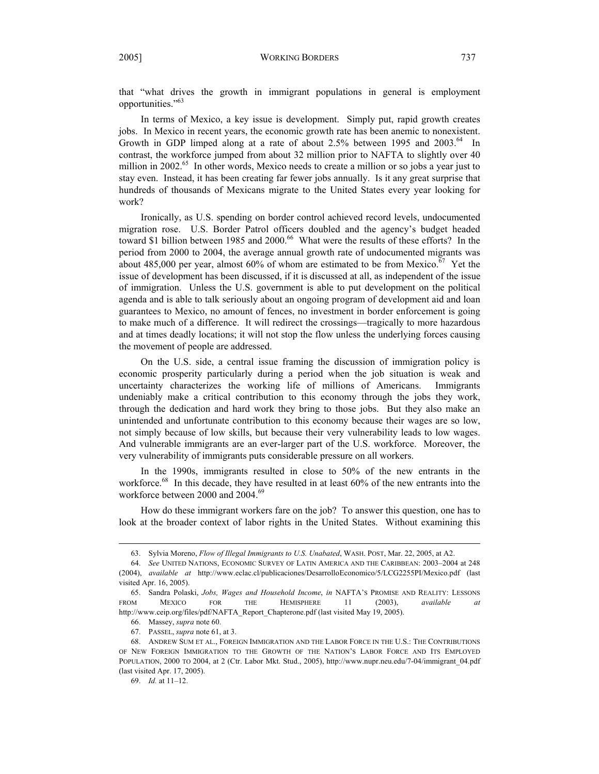that "what drives the growth in immigrant populations in general is employment opportunities."63

In terms of Mexico, a key issue is development. Simply put, rapid growth creates jobs. In Mexico in recent years, the economic growth rate has been anemic to nonexistent. Growth in GDP limped along at a rate of about  $2.5\%$  between 1995 and  $2003.^{64}$  In contrast, the workforce jumped from about 32 million prior to NAFTA to slightly over 40 million in 2002.<sup>65</sup> In other words, Mexico needs to create a million or so jobs a year just to stay even. Instead, it has been creating far fewer jobs annually. Is it any great surprise that hundreds of thousands of Mexicans migrate to the United States every year looking for work?

Ironically, as U.S. spending on border control achieved record levels, undocumented migration rose. U.S. Border Patrol officers doubled and the agency's budget headed toward \$1 billion between 1985 and 2000.<sup>66</sup> What were the results of these efforts? In the period from 2000 to 2004, the average annual growth rate of undocumented migrants was about 485,000 per year, almost 60% of whom are estimated to be from Mexico. $67$  Yet the issue of development has been discussed, if it is discussed at all, as independent of the issue of immigration. Unless the U.S. government is able to put development on the political agenda and is able to talk seriously about an ongoing program of development aid and loan guarantees to Mexico, no amount of fences, no investment in border enforcement is going to make much of a difference. It will redirect the crossings—tragically to more hazardous and at times deadly locations; it will not stop the flow unless the underlying forces causing the movement of people are addressed.

On the U.S. side, a central issue framing the discussion of immigration policy is economic prosperity particularly during a period when the job situation is weak and uncertainty characterizes the working life of millions of Americans. Immigrants undeniably make a critical contribution to this economy through the jobs they work, through the dedication and hard work they bring to those jobs. But they also make an unintended and unfortunate contribution to this economy because their wages are so low, not simply because of low skills, but because their very vulnerability leads to low wages. And vulnerable immigrants are an ever-larger part of the U.S. workforce. Moreover, the very vulnerability of immigrants puts considerable pressure on all workers.

In the 1990s, immigrants resulted in close to 50% of the new entrants in the workforce.<sup>68</sup> In this decade, they have resulted in at least 60% of the new entrants into the workforce between 2000 and 2004.<sup>69</sup>

How do these immigrant workers fare on the job? To answer this question, one has to look at the broader context of labor rights in the United States. Without examining this

69. *Id.* at 11–12.

<sup>63.</sup> Sylvia Moreno, *Flow of Illegal Immigrants to U.S. Unabated*, WASH. POST, Mar. 22, 2005, at A2.

<sup>64.</sup> *See* UNITED NATIONS, ECONOMIC SURVEY OF LATIN AMERICA AND THE CARIBBEAN: 2003–2004 at 248 (2004), *available at* http://www.eclac.cl/publicaciones/DesarrolloEconomico/5/LCG2255PI/Mexico.pdf (last visited Apr. 16, 2005).

<sup>65.</sup> Sandra Polaski, *Jobs, Wages and Household Income*, *in* NAFTA'S PROMISE AND REALITY: LESSONS FROM MEXICO FOR THE HEMISPHERE 11 (2003), *available at* http://www.ceip.org/files/pdf/NAFTA\_Report\_Chapterone.pdf (last visited May 19, 2005).

<sup>66.</sup> Massey, *supra* note 60.

<sup>67.</sup> PASSEL, *supra* note 61, at 3.

<sup>68.</sup> ANDREW SUM ET AL., FOREIGN IMMIGRATION AND THE LABOR FORCE IN THE U.S.: THE CONTRIBUTIONS OF NEW FOREIGN IMMIGRATION TO THE GROWTH OF THE NATION'S LABOR FORCE AND ITS EMPLOYED POPULATION, 2000 TO 2004, at 2 (Ctr. Labor Mkt. Stud., 2005), http://www.nupr.neu.edu/7-04/immigrant\_04.pdf (last visited Apr. 17, 2005).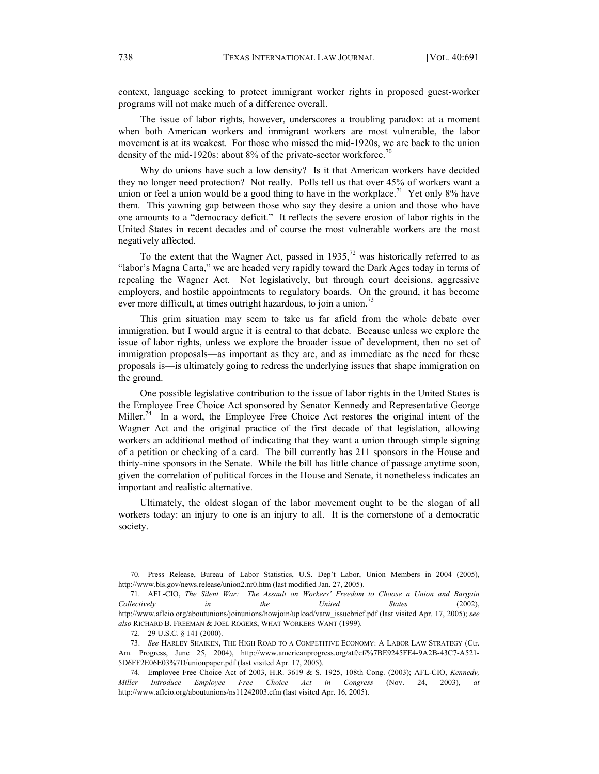context, language seeking to protect immigrant worker rights in proposed guest-worker programs will not make much of a difference overall.

The issue of labor rights, however, underscores a troubling paradox: at a moment when both American workers and immigrant workers are most vulnerable, the labor movement is at its weakest. For those who missed the mid-1920s, we are back to the union density of the mid-1920s: about  $8\%$  of the private-sector workforce.<sup>70</sup>

Why do unions have such a low density? Is it that American workers have decided they no longer need protection? Not really. Polls tell us that over 45% of workers want a union or feel a union would be a good thing to have in the workplace.<sup>71</sup> Yet only 8% have them. This yawning gap between those who say they desire a union and those who have one amounts to a "democracy deficit." It reflects the severe erosion of labor rights in the United States in recent decades and of course the most vulnerable workers are the most negatively affected.

To the extent that the Wagner Act, passed in  $1935$ ,<sup>72</sup> was historically referred to as "labor's Magna Carta," we are headed very rapidly toward the Dark Ages today in terms of repealing the Wagner Act. Not legislatively, but through court decisions, aggressive employers, and hostile appointments to regulatory boards. On the ground, it has become ever more difficult, at times outright hazardous, to join a union.<sup>73</sup>

This grim situation may seem to take us far afield from the whole debate over immigration, but I would argue it is central to that debate. Because unless we explore the issue of labor rights, unless we explore the broader issue of development, then no set of immigration proposals—as important as they are, and as immediate as the need for these proposals is—is ultimately going to redress the underlying issues that shape immigration on the ground.

One possible legislative contribution to the issue of labor rights in the United States is the Employee Free Choice Act sponsored by Senator Kennedy and Representative George Miller.<sup>74</sup> In a word, the Employee Free Choice Act restores the original intent of the Wagner Act and the original practice of the first decade of that legislation, allowing workers an additional method of indicating that they want a union through simple signing of a petition or checking of a card. The bill currently has 211 sponsors in the House and thirty-nine sponsors in the Senate. While the bill has little chance of passage anytime soon, given the correlation of political forces in the House and Senate, it nonetheless indicates an important and realistic alternative.

Ultimately, the oldest slogan of the labor movement ought to be the slogan of all workers today: an injury to one is an injury to all. It is the cornerstone of a democratic society.

<sup>70.</sup> Press Release, Bureau of Labor Statistics, U.S. Dep't Labor, Union Members in 2004 (2005), http://www.bls.gov/news.release/union2.nr0.htm (last modified Jan. 27, 2005).

<sup>71.</sup> AFL-CIO, *The Silent War: The Assault on Workers' Freedom to Choose a Union and Bargain Collectively in the United States* (2002), http://www.aflcio.org/aboutunions/joinunions/howjoin/upload/vatw\_issuebrief.pdf (last visited Apr. 17, 2005); *see also* RICHARD B. FREEMAN & JOEL ROGERS, WHAT WORKERS WANT (1999).

<sup>72. 29</sup> U.S.C. § 141 (2000).

<sup>73.</sup> *See* HARLEY SHAIKEN, THE HIGH ROAD TO A COMPETITIVE ECONOMY: A LABOR LAW STRATEGY (Ctr. Am. Progress, June 25, 2004), http://www.americanprogress.org/atf/cf/%7BE9245FE4-9A2B-43C7-A521- 5D6FF2E06E03%7D/unionpaper.pdf (last visited Apr. 17, 2005).

<sup>74.</sup> Employee Free Choice Act of 2003, H.R. 3619 & S. 1925, 108th Cong. (2003); AFL-CIO, *Kennedy, Miller Introduce Employee Free Choice Act in Congress* (Nov. 24, 2003), *at* http://www.aflcio.org/aboutunions/ns11242003.cfm (last visited Apr. 16, 2005).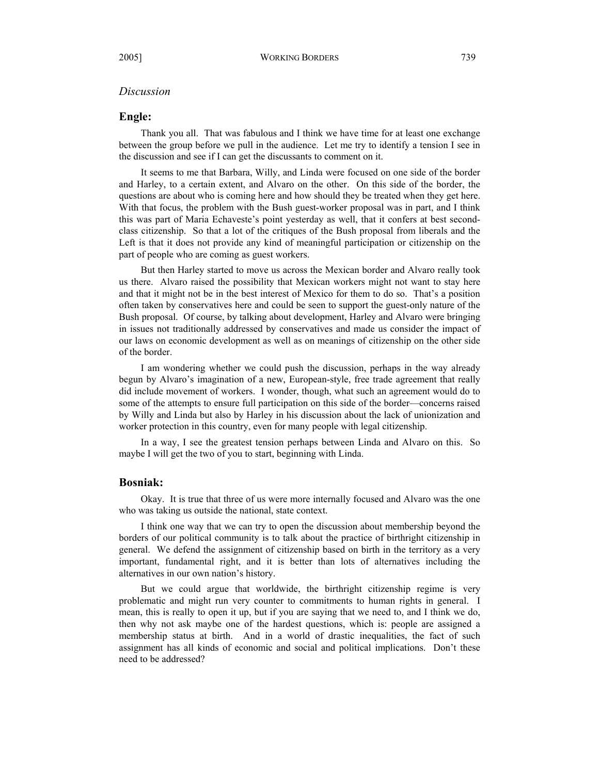## *Discussion*

## **Engle:**

Thank you all. That was fabulous and I think we have time for at least one exchange between the group before we pull in the audience. Let me try to identify a tension I see in the discussion and see if I can get the discussants to comment on it.

It seems to me that Barbara, Willy, and Linda were focused on one side of the border and Harley, to a certain extent, and Alvaro on the other. On this side of the border, the questions are about who is coming here and how should they be treated when they get here. With that focus, the problem with the Bush guest-worker proposal was in part, and I think this was part of Maria Echaveste's point yesterday as well, that it confers at best secondclass citizenship. So that a lot of the critiques of the Bush proposal from liberals and the Left is that it does not provide any kind of meaningful participation or citizenship on the part of people who are coming as guest workers.

But then Harley started to move us across the Mexican border and Alvaro really took us there. Alvaro raised the possibility that Mexican workers might not want to stay here and that it might not be in the best interest of Mexico for them to do so. That's a position often taken by conservatives here and could be seen to support the guest-only nature of the Bush proposal. Of course, by talking about development, Harley and Alvaro were bringing in issues not traditionally addressed by conservatives and made us consider the impact of our laws on economic development as well as on meanings of citizenship on the other side of the border.

I am wondering whether we could push the discussion, perhaps in the way already begun by Alvaro's imagination of a new, European-style, free trade agreement that really did include movement of workers. I wonder, though, what such an agreement would do to some of the attempts to ensure full participation on this side of the border—concerns raised by Willy and Linda but also by Harley in his discussion about the lack of unionization and worker protection in this country, even for many people with legal citizenship.

In a way, I see the greatest tension perhaps between Linda and Alvaro on this. So maybe I will get the two of you to start, beginning with Linda.

## **Bosniak:**

Okay. It is true that three of us were more internally focused and Alvaro was the one who was taking us outside the national, state context.

I think one way that we can try to open the discussion about membership beyond the borders of our political community is to talk about the practice of birthright citizenship in general. We defend the assignment of citizenship based on birth in the territory as a very important, fundamental right, and it is better than lots of alternatives including the alternatives in our own nation's history.

But we could argue that worldwide, the birthright citizenship regime is very problematic and might run very counter to commitments to human rights in general. I mean, this is really to open it up, but if you are saying that we need to, and I think we do, then why not ask maybe one of the hardest questions, which is: people are assigned a membership status at birth. And in a world of drastic inequalities, the fact of such assignment has all kinds of economic and social and political implications. Don't these need to be addressed?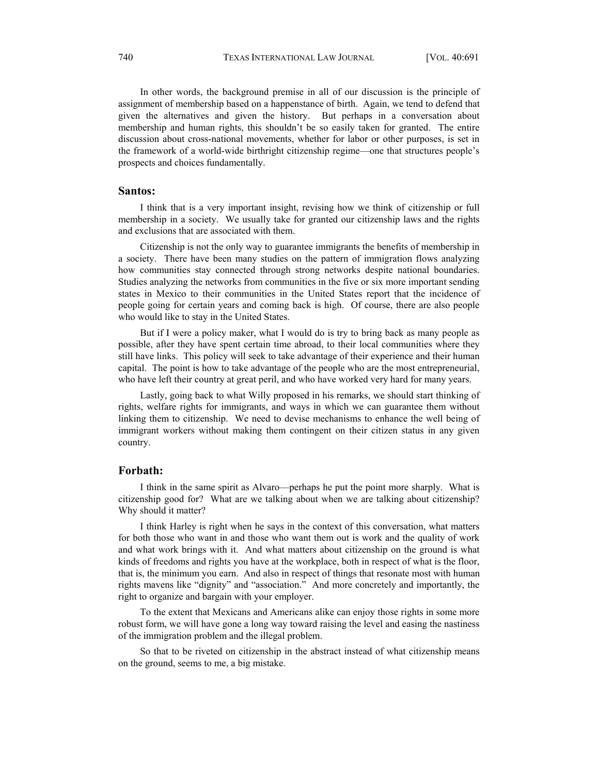In other words, the background premise in all of our discussion is the principle of assignment of membership based on a happenstance of birth. Again, we tend to defend that given the alternatives and given the history. But perhaps in a conversation about membership and human rights, this shouldn't be so easily taken for granted. The entire discussion about cross-national movements, whether for labor or other purposes, is set in the framework of a world-wide birthright citizenship regime—one that structures people's prospects and choices fundamentally.

## **Santos:**

I think that is a very important insight, revising how we think of citizenship or full membership in a society. We usually take for granted our citizenship laws and the rights and exclusions that are associated with them.

Citizenship is not the only way to guarantee immigrants the benefits of membership in a society. There have been many studies on the pattern of immigration flows analyzing how communities stay connected through strong networks despite national boundaries. Studies analyzing the networks from communities in the five or six more important sending states in Mexico to their communities in the United States report that the incidence of people going for certain years and coming back is high. Of course, there are also people who would like to stay in the United States.

But if I were a policy maker, what I would do is try to bring back as many people as possible, after they have spent certain time abroad, to their local communities where they still have links. This policy will seek to take advantage of their experience and their human capital. The point is how to take advantage of the people who are the most entrepreneurial, who have left their country at great peril, and who have worked very hard for many years.

Lastly, going back to what Willy proposed in his remarks, we should start thinking of rights, welfare rights for immigrants, and ways in which we can guarantee them without linking them to citizenship. We need to devise mechanisms to enhance the well being of immigrant workers without making them contingent on their citizen status in any given country.

#### **Forbath:**

I think in the same spirit as Alvaro—perhaps he put the point more sharply. What is citizenship good for? What are we talking about when we are talking about citizenship? Why should it matter?

I think Harley is right when he says in the context of this conversation, what matters for both those who want in and those who want them out is work and the quality of work and what work brings with it. And what matters about citizenship on the ground is what kinds of freedoms and rights you have at the workplace, both in respect of what is the floor, that is, the minimum you earn. And also in respect of things that resonate most with human rights mavens like "dignity" and "association." And more concretely and importantly, the right to organize and bargain with your employer.

To the extent that Mexicans and Americans alike can enjoy those rights in some more robust form, we will have gone a long way toward raising the level and easing the nastiness of the immigration problem and the illegal problem.

So that to be riveted on citizenship in the abstract instead of what citizenship means on the ground, seems to me, a big mistake.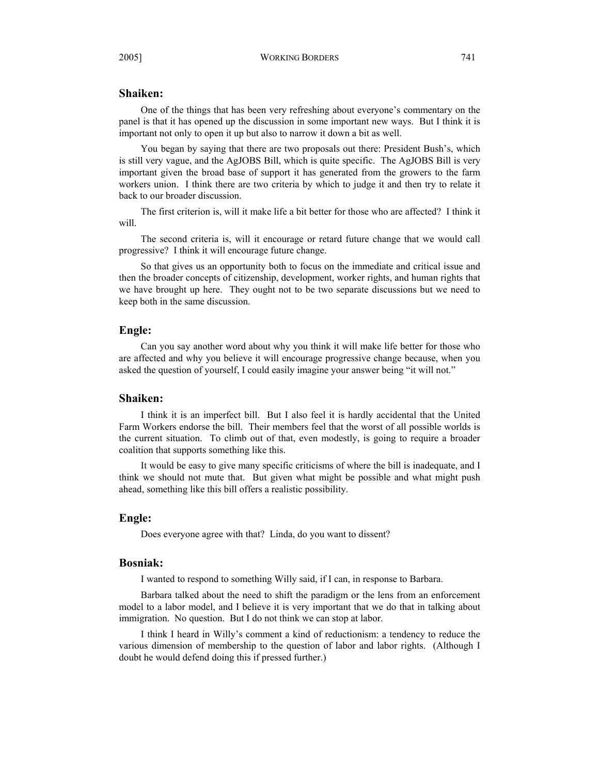## **Shaiken:**

One of the things that has been very refreshing about everyone's commentary on the panel is that it has opened up the discussion in some important new ways. But I think it is important not only to open it up but also to narrow it down a bit as well.

You began by saying that there are two proposals out there: President Bush's, which is still very vague, and the AgJOBS Bill, which is quite specific. The AgJOBS Bill is very important given the broad base of support it has generated from the growers to the farm workers union. I think there are two criteria by which to judge it and then try to relate it back to our broader discussion.

The first criterion is, will it make life a bit better for those who are affected? I think it will.

The second criteria is, will it encourage or retard future change that we would call progressive? I think it will encourage future change.

So that gives us an opportunity both to focus on the immediate and critical issue and then the broader concepts of citizenship, development, worker rights, and human rights that we have brought up here. They ought not to be two separate discussions but we need to keep both in the same discussion.

## **Engle:**

Can you say another word about why you think it will make life better for those who are affected and why you believe it will encourage progressive change because, when you asked the question of yourself, I could easily imagine your answer being "it will not."

## **Shaiken:**

I think it is an imperfect bill. But I also feel it is hardly accidental that the United Farm Workers endorse the bill. Their members feel that the worst of all possible worlds is the current situation. To climb out of that, even modestly, is going to require a broader coalition that supports something like this.

It would be easy to give many specific criticisms of where the bill is inadequate, and I think we should not mute that. But given what might be possible and what might push ahead, something like this bill offers a realistic possibility.

## **Engle:**

Does everyone agree with that? Linda, do you want to dissent?

#### **Bosniak:**

I wanted to respond to something Willy said, if I can, in response to Barbara.

Barbara talked about the need to shift the paradigm or the lens from an enforcement model to a labor model, and I believe it is very important that we do that in talking about immigration. No question. But I do not think we can stop at labor.

I think I heard in Willy's comment a kind of reductionism: a tendency to reduce the various dimension of membership to the question of labor and labor rights. (Although I doubt he would defend doing this if pressed further.)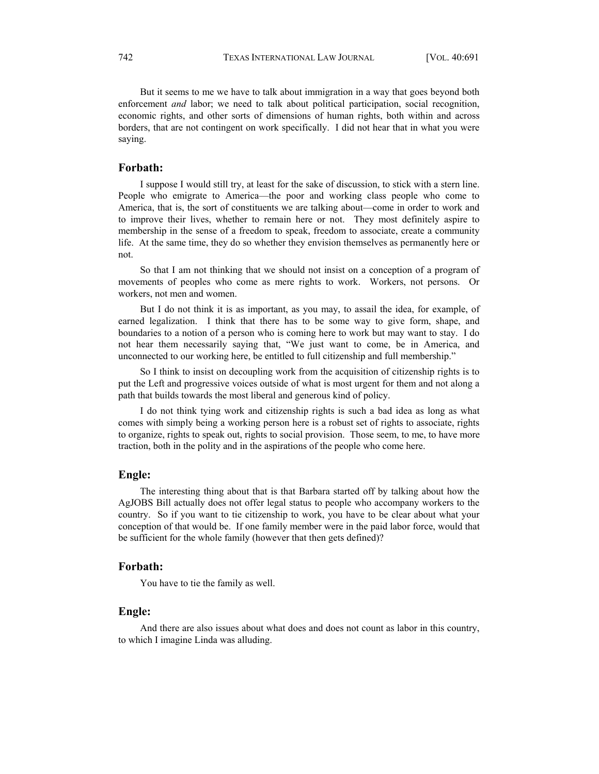But it seems to me we have to talk about immigration in a way that goes beyond both enforcement *and* labor; we need to talk about political participation, social recognition, economic rights, and other sorts of dimensions of human rights, both within and across borders, that are not contingent on work specifically. I did not hear that in what you were saying.

### **Forbath:**

I suppose I would still try, at least for the sake of discussion, to stick with a stern line. People who emigrate to America—the poor and working class people who come to America, that is, the sort of constituents we are talking about—come in order to work and to improve their lives, whether to remain here or not. They most definitely aspire to membership in the sense of a freedom to speak, freedom to associate, create a community life. At the same time, they do so whether they envision themselves as permanently here or not.

So that I am not thinking that we should not insist on a conception of a program of movements of peoples who come as mere rights to work. Workers, not persons. Or workers, not men and women.

But I do not think it is as important, as you may, to assail the idea, for example, of earned legalization. I think that there has to be some way to give form, shape, and boundaries to a notion of a person who is coming here to work but may want to stay. I do not hear them necessarily saying that, "We just want to come, be in America, and unconnected to our working here, be entitled to full citizenship and full membership."

So I think to insist on decoupling work from the acquisition of citizenship rights is to put the Left and progressive voices outside of what is most urgent for them and not along a path that builds towards the most liberal and generous kind of policy.

I do not think tying work and citizenship rights is such a bad idea as long as what comes with simply being a working person here is a robust set of rights to associate, rights to organize, rights to speak out, rights to social provision. Those seem, to me, to have more traction, both in the polity and in the aspirations of the people who come here.

### **Engle:**

The interesting thing about that is that Barbara started off by talking about how the AgJOBS Bill actually does not offer legal status to people who accompany workers to the country. So if you want to tie citizenship to work, you have to be clear about what your conception of that would be. If one family member were in the paid labor force, would that be sufficient for the whole family (however that then gets defined)?

## **Forbath:**

You have to tie the family as well.

## **Engle:**

And there are also issues about what does and does not count as labor in this country, to which I imagine Linda was alluding.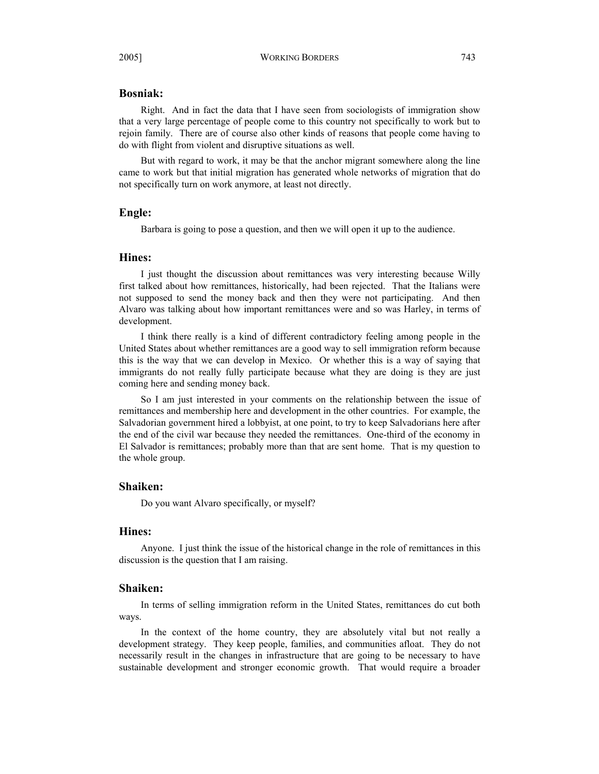## **Bosniak:**

Right. And in fact the data that I have seen from sociologists of immigration show that a very large percentage of people come to this country not specifically to work but to rejoin family. There are of course also other kinds of reasons that people come having to do with flight from violent and disruptive situations as well.

But with regard to work, it may be that the anchor migrant somewhere along the line came to work but that initial migration has generated whole networks of migration that do not specifically turn on work anymore, at least not directly.

### **Engle:**

Barbara is going to pose a question, and then we will open it up to the audience.

## **Hines:**

I just thought the discussion about remittances was very interesting because Willy first talked about how remittances, historically, had been rejected. That the Italians were not supposed to send the money back and then they were not participating. And then Alvaro was talking about how important remittances were and so was Harley, in terms of development.

I think there really is a kind of different contradictory feeling among people in the United States about whether remittances are a good way to sell immigration reform because this is the way that we can develop in Mexico. Or whether this is a way of saying that immigrants do not really fully participate because what they are doing is they are just coming here and sending money back.

So I am just interested in your comments on the relationship between the issue of remittances and membership here and development in the other countries. For example, the Salvadorian government hired a lobbyist, at one point, to try to keep Salvadorians here after the end of the civil war because they needed the remittances. One-third of the economy in El Salvador is remittances; probably more than that are sent home. That is my question to the whole group.

## **Shaiken:**

Do you want Alvaro specifically, or myself?

## **Hines:**

Anyone. I just think the issue of the historical change in the role of remittances in this discussion is the question that I am raising.

### **Shaiken:**

In terms of selling immigration reform in the United States, remittances do cut both ways.

In the context of the home country, they are absolutely vital but not really a development strategy. They keep people, families, and communities afloat. They do not necessarily result in the changes in infrastructure that are going to be necessary to have sustainable development and stronger economic growth. That would require a broader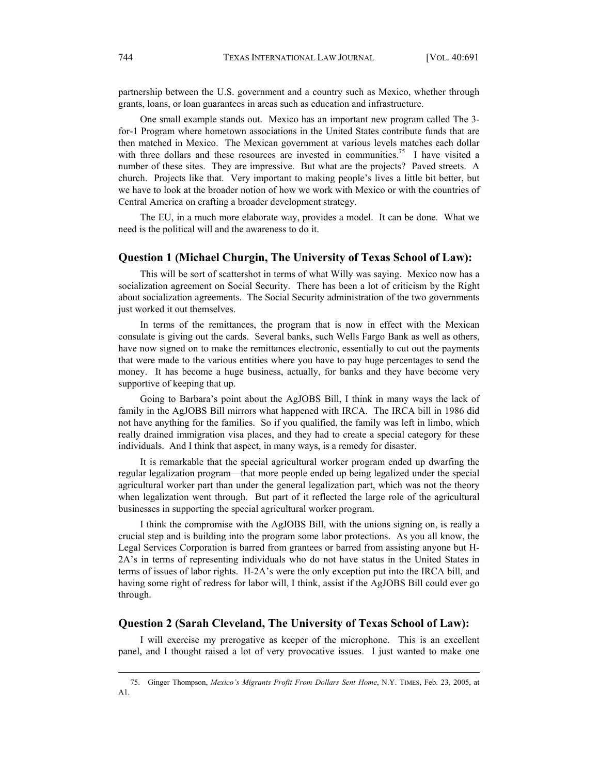partnership between the U.S. government and a country such as Mexico, whether through grants, loans, or loan guarantees in areas such as education and infrastructure.

One small example stands out. Mexico has an important new program called The 3 for-1 Program where hometown associations in the United States contribute funds that are then matched in Mexico. The Mexican government at various levels matches each dollar with three dollars and these resources are invested in communities.<sup>75</sup> I have visited a number of these sites. They are impressive. But what are the projects? Paved streets. A church. Projects like that. Very important to making people's lives a little bit better, but we have to look at the broader notion of how we work with Mexico or with the countries of Central America on crafting a broader development strategy.

The EU, in a much more elaborate way, provides a model. It can be done. What we need is the political will and the awareness to do it.

## **Question 1 (Michael Churgin, The University of Texas School of Law):**

This will be sort of scattershot in terms of what Willy was saying. Mexico now has a socialization agreement on Social Security. There has been a lot of criticism by the Right about socialization agreements. The Social Security administration of the two governments just worked it out themselves.

In terms of the remittances, the program that is now in effect with the Mexican consulate is giving out the cards. Several banks, such Wells Fargo Bank as well as others, have now signed on to make the remittances electronic, essentially to cut out the payments that were made to the various entities where you have to pay huge percentages to send the money. It has become a huge business, actually, for banks and they have become very supportive of keeping that up.

Going to Barbara's point about the AgJOBS Bill, I think in many ways the lack of family in the AgJOBS Bill mirrors what happened with IRCA. The IRCA bill in 1986 did not have anything for the families. So if you qualified, the family was left in limbo, which really drained immigration visa places, and they had to create a special category for these individuals. And I think that aspect, in many ways, is a remedy for disaster.

It is remarkable that the special agricultural worker program ended up dwarfing the regular legalization program—that more people ended up being legalized under the special agricultural worker part than under the general legalization part, which was not the theory when legalization went through. But part of it reflected the large role of the agricultural businesses in supporting the special agricultural worker program.

I think the compromise with the AgJOBS Bill, with the unions signing on, is really a crucial step and is building into the program some labor protections. As you all know, the Legal Services Corporation is barred from grantees or barred from assisting anyone but H-2A's in terms of representing individuals who do not have status in the United States in terms of issues of labor rights. H-2A's were the only exception put into the IRCA bill, and having some right of redress for labor will, I think, assist if the AgJOBS Bill could ever go through.

#### **Question 2 (Sarah Cleveland, The University of Texas School of Law):**

I will exercise my prerogative as keeper of the microphone. This is an excellent panel, and I thought raised a lot of very provocative issues. I just wanted to make one

<sup>75.</sup> Ginger Thompson, *Mexico's Migrants Profit From Dollars Sent Home*, N.Y. TIMES, Feb. 23, 2005, at A1.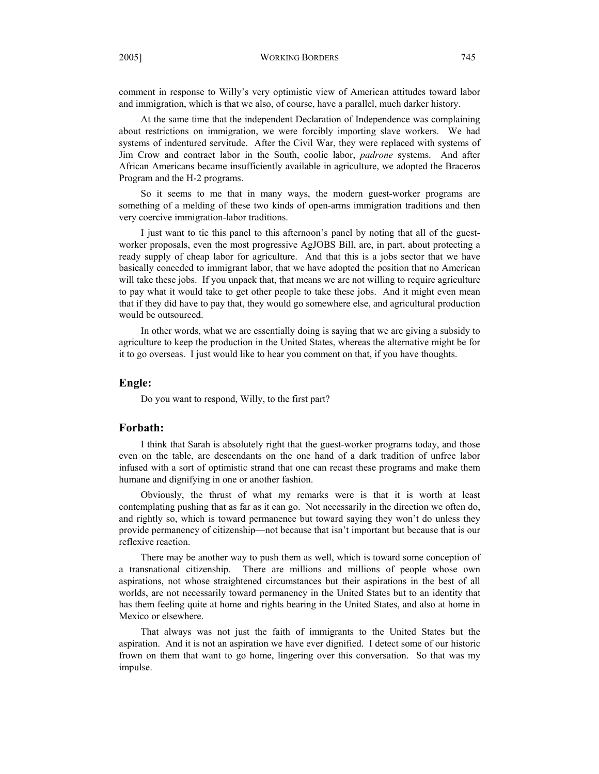comment in response to Willy's very optimistic view of American attitudes toward labor and immigration, which is that we also, of course, have a parallel, much darker history.

At the same time that the independent Declaration of Independence was complaining about restrictions on immigration, we were forcibly importing slave workers. We had systems of indentured servitude. After the Civil War, they were replaced with systems of Jim Crow and contract labor in the South, coolie labor, *padrone* systems. And after African Americans became insufficiently available in agriculture, we adopted the Braceros Program and the H-2 programs.

So it seems to me that in many ways, the modern guest-worker programs are something of a melding of these two kinds of open-arms immigration traditions and then very coercive immigration-labor traditions.

I just want to tie this panel to this afternoon's panel by noting that all of the guestworker proposals, even the most progressive AgJOBS Bill, are, in part, about protecting a ready supply of cheap labor for agriculture. And that this is a jobs sector that we have basically conceded to immigrant labor, that we have adopted the position that no American will take these jobs. If you unpack that, that means we are not willing to require agriculture to pay what it would take to get other people to take these jobs. And it might even mean that if they did have to pay that, they would go somewhere else, and agricultural production would be outsourced.

In other words, what we are essentially doing is saying that we are giving a subsidy to agriculture to keep the production in the United States, whereas the alternative might be for it to go overseas. I just would like to hear you comment on that, if you have thoughts.

## **Engle:**

Do you want to respond, Willy, to the first part?

#### **Forbath:**

I think that Sarah is absolutely right that the guest-worker programs today, and those even on the table, are descendants on the one hand of a dark tradition of unfree labor infused with a sort of optimistic strand that one can recast these programs and make them humane and dignifying in one or another fashion.

Obviously, the thrust of what my remarks were is that it is worth at least contemplating pushing that as far as it can go. Not necessarily in the direction we often do, and rightly so, which is toward permanence but toward saying they won't do unless they provide permanency of citizenship—not because that isn't important but because that is our reflexive reaction.

There may be another way to push them as well, which is toward some conception of a transnational citizenship. There are millions and millions of people whose own aspirations, not whose straightened circumstances but their aspirations in the best of all worlds, are not necessarily toward permanency in the United States but to an identity that has them feeling quite at home and rights bearing in the United States, and also at home in Mexico or elsewhere.

That always was not just the faith of immigrants to the United States but the aspiration. And it is not an aspiration we have ever dignified. I detect some of our historic frown on them that want to go home, lingering over this conversation. So that was my impulse.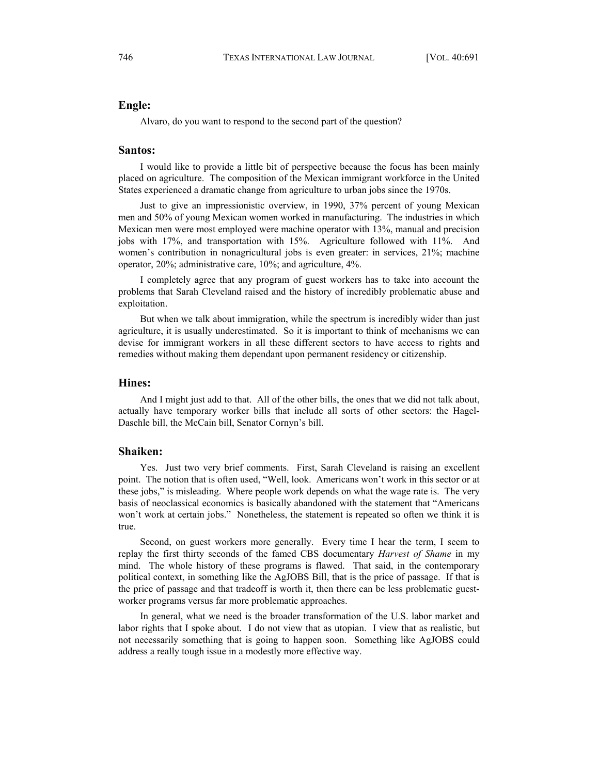#### **Engle:**

Alvaro, do you want to respond to the second part of the question?

## **Santos:**

I would like to provide a little bit of perspective because the focus has been mainly placed on agriculture. The composition of the Mexican immigrant workforce in the United States experienced a dramatic change from agriculture to urban jobs since the 1970s.

Just to give an impressionistic overview, in 1990, 37% percent of young Mexican men and 50% of young Mexican women worked in manufacturing. The industries in which Mexican men were most employed were machine operator with 13%, manual and precision jobs with 17%, and transportation with 15%. Agriculture followed with 11%. And women's contribution in nonagricultural jobs is even greater: in services, 21%; machine operator, 20%; administrative care, 10%; and agriculture, 4%.

I completely agree that any program of guest workers has to take into account the problems that Sarah Cleveland raised and the history of incredibly problematic abuse and exploitation.

But when we talk about immigration, while the spectrum is incredibly wider than just agriculture, it is usually underestimated. So it is important to think of mechanisms we can devise for immigrant workers in all these different sectors to have access to rights and remedies without making them dependant upon permanent residency or citizenship.

### **Hines:**

And I might just add to that. All of the other bills, the ones that we did not talk about, actually have temporary worker bills that include all sorts of other sectors: the Hagel-Daschle bill, the McCain bill, Senator Cornyn's bill.

#### **Shaiken:**

Yes. Just two very brief comments. First, Sarah Cleveland is raising an excellent point. The notion that is often used, "Well, look. Americans won't work in this sector or at these jobs," is misleading. Where people work depends on what the wage rate is. The very basis of neoclassical economics is basically abandoned with the statement that "Americans won't work at certain jobs." Nonetheless, the statement is repeated so often we think it is true.

Second, on guest workers more generally. Every time I hear the term, I seem to replay the first thirty seconds of the famed CBS documentary *Harvest of Shame* in my mind. The whole history of these programs is flawed. That said, in the contemporary political context, in something like the AgJOBS Bill, that is the price of passage. If that is the price of passage and that tradeoff is worth it, then there can be less problematic guestworker programs versus far more problematic approaches.

In general, what we need is the broader transformation of the U.S. labor market and labor rights that I spoke about. I do not view that as utopian. I view that as realistic, but not necessarily something that is going to happen soon. Something like AgJOBS could address a really tough issue in a modestly more effective way.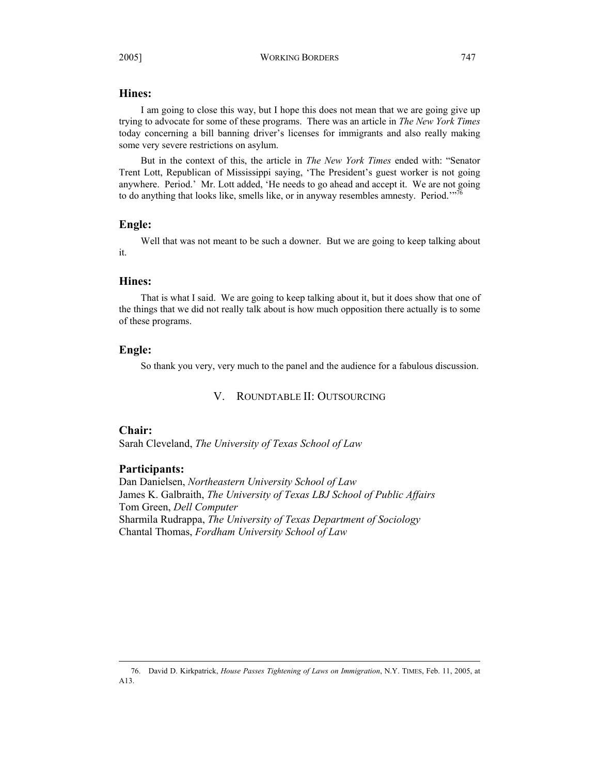# **Hines:**

I am going to close this way, but I hope this does not mean that we are going give up trying to advocate for some of these programs. There was an article in *The New York Times* today concerning a bill banning driver's licenses for immigrants and also really making some very severe restrictions on asylum.

But in the context of this, the article in *The New York Times* ended with: "Senator Trent Lott, Republican of Mississippi saying, 'The President's guest worker is not going anywhere. Period.' Mr. Lott added, 'He needs to go ahead and accept it. We are not going to do anything that looks like, smells like, or in anyway resembles amnesty. Period.'"76

## **Engle:**

Well that was not meant to be such a downer. But we are going to keep talking about it.

## **Hines:**

That is what I said. We are going to keep talking about it, but it does show that one of the things that we did not really talk about is how much opposition there actually is to some of these programs.

# **Engle:**

So thank you very, very much to the panel and the audience for a fabulous discussion.

# V. ROUNDTABLE II: OUTSOURCING

#### **Chair:**

l

Sarah Cleveland, *The University of Texas School of Law*

#### **Participants:**

Dan Danielsen, *Northeastern University School of Law* James K. Galbraith, *The University of Texas LBJ School of Public Affairs* Tom Green, *Dell Computer* Sharmila Rudrappa, *The University of Texas Department of Sociology* Chantal Thomas, *Fordham University School of Law*

<sup>76.</sup> David D. Kirkpatrick, *House Passes Tightening of Laws on Immigration*, N.Y. TIMES, Feb. 11, 2005, at A13.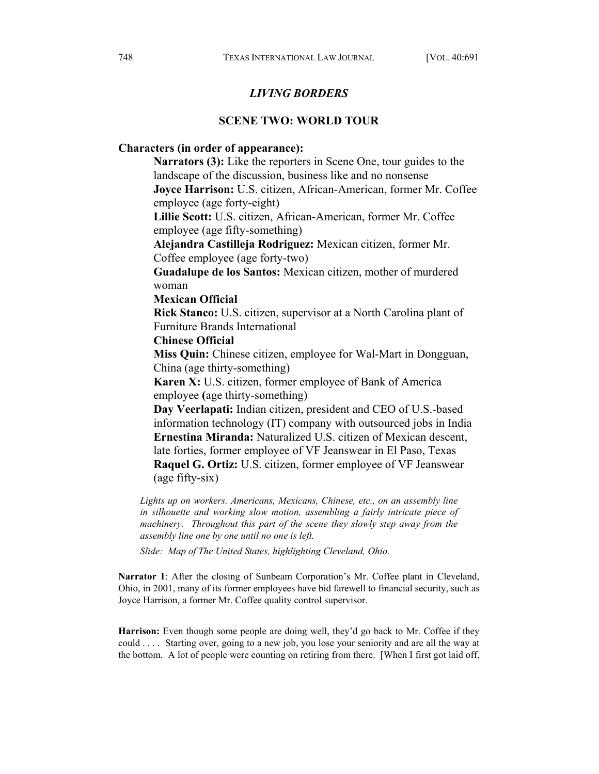# *LIVING BORDERS*

# **SCENE TWO: WORLD TOUR**

# **Characters (in order of appearance):**

**Narrators (3):** Like the reporters in Scene One, tour guides to the landscape of the discussion, business like and no nonsense **Joyce Harrison:** U.S. citizen, African-American, former Mr. Coffee employee (age forty-eight)

**Lillie Scott:** U.S. citizen, African-American, former Mr. Coffee employee (age fifty-something)

**Alejandra Castilleja Rodriguez:** Mexican citizen, former Mr. Coffee employee (age forty-two)

**Guadalupe de los Santos:** Mexican citizen, mother of murdered woman

#### **Mexican Official**

**Rick Stanco:** U.S. citizen, supervisor at a North Carolina plant of Furniture Brands International

# **Chinese Official**

**Miss Quin:** Chinese citizen, employee for Wal-Mart in Dongguan, China (age thirty-something)

**Karen X:** U.S. citizen, former employee of Bank of America employee **(**age thirty-something)

**Day Veerlapati:** Indian citizen, president and CEO of U.S.-based information technology (IT) company with outsourced jobs in India **Ernestina Miranda:** Naturalized U.S. citizen of Mexican descent, late forties, former employee of VF Jeanswear in El Paso, Texas **Raquel G. Ortiz:** U.S. citizen, former employee of VF Jeanswear (age fifty-six)

*Lights up on workers. Americans, Mexicans, Chinese, etc., on an assembly line in silhouette and working slow motion, assembling a fairly intricate piece of machinery. Throughout this part of the scene they slowly step away from the assembly line one by one until no one is left.* 

*Slide: Map of The United States, highlighting Cleveland, Ohio.* 

**Narrator 1**: After the closing of Sunbeam Corporation's Mr. Coffee plant in Cleveland, Ohio, in 2001, many of its former employees have bid farewell to financial security, such as Joyce Harrison, a former Mr. Coffee quality control supervisor.

**Harrison:** Even though some people are doing well, they'd go back to Mr. Coffee if they could . . . . Starting over, going to a new job, you lose your seniority and are all the way at the bottom. A lot of people were counting on retiring from there. [When I first got laid off,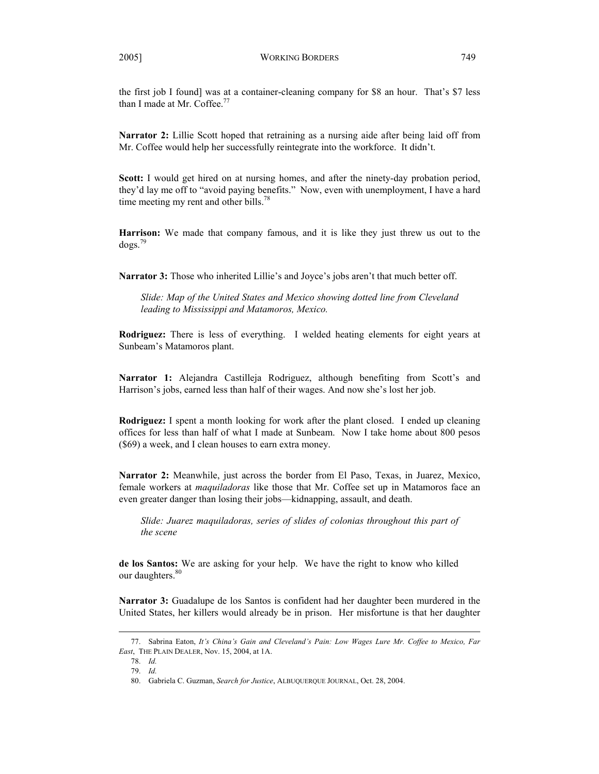the first job I found] was at a container-cleaning company for \$8 an hour. That's \$7 less than I made at Mr. Coffee. $77$ 

**Narrator 2:** Lillie Scott hoped that retraining as a nursing aide after being laid off from Mr. Coffee would help her successfully reintegrate into the workforce. It didn't.

**Scott:** I would get hired on at nursing homes, and after the ninety-day probation period, they'd lay me off to "avoid paying benefits." Now, even with unemployment, I have a hard time meeting my rent and other bills.<sup>78</sup>

**Harrison:** We made that company famous, and it is like they just threw us out to the  $d$ ogs.<sup>79</sup>

**Narrator 3:** Those who inherited Lillie's and Joyce's jobs aren't that much better off.

*Slide: Map of the United States and Mexico showing dotted line from Cleveland leading to Mississippi and Matamoros, Mexico.* 

**Rodriguez:** There is less of everything. I welded heating elements for eight years at Sunbeam's Matamoros plant.

**Narrator 1:** Alejandra Castilleja Rodriguez, although benefiting from Scott's and Harrison's jobs, earned less than half of their wages. And now she's lost her job.

**Rodriguez:** I spent a month looking for work after the plant closed. I ended up cleaning offices for less than half of what I made at Sunbeam. Now I take home about 800 pesos (\$69) a week, and I clean houses to earn extra money.

**Narrator 2:** Meanwhile, just across the border from El Paso, Texas, in Juarez, Mexico, female workers at *maquiladoras* like those that Mr. Coffee set up in Matamoros face an even greater danger than losing their jobs—kidnapping, assault, and death.

*Slide: Juarez maquiladoras, series of slides of colonias throughout this part of the scene* 

**de los Santos:** We are asking for your help. We have the right to know who killed our daughters.<sup>80</sup>

**Narrator 3:** Guadalupe de los Santos is confident had her daughter been murdered in the United States, her killers would already be in prison. Her misfortune is that her daughter

<sup>77.</sup> Sabrina Eaton, *It's China's Gain and Cleveland's Pain: Low Wages Lure Mr. Coffee to Mexico, Far East*, THE PLAIN DEALER, Nov. 15, 2004, at 1A.

<sup>78.</sup> *Id.*

<sup>79.</sup> *Id.* 

<sup>80.</sup> Gabriela C. Guzman, *Search for Justice*, ALBUQUERQUE JOURNAL, Oct. 28, 2004.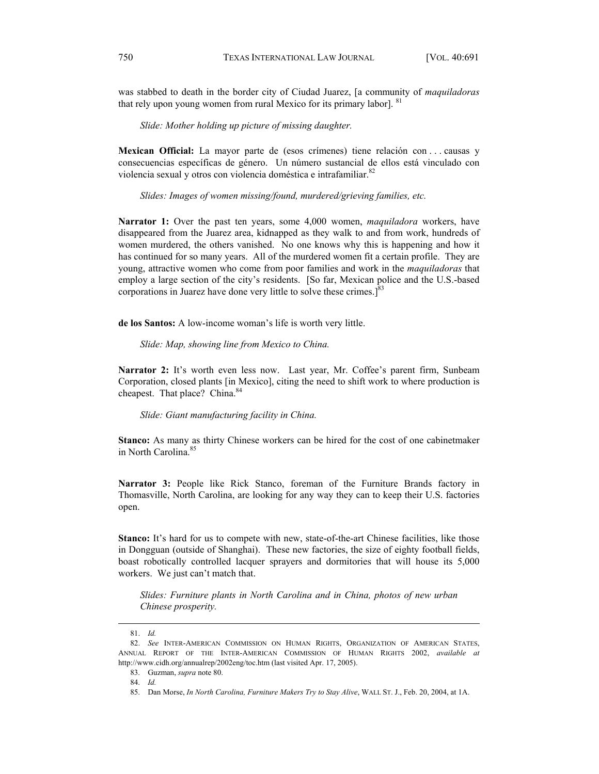was stabbed to death in the border city of Ciudad Juarez, [a community of *maquiladoras* that rely upon young women from rural Mexico for its primary labor]. <sup>81</sup>

*Slide: Mother holding up picture of missing daughter.* 

**Mexican Official:** La mayor parte de (esos crímenes) tiene relación con . . . causas y consecuencias específicas de género. Un número sustancial de ellos está vinculado con violencia sexual y otros con violencia doméstica e intrafamiliar.<sup>82</sup>

*Slides: Images of women missing/found, murdered/grieving families, etc.* 

**Narrator 1:** Over the past ten years, some 4,000 women, *maquiladora* workers, have disappeared from the Juarez area, kidnapped as they walk to and from work, hundreds of women murdered, the others vanished. No one knows why this is happening and how it has continued for so many years. All of the murdered women fit a certain profile. They are young, attractive women who come from poor families and work in the *maquiladoras* that employ a large section of the city's residents. [So far, Mexican police and the U.S.-based corporations in Juarez have done very little to solve these crimes. $1^{83}$ 

**de los Santos:** A low-income woman's life is worth very little.

*Slide: Map, showing line from Mexico to China.* 

**Narrator 2:** It's worth even less now. Last year, Mr. Coffee's parent firm, Sunbeam Corporation, closed plants [in Mexico], citing the need to shift work to where production is cheapest. That place? China.<sup>84</sup>

*Slide: Giant manufacturing facility in China.* 

**Stanco:** As many as thirty Chinese workers can be hired for the cost of one cabinetmaker in North Carolina.<sup>85</sup>

**Narrator 3:** People like Rick Stanco, foreman of the Furniture Brands factory in Thomasville, North Carolina, are looking for any way they can to keep their U.S. factories open.

**Stanco:** It's hard for us to compete with new, state-of-the-art Chinese facilities, like those in Dongguan (outside of Shanghai). These new factories, the size of eighty football fields, boast robotically controlled lacquer sprayers and dormitories that will house its 5,000 workers. We just can't match that.

*Slides: Furniture plants in North Carolina and in China, photos of new urban Chinese prosperity.* 

1

<sup>81.</sup> *Id.*

<sup>82.</sup> *See* INTER-AMERICAN COMMISSION ON HUMAN RIGHTS, ORGANIZATION OF AMERICAN STATES, ANNUAL REPORT OF THE INTER-AMERICAN COMMISSION OF HUMAN RIGHTS 2002, *available at*  http://www.cidh.org/annualrep/2002eng/toc.htm (last visited Apr. 17, 2005).

<sup>83.</sup> Guzman, *supra* note 80.

<sup>84.</sup> *Id.*

<sup>85.</sup> Dan Morse, *In North Carolina, Furniture Makers Try to Stay Alive*, WALL ST. J., Feb. 20, 2004, at 1A.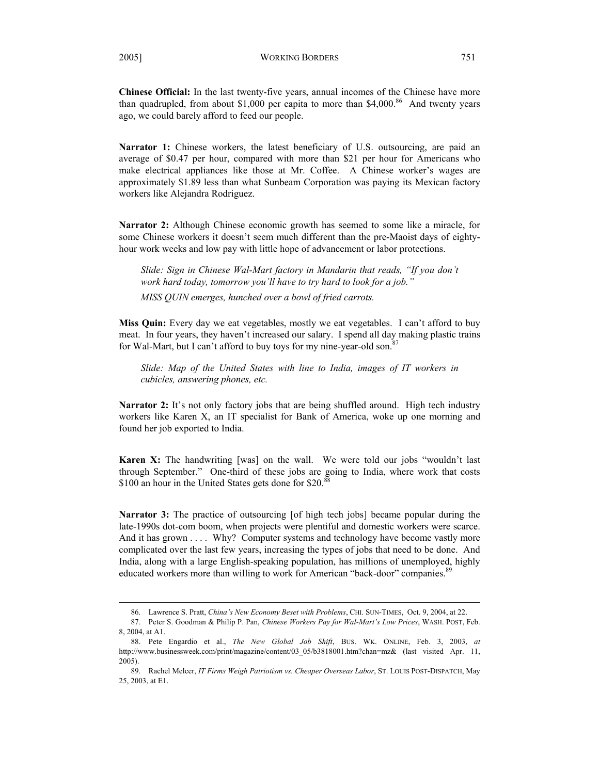l

2005] WORKING BORDERS 751

**Chinese Official:** In the last twenty-five years, annual incomes of the Chinese have more than quadrupled, from about \$1,000 per capita to more than \$4,000.<sup>86</sup> And twenty years ago, we could barely afford to feed our people.

**Narrator 1:** Chinese workers, the latest beneficiary of U.S. outsourcing, are paid an average of \$0.47 per hour, compared with more than \$21 per hour for Americans who make electrical appliances like those at Mr. Coffee. A Chinese worker's wages are approximately \$1.89 less than what Sunbeam Corporation was paying its Mexican factory workers like Alejandra Rodriguez.

**Narrator 2:** Although Chinese economic growth has seemed to some like a miracle, for some Chinese workers it doesn't seem much different than the pre-Maoist days of eightyhour work weeks and low pay with little hope of advancement or labor protections.

*Slide: Sign in Chinese Wal-Mart factory in Mandarin that reads, "If you don't work hard today, tomorrow you'll have to try hard to look for a job." MISS QUIN emerges, hunched over a bowl of fried carrots.*

**Miss Quin:** Every day we eat vegetables, mostly we eat vegetables. I can't afford to buy meat. In four years, they haven't increased our salary. I spend all day making plastic trains for Wal-Mart, but I can't afford to buy toys for my nine-year-old son.<sup>87</sup>

*Slide: Map of the United States with line to India, images of IT workers in cubicles, answering phones, etc.* 

**Narrator 2:** It's not only factory jobs that are being shuffled around. High tech industry workers like Karen X, an IT specialist for Bank of America, woke up one morning and found her job exported to India.

**Karen X:** The handwriting [was] on the wall. We were told our jobs "wouldn't last through September." One-third of these jobs are going to India, where work that costs \$100 an hour in the United States gets done for \$20.88

**Narrator 3:** The practice of outsourcing [of high tech jobs] became popular during the late-1990s dot-com boom, when projects were plentiful and domestic workers were scarce. And it has grown . . . . Why? Computer systems and technology have become vastly more complicated over the last few years, increasing the types of jobs that need to be done. And India, along with a large English-speaking population, has millions of unemployed, highly educated workers more than willing to work for American "back-door" companies.<sup>89</sup>

<sup>86.</sup> Lawrence S. Pratt, *China's New Economy Beset with Problems*, CHI. SUN-TIMES, Oct. 9, 2004, at 22.

<sup>87.</sup> Peter S. Goodman & Philip P. Pan, *Chinese Workers Pay for Wal-Mart's Low Prices*, WASH. POST, Feb. 8, 2004, at A1.

<sup>88.</sup> Pete Engardio et al., *The New Global Job Shift*, BUS. WK. ONLINE, Feb. 3, 2003, *at* http://www.businessweek.com/print/magazine/content/03\_05/b3818001.htm?chan=mz& (last visited Apr. 11, 2005).

<sup>89.</sup> Rachel Melcer, *IT Firms Weigh Patriotism vs. Cheaper Overseas Labor*, ST. LOUIS POST-DISPATCH, May 25, 2003, at E1.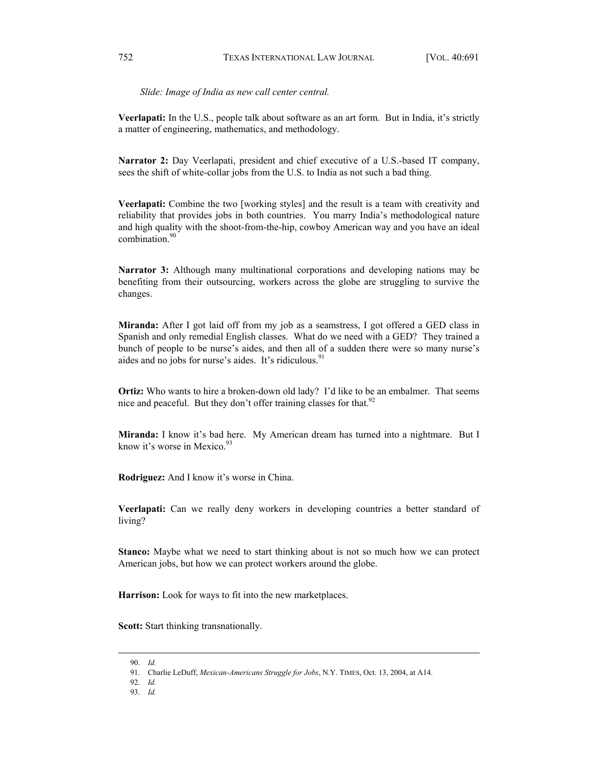*Slide: Image of India as new call center central.* 

**Veerlapati:** In the U.S., people talk about software as an art form. But in India, it's strictly a matter of engineering, mathematics, and methodology.

**Narrator 2:** Day Veerlapati, president and chief executive of a U.S.-based IT company, sees the shift of white-collar jobs from the U.S. to India as not such a bad thing.

**Veerlapati:** Combine the two [working styles] and the result is a team with creativity and reliability that provides jobs in both countries. You marry India's methodological nature and high quality with the shoot-from-the-hip, cowboy American way and you have an ideal combination.<sup>90</sup>

**Narrator 3:** Although many multinational corporations and developing nations may be benefiting from their outsourcing, workers across the globe are struggling to survive the changes.

**Miranda:** After I got laid off from my job as a seamstress, I got offered a GED class in Spanish and only remedial English classes. What do we need with a GED? They trained a bunch of people to be nurse's aides, and then all of a sudden there were so many nurse's aides and no jobs for nurse's aides. It's ridiculous.<sup>91</sup>

**Ortiz:** Who wants to hire a broken-down old lady? I'd like to be an embalmer. That seems nice and peaceful. But they don't offer training classes for that. $92$ 

**Miranda:** I know it's bad here. My American dream has turned into a nightmare. But I know it's worse in Mexico. $93$ 

**Rodriguez:** And I know it's worse in China.

**Veerlapati:** Can we really deny workers in developing countries a better standard of living?

**Stanco:** Maybe what we need to start thinking about is not so much how we can protect American jobs, but how we can protect workers around the globe.

**Harrison:** Look for ways to fit into the new marketplaces.

**Scott:** Start thinking transnationally.

-

93. *Id.*

<sup>90.</sup> *Id.*

<sup>91.</sup> Charlie LeDuff, *Mexican-Americans Struggle for Jobs*, N.Y. TIMES, Oct. 13, 2004, at A14.

<sup>92.</sup> *Id.*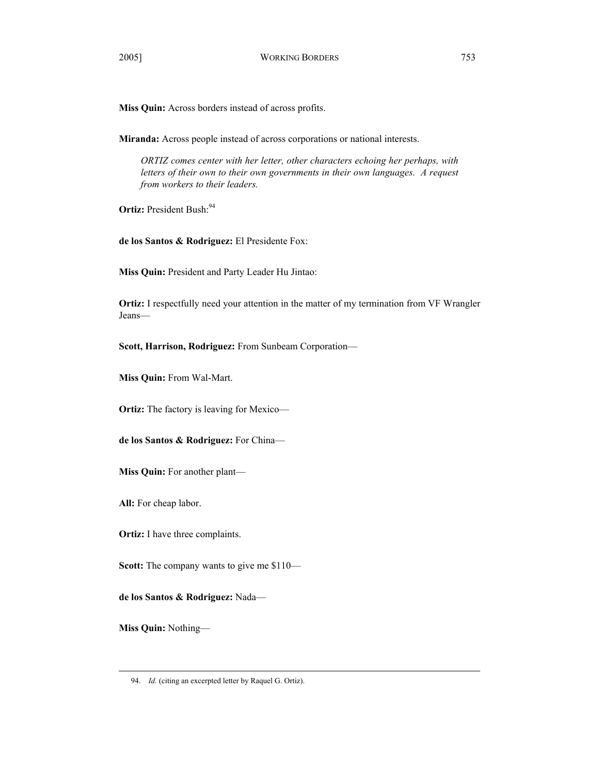**Miss Quin:** Across borders instead of across profits.

**Miranda:** Across people instead of across corporations or national interests.

*ORTIZ comes center with her letter, other characters echoing her perhaps, with letters of their own to their own governments in their own languages. A request from workers to their leaders.* 

**Ortiz:** President Bush:<sup>94</sup>

**de los Santos & Rodriguez:** El Presidente Fox:

**Miss Quin:** President and Party Leader Hu Jintao:

**Ortiz:** I respectfully need your attention in the matter of my termination from VF Wrangler Jeans—

**Scott, Harrison, Rodriguez:** From Sunbeam Corporation—

**Miss Quin:** From Wal-Mart.

**Ortiz:** The factory is leaving for Mexico—

**de los Santos & Rodriguez:** For China—

**Miss Quin:** For another plant—

**All:** For cheap labor.

**Ortiz:** I have three complaints.

**Scott:** The company wants to give me \$110—

**de los Santos & Rodriguez:** Nada—

**Miss Quin:** Nothing—

<sup>94.</sup> *Id.* (citing an excerpted letter by Raquel G. Ortiz).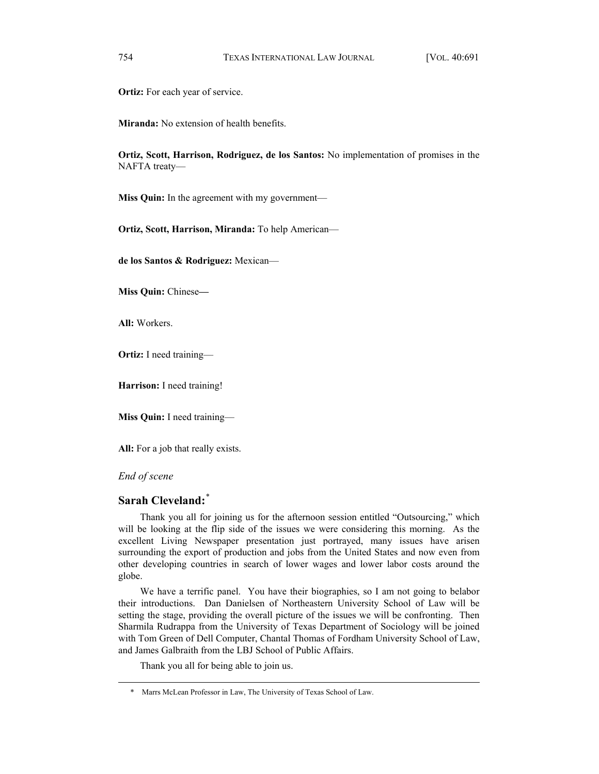**Ortiz:** For each year of service.

**Miranda:** No extension of health benefits.

**Ortiz, Scott, Harrison, Rodriguez, de los Santos:** No implementation of promises in the NAFTA treaty—

**Miss Quin:** In the agreement with my government—

**Ortiz, Scott, Harrison, Miranda:** To help American—

**de los Santos & Rodriguez:** Mexican—

**Miss Quin:** Chinese**—**

**All:** Workers.

**Ortiz:** I need training—

**Harrison:** I need training!

**Miss Quin:** I need training—

**All:** For a job that really exists.

### *End of scene*

-

# **Sarah Cleveland:***\**

Thank you all for joining us for the afternoon session entitled "Outsourcing," which will be looking at the flip side of the issues we were considering this morning. As the excellent Living Newspaper presentation just portrayed, many issues have arisen surrounding the export of production and jobs from the United States and now even from other developing countries in search of lower wages and lower labor costs around the globe.

We have a terrific panel. You have their biographies, so I am not going to belabor their introductions. Dan Danielsen of Northeastern University School of Law will be setting the stage, providing the overall picture of the issues we will be confronting. Then Sharmila Rudrappa from the University of Texas Department of Sociology will be joined with Tom Green of Dell Computer, Chantal Thomas of Fordham University School of Law, and James Galbraith from the LBJ School of Public Affairs.

Thank you all for being able to join us.

<sup>\*</sup> Marrs McLean Professor in Law, The University of Texas School of Law.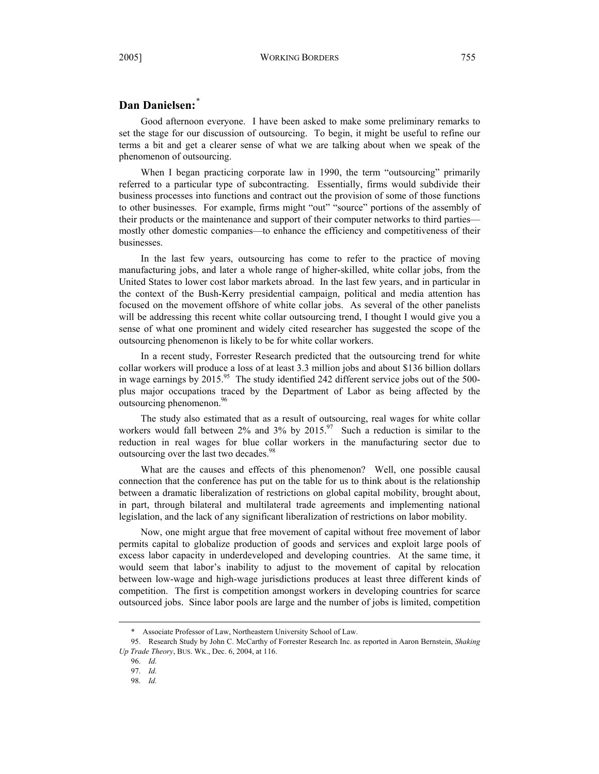## **Dan Danielsen:***\**

Good afternoon everyone. I have been asked to make some preliminary remarks to set the stage for our discussion of outsourcing. To begin, it might be useful to refine our terms a bit and get a clearer sense of what we are talking about when we speak of the phenomenon of outsourcing.

When I began practicing corporate law in 1990, the term "outsourcing" primarily referred to a particular type of subcontracting. Essentially, firms would subdivide their business processes into functions and contract out the provision of some of those functions to other businesses. For example, firms might "out" "source" portions of the assembly of their products or the maintenance and support of their computer networks to third parties mostly other domestic companies—to enhance the efficiency and competitiveness of their businesses.

In the last few years, outsourcing has come to refer to the practice of moving manufacturing jobs, and later a whole range of higher-skilled, white collar jobs, from the United States to lower cost labor markets abroad. In the last few years, and in particular in the context of the Bush-Kerry presidential campaign, political and media attention has focused on the movement offshore of white collar jobs. As several of the other panelists will be addressing this recent white collar outsourcing trend, I thought I would give you a sense of what one prominent and widely cited researcher has suggested the scope of the outsourcing phenomenon is likely to be for white collar workers.

In a recent study, Forrester Research predicted that the outsourcing trend for white collar workers will produce a loss of at least 3.3 million jobs and about \$136 billion dollars in wage earnings by  $2015^{95}$  The study identified 242 different service jobs out of the 500plus major occupations traced by the Department of Labor as being affected by the outsourcing phenomenon.<sup>96</sup>

The study also estimated that as a result of outsourcing, real wages for white collar workers would fall between  $2\%$  and  $3\%$  by  $2015$ .<sup>97</sup> Such a reduction is similar to the reduction in real wages for blue collar workers in the manufacturing sector due to outsourcing over the last two decades.<sup>98</sup>

What are the causes and effects of this phenomenon? Well, one possible causal connection that the conference has put on the table for us to think about is the relationship between a dramatic liberalization of restrictions on global capital mobility, brought about, in part, through bilateral and multilateral trade agreements and implementing national legislation, and the lack of any significant liberalization of restrictions on labor mobility.

Now, one might argue that free movement of capital without free movement of labor permits capital to globalize production of goods and services and exploit large pools of excess labor capacity in underdeveloped and developing countries. At the same time, it would seem that labor's inability to adjust to the movement of capital by relocation between low-wage and high-wage jurisdictions produces at least three different kinds of competition. The first is competition amongst workers in developing countries for scarce outsourced jobs. Since labor pools are large and the number of jobs is limited, competition

<sup>\*</sup> Associate Professor of Law, Northeastern University School of Law.

<sup>95.</sup> Research Study by John C. McCarthy of Forrester Research Inc. as reported in Aaron Bernstein, *Shaking Up Trade Theory*, BUS. WK., Dec. 6, 2004, at 116.

<sup>96.</sup> *Id.*

<sup>97.</sup> *Id.*

<sup>98.</sup> *Id.*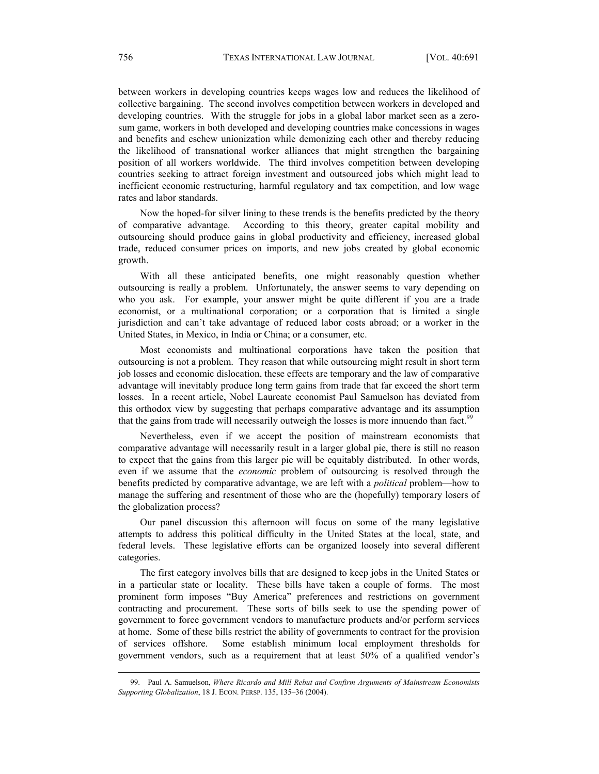between workers in developing countries keeps wages low and reduces the likelihood of collective bargaining. The second involves competition between workers in developed and developing countries. With the struggle for jobs in a global labor market seen as a zerosum game, workers in both developed and developing countries make concessions in wages and benefits and eschew unionization while demonizing each other and thereby reducing the likelihood of transnational worker alliances that might strengthen the bargaining position of all workers worldwide. The third involves competition between developing countries seeking to attract foreign investment and outsourced jobs which might lead to inefficient economic restructuring, harmful regulatory and tax competition, and low wage rates and labor standards.

Now the hoped-for silver lining to these trends is the benefits predicted by the theory of comparative advantage. According to this theory, greater capital mobility and outsourcing should produce gains in global productivity and efficiency, increased global trade, reduced consumer prices on imports, and new jobs created by global economic growth.

With all these anticipated benefits, one might reasonably question whether outsourcing is really a problem. Unfortunately, the answer seems to vary depending on who you ask. For example, your answer might be quite different if you are a trade economist, or a multinational corporation; or a corporation that is limited a single jurisdiction and can't take advantage of reduced labor costs abroad; or a worker in the United States, in Mexico, in India or China; or a consumer, etc.

Most economists and multinational corporations have taken the position that outsourcing is not a problem. They reason that while outsourcing might result in short term job losses and economic dislocation, these effects are temporary and the law of comparative advantage will inevitably produce long term gains from trade that far exceed the short term losses. In a recent article, Nobel Laureate economist Paul Samuelson has deviated from this orthodox view by suggesting that perhaps comparative advantage and its assumption that the gains from trade will necessarily outweigh the losses is more innuendo than fact.<sup>99</sup>

Nevertheless, even if we accept the position of mainstream economists that comparative advantage will necessarily result in a larger global pie, there is still no reason to expect that the gains from this larger pie will be equitably distributed. In other words, even if we assume that the *economic* problem of outsourcing is resolved through the benefits predicted by comparative advantage, we are left with a *political* problem—how to manage the suffering and resentment of those who are the (hopefully) temporary losers of the globalization process?

Our panel discussion this afternoon will focus on some of the many legislative attempts to address this political difficulty in the United States at the local, state, and federal levels. These legislative efforts can be organized loosely into several different categories.

The first category involves bills that are designed to keep jobs in the United States or in a particular state or locality. These bills have taken a couple of forms. The most prominent form imposes "Buy America" preferences and restrictions on government contracting and procurement. These sorts of bills seek to use the spending power of government to force government vendors to manufacture products and/or perform services at home. Some of these bills restrict the ability of governments to contract for the provision of services offshore. Some establish minimum local employment thresholds for government vendors, such as a requirement that at least 50% of a qualified vendor's

<sup>99.</sup> Paul A. Samuelson, *Where Ricardo and Mill Rebut and Confirm Arguments of Mainstream Economists Supporting Globalization*, 18 J. ECON. PERSP. 135, 135–36 (2004).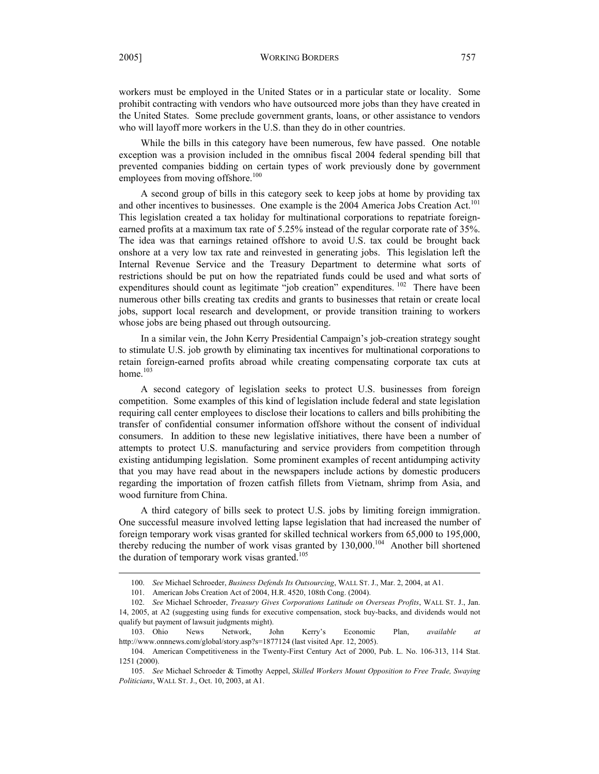2005] WORKING BORDERS 757

workers must be employed in the United States or in a particular state or locality. Some prohibit contracting with vendors who have outsourced more jobs than they have created in the United States. Some preclude government grants, loans, or other assistance to vendors who will layoff more workers in the U.S. than they do in other countries.

While the bills in this category have been numerous, few have passed. One notable exception was a provision included in the omnibus fiscal 2004 federal spending bill that prevented companies bidding on certain types of work previously done by government employees from moving offshore. $100$ 

A second group of bills in this category seek to keep jobs at home by providing tax and other incentives to businesses. One example is the 2004 America Jobs Creation Act.<sup>101</sup> This legislation created a tax holiday for multinational corporations to repatriate foreignearned profits at a maximum tax rate of 5.25% instead of the regular corporate rate of 35%. The idea was that earnings retained offshore to avoid U.S. tax could be brought back onshore at a very low tax rate and reinvested in generating jobs. This legislation left the Internal Revenue Service and the Treasury Department to determine what sorts of restrictions should be put on how the repatriated funds could be used and what sorts of expenditures should count as legitimate "job creation" expenditures. <sup>102</sup> There have been numerous other bills creating tax credits and grants to businesses that retain or create local jobs, support local research and development, or provide transition training to workers whose jobs are being phased out through outsourcing.

In a similar vein, the John Kerry Presidential Campaign's job-creation strategy sought to stimulate U.S. job growth by eliminating tax incentives for multinational corporations to retain foreign-earned profits abroad while creating compensating corporate tax cuts at home.<sup>103</sup>

A second category of legislation seeks to protect U.S. businesses from foreign competition. Some examples of this kind of legislation include federal and state legislation requiring call center employees to disclose their locations to callers and bills prohibiting the transfer of confidential consumer information offshore without the consent of individual consumers. In addition to these new legislative initiatives, there have been a number of attempts to protect U.S. manufacturing and service providers from competition through existing antidumping legislation. Some prominent examples of recent antidumping activity that you may have read about in the newspapers include actions by domestic producers regarding the importation of frozen catfish fillets from Vietnam, shrimp from Asia, and wood furniture from China.

A third category of bills seek to protect U.S. jobs by limiting foreign immigration. One successful measure involved letting lapse legislation that had increased the number of foreign temporary work visas granted for skilled technical workers from 65,000 to 195,000, thereby reducing the number of work visas granted by  $130,000$ .<sup>104</sup> Another bill shortened the duration of temporary work visas granted.<sup>105</sup>

<sup>100.</sup> *See* Michael Schroeder, *Business Defends Its Outsourcing*, WALL ST. J., Mar. 2, 2004, at A1.

<sup>101.</sup> American Jobs Creation Act of 2004, H.R. 4520, 108th Cong. (2004).

<sup>102.</sup> *See* Michael Schroeder, *Treasury Gives Corporations Latitude on Overseas Profits*, WALL ST. J., Jan. 14, 2005, at A2 (suggesting using funds for executive compensation, stock buy-backs, and dividends would not qualify but payment of lawsuit judgments might).

<sup>103.</sup> Ohio News Network, John Kerry's Economic Plan, *available at* http://www.onnnews.com/global/story.asp?s=1877124 (last visited Apr. 12, 2005).

<sup>104.</sup> American Competitiveness in the Twenty-First Century Act of 2000, Pub. L. No. 106-313, 114 Stat. 1251 (2000).

<sup>105.</sup> *See* Michael Schroeder & Timothy Aeppel, *Skilled Workers Mount Opposition to Free Trade, Swaying Politicians*, WALL ST. J., Oct. 10, 2003, at A1.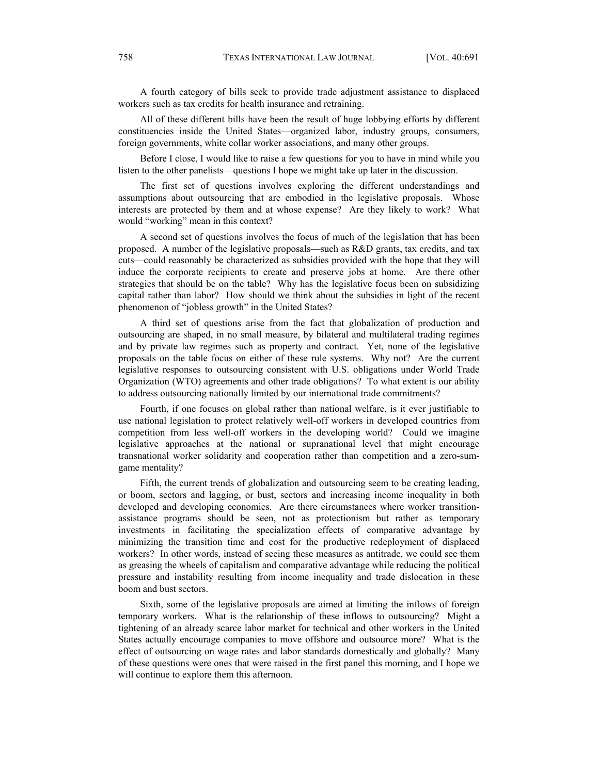A fourth category of bills seek to provide trade adjustment assistance to displaced workers such as tax credits for health insurance and retraining.

All of these different bills have been the result of huge lobbying efforts by different constituencies inside the United States—organized labor, industry groups, consumers, foreign governments, white collar worker associations, and many other groups.

Before I close, I would like to raise a few questions for you to have in mind while you listen to the other panelists—questions I hope we might take up later in the discussion.

The first set of questions involves exploring the different understandings and assumptions about outsourcing that are embodied in the legislative proposals. Whose interests are protected by them and at whose expense? Are they likely to work? What would "working" mean in this context?

A second set of questions involves the focus of much of the legislation that has been proposed. A number of the legislative proposals—such as R&D grants, tax credits, and tax cuts—could reasonably be characterized as subsidies provided with the hope that they will induce the corporate recipients to create and preserve jobs at home. Are there other strategies that should be on the table? Why has the legislative focus been on subsidizing capital rather than labor? How should we think about the subsidies in light of the recent phenomenon of "jobless growth" in the United States?

A third set of questions arise from the fact that globalization of production and outsourcing are shaped, in no small measure, by bilateral and multilateral trading regimes and by private law regimes such as property and contract. Yet, none of the legislative proposals on the table focus on either of these rule systems. Why not? Are the current legislative responses to outsourcing consistent with U.S. obligations under World Trade Organization (WTO) agreements and other trade obligations? To what extent is our ability to address outsourcing nationally limited by our international trade commitments?

Fourth, if one focuses on global rather than national welfare, is it ever justifiable to use national legislation to protect relatively well-off workers in developed countries from competition from less well-off workers in the developing world? Could we imagine legislative approaches at the national or supranational level that might encourage transnational worker solidarity and cooperation rather than competition and a zero-sumgame mentality?

Fifth, the current trends of globalization and outsourcing seem to be creating leading, or boom, sectors and lagging, or bust, sectors and increasing income inequality in both developed and developing economies. Are there circumstances where worker transitionassistance programs should be seen, not as protectionism but rather as temporary investments in facilitating the specialization effects of comparative advantage by minimizing the transition time and cost for the productive redeployment of displaced workers? In other words, instead of seeing these measures as antitrade, we could see them as greasing the wheels of capitalism and comparative advantage while reducing the political pressure and instability resulting from income inequality and trade dislocation in these boom and bust sectors.

Sixth, some of the legislative proposals are aimed at limiting the inflows of foreign temporary workers. What is the relationship of these inflows to outsourcing? Might a tightening of an already scarce labor market for technical and other workers in the United States actually encourage companies to move offshore and outsource more? What is the effect of outsourcing on wage rates and labor standards domestically and globally? Many of these questions were ones that were raised in the first panel this morning, and I hope we will continue to explore them this afternoon.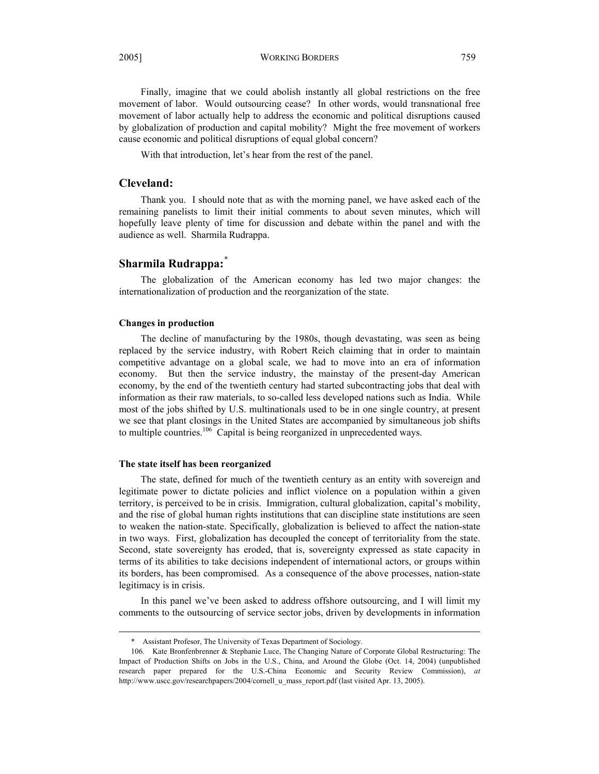2005] WORKING BORDERS 759

Finally, imagine that we could abolish instantly all global restrictions on the free movement of labor. Would outsourcing cease? In other words, would transnational free movement of labor actually help to address the economic and political disruptions caused by globalization of production and capital mobility? Might the free movement of workers cause economic and political disruptions of equal global concern?

With that introduction, let's hear from the rest of the panel.

## **Cleveland:**

Thank you. I should note that as with the morning panel, we have asked each of the remaining panelists to limit their initial comments to about seven minutes, which will hopefully leave plenty of time for discussion and debate within the panel and with the audience as well. Sharmila Rudrappa.

# **Sharmila Rudrappa:***\**

The globalization of the American economy has led two major changes: the internationalization of production and the reorganization of the state.

#### **Changes in production**

l

The decline of manufacturing by the 1980s, though devastating, was seen as being replaced by the service industry, with Robert Reich claiming that in order to maintain competitive advantage on a global scale, we had to move into an era of information economy. But then the service industry, the mainstay of the present-day American economy, by the end of the twentieth century had started subcontracting jobs that deal with information as their raw materials, to so-called less developed nations such as India. While most of the jobs shifted by U.S. multinationals used to be in one single country, at present we see that plant closings in the United States are accompanied by simultaneous job shifts to multiple countries.<sup>106</sup> Capital is being reorganized in unprecedented ways.

#### **The state itself has been reorganized**

The state, defined for much of the twentieth century as an entity with sovereign and legitimate power to dictate policies and inflict violence on a population within a given territory, is perceived to be in crisis. Immigration, cultural globalization, capital's mobility, and the rise of global human rights institutions that can discipline state institutions are seen to weaken the nation-state. Specifically, globalization is believed to affect the nation-state in two ways. First, globalization has decoupled the concept of territoriality from the state. Second, state sovereignty has eroded, that is, sovereignty expressed as state capacity in terms of its abilities to take decisions independent of international actors, or groups within its borders, has been compromised. As a consequence of the above processes, nation-state legitimacy is in crisis.

In this panel we've been asked to address offshore outsourcing, and I will limit my comments to the outsourcing of service sector jobs, driven by developments in information

<sup>\*</sup> Assistant Profesor, The University of Texas Department of Sociology.

<sup>106.</sup> Kate Bronfenbrenner & Stephanie Luce, The Changing Nature of Corporate Global Restructuring: The Impact of Production Shifts on Jobs in the U.S., China, and Around the Globe (Oct. 14, 2004) (unpublished research paper prepared for the U.S.-China Economic and Security Review Commission), *at* http://www.uscc.gov/researchpapers/2004/cornell\_u\_mass\_report.pdf (last visited Apr. 13, 2005).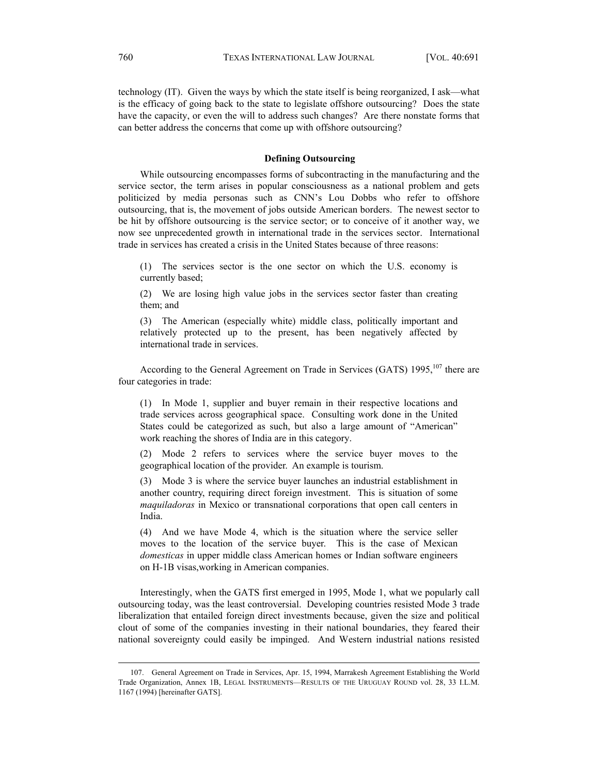technology (IT). Given the ways by which the state itself is being reorganized, I ask—what is the efficacy of going back to the state to legislate offshore outsourcing? Does the state have the capacity, or even the will to address such changes? Are there nonstate forms that can better address the concerns that come up with offshore outsourcing?

### **Defining Outsourcing**

While outsourcing encompasses forms of subcontracting in the manufacturing and the service sector, the term arises in popular consciousness as a national problem and gets politicized by media personas such as CNN's Lou Dobbs who refer to offshore outsourcing, that is, the movement of jobs outside American borders. The newest sector to be hit by offshore outsourcing is the service sector; or to conceive of it another way, we now see unprecedented growth in international trade in the services sector. International trade in services has created a crisis in the United States because of three reasons:

(1) The services sector is the one sector on which the U.S. economy is currently based;

(2) We are losing high value jobs in the services sector faster than creating them; and

(3) The American (especially white) middle class, politically important and relatively protected up to the present, has been negatively affected by international trade in services.

According to the General Agreement on Trade in Services (GATS)  $1995$ ,  $107$  there are four categories in trade:

(1) In Mode 1, supplier and buyer remain in their respective locations and trade services across geographical space. Consulting work done in the United States could be categorized as such, but also a large amount of "American" work reaching the shores of India are in this category.

(2) Mode 2 refers to services where the service buyer moves to the geographical location of the provider. An example is tourism.

(3) Mode 3 is where the service buyer launches an industrial establishment in another country, requiring direct foreign investment. This is situation of some *maquiladoras* in Mexico or transnational corporations that open call centers in India.

(4) And we have Mode 4, which is the situation where the service seller moves to the location of the service buyer. This is the case of Mexican *domesticas* in upper middle class American homes or Indian software engineers on H-1B visas,working in American companies.

Interestingly, when the GATS first emerged in 1995, Mode 1, what we popularly call outsourcing today, was the least controversial. Developing countries resisted Mode 3 trade liberalization that entailed foreign direct investments because, given the size and political clout of some of the companies investing in their national boundaries, they feared their national sovereignty could easily be impinged. And Western industrial nations resisted

1

<sup>107.</sup> General Agreement on Trade in Services, Apr. 15, 1994, Marrakesh Agreement Establishing the World Trade Organization, Annex 1B, LEGAL INSTRUMENTS—RESULTS OF THE URUGUAY ROUND vol. 28, 33 I.L.M. 1167 (1994) [hereinafter GATS].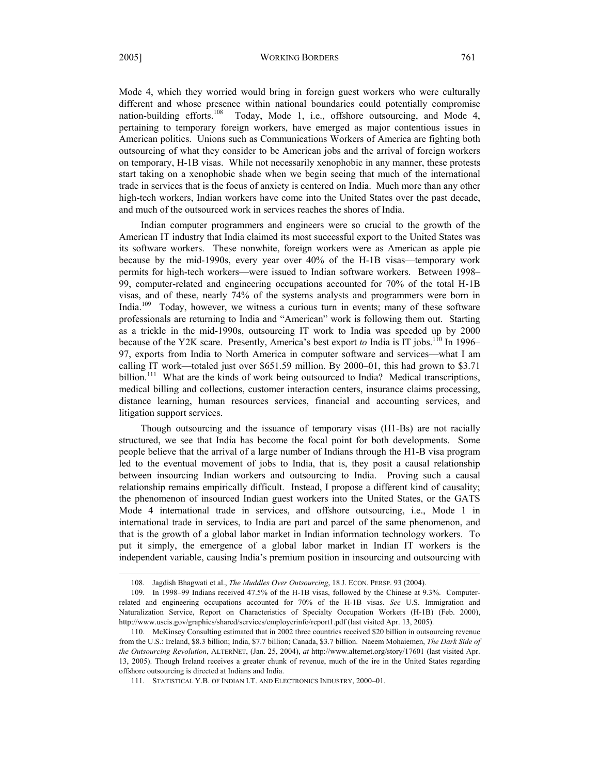Mode 4, which they worried would bring in foreign guest workers who were culturally different and whose presence within national boundaries could potentially compromise nation-building efforts.<sup>108</sup> Today, Mode 1, i.e., offshore outsourcing, and Mode 4, pertaining to temporary foreign workers, have emerged as major contentious issues in American politics. Unions such as Communications Workers of America are fighting both outsourcing of what they consider to be American jobs and the arrival of foreign workers on temporary, H-1B visas. While not necessarily xenophobic in any manner, these protests start taking on a xenophobic shade when we begin seeing that much of the international trade in services that is the focus of anxiety is centered on India. Much more than any other high-tech workers, Indian workers have come into the United States over the past decade, and much of the outsourced work in services reaches the shores of India.

Indian computer programmers and engineers were so crucial to the growth of the American IT industry that India claimed its most successful export to the United States was its software workers. These nonwhite, foreign workers were as American as apple pie because by the mid-1990s, every year over 40% of the H-1B visas—temporary work permits for high-tech workers—were issued to Indian software workers. Between 1998– 99, computer-related and engineering occupations accounted for 70% of the total H-1B visas, and of these, nearly 74% of the systems analysts and programmers were born in India.109 Today, however, we witness a curious turn in events; many of these software professionals are returning to India and "American" work is following them out. Starting as a trickle in the mid-1990s, outsourcing IT work to India was speeded up by 2000 because of the Y2K scare. Presently, America's best export *to* India is IT jobs.<sup>110</sup> In 1996– 97, exports from India to North America in computer software and services—what I am calling IT work—totaled just over \$651.59 million. By 2000–01, this had grown to \$3.71 billion.<sup>111</sup> What are the kinds of work being outsourced to India? Medical transcriptions, medical billing and collections, customer interaction centers, insurance claims processing, distance learning, human resources services, financial and accounting services, and litigation support services.

Though outsourcing and the issuance of temporary visas (H1-Bs) are not racially structured, we see that India has become the focal point for both developments. Some people believe that the arrival of a large number of Indians through the H1-B visa program led to the eventual movement of jobs to India, that is, they posit a causal relationship between insourcing Indian workers and outsourcing to India. Proving such a causal relationship remains empirically difficult. Instead, I propose a different kind of causality; the phenomenon of insourced Indian guest workers into the United States, or the GATS Mode 4 international trade in services, and offshore outsourcing, i.e., Mode 1 in international trade in services, to India are part and parcel of the same phenomenon, and that is the growth of a global labor market in Indian information technology workers. To put it simply, the emergence of a global labor market in Indian IT workers is the independent variable, causing India's premium position in insourcing and outsourcing with

l

<sup>108.</sup> Jagdish Bhagwati et al., *The Muddles Over Outsourcing*, 18 J. ECON. PERSP. 93 (2004).

<sup>109.</sup> In 1998–99 Indians received 47.5% of the H-1B visas, followed by the Chinese at 9.3%. Computerrelated and engineering occupations accounted for 70% of the H-1B visas. *See* U.S. Immigration and Naturalization Service, Report on Characteristics of Specialty Occupation Workers (H-1B) (Feb. 2000), http://www.uscis.gov/graphics/shared/services/employerinfo/report1.pdf (last visited Apr. 13, 2005).

<sup>110.</sup> McKinsey Consulting estimated that in 2002 three countries received \$20 billion in outsourcing revenue from the U.S.: Ireland, \$8.3 billion; India, \$7.7 billion; Canada, \$3.7 billion. Naeem Mohaiemen, *The Dark Side of the Outsourcing Revolution*, ALTERNET, (Jan. 25, 2004), *at* http://www.alternet.org/story/17601 (last visited Apr. 13, 2005). Though Ireland receives a greater chunk of revenue, much of the ire in the United States regarding offshore outsourcing is directed at Indians and India.

<sup>111.</sup> STATISTICAL Y.B. OF INDIAN I.T. AND ELECTRONICS INDUSTRY, 2000–01.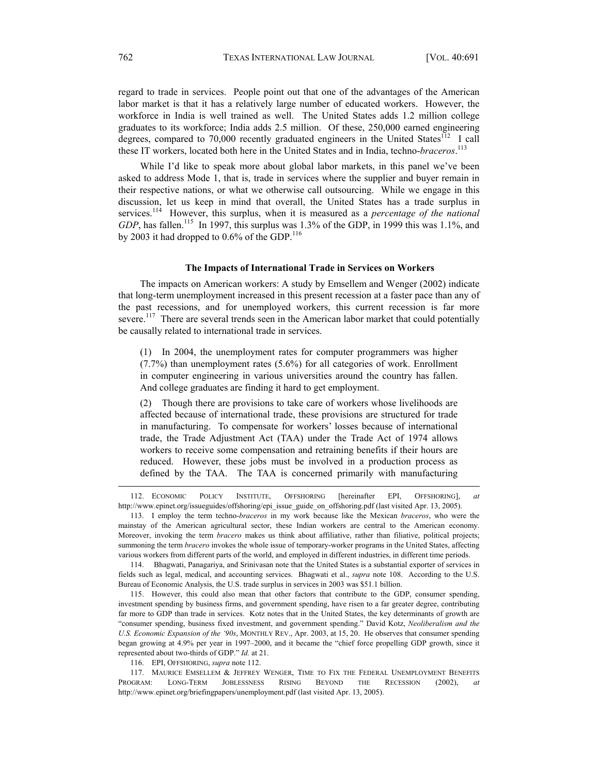regard to trade in services. People point out that one of the advantages of the American labor market is that it has a relatively large number of educated workers. However, the workforce in India is well trained as well. The United States adds 1.2 million college graduates to its workforce; India adds 2.5 million. Of these, 250,000 earned engineering degrees, compared to 70,000 recently graduated engineers in the United States<sup>112</sup> I call these IT workers, located both here in the United States and in India, techno-*braceros*. 113

While I'd like to speak more about global labor markets, in this panel we've been asked to address Mode 1, that is, trade in services where the supplier and buyer remain in their respective nations, or what we otherwise call outsourcing. While we engage in this discussion, let us keep in mind that overall, the United States has a trade surplus in services.114 However, this surplus, when it is measured as a *percentage of the national GDP*, has fallen.<sup>115</sup> In 1997, this surplus was 1.3% of the GDP, in 1999 this was 1.1%, and by 2003 it had dropped to 0.6% of the GDP.<sup>116</sup>

#### **The Impacts of International Trade in Services on Workers**

The impacts on American workers: A study by Emsellem and Wenger (2002) indicate that long-term unemployment increased in this present recession at a faster pace than any of the past recessions, and for unemployed workers, this current recession is far more severe.<sup>117</sup> There are several trends seen in the American labor market that could potentially be causally related to international trade in services.

(1) In 2004, the unemployment rates for computer programmers was higher (7.7%) than unemployment rates (5.6%) for all categories of work. Enrollment in computer engineering in various universities around the country has fallen. And college graduates are finding it hard to get employment.

(2) Though there are provisions to take care of workers whose livelihoods are affected because of international trade, these provisions are structured for trade in manufacturing. To compensate for workers' losses because of international trade, the Trade Adjustment Act (TAA) under the Trade Act of 1974 allows workers to receive some compensation and retraining benefits if their hours are reduced. However, these jobs must be involved in a production process as defined by the TAA. The TAA is concerned primarily with manufacturing

116. EPI, OFFSHORING, *supra* note 112.

117. MAURICE EMSELLEM & JEFFREY WENGER, TIME TO FIX THE FEDERAL UNEMPLOYMENT BENEFITS PROGRAM: LONG-TERM JOBLESSNESS RISING BEYOND THE RECESSION (2002), *at* http://www.epinet.org/briefingpapers/unemployment.pdf (last visited Apr. 13, 2005).

1

<sup>112.</sup> ECONOMIC POLICY INSTITUTE, OFFSHORING [hereinafter EPI, OFFSHORING], *at* http://www.epinet.org/issueguides/offshoring/epi\_issue\_guide\_on\_offshoring.pdf (last visited Apr. 13, 2005).

<sup>113.</sup> I employ the term techno-*braceros* in my work because like the Mexican *braceros*, who were the mainstay of the American agricultural sector, these Indian workers are central to the American economy. Moreover, invoking the term *bracero* makes us think about affiliative, rather than filiative, political projects; summoning the term *bracero* invokes the whole issue of temporary-worker programs in the United States, affecting various workers from different parts of the world, and employed in different industries, in different time periods.

<sup>114.</sup> Bhagwati, Panagariya, and Srinivasan note that the United States is a substantial exporter of services in fields such as legal, medical, and accounting services. Bhagwati et al., *supra* note 108. According to the U.S. Bureau of Economic Analysis, the U.S. trade surplus in services in 2003 was \$51.1 billion.

<sup>115.</sup> However, this could also mean that other factors that contribute to the GDP, consumer spending, investment spending by business firms, and government spending, have risen to a far greater degree, contributing far more to GDP than trade in services. Kotz notes that in the United States, the key determinants of growth are "consumer spending, business fixed investment, and government spending." David Kotz, *Neoliberalism and the U.S. Economic Expansion of the '90s*, MONTHLY REV., Apr. 2003, at 15, 20. He observes that consumer spending began growing at 4.9% per year in 1997–2000, and it became the "chief force propelling GDP growth, since it represented about two-thirds of GDP." *Id.* at 21.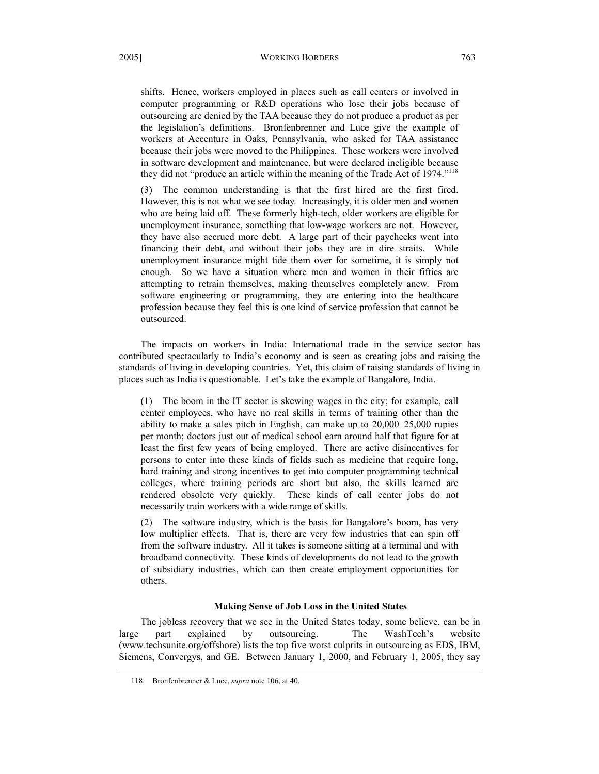shifts. Hence, workers employed in places such as call centers or involved in computer programming or R&D operations who lose their jobs because of outsourcing are denied by the TAA because they do not produce a product as per the legislation's definitions. Bronfenbrenner and Luce give the example of workers at Accenture in Oaks, Pennsylvania, who asked for TAA assistance because their jobs were moved to the Philippines. These workers were involved in software development and maintenance, but were declared ineligible because they did not "produce an article within the meaning of the Trade Act of 1974."<sup>118</sup>

(3) The common understanding is that the first hired are the first fired. However, this is not what we see today. Increasingly, it is older men and women who are being laid off. These formerly high-tech, older workers are eligible for unemployment insurance, something that low-wage workers are not. However, they have also accrued more debt. A large part of their paychecks went into financing their debt, and without their jobs they are in dire straits. While unemployment insurance might tide them over for sometime, it is simply not enough. So we have a situation where men and women in their fifties are attempting to retrain themselves, making themselves completely anew. From software engineering or programming, they are entering into the healthcare profession because they feel this is one kind of service profession that cannot be outsourced.

The impacts on workers in India: International trade in the service sector has contributed spectacularly to India's economy and is seen as creating jobs and raising the standards of living in developing countries. Yet, this claim of raising standards of living in places such as India is questionable. Let's take the example of Bangalore, India.

(1) The boom in the IT sector is skewing wages in the city; for example, call center employees, who have no real skills in terms of training other than the ability to make a sales pitch in English, can make up to 20,000–25,000 rupies per month; doctors just out of medical school earn around half that figure for at least the first few years of being employed. There are active disincentives for persons to enter into these kinds of fields such as medicine that require long, hard training and strong incentives to get into computer programming technical colleges, where training periods are short but also, the skills learned are rendered obsolete very quickly. These kinds of call center jobs do not necessarily train workers with a wide range of skills.

(2) The software industry, which is the basis for Bangalore's boom, has very low multiplier effects. That is, there are very few industries that can spin off from the software industry. All it takes is someone sitting at a terminal and with broadband connectivity. These kinds of developments do not lead to the growth of subsidiary industries, which can then create employment opportunities for others.

## **Making Sense of Job Loss in the United States**

The jobless recovery that we see in the United States today, some believe, can be in large part explained by outsourcing. The WashTech's website (www.techsunite.org/offshore) lists the top five worst culprits in outsourcing as EDS, IBM, Siemens, Convergys, and GE. Between January 1, 2000, and February 1, 2005, they say

l

<sup>118.</sup> Bronfenbrenner & Luce, *supra* note 106, at 40.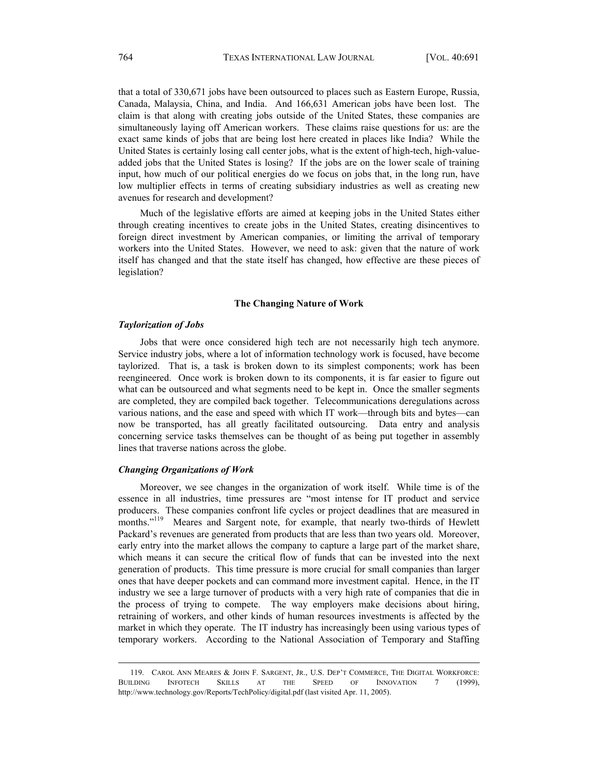that a total of 330,671 jobs have been outsourced to places such as Eastern Europe, Russia, Canada, Malaysia, China, and India. And 166,631 American jobs have been lost. The claim is that along with creating jobs outside of the United States, these companies are simultaneously laying off American workers. These claims raise questions for us: are the exact same kinds of jobs that are being lost here created in places like India? While the United States is certainly losing call center jobs, what is the extent of high-tech, high-valueadded jobs that the United States is losing? If the jobs are on the lower scale of training input, how much of our political energies do we focus on jobs that, in the long run, have low multiplier effects in terms of creating subsidiary industries as well as creating new avenues for research and development?

Much of the legislative efforts are aimed at keeping jobs in the United States either through creating incentives to create jobs in the United States, creating disincentives to foreign direct investment by American companies, or limiting the arrival of temporary workers into the United States. However, we need to ask: given that the nature of work itself has changed and that the state itself has changed, how effective are these pieces of legislation?

# **The Changing Nature of Work**

#### *Taylorization of Jobs*

Jobs that were once considered high tech are not necessarily high tech anymore. Service industry jobs, where a lot of information technology work is focused, have become taylorized. That is, a task is broken down to its simplest components; work has been reengineered. Once work is broken down to its components, it is far easier to figure out what can be outsourced and what segments need to be kept in. Once the smaller segments are completed, they are compiled back together. Telecommunications deregulations across various nations, and the ease and speed with which IT work—through bits and bytes—can now be transported, has all greatly facilitated outsourcing. Data entry and analysis concerning service tasks themselves can be thought of as being put together in assembly lines that traverse nations across the globe.

### *Changing Organizations of Work*

1

Moreover, we see changes in the organization of work itself. While time is of the essence in all industries, time pressures are "most intense for IT product and service producers. These companies confront life cycles or project deadlines that are measured in months."<sup>119</sup> Meares and Sargent note, for example, that nearly two-thirds of Hewlett Packard's revenues are generated from products that are less than two years old. Moreover, early entry into the market allows the company to capture a large part of the market share, which means it can secure the critical flow of funds that can be invested into the next generation of products. This time pressure is more crucial for small companies than larger ones that have deeper pockets and can command more investment capital. Hence, in the IT industry we see a large turnover of products with a very high rate of companies that die in the process of trying to compete. The way employers make decisions about hiring, retraining of workers, and other kinds of human resources investments is affected by the market in which they operate. The IT industry has increasingly been using various types of temporary workers. According to the National Association of Temporary and Staffing

<sup>119.</sup> CAROL ANN MEARES & JOHN F. SARGENT, JR., U.S. DEP'T COMMERCE, THE DIGITAL WORKFORCE: BUILDING INFOTECH SKILLS AT THE SPEED OF INNOVATION 7 (1999), http://www.technology.gov/Reports/TechPolicy/digital.pdf (last visited Apr. 11, 2005).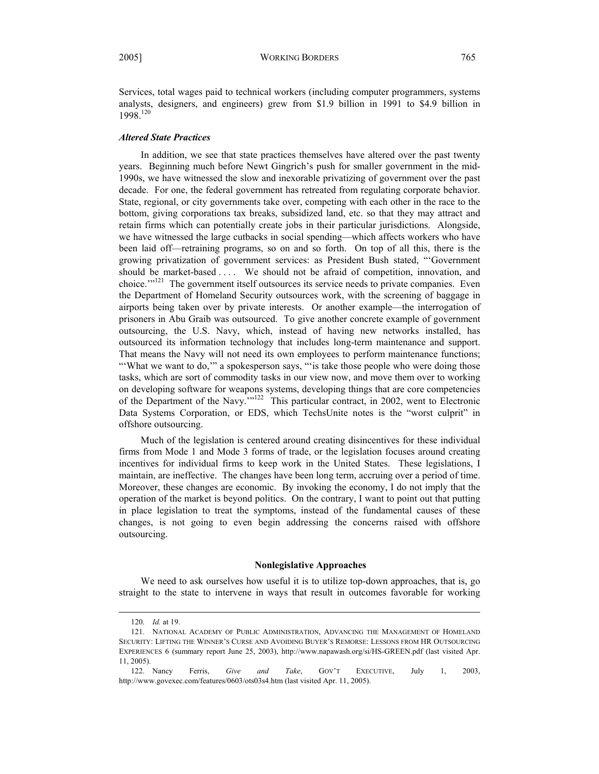Services, total wages paid to technical workers (including computer programmers, systems analysts, designers, and engineers) grew from \$1.9 billion in 1991 to \$4.9 billion in 1998.120

#### *Altered State Practices*

In addition, we see that state practices themselves have altered over the past twenty years. Beginning much before Newt Gingrich's push for smaller government in the mid-1990s, we have witnessed the slow and inexorable privatizing of government over the past decade. For one, the federal government has retreated from regulating corporate behavior. State, regional, or city governments take over, competing with each other in the race to the bottom, giving corporations tax breaks, subsidized land, etc. so that they may attract and retain firms which can potentially create jobs in their particular jurisdictions. Alongside, we have witnessed the large cutbacks in social spending—which affects workers who have been laid off—retraining programs, so on and so forth. On top of all this, there is the growing privatization of government services: as President Bush stated, "'Government should be market-based . . . . We should not be afraid of competition, innovation, and choice."<sup>121</sup> The government itself outsources its service needs to private companies. Even the Department of Homeland Security outsources work, with the screening of baggage in airports being taken over by private interests. Or another example—the interrogation of prisoners in Abu Graib was outsourced. To give another concrete example of government outsourcing, the U.S. Navy, which, instead of having new networks installed, has outsourced its information technology that includes long-term maintenance and support. That means the Navy will not need its own employees to perform maintenance functions; "'What we want to do,"" a spokesperson says, "'is take those people who were doing those tasks, which are sort of commodity tasks in our view now, and move them over to working on developing software for weapons systems, developing things that are core competencies of the Department of the Navy.'"<sup>122</sup> This particular contract, in 2002, went to Electronic Data Systems Corporation, or EDS, which TechsUnite notes is the "worst culprit" in offshore outsourcing.

Much of the legislation is centered around creating disincentives for these individual firms from Mode 1 and Mode 3 forms of trade, or the legislation focuses around creating incentives for individual firms to keep work in the United States. These legislations, I maintain, are ineffective. The changes have been long term, accruing over a period of time. Moreover, these changes are economic. By invoking the economy, I do not imply that the operation of the market is beyond politics. On the contrary, I want to point out that putting in place legislation to treat the symptoms, instead of the fundamental causes of these changes, is not going to even begin addressing the concerns raised with offshore outsourcing.

### **Nonlegislative Approaches**

We need to ask ourselves how useful it is to utilize top-down approaches, that is, go straight to the state to intervene in ways that result in outcomes favorable for working

l

<sup>120.</sup> *Id.* at 19.

<sup>121.</sup> NATIONAL ACADEMY OF PUBLIC ADMINISTRATION, ADVANCING THE MANAGEMENT OF HOMELAND SECURITY: LIFTING THE WINNER'S CURSE AND AVOIDING BUYER'S REMORSE: LESSONS FROM HR OUTSOURCING EXPERIENCES 6 (summary report June 25, 2003), http://www.napawash.org/si/HS-GREEN.pdf (last visited Apr. 11, 2005).

<sup>122.</sup> Nancy Ferris, *Give and Take*, GOV'T EXECUTIVE, July 1, 2003, http://www.govexec.com/features/0603/ots03s4.htm (last visited Apr. 11, 2005).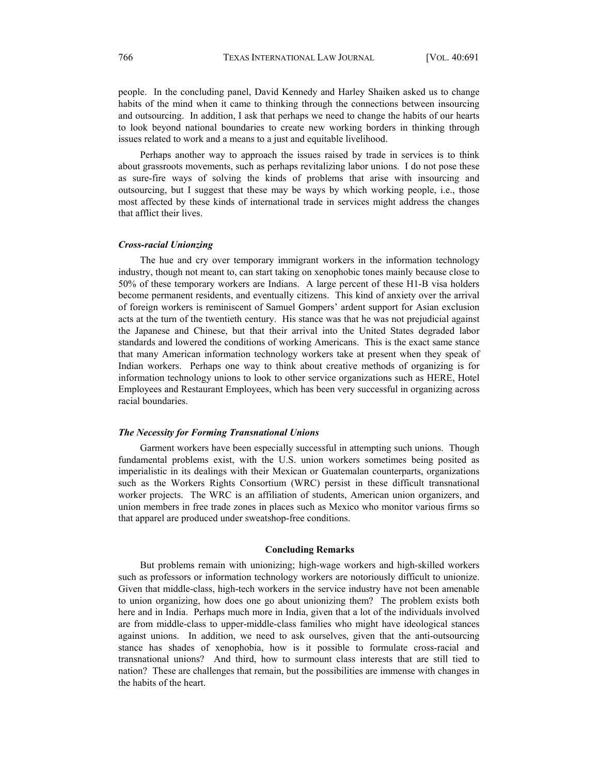people. In the concluding panel, David Kennedy and Harley Shaiken asked us to change habits of the mind when it came to thinking through the connections between insourcing and outsourcing. In addition, I ask that perhaps we need to change the habits of our hearts to look beyond national boundaries to create new working borders in thinking through issues related to work and a means to a just and equitable livelihood.

Perhaps another way to approach the issues raised by trade in services is to think about grassroots movements, such as perhaps revitalizing labor unions. I do not pose these as sure-fire ways of solving the kinds of problems that arise with insourcing and outsourcing, but I suggest that these may be ways by which working people, i.e., those most affected by these kinds of international trade in services might address the changes that afflict their lives.

#### *Cross-racial Unionzing*

The hue and cry over temporary immigrant workers in the information technology industry, though not meant to, can start taking on xenophobic tones mainly because close to 50% of these temporary workers are Indians. A large percent of these H1-B visa holders become permanent residents, and eventually citizens. This kind of anxiety over the arrival of foreign workers is reminiscent of Samuel Gompers' ardent support for Asian exclusion acts at the turn of the twentieth century. His stance was that he was not prejudicial against the Japanese and Chinese, but that their arrival into the United States degraded labor standards and lowered the conditions of working Americans. This is the exact same stance that many American information technology workers take at present when they speak of Indian workers. Perhaps one way to think about creative methods of organizing is for information technology unions to look to other service organizations such as HERE, Hotel Employees and Restaurant Employees, which has been very successful in organizing across racial boundaries.

#### *The Necessity for Forming Transnational Unions*

Garment workers have been especially successful in attempting such unions. Though fundamental problems exist, with the U.S. union workers sometimes being posited as imperialistic in its dealings with their Mexican or Guatemalan counterparts, organizations such as the Workers Rights Consortium (WRC) persist in these difficult transnational worker projects. The WRC is an affiliation of students, American union organizers, and union members in free trade zones in places such as Mexico who monitor various firms so that apparel are produced under sweatshop-free conditions.

#### **Concluding Remarks**

But problems remain with unionizing; high-wage workers and high-skilled workers such as professors or information technology workers are notoriously difficult to unionize. Given that middle-class, high-tech workers in the service industry have not been amenable to union organizing, how does one go about unionizing them? The problem exists both here and in India. Perhaps much more in India, given that a lot of the individuals involved are from middle-class to upper-middle-class families who might have ideological stances against unions. In addition, we need to ask ourselves, given that the anti-outsourcing stance has shades of xenophobia, how is it possible to formulate cross-racial and transnational unions? And third, how to surmount class interests that are still tied to nation? These are challenges that remain, but the possibilities are immense with changes in the habits of the heart.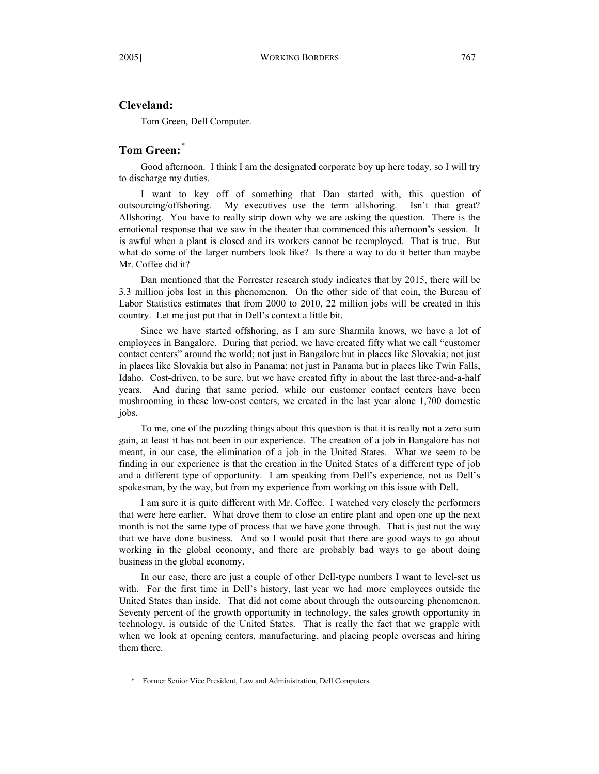## **Cleveland:**

Tom Green, Dell Computer.

# **Tom Green:***\**

Good afternoon. I think I am the designated corporate boy up here today, so I will try to discharge my duties.

I want to key off of something that Dan started with, this question of outsourcing/offshoring. My executives use the term allshoring. Isn't that great? Allshoring. You have to really strip down why we are asking the question. There is the emotional response that we saw in the theater that commenced this afternoon's session. It is awful when a plant is closed and its workers cannot be reemployed. That is true. But what do some of the larger numbers look like? Is there a way to do it better than maybe Mr. Coffee did it?

Dan mentioned that the Forrester research study indicates that by 2015, there will be 3.3 million jobs lost in this phenomenon. On the other side of that coin, the Bureau of Labor Statistics estimates that from 2000 to 2010, 22 million jobs will be created in this country. Let me just put that in Dell's context a little bit.

Since we have started offshoring, as I am sure Sharmila knows, we have a lot of employees in Bangalore. During that period, we have created fifty what we call "customer contact centers" around the world; not just in Bangalore but in places like Slovakia; not just in places like Slovakia but also in Panama; not just in Panama but in places like Twin Falls, Idaho. Cost-driven, to be sure, but we have created fifty in about the last three-and-a-half years. And during that same period, while our customer contact centers have been mushrooming in these low-cost centers, we created in the last year alone 1,700 domestic jobs.

To me, one of the puzzling things about this question is that it is really not a zero sum gain, at least it has not been in our experience. The creation of a job in Bangalore has not meant, in our case, the elimination of a job in the United States. What we seem to be finding in our experience is that the creation in the United States of a different type of job and a different type of opportunity. I am speaking from Dell's experience, not as Dell's spokesman, by the way, but from my experience from working on this issue with Dell.

I am sure it is quite different with Mr. Coffee. I watched very closely the performers that were here earlier. What drove them to close an entire plant and open one up the next month is not the same type of process that we have gone through. That is just not the way that we have done business. And so I would posit that there are good ways to go about working in the global economy, and there are probably bad ways to go about doing business in the global economy.

In our case, there are just a couple of other Dell-type numbers I want to level-set us with. For the first time in Dell's history, last year we had more employees outside the United States than inside. That did not come about through the outsourcing phenomenon. Seventy percent of the growth opportunity in technology, the sales growth opportunity in technology, is outside of the United States. That is really the fact that we grapple with when we look at opening centers, manufacturing, and placing people overseas and hiring them there.

l

<sup>\*</sup> Former Senior Vice President, Law and Administration, Dell Computers.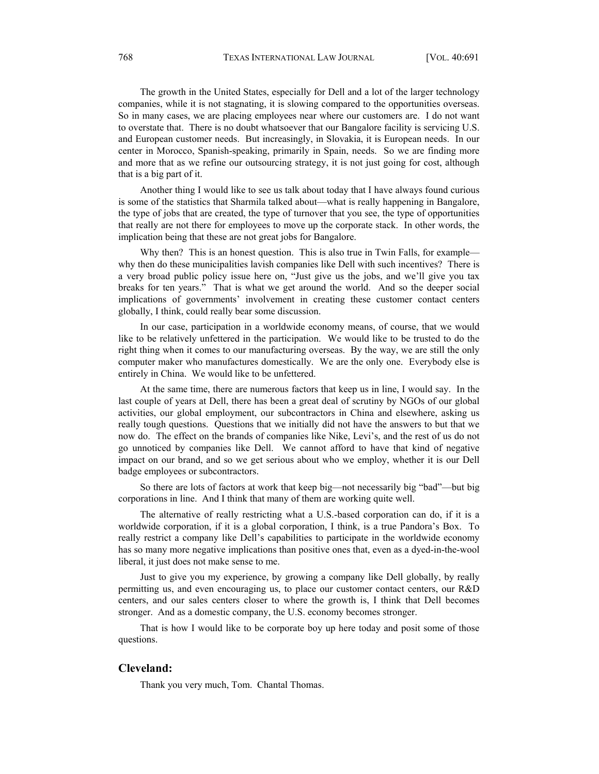The growth in the United States, especially for Dell and a lot of the larger technology companies, while it is not stagnating, it is slowing compared to the opportunities overseas. So in many cases, we are placing employees near where our customers are. I do not want to overstate that. There is no doubt whatsoever that our Bangalore facility is servicing U.S. and European customer needs. But increasingly, in Slovakia, it is European needs. In our center in Morocco, Spanish-speaking, primarily in Spain, needs. So we are finding more and more that as we refine our outsourcing strategy, it is not just going for cost, although that is a big part of it.

Another thing I would like to see us talk about today that I have always found curious is some of the statistics that Sharmila talked about—what is really happening in Bangalore, the type of jobs that are created, the type of turnover that you see, the type of opportunities that really are not there for employees to move up the corporate stack. In other words, the implication being that these are not great jobs for Bangalore.

Why then? This is an honest question. This is also true in Twin Falls, for example why then do these municipalities lavish companies like Dell with such incentives? There is a very broad public policy issue here on, "Just give us the jobs, and we'll give you tax breaks for ten years." That is what we get around the world. And so the deeper social implications of governments' involvement in creating these customer contact centers globally, I think, could really bear some discussion.

In our case, participation in a worldwide economy means, of course, that we would like to be relatively unfettered in the participation. We would like to be trusted to do the right thing when it comes to our manufacturing overseas. By the way, we are still the only computer maker who manufactures domestically. We are the only one. Everybody else is entirely in China. We would like to be unfettered.

At the same time, there are numerous factors that keep us in line, I would say. In the last couple of years at Dell, there has been a great deal of scrutiny by NGOs of our global activities, our global employment, our subcontractors in China and elsewhere, asking us really tough questions. Questions that we initially did not have the answers to but that we now do. The effect on the brands of companies like Nike, Levi's, and the rest of us do not go unnoticed by companies like Dell. We cannot afford to have that kind of negative impact on our brand, and so we get serious about who we employ, whether it is our Dell badge employees or subcontractors.

So there are lots of factors at work that keep big—not necessarily big "bad"—but big corporations in line. And I think that many of them are working quite well.

The alternative of really restricting what a U.S.-based corporation can do, if it is a worldwide corporation, if it is a global corporation, I think, is a true Pandora's Box. To really restrict a company like Dell's capabilities to participate in the worldwide economy has so many more negative implications than positive ones that, even as a dyed-in-the-wool liberal, it just does not make sense to me.

Just to give you my experience, by growing a company like Dell globally, by really permitting us, and even encouraging us, to place our customer contact centers, our R&D centers, and our sales centers closer to where the growth is, I think that Dell becomes stronger. And as a domestic company, the U.S. economy becomes stronger.

That is how I would like to be corporate boy up here today and posit some of those questions.

# **Cleveland:**

Thank you very much, Tom. Chantal Thomas.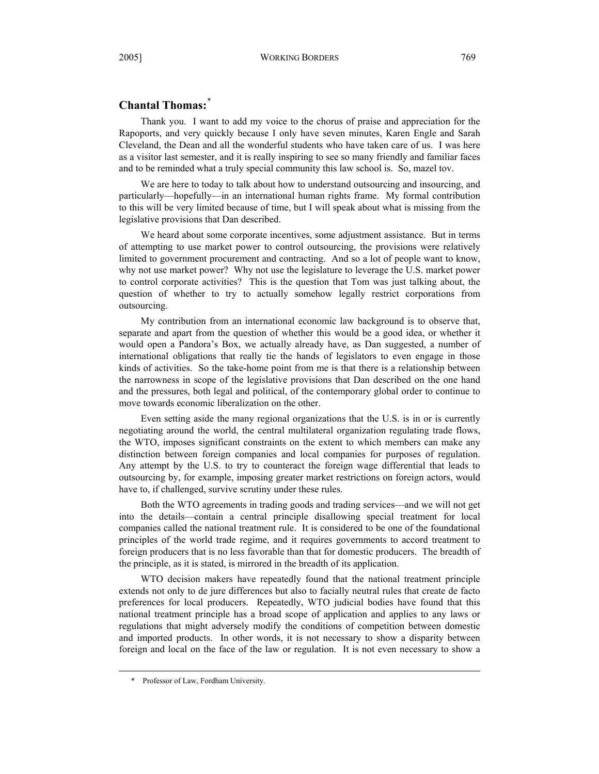# **Chantal Thomas:***\**

Thank you. I want to add my voice to the chorus of praise and appreciation for the Rapoports, and very quickly because I only have seven minutes, Karen Engle and Sarah Cleveland, the Dean and all the wonderful students who have taken care of us. I was here as a visitor last semester, and it is really inspiring to see so many friendly and familiar faces and to be reminded what a truly special community this law school is. So, mazel tov.

We are here to today to talk about how to understand outsourcing and insourcing, and particularly—hopefully—in an international human rights frame. My formal contribution to this will be very limited because of time, but I will speak about what is missing from the legislative provisions that Dan described.

We heard about some corporate incentives, some adjustment assistance. But in terms of attempting to use market power to control outsourcing, the provisions were relatively limited to government procurement and contracting. And so a lot of people want to know, why not use market power? Why not use the legislature to leverage the U.S. market power to control corporate activities? This is the question that Tom was just talking about, the question of whether to try to actually somehow legally restrict corporations from outsourcing.

My contribution from an international economic law background is to observe that, separate and apart from the question of whether this would be a good idea, or whether it would open a Pandora's Box, we actually already have, as Dan suggested, a number of international obligations that really tie the hands of legislators to even engage in those kinds of activities. So the take-home point from me is that there is a relationship between the narrowness in scope of the legislative provisions that Dan described on the one hand and the pressures, both legal and political, of the contemporary global order to continue to move towards economic liberalization on the other.

Even setting aside the many regional organizations that the U.S. is in or is currently negotiating around the world, the central multilateral organization regulating trade flows, the WTO, imposes significant constraints on the extent to which members can make any distinction between foreign companies and local companies for purposes of regulation. Any attempt by the U.S. to try to counteract the foreign wage differential that leads to outsourcing by, for example, imposing greater market restrictions on foreign actors, would have to, if challenged, survive scrutiny under these rules.

Both the WTO agreements in trading goods and trading services—and we will not get into the details—contain a central principle disallowing special treatment for local companies called the national treatment rule. It is considered to be one of the foundational principles of the world trade regime, and it requires governments to accord treatment to foreign producers that is no less favorable than that for domestic producers. The breadth of the principle, as it is stated, is mirrored in the breadth of its application.

WTO decision makers have repeatedly found that the national treatment principle extends not only to de jure differences but also to facially neutral rules that create de facto preferences for local producers. Repeatedly, WTO judicial bodies have found that this national treatment principle has a broad scope of application and applies to any laws or regulations that might adversely modify the conditions of competition between domestic and imported products. In other words, it is not necessary to show a disparity between foreign and local on the face of the law or regulation. It is not even necessary to show a

l

<sup>\*</sup> Professor of Law, Fordham University.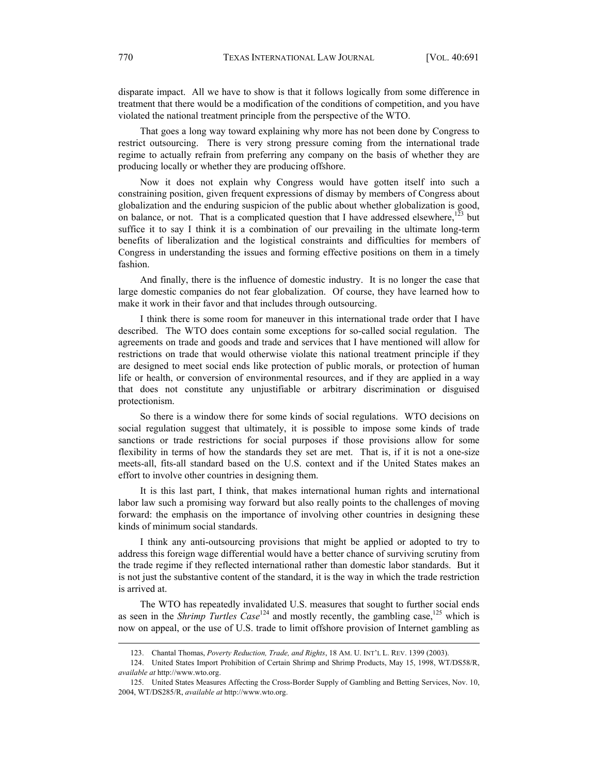disparate impact. All we have to show is that it follows logically from some difference in treatment that there would be a modification of the conditions of competition, and you have violated the national treatment principle from the perspective of the WTO.

That goes a long way toward explaining why more has not been done by Congress to restrict outsourcing. There is very strong pressure coming from the international trade regime to actually refrain from preferring any company on the basis of whether they are producing locally or whether they are producing offshore.

Now it does not explain why Congress would have gotten itself into such a constraining position, given frequent expressions of dismay by members of Congress about globalization and the enduring suspicion of the public about whether globalization is good, on balance, or not. That is a complicated question that I have addressed elsewhere,<sup>123</sup> but suffice it to say I think it is a combination of our prevailing in the ultimate long-term benefits of liberalization and the logistical constraints and difficulties for members of Congress in understanding the issues and forming effective positions on them in a timely fashion.

And finally, there is the influence of domestic industry. It is no longer the case that large domestic companies do not fear globalization. Of course, they have learned how to make it work in their favor and that includes through outsourcing.

I think there is some room for maneuver in this international trade order that I have described. The WTO does contain some exceptions for so-called social regulation. The agreements on trade and goods and trade and services that I have mentioned will allow for restrictions on trade that would otherwise violate this national treatment principle if they are designed to meet social ends like protection of public morals, or protection of human life or health, or conversion of environmental resources, and if they are applied in a way that does not constitute any unjustifiable or arbitrary discrimination or disguised protectionism.

So there is a window there for some kinds of social regulations. WTO decisions on social regulation suggest that ultimately, it is possible to impose some kinds of trade sanctions or trade restrictions for social purposes if those provisions allow for some flexibility in terms of how the standards they set are met. That is, if it is not a one-size meets-all, fits-all standard based on the U.S. context and if the United States makes an effort to involve other countries in designing them.

It is this last part, I think, that makes international human rights and international labor law such a promising way forward but also really points to the challenges of moving forward: the emphasis on the importance of involving other countries in designing these kinds of minimum social standards.

I think any anti-outsourcing provisions that might be applied or adopted to try to address this foreign wage differential would have a better chance of surviving scrutiny from the trade regime if they reflected international rather than domestic labor standards. But it is not just the substantive content of the standard, it is the way in which the trade restriction is arrived at.

The WTO has repeatedly invalidated U.S. measures that sought to further social ends as seen in the *Shrimp Turtles Case*<sup>124</sup> and mostly recently, the gambling case,<sup>125</sup> which is now on appeal, or the use of U.S. trade to limit offshore provision of Internet gambling as

-

<sup>123.</sup> Chantal Thomas, *Poverty Reduction, Trade, and Rights*, 18 AM. U. INT'L L. REV. 1399 (2003).

<sup>124.</sup> United States Import Prohibition of Certain Shrimp and Shrimp Products, May 15, 1998, WT/DS58/R, *available at* http://www.wto.org.

<sup>125.</sup> United States Measures Affecting the Cross-Border Supply of Gambling and Betting Services, Nov. 10, 2004, WT/DS285/R, *available at* http://www.wto.org.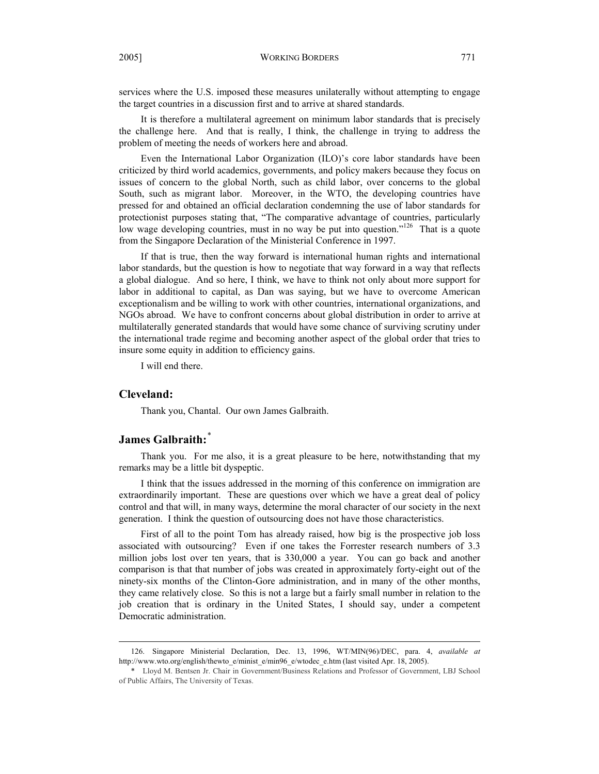services where the U.S. imposed these measures unilaterally without attempting to engage the target countries in a discussion first and to arrive at shared standards.

It is therefore a multilateral agreement on minimum labor standards that is precisely the challenge here. And that is really, I think, the challenge in trying to address the problem of meeting the needs of workers here and abroad.

Even the International Labor Organization (ILO)'s core labor standards have been criticized by third world academics, governments, and policy makers because they focus on issues of concern to the global North, such as child labor, over concerns to the global South, such as migrant labor. Moreover, in the WTO, the developing countries have pressed for and obtained an official declaration condemning the use of labor standards for protectionist purposes stating that, "The comparative advantage of countries, particularly low wage developing countries, must in no way be put into question."<sup>126</sup> That is a quote from the Singapore Declaration of the Ministerial Conference in 1997.

If that is true, then the way forward is international human rights and international labor standards, but the question is how to negotiate that way forward in a way that reflects a global dialogue. And so here, I think, we have to think not only about more support for labor in additional to capital, as Dan was saying, but we have to overcome American exceptionalism and be willing to work with other countries, international organizations, and NGOs abroad. We have to confront concerns about global distribution in order to arrive at multilaterally generated standards that would have some chance of surviving scrutiny under the international trade regime and becoming another aspect of the global order that tries to insure some equity in addition to efficiency gains.

I will end there.

## **Cleveland:**

l

Thank you, Chantal. Our own James Galbraith.

# **James Galbraith:***\**

Thank you. For me also, it is a great pleasure to be here, notwithstanding that my remarks may be a little bit dyspeptic.

I think that the issues addressed in the morning of this conference on immigration are extraordinarily important. These are questions over which we have a great deal of policy control and that will, in many ways, determine the moral character of our society in the next generation. I think the question of outsourcing does not have those characteristics.

First of all to the point Tom has already raised, how big is the prospective job loss associated with outsourcing? Even if one takes the Forrester research numbers of 3.3 million jobs lost over ten years, that is 330,000 a year. You can go back and another comparison is that that number of jobs was created in approximately forty-eight out of the ninety-six months of the Clinton-Gore administration, and in many of the other months, they came relatively close. So this is not a large but a fairly small number in relation to the job creation that is ordinary in the United States, I should say, under a competent Democratic administration.

<sup>126.</sup> Singapore Ministerial Declaration, Dec. 13, 1996, WT/MIN(96)/DEC, para. 4, *available at* http://www.wto.org/english/thewto\_e/minist\_e/min96\_e/wtodec\_e.htm (last visited Apr. 18, 2005).

<sup>\*</sup> Lloyd M. Bentsen Jr. Chair in Government/Business Relations and Professor of Government, LBJ School of Public Affairs, The University of Texas.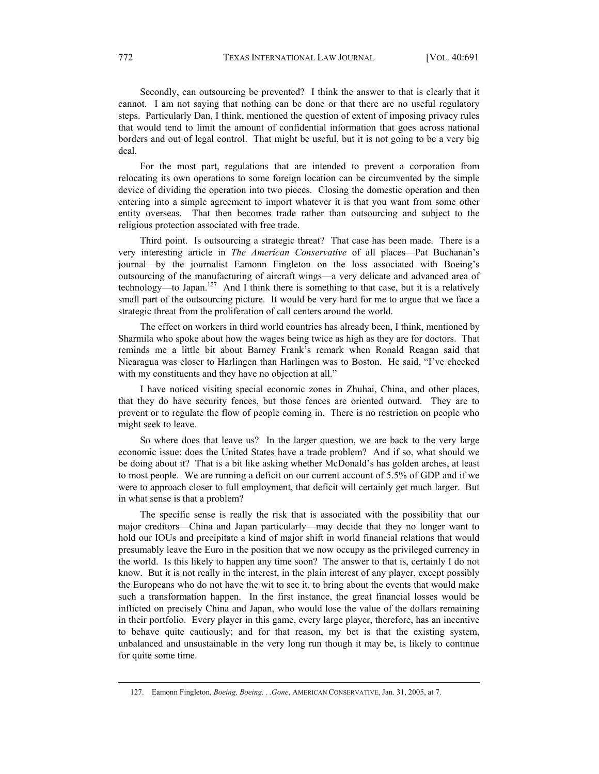Secondly, can outsourcing be prevented? I think the answer to that is clearly that it cannot. I am not saying that nothing can be done or that there are no useful regulatory steps. Particularly Dan, I think, mentioned the question of extent of imposing privacy rules that would tend to limit the amount of confidential information that goes across national borders and out of legal control. That might be useful, but it is not going to be a very big deal.

For the most part, regulations that are intended to prevent a corporation from relocating its own operations to some foreign location can be circumvented by the simple device of dividing the operation into two pieces. Closing the domestic operation and then entering into a simple agreement to import whatever it is that you want from some other entity overseas. That then becomes trade rather than outsourcing and subject to the religious protection associated with free trade.

Third point. Is outsourcing a strategic threat? That case has been made. There is a very interesting article in *The American Conservative* of all places—Pat Buchanan's journal—by the journalist Eamonn Fingleton on the loss associated with Boeing's outsourcing of the manufacturing of aircraft wings—a very delicate and advanced area of technology—to Japan.<sup>127</sup> And I think there is something to that case, but it is a relatively small part of the outsourcing picture. It would be very hard for me to argue that we face a strategic threat from the proliferation of call centers around the world.

The effect on workers in third world countries has already been, I think, mentioned by Sharmila who spoke about how the wages being twice as high as they are for doctors. That reminds me a little bit about Barney Frank's remark when Ronald Reagan said that Nicaragua was closer to Harlingen than Harlingen was to Boston. He said, "I've checked with my constituents and they have no objection at all."

I have noticed visiting special economic zones in Zhuhai, China, and other places, that they do have security fences, but those fences are oriented outward. They are to prevent or to regulate the flow of people coming in. There is no restriction on people who might seek to leave.

So where does that leave us? In the larger question, we are back to the very large economic issue: does the United States have a trade problem? And if so, what should we be doing about it? That is a bit like asking whether McDonald's has golden arches, at least to most people. We are running a deficit on our current account of 5.5% of GDP and if we were to approach closer to full employment, that deficit will certainly get much larger. But in what sense is that a problem?

The specific sense is really the risk that is associated with the possibility that our major creditors—China and Japan particularly—may decide that they no longer want to hold our IOUs and precipitate a kind of major shift in world financial relations that would presumably leave the Euro in the position that we now occupy as the privileged currency in the world. Is this likely to happen any time soon? The answer to that is, certainly I do not know. But it is not really in the interest, in the plain interest of any player, except possibly the Europeans who do not have the wit to see it, to bring about the events that would make such a transformation happen. In the first instance, the great financial losses would be inflicted on precisely China and Japan, who would lose the value of the dollars remaining in their portfolio. Every player in this game, every large player, therefore, has an incentive to behave quite cautiously; and for that reason, my bet is that the existing system, unbalanced and unsustainable in the very long run though it may be, is likely to continue for quite some time.

-

<sup>127.</sup> Eamonn Fingleton, *Boeing, Boeing. . .Gone*, AMERICAN CONSERVATIVE, Jan. 31, 2005, at 7.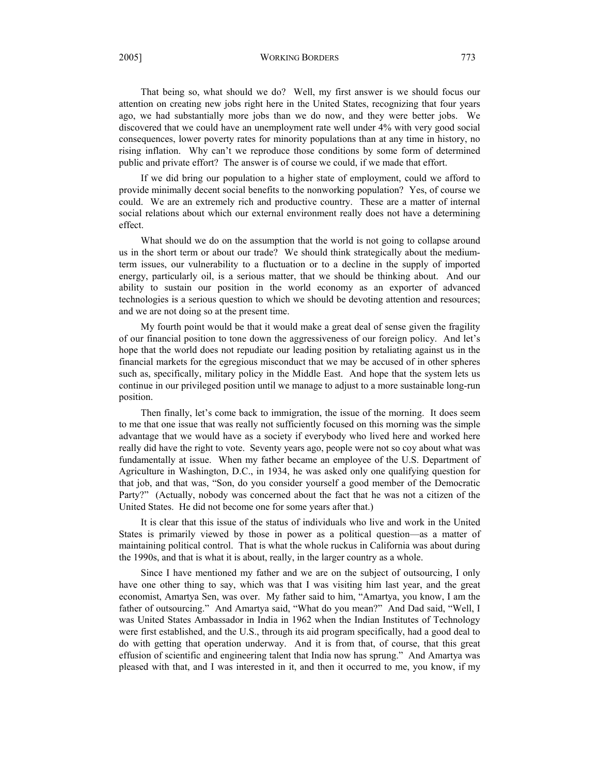2005] WORKING BORDERS 773

That being so, what should we do? Well, my first answer is we should focus our attention on creating new jobs right here in the United States, recognizing that four years ago, we had substantially more jobs than we do now, and they were better jobs. We discovered that we could have an unemployment rate well under 4% with very good social consequences, lower poverty rates for minority populations than at any time in history, no rising inflation. Why can't we reproduce those conditions by some form of determined public and private effort? The answer is of course we could, if we made that effort.

If we did bring our population to a higher state of employment, could we afford to provide minimally decent social benefits to the nonworking population? Yes, of course we could. We are an extremely rich and productive country. These are a matter of internal social relations about which our external environment really does not have a determining effect.

What should we do on the assumption that the world is not going to collapse around us in the short term or about our trade? We should think strategically about the mediumterm issues, our vulnerability to a fluctuation or to a decline in the supply of imported energy, particularly oil, is a serious matter, that we should be thinking about. And our ability to sustain our position in the world economy as an exporter of advanced technologies is a serious question to which we should be devoting attention and resources; and we are not doing so at the present time.

My fourth point would be that it would make a great deal of sense given the fragility of our financial position to tone down the aggressiveness of our foreign policy. And let's hope that the world does not repudiate our leading position by retaliating against us in the financial markets for the egregious misconduct that we may be accused of in other spheres such as, specifically, military policy in the Middle East. And hope that the system lets us continue in our privileged position until we manage to adjust to a more sustainable long-run position.

Then finally, let's come back to immigration, the issue of the morning. It does seem to me that one issue that was really not sufficiently focused on this morning was the simple advantage that we would have as a society if everybody who lived here and worked here really did have the right to vote. Seventy years ago, people were not so coy about what was fundamentally at issue. When my father became an employee of the U.S. Department of Agriculture in Washington, D.C., in 1934, he was asked only one qualifying question for that job, and that was, "Son, do you consider yourself a good member of the Democratic Party?" (Actually, nobody was concerned about the fact that he was not a citizen of the United States. He did not become one for some years after that.)

It is clear that this issue of the status of individuals who live and work in the United States is primarily viewed by those in power as a political question—as a matter of maintaining political control. That is what the whole ruckus in California was about during the 1990s, and that is what it is about, really, in the larger country as a whole.

Since I have mentioned my father and we are on the subject of outsourcing, I only have one other thing to say, which was that I was visiting him last year, and the great economist, Amartya Sen, was over. My father said to him, "Amartya, you know, I am the father of outsourcing." And Amartya said, "What do you mean?" And Dad said, "Well, I was United States Ambassador in India in 1962 when the Indian Institutes of Technology were first established, and the U.S., through its aid program specifically, had a good deal to do with getting that operation underway. And it is from that, of course, that this great effusion of scientific and engineering talent that India now has sprung." And Amartya was pleased with that, and I was interested in it, and then it occurred to me, you know, if my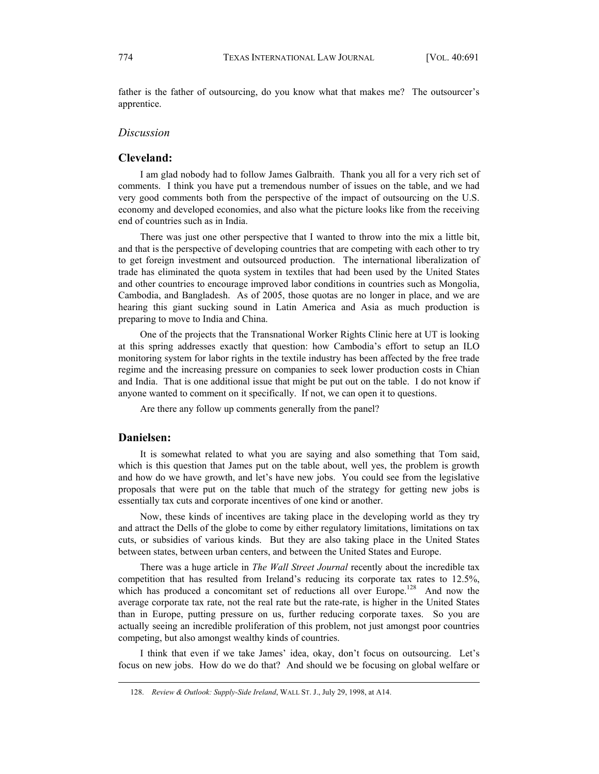father is the father of outsourcing, do you know what that makes me? The outsourcer's apprentice.

# *Discussion*

## **Cleveland:**

I am glad nobody had to follow James Galbraith. Thank you all for a very rich set of comments. I think you have put a tremendous number of issues on the table, and we had very good comments both from the perspective of the impact of outsourcing on the U.S. economy and developed economies, and also what the picture looks like from the receiving end of countries such as in India.

There was just one other perspective that I wanted to throw into the mix a little bit, and that is the perspective of developing countries that are competing with each other to try to get foreign investment and outsourced production. The international liberalization of trade has eliminated the quota system in textiles that had been used by the United States and other countries to encourage improved labor conditions in countries such as Mongolia, Cambodia, and Bangladesh. As of 2005, those quotas are no longer in place, and we are hearing this giant sucking sound in Latin America and Asia as much production is preparing to move to India and China.

One of the projects that the Transnational Worker Rights Clinic here at UT is looking at this spring addresses exactly that question: how Cambodia's effort to setup an ILO monitoring system for labor rights in the textile industry has been affected by the free trade regime and the increasing pressure on companies to seek lower production costs in Chian and India. That is one additional issue that might be put out on the table. I do not know if anyone wanted to comment on it specifically. If not, we can open it to questions.

Are there any follow up comments generally from the panel?

# **Danielsen:**

-

It is somewhat related to what you are saying and also something that Tom said, which is this question that James put on the table about, well yes, the problem is growth and how do we have growth, and let's have new jobs. You could see from the legislative proposals that were put on the table that much of the strategy for getting new jobs is essentially tax cuts and corporate incentives of one kind or another.

Now, these kinds of incentives are taking place in the developing world as they try and attract the Dells of the globe to come by either regulatory limitations, limitations on tax cuts, or subsidies of various kinds. But they are also taking place in the United States between states, between urban centers, and between the United States and Europe.

There was a huge article in *The Wall Street Journal* recently about the incredible tax competition that has resulted from Ireland's reducing its corporate tax rates to 12.5%, which has produced a concomitant set of reductions all over Europe.<sup>128</sup> And now the average corporate tax rate, not the real rate but the rate-rate, is higher in the United States than in Europe, putting pressure on us, further reducing corporate taxes. So you are actually seeing an incredible proliferation of this problem, not just amongst poor countries competing, but also amongst wealthy kinds of countries.

I think that even if we take James' idea, okay, don't focus on outsourcing. Let's focus on new jobs. How do we do that? And should we be focusing on global welfare or

<sup>128.</sup> *Review & Outlook: Supply-Side Ireland*, WALL ST. J., July 29, 1998, at A14.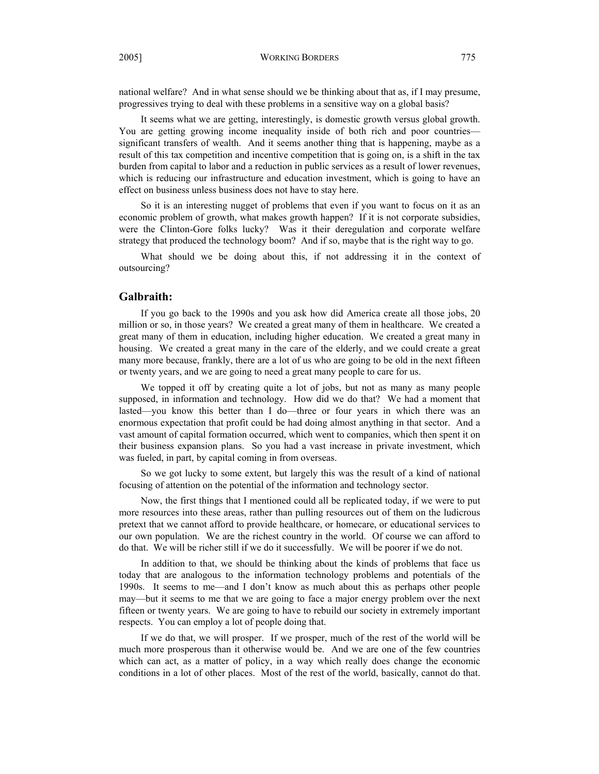national welfare? And in what sense should we be thinking about that as, if I may presume, progressives trying to deal with these problems in a sensitive way on a global basis?

It seems what we are getting, interestingly, is domestic growth versus global growth. You are getting growing income inequality inside of both rich and poor countries significant transfers of wealth. And it seems another thing that is happening, maybe as a result of this tax competition and incentive competition that is going on, is a shift in the tax burden from capital to labor and a reduction in public services as a result of lower revenues, which is reducing our infrastructure and education investment, which is going to have an effect on business unless business does not have to stay here.

So it is an interesting nugget of problems that even if you want to focus on it as an economic problem of growth, what makes growth happen? If it is not corporate subsidies, were the Clinton-Gore folks lucky? Was it their deregulation and corporate welfare strategy that produced the technology boom? And if so, maybe that is the right way to go.

What should we be doing about this, if not addressing it in the context of outsourcing?

## **Galbraith:**

If you go back to the 1990s and you ask how did America create all those jobs, 20 million or so, in those years? We created a great many of them in healthcare. We created a great many of them in education, including higher education. We created a great many in housing. We created a great many in the care of the elderly, and we could create a great many more because, frankly, there are a lot of us who are going to be old in the next fifteen or twenty years, and we are going to need a great many people to care for us.

We topped it off by creating quite a lot of jobs, but not as many as many people supposed, in information and technology. How did we do that? We had a moment that lasted—you know this better than I do—three or four years in which there was an enormous expectation that profit could be had doing almost anything in that sector. And a vast amount of capital formation occurred, which went to companies, which then spent it on their business expansion plans. So you had a vast increase in private investment, which was fueled, in part, by capital coming in from overseas.

So we got lucky to some extent, but largely this was the result of a kind of national focusing of attention on the potential of the information and technology sector.

Now, the first things that I mentioned could all be replicated today, if we were to put more resources into these areas, rather than pulling resources out of them on the ludicrous pretext that we cannot afford to provide healthcare, or homecare, or educational services to our own population. We are the richest country in the world. Of course we can afford to do that. We will be richer still if we do it successfully. We will be poorer if we do not.

In addition to that, we should be thinking about the kinds of problems that face us today that are analogous to the information technology problems and potentials of the 1990s. It seems to me—and I don't know as much about this as perhaps other people may—but it seems to me that we are going to face a major energy problem over the next fifteen or twenty years. We are going to have to rebuild our society in extremely important respects. You can employ a lot of people doing that.

If we do that, we will prosper. If we prosper, much of the rest of the world will be much more prosperous than it otherwise would be. And we are one of the few countries which can act, as a matter of policy, in a way which really does change the economic conditions in a lot of other places. Most of the rest of the world, basically, cannot do that.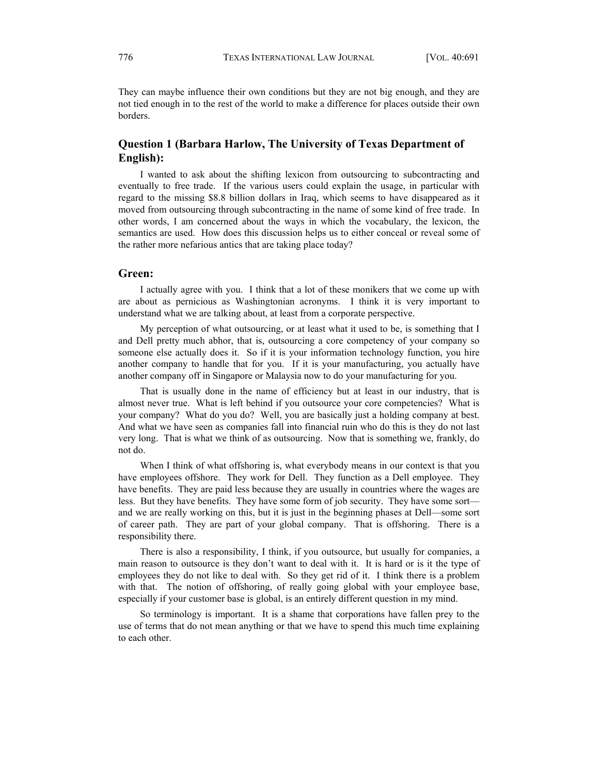They can maybe influence their own conditions but they are not big enough, and they are not tied enough in to the rest of the world to make a difference for places outside their own borders.

# **Question 1 (Barbara Harlow, The University of Texas Department of English):**

I wanted to ask about the shifting lexicon from outsourcing to subcontracting and eventually to free trade. If the various users could explain the usage, in particular with regard to the missing \$8.8 billion dollars in Iraq, which seems to have disappeared as it moved from outsourcing through subcontracting in the name of some kind of free trade. In other words, I am concerned about the ways in which the vocabulary, the lexicon, the semantics are used. How does this discussion helps us to either conceal or reveal some of the rather more nefarious antics that are taking place today?

### **Green:**

I actually agree with you. I think that a lot of these monikers that we come up with are about as pernicious as Washingtonian acronyms. I think it is very important to understand what we are talking about, at least from a corporate perspective.

My perception of what outsourcing, or at least what it used to be, is something that I and Dell pretty much abhor, that is, outsourcing a core competency of your company so someone else actually does it. So if it is your information technology function, you hire another company to handle that for you. If it is your manufacturing, you actually have another company off in Singapore or Malaysia now to do your manufacturing for you.

That is usually done in the name of efficiency but at least in our industry, that is almost never true. What is left behind if you outsource your core competencies? What is your company? What do you do? Well, you are basically just a holding company at best. And what we have seen as companies fall into financial ruin who do this is they do not last very long. That is what we think of as outsourcing. Now that is something we, frankly, do not do.

When I think of what offshoring is, what everybody means in our context is that you have employees offshore. They work for Dell. They function as a Dell employee. They have benefits. They are paid less because they are usually in countries where the wages are less. But they have benefits. They have some form of job security. They have some sort and we are really working on this, but it is just in the beginning phases at Dell—some sort of career path. They are part of your global company. That is offshoring. There is a responsibility there.

There is also a responsibility, I think, if you outsource, but usually for companies, a main reason to outsource is they don't want to deal with it. It is hard or is it the type of employees they do not like to deal with. So they get rid of it. I think there is a problem with that. The notion of offshoring, of really going global with your employee base, especially if your customer base is global, is an entirely different question in my mind.

So terminology is important. It is a shame that corporations have fallen prey to the use of terms that do not mean anything or that we have to spend this much time explaining to each other.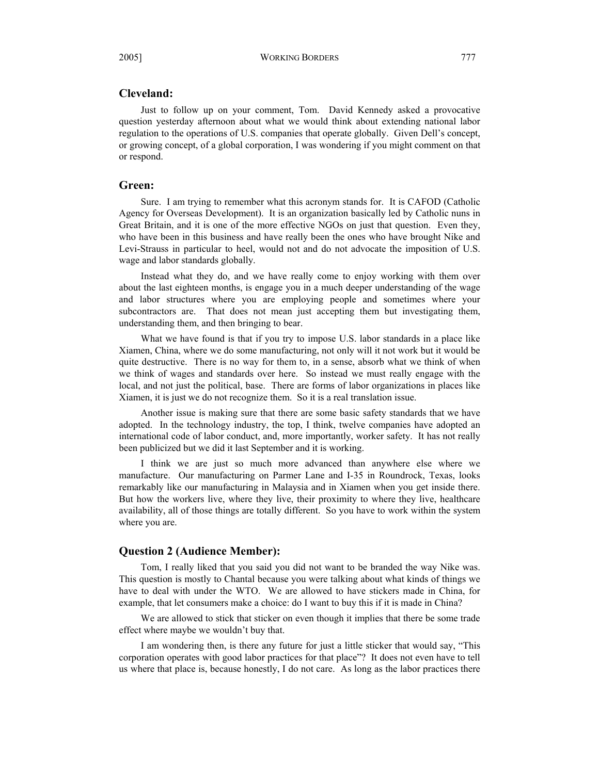# **Cleveland:**

Just to follow up on your comment, Tom. David Kennedy asked a provocative question yesterday afternoon about what we would think about extending national labor regulation to the operations of U.S. companies that operate globally. Given Dell's concept, or growing concept, of a global corporation, I was wondering if you might comment on that or respond.

# **Green:**

Sure. I am trying to remember what this acronym stands for. It is CAFOD (Catholic Agency for Overseas Development). It is an organization basically led by Catholic nuns in Great Britain, and it is one of the more effective NGOs on just that question. Even they, who have been in this business and have really been the ones who have brought Nike and Levi-Strauss in particular to heel, would not and do not advocate the imposition of U.S. wage and labor standards globally.

Instead what they do, and we have really come to enjoy working with them over about the last eighteen months, is engage you in a much deeper understanding of the wage and labor structures where you are employing people and sometimes where your subcontractors are. That does not mean just accepting them but investigating them, understanding them, and then bringing to bear.

What we have found is that if you try to impose U.S. labor standards in a place like Xiamen, China, where we do some manufacturing, not only will it not work but it would be quite destructive. There is no way for them to, in a sense, absorb what we think of when we think of wages and standards over here. So instead we must really engage with the local, and not just the political, base. There are forms of labor organizations in places like Xiamen, it is just we do not recognize them. So it is a real translation issue.

Another issue is making sure that there are some basic safety standards that we have adopted. In the technology industry, the top, I think, twelve companies have adopted an international code of labor conduct, and, more importantly, worker safety. It has not really been publicized but we did it last September and it is working.

I think we are just so much more advanced than anywhere else where we manufacture. Our manufacturing on Parmer Lane and I-35 in Roundrock, Texas, looks remarkably like our manufacturing in Malaysia and in Xiamen when you get inside there. But how the workers live, where they live, their proximity to where they live, healthcare availability, all of those things are totally different. So you have to work within the system where you are.

## **Question 2 (Audience Member):**

Tom, I really liked that you said you did not want to be branded the way Nike was. This question is mostly to Chantal because you were talking about what kinds of things we have to deal with under the WTO. We are allowed to have stickers made in China, for example, that let consumers make a choice: do I want to buy this if it is made in China?

We are allowed to stick that sticker on even though it implies that there be some trade effect where maybe we wouldn't buy that.

I am wondering then, is there any future for just a little sticker that would say, "This corporation operates with good labor practices for that place"? It does not even have to tell us where that place is, because honestly, I do not care. As long as the labor practices there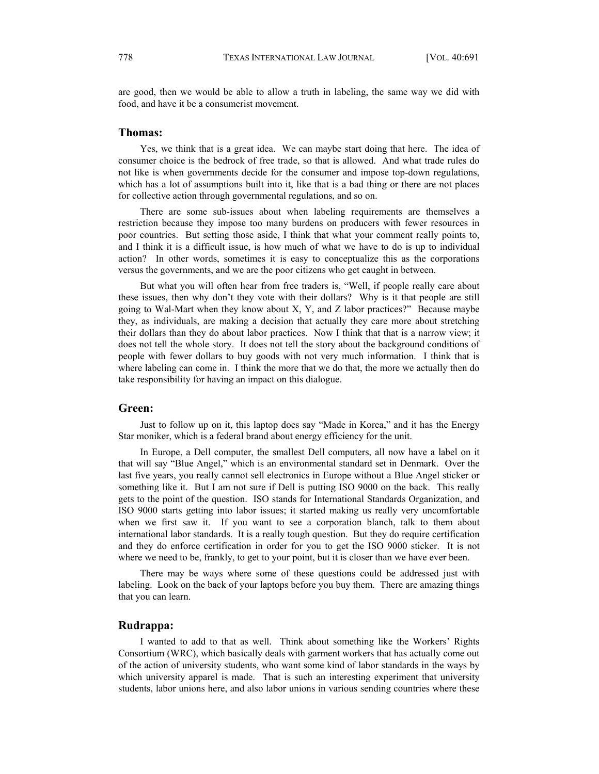are good, then we would be able to allow a truth in labeling, the same way we did with food, and have it be a consumerist movement.

### **Thomas:**

Yes, we think that is a great idea. We can maybe start doing that here. The idea of consumer choice is the bedrock of free trade, so that is allowed. And what trade rules do not like is when governments decide for the consumer and impose top-down regulations, which has a lot of assumptions built into it, like that is a bad thing or there are not places for collective action through governmental regulations, and so on.

There are some sub-issues about when labeling requirements are themselves a restriction because they impose too many burdens on producers with fewer resources in poor countries. But setting those aside, I think that what your comment really points to, and I think it is a difficult issue, is how much of what we have to do is up to individual action? In other words, sometimes it is easy to conceptualize this as the corporations versus the governments, and we are the poor citizens who get caught in between.

But what you will often hear from free traders is, "Well, if people really care about these issues, then why don't they vote with their dollars? Why is it that people are still going to Wal-Mart when they know about X, Y, and Z labor practices?" Because maybe they, as individuals, are making a decision that actually they care more about stretching their dollars than they do about labor practices. Now I think that that is a narrow view; it does not tell the whole story. It does not tell the story about the background conditions of people with fewer dollars to buy goods with not very much information. I think that is where labeling can come in. I think the more that we do that, the more we actually then do take responsibility for having an impact on this dialogue.

# **Green:**

Just to follow up on it, this laptop does say "Made in Korea," and it has the Energy Star moniker, which is a federal brand about energy efficiency for the unit.

In Europe, a Dell computer, the smallest Dell computers, all now have a label on it that will say "Blue Angel," which is an environmental standard set in Denmark. Over the last five years, you really cannot sell electronics in Europe without a Blue Angel sticker or something like it. But I am not sure if Dell is putting ISO 9000 on the back. This really gets to the point of the question. ISO stands for International Standards Organization, and ISO 9000 starts getting into labor issues; it started making us really very uncomfortable when we first saw it. If you want to see a corporation blanch, talk to them about international labor standards. It is a really tough question. But they do require certification and they do enforce certification in order for you to get the ISO 9000 sticker. It is not where we need to be, frankly, to get to your point, but it is closer than we have ever been.

There may be ways where some of these questions could be addressed just with labeling. Look on the back of your laptops before you buy them. There are amazing things that you can learn.

# **Rudrappa:**

I wanted to add to that as well. Think about something like the Workers' Rights Consortium (WRC), which basically deals with garment workers that has actually come out of the action of university students, who want some kind of labor standards in the ways by which university apparel is made. That is such an interesting experiment that university students, labor unions here, and also labor unions in various sending countries where these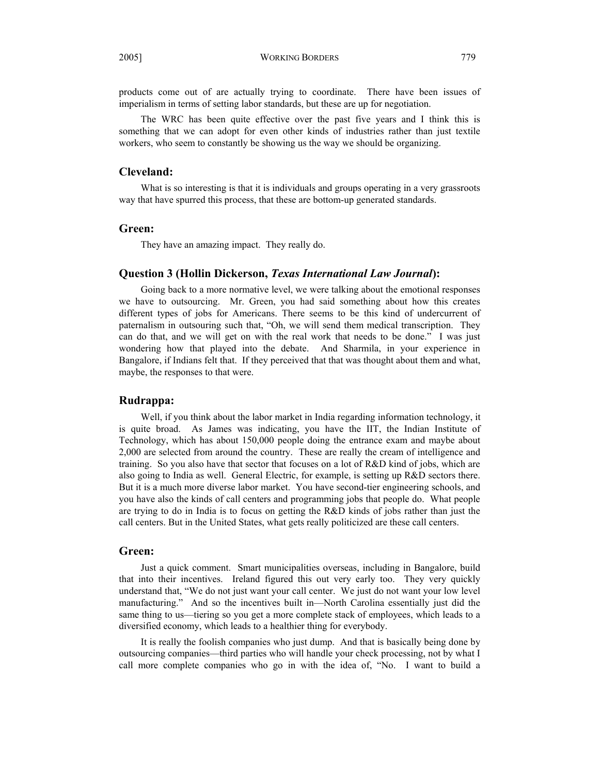products come out of are actually trying to coordinate. There have been issues of imperialism in terms of setting labor standards, but these are up for negotiation.

The WRC has been quite effective over the past five years and I think this is something that we can adopt for even other kinds of industries rather than just textile workers, who seem to constantly be showing us the way we should be organizing.

# **Cleveland:**

What is so interesting is that it is individuals and groups operating in a very grassroots way that have spurred this process, that these are bottom-up generated standards.

#### **Green:**

They have an amazing impact. They really do.

# **Question 3 (Hollin Dickerson,** *Texas International Law Journal***):**

Going back to a more normative level, we were talking about the emotional responses we have to outsourcing. Mr. Green, you had said something about how this creates different types of jobs for Americans. There seems to be this kind of undercurrent of paternalism in outsouring such that, "Oh, we will send them medical transcription. They can do that, and we will get on with the real work that needs to be done." I was just wondering how that played into the debate. And Sharmila, in your experience in Bangalore, if Indians felt that. If they perceived that that was thought about them and what, maybe, the responses to that were.

## **Rudrappa:**

Well, if you think about the labor market in India regarding information technology, it is quite broad. As James was indicating, you have the IIT, the Indian Institute of Technology, which has about 150,000 people doing the entrance exam and maybe about 2,000 are selected from around the country. These are really the cream of intelligence and training. So you also have that sector that focuses on a lot of R&D kind of jobs, which are also going to India as well. General Electric, for example, is setting up R&D sectors there. But it is a much more diverse labor market. You have second-tier engineering schools, and you have also the kinds of call centers and programming jobs that people do. What people are trying to do in India is to focus on getting the R&D kinds of jobs rather than just the call centers. But in the United States, what gets really politicized are these call centers.

#### **Green:**

Just a quick comment. Smart municipalities overseas, including in Bangalore, build that into their incentives. Ireland figured this out very early too. They very quickly understand that, "We do not just want your call center. We just do not want your low level manufacturing." And so the incentives built in—North Carolina essentially just did the same thing to us—tiering so you get a more complete stack of employees, which leads to a diversified economy, which leads to a healthier thing for everybody.

It is really the foolish companies who just dump. And that is basically being done by outsourcing companies—third parties who will handle your check processing, not by what I call more complete companies who go in with the idea of, "No. I want to build a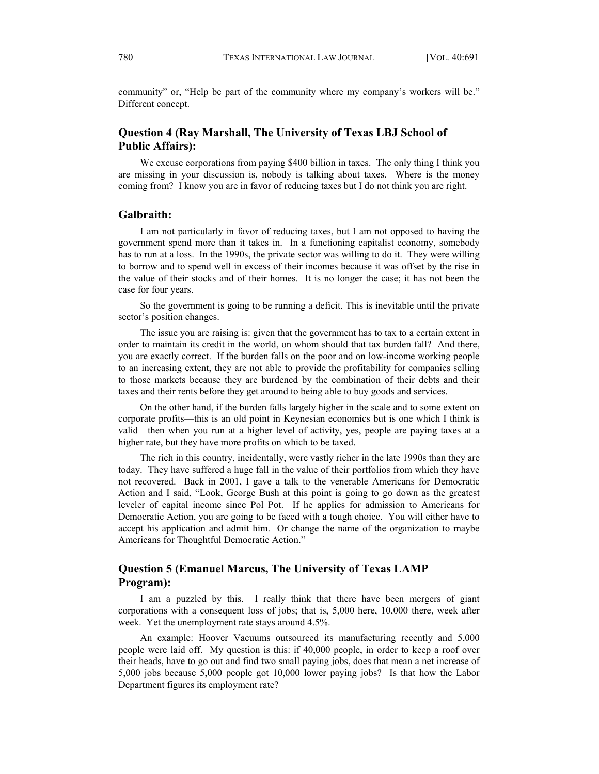community" or, "Help be part of the community where my company's workers will be." Different concept.

# **Question 4 (Ray Marshall, The University of Texas LBJ School of Public Affairs):**

We excuse corporations from paying \$400 billion in taxes. The only thing I think you are missing in your discussion is, nobody is talking about taxes. Where is the money coming from? I know you are in favor of reducing taxes but I do not think you are right.

# **Galbraith:**

I am not particularly in favor of reducing taxes, but I am not opposed to having the government spend more than it takes in. In a functioning capitalist economy, somebody has to run at a loss. In the 1990s, the private sector was willing to do it. They were willing to borrow and to spend well in excess of their incomes because it was offset by the rise in the value of their stocks and of their homes. It is no longer the case; it has not been the case for four years.

So the government is going to be running a deficit. This is inevitable until the private sector's position changes.

The issue you are raising is: given that the government has to tax to a certain extent in order to maintain its credit in the world, on whom should that tax burden fall? And there, you are exactly correct. If the burden falls on the poor and on low-income working people to an increasing extent, they are not able to provide the profitability for companies selling to those markets because they are burdened by the combination of their debts and their taxes and their rents before they get around to being able to buy goods and services.

On the other hand, if the burden falls largely higher in the scale and to some extent on corporate profits—this is an old point in Keynesian economics but is one which I think is valid—then when you run at a higher level of activity, yes, people are paying taxes at a higher rate, but they have more profits on which to be taxed.

The rich in this country, incidentally, were vastly richer in the late 1990s than they are today. They have suffered a huge fall in the value of their portfolios from which they have not recovered. Back in 2001, I gave a talk to the venerable Americans for Democratic Action and I said, "Look, George Bush at this point is going to go down as the greatest leveler of capital income since Pol Pot. If he applies for admission to Americans for Democratic Action, you are going to be faced with a tough choice. You will either have to accept his application and admit him. Or change the name of the organization to maybe Americans for Thoughtful Democratic Action."

# **Question 5 (Emanuel Marcus, The University of Texas LAMP Program):**

I am a puzzled by this. I really think that there have been mergers of giant corporations with a consequent loss of jobs; that is, 5,000 here, 10,000 there, week after week. Yet the unemployment rate stays around 4.5%.

An example: Hoover Vacuums outsourced its manufacturing recently and 5,000 people were laid off. My question is this: if 40,000 people, in order to keep a roof over their heads, have to go out and find two small paying jobs, does that mean a net increase of 5,000 jobs because 5,000 people got 10,000 lower paying jobs? Is that how the Labor Department figures its employment rate?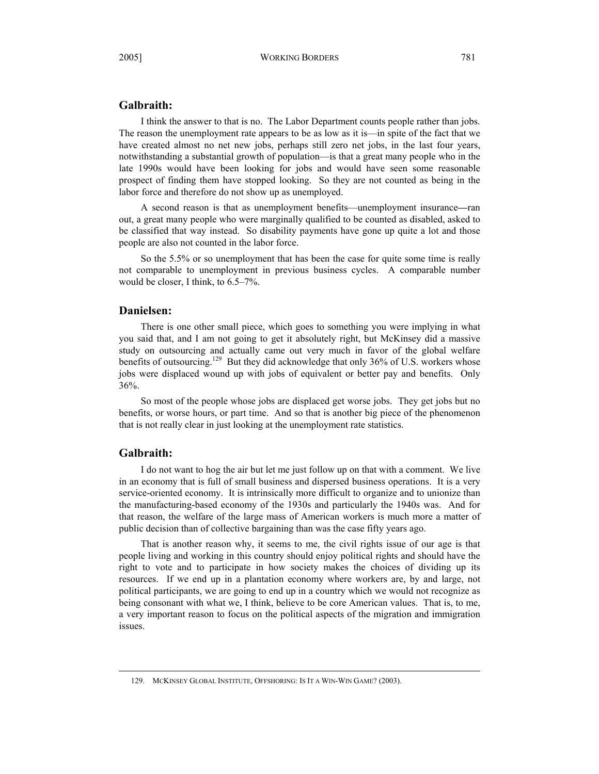### **Galbraith:**

I think the answer to that is no. The Labor Department counts people rather than jobs. The reason the unemployment rate appears to be as low as it is—in spite of the fact that we have created almost no net new jobs, perhaps still zero net jobs, in the last four years, notwithstanding a substantial growth of population—is that a great many people who in the late 1990s would have been looking for jobs and would have seen some reasonable prospect of finding them have stopped looking. So they are not counted as being in the labor force and therefore do not show up as unemployed.

A second reason is that as unemployment benefits—unemployment insurance**—**ran out, a great many people who were marginally qualified to be counted as disabled, asked to be classified that way instead. So disability payments have gone up quite a lot and those people are also not counted in the labor force.

So the 5.5% or so unemployment that has been the case for quite some time is really not comparable to unemployment in previous business cycles. A comparable number would be closer, I think, to 6.5–7%.

### **Danielsen:**

There is one other small piece, which goes to something you were implying in what you said that, and I am not going to get it absolutely right, but McKinsey did a massive study on outsourcing and actually came out very much in favor of the global welfare benefits of outsourcing.<sup>129</sup> But they did acknowledge that only 36% of U.S. workers whose jobs were displaced wound up with jobs of equivalent or better pay and benefits. Only 36%.

So most of the people whose jobs are displaced get worse jobs. They get jobs but no benefits, or worse hours, or part time. And so that is another big piece of the phenomenon that is not really clear in just looking at the unemployment rate statistics.

## **Galbraith:**

l

I do not want to hog the air but let me just follow up on that with a comment. We live in an economy that is full of small business and dispersed business operations. It is a very service-oriented economy. It is intrinsically more difficult to organize and to unionize than the manufacturing-based economy of the 1930s and particularly the 1940s was. And for that reason, the welfare of the large mass of American workers is much more a matter of public decision than of collective bargaining than was the case fifty years ago.

That is another reason why, it seems to me, the civil rights issue of our age is that people living and working in this country should enjoy political rights and should have the right to vote and to participate in how society makes the choices of dividing up its resources. If we end up in a plantation economy where workers are, by and large, not political participants, we are going to end up in a country which we would not recognize as being consonant with what we, I think, believe to be core American values. That is, to me, a very important reason to focus on the political aspects of the migration and immigration issues.

<sup>129.</sup> MCKINSEY GLOBAL INSTITUTE, OFFSHORING: IS IT A WIN-WIN GAME? (2003).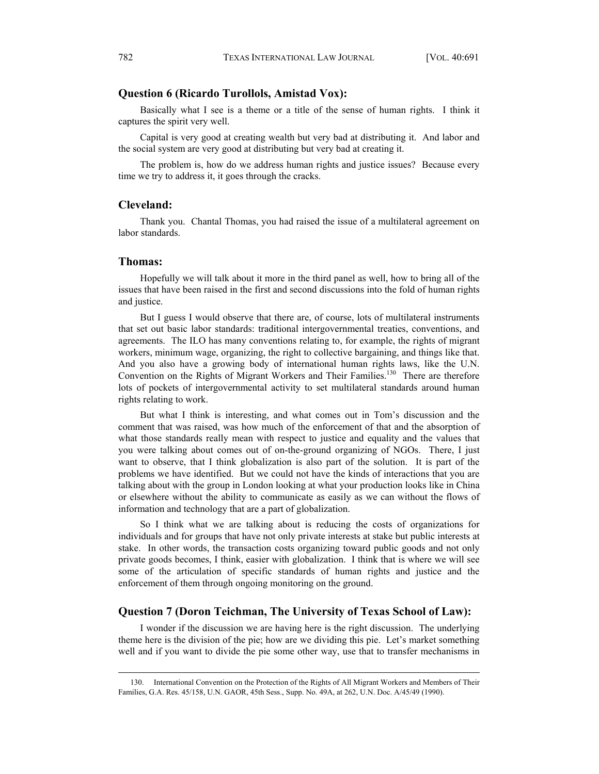# **Question 6 (Ricardo Turollols, Amistad Vox):**

Basically what I see is a theme or a title of the sense of human rights. I think it captures the spirit very well.

Capital is very good at creating wealth but very bad at distributing it. And labor and the social system are very good at distributing but very bad at creating it.

The problem is, how do we address human rights and justice issues? Because every time we try to address it, it goes through the cracks.

#### **Cleveland:**

Thank you. Chantal Thomas, you had raised the issue of a multilateral agreement on labor standards.

### **Thomas:**

-

Hopefully we will talk about it more in the third panel as well, how to bring all of the issues that have been raised in the first and second discussions into the fold of human rights and justice.

But I guess I would observe that there are, of course, lots of multilateral instruments that set out basic labor standards: traditional intergovernmental treaties, conventions, and agreements. The ILO has many conventions relating to, for example, the rights of migrant workers, minimum wage, organizing, the right to collective bargaining, and things like that. And you also have a growing body of international human rights laws, like the U.N. Convention on the Rights of Migrant Workers and Their Families.<sup>130</sup> There are therefore lots of pockets of intergovernmental activity to set multilateral standards around human rights relating to work.

But what I think is interesting, and what comes out in Tom's discussion and the comment that was raised, was how much of the enforcement of that and the absorption of what those standards really mean with respect to justice and equality and the values that you were talking about comes out of on-the-ground organizing of NGOs. There, I just want to observe, that I think globalization is also part of the solution. It is part of the problems we have identified. But we could not have the kinds of interactions that you are talking about with the group in London looking at what your production looks like in China or elsewhere without the ability to communicate as easily as we can without the flows of information and technology that are a part of globalization.

So I think what we are talking about is reducing the costs of organizations for individuals and for groups that have not only private interests at stake but public interests at stake. In other words, the transaction costs organizing toward public goods and not only private goods becomes, I think, easier with globalization. I think that is where we will see some of the articulation of specific standards of human rights and justice and the enforcement of them through ongoing monitoring on the ground.

# **Question 7 (Doron Teichman, The University of Texas School of Law):**

I wonder if the discussion we are having here is the right discussion. The underlying theme here is the division of the pie; how are we dividing this pie. Let's market something well and if you want to divide the pie some other way, use that to transfer mechanisms in

<sup>130.</sup> International Convention on the Protection of the Rights of All Migrant Workers and Members of Their Families, G.A. Res. 45/158, U.N. GAOR, 45th Sess., Supp. No. 49A, at 262, U.N. Doc. A/45/49 (1990).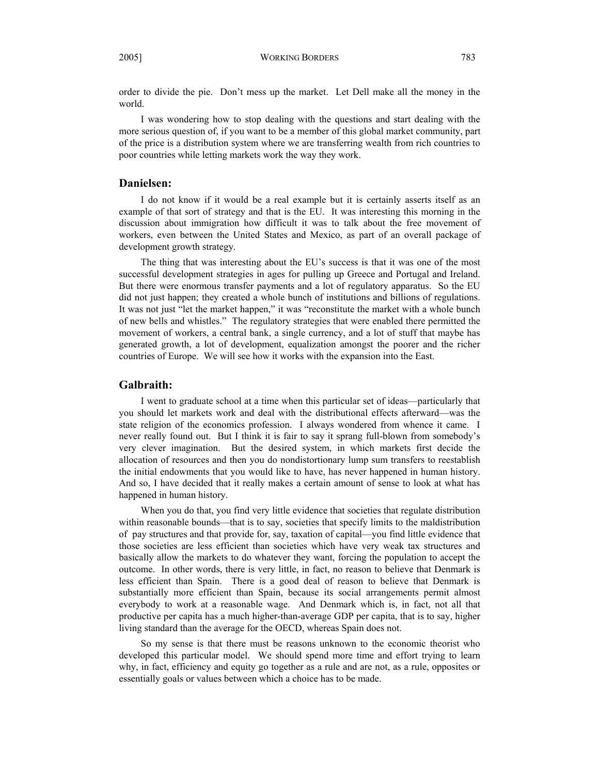order to divide the pie. Don't mess up the market. Let Dell make all the money in the world.

I was wondering how to stop dealing with the questions and start dealing with the more serious question of, if you want to be a member of this global market community, part of the price is a distribution system where we are transferring wealth from rich countries to poor countries while letting markets work the way they work.

# **Danielsen:**

I do not know if it would be a real example but it is certainly asserts itself as an example of that sort of strategy and that is the EU. It was interesting this morning in the discussion about immigration how difficult it was to talk about the free movement of workers, even between the United States and Mexico, as part of an overall package of development growth strategy.

The thing that was interesting about the EU's success is that it was one of the most successful development strategies in ages for pulling up Greece and Portugal and Ireland. But there were enormous transfer payments and a lot of regulatory apparatus. So the EU did not just happen; they created a whole bunch of institutions and billions of regulations. It was not just "let the market happen," it was "reconstitute the market with a whole bunch of new bells and whistles." The regulatory strategies that were enabled there permitted the movement of workers, a central bank, a single currency, and a lot of stuff that maybe has generated growth, a lot of development, equalization amongst the poorer and the richer countries of Europe. We will see how it works with the expansion into the East.

#### **Galbraith:**

I went to graduate school at a time when this particular set of ideas—particularly that you should let markets work and deal with the distributional effects afterward—was the state religion of the economics profession. I always wondered from whence it came. I never really found out. But I think it is fair to say it sprang full-blown from somebody's very clever imagination. But the desired system, in which markets first decide the allocation of resources and then you do nondistortionary lump sum transfers to reestablish the initial endowments that you would like to have, has never happened in human history. And so, I have decided that it really makes a certain amount of sense to look at what has happened in human history.

When you do that, you find very little evidence that societies that regulate distribution within reasonable bounds—that is to say, societies that specify limits to the maldistribution of pay structures and that provide for, say, taxation of capital—you find little evidence that those societies are less efficient than societies which have very weak tax structures and basically allow the markets to do whatever they want, forcing the population to accept the outcome. In other words, there is very little, in fact, no reason to believe that Denmark is less efficient than Spain. There is a good deal of reason to believe that Denmark is substantially more efficient than Spain, because its social arrangements permit almost everybody to work at a reasonable wage. And Denmark which is, in fact, not all that productive per capita has a much higher-than-average GDP per capita, that is to say, higher living standard than the average for the OECD, whereas Spain does not.

So my sense is that there must be reasons unknown to the economic theorist who developed this particular model. We should spend more time and effort trying to learn why, in fact, efficiency and equity go together as a rule and are not, as a rule, opposites or essentially goals or values between which a choice has to be made.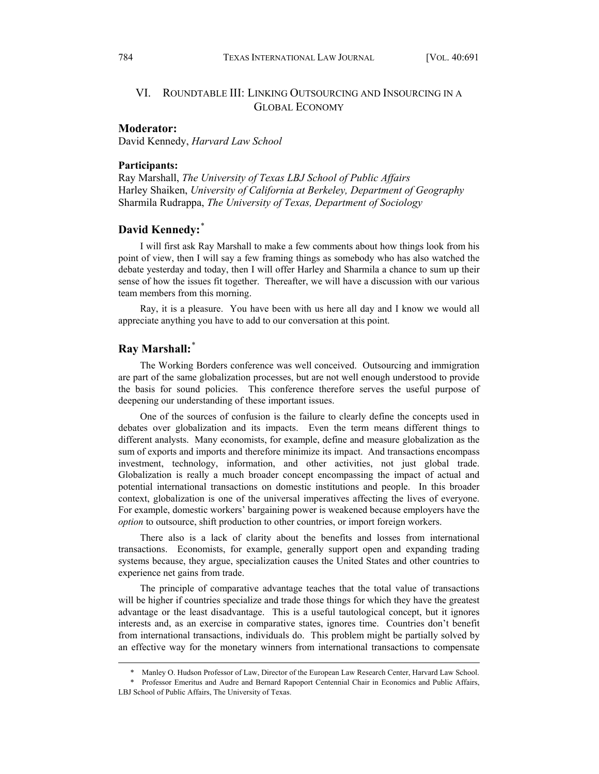# VI. ROUNDTABLE III: LINKING OUTSOURCING AND INSOURCING IN A GLOBAL ECONOMY

# **Moderator:**

David Kennedy, *Harvard Law School* 

## **Participants:**

Ray Marshall, *The University of Texas LBJ School of Public Affairs*  Harley Shaiken, *University of California at Berkeley, Department of Geography* Sharmila Rudrappa, *The University of Texas, Department of Sociology*

# **David Kennedy:***\**

I will first ask Ray Marshall to make a few comments about how things look from his point of view, then I will say a few framing things as somebody who has also watched the debate yesterday and today, then I will offer Harley and Sharmila a chance to sum up their sense of how the issues fit together. Thereafter, we will have a discussion with our various team members from this morning.

Ray, it is a pleasure. You have been with us here all day and I know we would all appreciate anything you have to add to our conversation at this point.

# **Ray Marshall:***\**

1

The Working Borders conference was well conceived. Outsourcing and immigration are part of the same globalization processes, but are not well enough understood to provide the basis for sound policies. This conference therefore serves the useful purpose of deepening our understanding of these important issues.

One of the sources of confusion is the failure to clearly define the concepts used in debates over globalization and its impacts. Even the term means different things to different analysts. Many economists, for example, define and measure globalization as the sum of exports and imports and therefore minimize its impact. And transactions encompass investment, technology, information, and other activities, not just global trade. Globalization is really a much broader concept encompassing the impact of actual and potential international transactions on domestic institutions and people. In this broader context, globalization is one of the universal imperatives affecting the lives of everyone. For example, domestic workers' bargaining power is weakened because employers have the *option* to outsource, shift production to other countries, or import foreign workers.

There also is a lack of clarity about the benefits and losses from international transactions. Economists, for example, generally support open and expanding trading systems because, they argue, specialization causes the United States and other countries to experience net gains from trade.

The principle of comparative advantage teaches that the total value of transactions will be higher if countries specialize and trade those things for which they have the greatest advantage or the least disadvantage. This is a useful tautological concept, but it ignores interests and, as an exercise in comparative states, ignores time. Countries don't benefit from international transactions, individuals do. This problem might be partially solved by an effective way for the monetary winners from international transactions to compensate

<sup>\*</sup> Manley O. Hudson Professor of Law, Director of the European Law Research Center, Harvard Law School.

<sup>\*</sup> Professor Emeritus and Audre and Bernard Rapoport Centennial Chair in Economics and Public Affairs, LBJ School of Public Affairs, The University of Texas.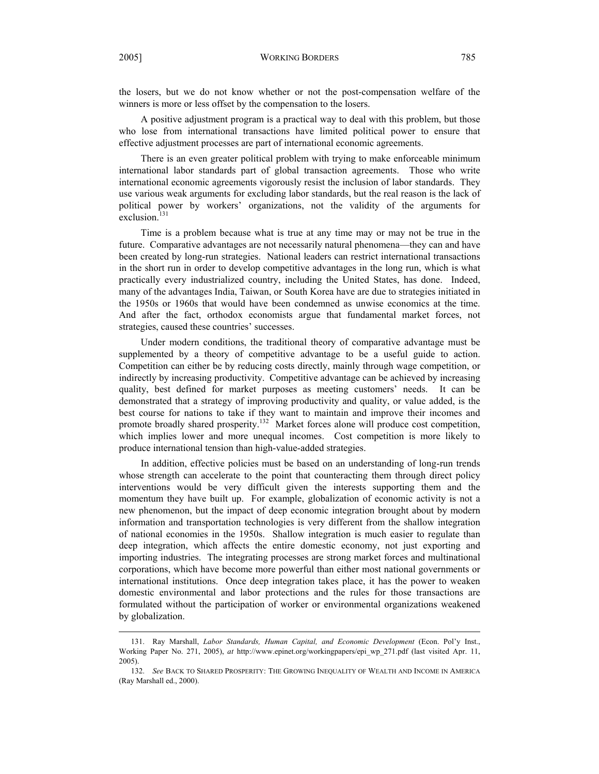l

the losers, but we do not know whether or not the post-compensation welfare of the winners is more or less offset by the compensation to the losers.

A positive adjustment program is a practical way to deal with this problem, but those who lose from international transactions have limited political power to ensure that effective adjustment processes are part of international economic agreements.

There is an even greater political problem with trying to make enforceable minimum international labor standards part of global transaction agreements. Those who write international economic agreements vigorously resist the inclusion of labor standards. They use various weak arguments for excluding labor standards, but the real reason is the lack of political power by workers' organizations, not the validity of the arguments for exclusion.<sup>131</sup>

Time is a problem because what is true at any time may or may not be true in the future. Comparative advantages are not necessarily natural phenomena—they can and have been created by long-run strategies. National leaders can restrict international transactions in the short run in order to develop competitive advantages in the long run, which is what practically every industrialized country, including the United States, has done. Indeed, many of the advantages India, Taiwan, or South Korea have are due to strategies initiated in the 1950s or 1960s that would have been condemned as unwise economics at the time. And after the fact, orthodox economists argue that fundamental market forces, not strategies, caused these countries' successes.

Under modern conditions, the traditional theory of comparative advantage must be supplemented by a theory of competitive advantage to be a useful guide to action. Competition can either be by reducing costs directly, mainly through wage competition, or indirectly by increasing productivity. Competitive advantage can be achieved by increasing quality, best defined for market purposes as meeting customers' needs. It can be demonstrated that a strategy of improving productivity and quality, or value added, is the best course for nations to take if they want to maintain and improve their incomes and promote broadly shared prosperity.<sup>132</sup> Market forces alone will produce cost competition, which implies lower and more unequal incomes. Cost competition is more likely to produce international tension than high-value-added strategies.

In addition, effective policies must be based on an understanding of long-run trends whose strength can accelerate to the point that counteracting them through direct policy interventions would be very difficult given the interests supporting them and the momentum they have built up. For example, globalization of economic activity is not a new phenomenon, but the impact of deep economic integration brought about by modern information and transportation technologies is very different from the shallow integration of national economies in the 1950s. Shallow integration is much easier to regulate than deep integration, which affects the entire domestic economy, not just exporting and importing industries. The integrating processes are strong market forces and multinational corporations, which have become more powerful than either most national governments or international institutions. Once deep integration takes place, it has the power to weaken domestic environmental and labor protections and the rules for those transactions are formulated without the participation of worker or environmental organizations weakened by globalization.

<sup>131.</sup> Ray Marshall, *Labor Standards, Human Capital, and Economic Development* (Econ. Pol'y Inst., Working Paper No. 271, 2005), *at* http://www.epinet.org/workingpapers/epi\_wp\_271.pdf (last visited Apr. 11, 2005).

<sup>132.</sup> *See* BACK TO SHARED PROSPERITY: THE GROWING INEQUALITY OF WEALTH AND INCOME IN AMERICA (Ray Marshall ed., 2000).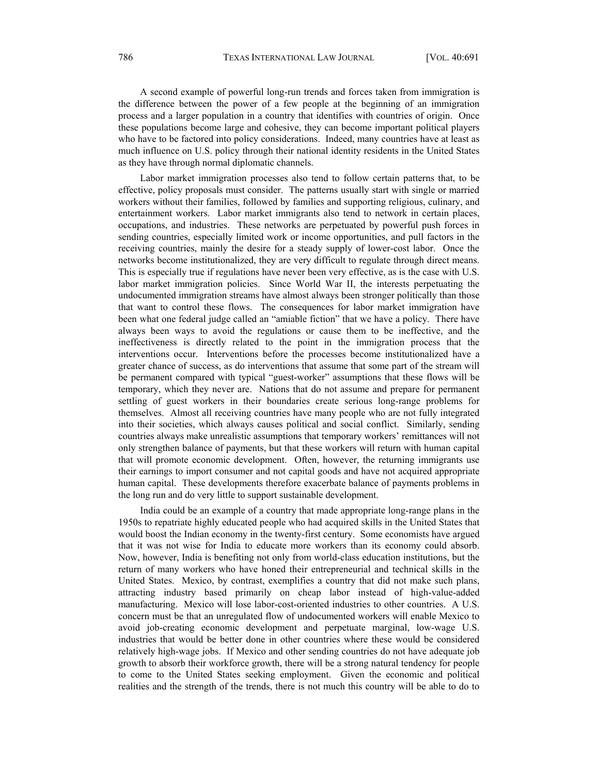A second example of powerful long-run trends and forces taken from immigration is the difference between the power of a few people at the beginning of an immigration process and a larger population in a country that identifies with countries of origin. Once these populations become large and cohesive, they can become important political players who have to be factored into policy considerations. Indeed, many countries have at least as much influence on U.S. policy through their national identity residents in the United States as they have through normal diplomatic channels.

Labor market immigration processes also tend to follow certain patterns that, to be effective, policy proposals must consider. The patterns usually start with single or married workers without their families, followed by families and supporting religious, culinary, and entertainment workers. Labor market immigrants also tend to network in certain places, occupations, and industries. These networks are perpetuated by powerful push forces in sending countries, especially limited work or income opportunities, and pull factors in the receiving countries, mainly the desire for a steady supply of lower-cost labor. Once the networks become institutionalized, they are very difficult to regulate through direct means. This is especially true if regulations have never been very effective, as is the case with U.S. labor market immigration policies. Since World War II, the interests perpetuating the undocumented immigration streams have almost always been stronger politically than those that want to control these flows. The consequences for labor market immigration have been what one federal judge called an "amiable fiction" that we have a policy. There have always been ways to avoid the regulations or cause them to be ineffective, and the ineffectiveness is directly related to the point in the immigration process that the interventions occur. Interventions before the processes become institutionalized have a greater chance of success, as do interventions that assume that some part of the stream will be permanent compared with typical "guest-worker" assumptions that these flows will be temporary, which they never are. Nations that do not assume and prepare for permanent settling of guest workers in their boundaries create serious long-range problems for themselves. Almost all receiving countries have many people who are not fully integrated into their societies, which always causes political and social conflict. Similarly, sending countries always make unrealistic assumptions that temporary workers' remittances will not only strengthen balance of payments, but that these workers will return with human capital that will promote economic development. Often, however, the returning immigrants use their earnings to import consumer and not capital goods and have not acquired appropriate human capital. These developments therefore exacerbate balance of payments problems in the long run and do very little to support sustainable development.

India could be an example of a country that made appropriate long-range plans in the 1950s to repatriate highly educated people who had acquired skills in the United States that would boost the Indian economy in the twenty-first century. Some economists have argued that it was not wise for India to educate more workers than its economy could absorb. Now, however, India is benefiting not only from world-class education institutions, but the return of many workers who have honed their entrepreneurial and technical skills in the United States. Mexico, by contrast, exemplifies a country that did not make such plans, attracting industry based primarily on cheap labor instead of high-value-added manufacturing. Mexico will lose labor-cost-oriented industries to other countries. A U.S. concern must be that an unregulated flow of undocumented workers will enable Mexico to avoid job-creating economic development and perpetuate marginal, low-wage U.S. industries that would be better done in other countries where these would be considered relatively high-wage jobs. If Mexico and other sending countries do not have adequate job growth to absorb their workforce growth, there will be a strong natural tendency for people to come to the United States seeking employment. Given the economic and political realities and the strength of the trends, there is not much this country will be able to do to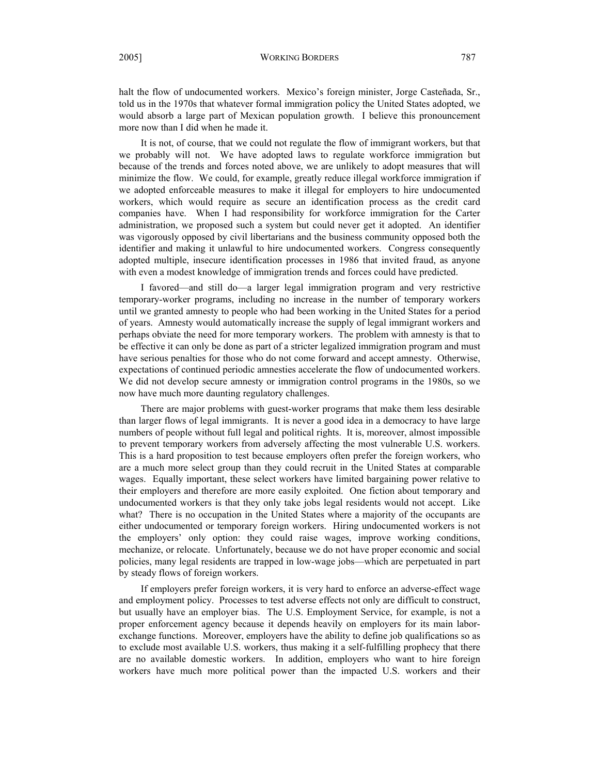halt the flow of undocumented workers. Mexico's foreign minister, Jorge Casteñada, Sr., told us in the 1970s that whatever formal immigration policy the United States adopted, we would absorb a large part of Mexican population growth. I believe this pronouncement more now than I did when he made it.

It is not, of course, that we could not regulate the flow of immigrant workers, but that we probably will not. We have adopted laws to regulate workforce immigration but because of the trends and forces noted above, we are unlikely to adopt measures that will minimize the flow. We could, for example, greatly reduce illegal workforce immigration if we adopted enforceable measures to make it illegal for employers to hire undocumented workers, which would require as secure an identification process as the credit card companies have. When I had responsibility for workforce immigration for the Carter administration, we proposed such a system but could never get it adopted. An identifier was vigorously opposed by civil libertarians and the business community opposed both the identifier and making it unlawful to hire undocumented workers. Congress consequently adopted multiple, insecure identification processes in 1986 that invited fraud, as anyone with even a modest knowledge of immigration trends and forces could have predicted.

I favored—and still do—a larger legal immigration program and very restrictive temporary-worker programs, including no increase in the number of temporary workers until we granted amnesty to people who had been working in the United States for a period of years. Amnesty would automatically increase the supply of legal immigrant workers and perhaps obviate the need for more temporary workers. The problem with amnesty is that to be effective it can only be done as part of a stricter legalized immigration program and must have serious penalties for those who do not come forward and accept amnesty. Otherwise, expectations of continued periodic amnesties accelerate the flow of undocumented workers. We did not develop secure amnesty or immigration control programs in the 1980s, so we now have much more daunting regulatory challenges.

There are major problems with guest-worker programs that make them less desirable than larger flows of legal immigrants. It is never a good idea in a democracy to have large numbers of people without full legal and political rights. It is, moreover, almost impossible to prevent temporary workers from adversely affecting the most vulnerable U.S. workers. This is a hard proposition to test because employers often prefer the foreign workers, who are a much more select group than they could recruit in the United States at comparable wages. Equally important, these select workers have limited bargaining power relative to their employers and therefore are more easily exploited. One fiction about temporary and undocumented workers is that they only take jobs legal residents would not accept. Like what? There is no occupation in the United States where a majority of the occupants are either undocumented or temporary foreign workers. Hiring undocumented workers is not the employers' only option: they could raise wages, improve working conditions, mechanize, or relocate. Unfortunately, because we do not have proper economic and social policies, many legal residents are trapped in low-wage jobs—which are perpetuated in part by steady flows of foreign workers.

If employers prefer foreign workers, it is very hard to enforce an adverse-effect wage and employment policy. Processes to test adverse effects not only are difficult to construct, but usually have an employer bias. The U.S. Employment Service, for example, is not a proper enforcement agency because it depends heavily on employers for its main laborexchange functions. Moreover, employers have the ability to define job qualifications so as to exclude most available U.S. workers, thus making it a self-fulfilling prophecy that there are no available domestic workers. In addition, employers who want to hire foreign workers have much more political power than the impacted U.S. workers and their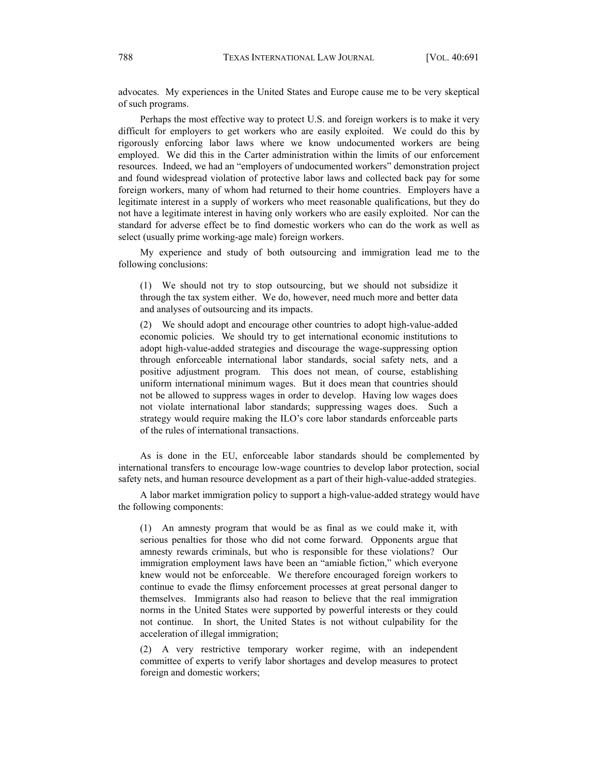advocates. My experiences in the United States and Europe cause me to be very skeptical of such programs.

Perhaps the most effective way to protect U.S. and foreign workers is to make it very difficult for employers to get workers who are easily exploited. We could do this by rigorously enforcing labor laws where we know undocumented workers are being employed. We did this in the Carter administration within the limits of our enforcement resources. Indeed, we had an "employers of undocumented workers" demonstration project and found widespread violation of protective labor laws and collected back pay for some foreign workers, many of whom had returned to their home countries. Employers have a legitimate interest in a supply of workers who meet reasonable qualifications, but they do not have a legitimate interest in having only workers who are easily exploited. Nor can the standard for adverse effect be to find domestic workers who can do the work as well as select (usually prime working-age male) foreign workers.

My experience and study of both outsourcing and immigration lead me to the following conclusions:

(1) We should not try to stop outsourcing, but we should not subsidize it through the tax system either. We do, however, need much more and better data and analyses of outsourcing and its impacts.

(2) We should adopt and encourage other countries to adopt high-value-added economic policies. We should try to get international economic institutions to adopt high-value-added strategies and discourage the wage-suppressing option through enforceable international labor standards, social safety nets, and a positive adjustment program. This does not mean, of course, establishing uniform international minimum wages. But it does mean that countries should not be allowed to suppress wages in order to develop. Having low wages does not violate international labor standards; suppressing wages does. Such a strategy would require making the ILO's core labor standards enforceable parts of the rules of international transactions.

As is done in the EU, enforceable labor standards should be complemented by international transfers to encourage low-wage countries to develop labor protection, social safety nets, and human resource development as a part of their high-value-added strategies.

A labor market immigration policy to support a high-value-added strategy would have the following components:

(1) An amnesty program that would be as final as we could make it, with serious penalties for those who did not come forward. Opponents argue that amnesty rewards criminals, but who is responsible for these violations? Our immigration employment laws have been an "amiable fiction," which everyone knew would not be enforceable. We therefore encouraged foreign workers to continue to evade the flimsy enforcement processes at great personal danger to themselves. Immigrants also had reason to believe that the real immigration norms in the United States were supported by powerful interests or they could not continue. In short, the United States is not without culpability for the acceleration of illegal immigration;

(2) A very restrictive temporary worker regime, with an independent committee of experts to verify labor shortages and develop measures to protect foreign and domestic workers;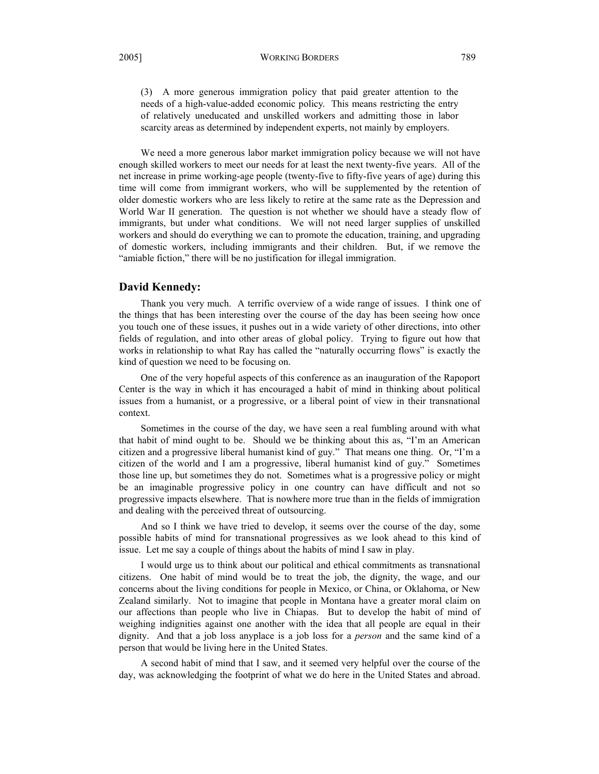(3) A more generous immigration policy that paid greater attention to the needs of a high-value-added economic policy. This means restricting the entry of relatively uneducated and unskilled workers and admitting those in labor scarcity areas as determined by independent experts, not mainly by employers.

We need a more generous labor market immigration policy because we will not have enough skilled workers to meet our needs for at least the next twenty-five years. All of the net increase in prime working-age people (twenty-five to fifty-five years of age) during this time will come from immigrant workers, who will be supplemented by the retention of older domestic workers who are less likely to retire at the same rate as the Depression and World War II generation. The question is not whether we should have a steady flow of immigrants, but under what conditions. We will not need larger supplies of unskilled workers and should do everything we can to promote the education, training, and upgrading of domestic workers, including immigrants and their children. But, if we remove the "amiable fiction," there will be no justification for illegal immigration.

# **David Kennedy:**

Thank you very much. A terrific overview of a wide range of issues. I think one of the things that has been interesting over the course of the day has been seeing how once you touch one of these issues, it pushes out in a wide variety of other directions, into other fields of regulation, and into other areas of global policy. Trying to figure out how that works in relationship to what Ray has called the "naturally occurring flows" is exactly the kind of question we need to be focusing on.

One of the very hopeful aspects of this conference as an inauguration of the Rapoport Center is the way in which it has encouraged a habit of mind in thinking about political issues from a humanist, or a progressive, or a liberal point of view in their transnational context.

Sometimes in the course of the day, we have seen a real fumbling around with what that habit of mind ought to be. Should we be thinking about this as, "I'm an American citizen and a progressive liberal humanist kind of guy." That means one thing. Or, "I'm a citizen of the world and I am a progressive, liberal humanist kind of guy." Sometimes those line up, but sometimes they do not. Sometimes what is a progressive policy or might be an imaginable progressive policy in one country can have difficult and not so progressive impacts elsewhere. That is nowhere more true than in the fields of immigration and dealing with the perceived threat of outsourcing.

And so I think we have tried to develop, it seems over the course of the day, some possible habits of mind for transnational progressives as we look ahead to this kind of issue. Let me say a couple of things about the habits of mind I saw in play.

I would urge us to think about our political and ethical commitments as transnational citizens. One habit of mind would be to treat the job, the dignity, the wage, and our concerns about the living conditions for people in Mexico, or China, or Oklahoma, or New Zealand similarly. Not to imagine that people in Montana have a greater moral claim on our affections than people who live in Chiapas. But to develop the habit of mind of weighing indignities against one another with the idea that all people are equal in their dignity. And that a job loss anyplace is a job loss for a *person* and the same kind of a person that would be living here in the United States.

A second habit of mind that I saw, and it seemed very helpful over the course of the day, was acknowledging the footprint of what we do here in the United States and abroad.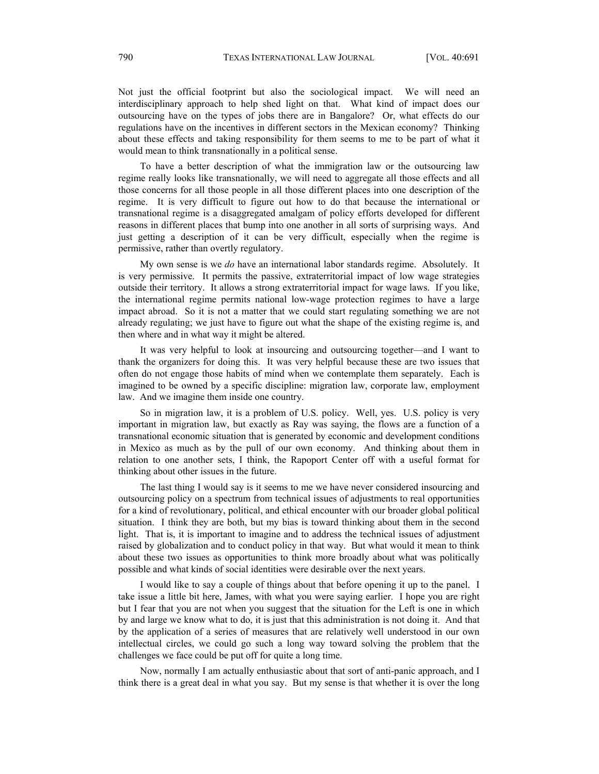Not just the official footprint but also the sociological impact. We will need an interdisciplinary approach to help shed light on that. What kind of impact does our outsourcing have on the types of jobs there are in Bangalore? Or, what effects do our regulations have on the incentives in different sectors in the Mexican economy? Thinking about these effects and taking responsibility for them seems to me to be part of what it would mean to think transnationally in a political sense.

To have a better description of what the immigration law or the outsourcing law regime really looks like transnationally, we will need to aggregate all those effects and all those concerns for all those people in all those different places into one description of the regime. It is very difficult to figure out how to do that because the international or transnational regime is a disaggregated amalgam of policy efforts developed for different reasons in different places that bump into one another in all sorts of surprising ways. And just getting a description of it can be very difficult, especially when the regime is permissive, rather than overtly regulatory.

My own sense is we *do* have an international labor standards regime. Absolutely. It is very permissive. It permits the passive, extraterritorial impact of low wage strategies outside their territory. It allows a strong extraterritorial impact for wage laws. If you like, the international regime permits national low-wage protection regimes to have a large impact abroad. So it is not a matter that we could start regulating something we are not already regulating; we just have to figure out what the shape of the existing regime is, and then where and in what way it might be altered.

It was very helpful to look at insourcing and outsourcing together—and I want to thank the organizers for doing this. It was very helpful because these are two issues that often do not engage those habits of mind when we contemplate them separately. Each is imagined to be owned by a specific discipline: migration law, corporate law, employment law. And we imagine them inside one country.

So in migration law, it is a problem of U.S. policy. Well, yes. U.S. policy is very important in migration law, but exactly as Ray was saying, the flows are a function of a transnational economic situation that is generated by economic and development conditions in Mexico as much as by the pull of our own economy. And thinking about them in relation to one another sets, I think, the Rapoport Center off with a useful format for thinking about other issues in the future.

The last thing I would say is it seems to me we have never considered insourcing and outsourcing policy on a spectrum from technical issues of adjustments to real opportunities for a kind of revolutionary, political, and ethical encounter with our broader global political situation. I think they are both, but my bias is toward thinking about them in the second light. That is, it is important to imagine and to address the technical issues of adjustment raised by globalization and to conduct policy in that way. But what would it mean to think about these two issues as opportunities to think more broadly about what was politically possible and what kinds of social identities were desirable over the next years.

I would like to say a couple of things about that before opening it up to the panel. I take issue a little bit here, James, with what you were saying earlier. I hope you are right but I fear that you are not when you suggest that the situation for the Left is one in which by and large we know what to do, it is just that this administration is not doing it. And that by the application of a series of measures that are relatively well understood in our own intellectual circles, we could go such a long way toward solving the problem that the challenges we face could be put off for quite a long time.

Now, normally I am actually enthusiastic about that sort of anti-panic approach, and I think there is a great deal in what you say. But my sense is that whether it is over the long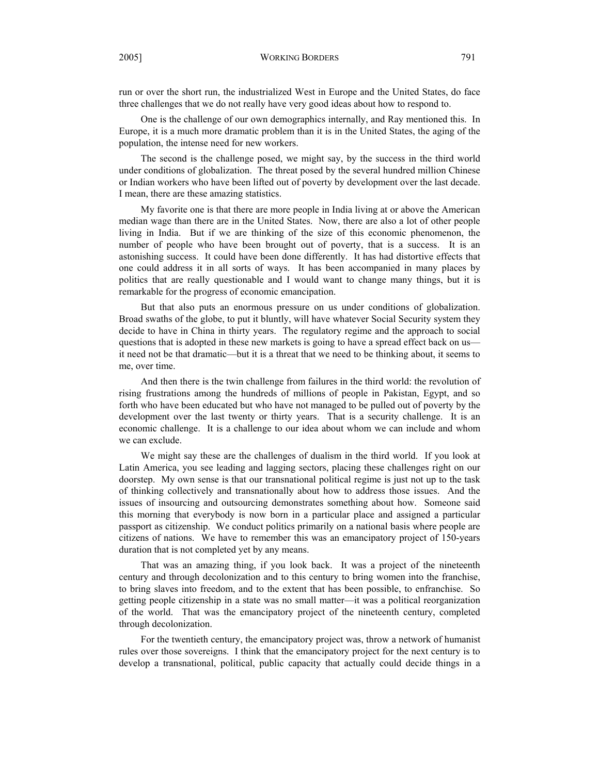run or over the short run, the industrialized West in Europe and the United States, do face three challenges that we do not really have very good ideas about how to respond to.

One is the challenge of our own demographics internally, and Ray mentioned this. In Europe, it is a much more dramatic problem than it is in the United States, the aging of the population, the intense need for new workers.

The second is the challenge posed, we might say, by the success in the third world under conditions of globalization. The threat posed by the several hundred million Chinese or Indian workers who have been lifted out of poverty by development over the last decade. I mean, there are these amazing statistics.

My favorite one is that there are more people in India living at or above the American median wage than there are in the United States. Now, there are also a lot of other people living in India. But if we are thinking of the size of this economic phenomenon, the number of people who have been brought out of poverty, that is a success. It is an astonishing success. It could have been done differently. It has had distortive effects that one could address it in all sorts of ways. It has been accompanied in many places by politics that are really questionable and I would want to change many things, but it is remarkable for the progress of economic emancipation.

But that also puts an enormous pressure on us under conditions of globalization. Broad swaths of the globe, to put it bluntly, will have whatever Social Security system they decide to have in China in thirty years. The regulatory regime and the approach to social questions that is adopted in these new markets is going to have a spread effect back on us it need not be that dramatic—but it is a threat that we need to be thinking about, it seems to me, over time.

And then there is the twin challenge from failures in the third world: the revolution of rising frustrations among the hundreds of millions of people in Pakistan, Egypt, and so forth who have been educated but who have not managed to be pulled out of poverty by the development over the last twenty or thirty years. That is a security challenge. It is an economic challenge. It is a challenge to our idea about whom we can include and whom we can exclude.

We might say these are the challenges of dualism in the third world. If you look at Latin America, you see leading and lagging sectors, placing these challenges right on our doorstep. My own sense is that our transnational political regime is just not up to the task of thinking collectively and transnationally about how to address those issues. And the issues of insourcing and outsourcing demonstrates something about how. Someone said this morning that everybody is now born in a particular place and assigned a particular passport as citizenship. We conduct politics primarily on a national basis where people are citizens of nations. We have to remember this was an emancipatory project of 150-years duration that is not completed yet by any means.

That was an amazing thing, if you look back. It was a project of the nineteenth century and through decolonization and to this century to bring women into the franchise, to bring slaves into freedom, and to the extent that has been possible, to enfranchise. So getting people citizenship in a state was no small matter—it was a political reorganization of the world. That was the emancipatory project of the nineteenth century, completed through decolonization.

For the twentieth century, the emancipatory project was, throw a network of humanist rules over those sovereigns. I think that the emancipatory project for the next century is to develop a transnational, political, public capacity that actually could decide things in a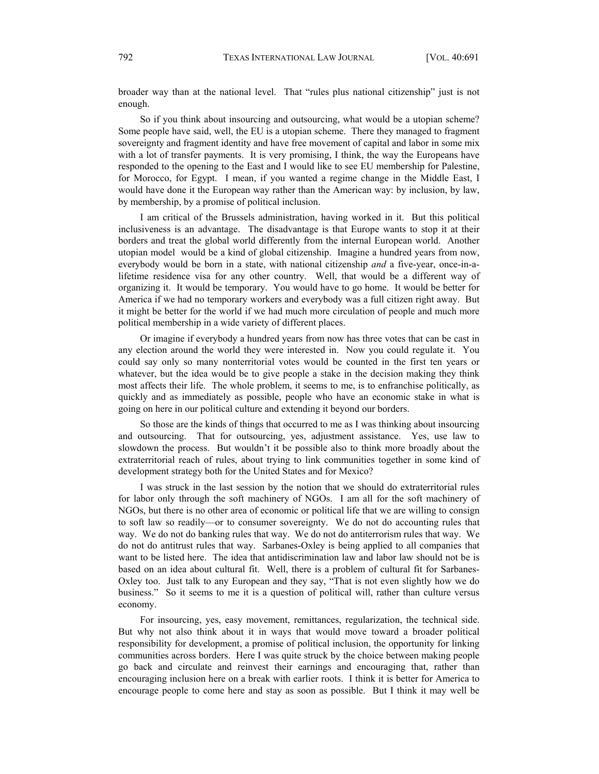broader way than at the national level. That "rules plus national citizenship" just is not enough.

So if you think about insourcing and outsourcing, what would be a utopian scheme? Some people have said, well, the EU is a utopian scheme. There they managed to fragment sovereignty and fragment identity and have free movement of capital and labor in some mix with a lot of transfer payments. It is very promising, I think, the way the Europeans have responded to the opening to the East and I would like to see EU membership for Palestine, for Morocco, for Egypt. I mean, if you wanted a regime change in the Middle East, I would have done it the European way rather than the American way: by inclusion, by law, by membership, by a promise of political inclusion.

I am critical of the Brussels administration, having worked in it. But this political inclusiveness is an advantage. The disadvantage is that Europe wants to stop it at their borders and treat the global world differently from the internal European world. Another utopian model would be a kind of global citizenship. Imagine a hundred years from now, everybody would be born in a state, with national citizenship *and* a five-year, once-in-alifetime residence visa for any other country. Well, that would be a different way of organizing it. It would be temporary. You would have to go home. It would be better for America if we had no temporary workers and everybody was a full citizen right away. But it might be better for the world if we had much more circulation of people and much more political membership in a wide variety of different places.

Or imagine if everybody a hundred years from now has three votes that can be cast in any election around the world they were interested in. Now you could regulate it. You could say only so many nonterritorial votes would be counted in the first ten years or whatever, but the idea would be to give people a stake in the decision making they think most affects their life. The whole problem, it seems to me, is to enfranchise politically, as quickly and as immediately as possible, people who have an economic stake in what is going on here in our political culture and extending it beyond our borders.

So those are the kinds of things that occurred to me as I was thinking about insourcing and outsourcing. That for outsourcing, yes, adjustment assistance. Yes, use law to slowdown the process. But wouldn't it be possible also to think more broadly about the extraterritorial reach of rules, about trying to link communities together in some kind of development strategy both for the United States and for Mexico?

I was struck in the last session by the notion that we should do extraterritorial rules for labor only through the soft machinery of NGOs. I am all for the soft machinery of NGOs, but there is no other area of economic or political life that we are willing to consign to soft law so readily—or to consumer sovereignty. We do not do accounting rules that way. We do not do banking rules that way. We do not do antiterrorism rules that way. We do not do antitrust rules that way. Sarbanes-Oxley is being applied to all companies that want to be listed here. The idea that antidiscrimination law and labor law should not be is based on an idea about cultural fit. Well, there is a problem of cultural fit for Sarbanes-Oxley too. Just talk to any European and they say, "That is not even slightly how we do business." So it seems to me it is a question of political will, rather than culture versus economy.

For insourcing, yes, easy movement, remittances, regularization, the technical side. But why not also think about it in ways that would move toward a broader political responsibility for development, a promise of political inclusion, the opportunity for linking communities across borders. Here I was quite struck by the choice between making people go back and circulate and reinvest their earnings and encouraging that, rather than encouraging inclusion here on a break with earlier roots. I think it is better for America to encourage people to come here and stay as soon as possible. But I think it may well be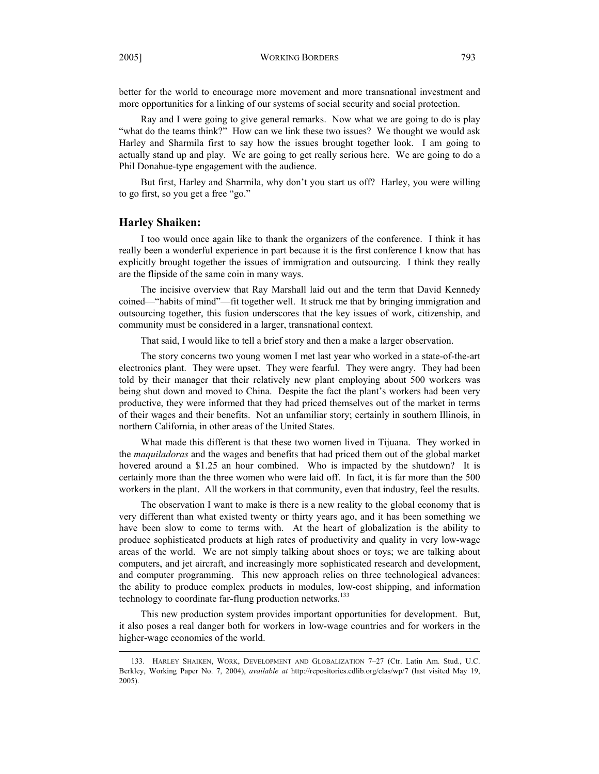better for the world to encourage more movement and more transnational investment and more opportunities for a linking of our systems of social security and social protection.

Ray and I were going to give general remarks. Now what we are going to do is play "what do the teams think?" How can we link these two issues? We thought we would ask Harley and Sharmila first to say how the issues brought together look. I am going to actually stand up and play. We are going to get really serious here. We are going to do a Phil Donahue-type engagement with the audience.

But first, Harley and Sharmila, why don't you start us off? Harley, you were willing to go first, so you get a free "go."

## **Harley Shaiken:**

l

I too would once again like to thank the organizers of the conference. I think it has really been a wonderful experience in part because it is the first conference I know that has explicitly brought together the issues of immigration and outsourcing. I think they really are the flipside of the same coin in many ways.

The incisive overview that Ray Marshall laid out and the term that David Kennedy coined—"habits of mind"—fit together well. It struck me that by bringing immigration and outsourcing together, this fusion underscores that the key issues of work, citizenship, and community must be considered in a larger, transnational context.

That said, I would like to tell a brief story and then a make a larger observation.

The story concerns two young women I met last year who worked in a state-of-the-art electronics plant. They were upset. They were fearful. They were angry. They had been told by their manager that their relatively new plant employing about 500 workers was being shut down and moved to China. Despite the fact the plant's workers had been very productive, they were informed that they had priced themselves out of the market in terms of their wages and their benefits. Not an unfamiliar story; certainly in southern Illinois, in northern California, in other areas of the United States.

What made this different is that these two women lived in Tijuana. They worked in the *maquiladoras* and the wages and benefits that had priced them out of the global market hovered around a \$1.25 an hour combined. Who is impacted by the shutdown? It is certainly more than the three women who were laid off. In fact, it is far more than the 500 workers in the plant. All the workers in that community, even that industry, feel the results.

The observation I want to make is there is a new reality to the global economy that is very different than what existed twenty or thirty years ago, and it has been something we have been slow to come to terms with. At the heart of globalization is the ability to produce sophisticated products at high rates of productivity and quality in very low-wage areas of the world. We are not simply talking about shoes or toys; we are talking about computers, and jet aircraft, and increasingly more sophisticated research and development, and computer programming. This new approach relies on three technological advances: the ability to produce complex products in modules, low-cost shipping, and information technology to coordinate far-flung production networks.<sup>133</sup>

This new production system provides important opportunities for development. But, it also poses a real danger both for workers in low-wage countries and for workers in the higher-wage economies of the world.

<sup>133.</sup> HARLEY SHAIKEN, WORK, DEVELOPMENT AND GLOBALIZATION 7–27 (Ctr. Latin Am. Stud., U.C. Berkley, Working Paper No. 7, 2004), *available at* http://repositories.cdlib.org/clas/wp/7 (last visited May 19, 2005).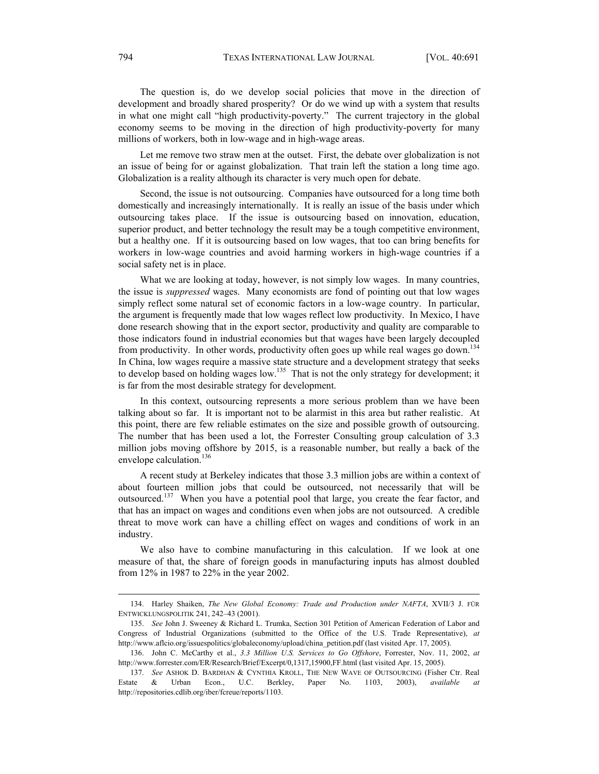The question is, do we develop social policies that move in the direction of development and broadly shared prosperity? Or do we wind up with a system that results in what one might call "high productivity-poverty." The current trajectory in the global economy seems to be moving in the direction of high productivity-poverty for many millions of workers, both in low-wage and in high-wage areas.

Let me remove two straw men at the outset. First, the debate over globalization is not an issue of being for or against globalization. That train left the station a long time ago. Globalization is a reality although its character is very much open for debate.

Second, the issue is not outsourcing. Companies have outsourced for a long time both domestically and increasingly internationally. It is really an issue of the basis under which outsourcing takes place. If the issue is outsourcing based on innovation, education, superior product, and better technology the result may be a tough competitive environment, but a healthy one. If it is outsourcing based on low wages, that too can bring benefits for workers in low-wage countries and avoid harming workers in high-wage countries if a social safety net is in place.

What we are looking at today, however, is not simply low wages. In many countries, the issue is *suppressed* wages. Many economists are fond of pointing out that low wages simply reflect some natural set of economic factors in a low-wage country. In particular, the argument is frequently made that low wages reflect low productivity. In Mexico, I have done research showing that in the export sector, productivity and quality are comparable to those indicators found in industrial economies but that wages have been largely decoupled from productivity. In other words, productivity often goes up while real wages go down.<sup>134</sup> In China, low wages require a massive state structure and a development strategy that seeks to develop based on holding wages low.<sup>135</sup> That is not the only strategy for development; it is far from the most desirable strategy for development.

In this context, outsourcing represents a more serious problem than we have been talking about so far. It is important not to be alarmist in this area but rather realistic. At this point, there are few reliable estimates on the size and possible growth of outsourcing. The number that has been used a lot, the Forrester Consulting group calculation of 3.3 million jobs moving offshore by 2015, is a reasonable number, but really a back of the envelope calculation.<sup>136</sup>

A recent study at Berkeley indicates that those 3.3 million jobs are within a context of about fourteen million jobs that could be outsourced, not necessarily that will be outsourced.<sup>137</sup> When you have a potential pool that large, you create the fear factor, and that has an impact on wages and conditions even when jobs are not outsourced. A credible threat to move work can have a chilling effect on wages and conditions of work in an industry.

We also have to combine manufacturing in this calculation. If we look at one measure of that, the share of foreign goods in manufacturing inputs has almost doubled from 12% in 1987 to 22% in the year 2002.

1

<sup>134.</sup> Harley Shaiken, *The New Global Economy: Trade and Production under NAFTA*, XVII/3 J. FÜR ENTWICKLUNGSPOLITIK 241, 242–43 (2001).

<sup>135.</sup> *See* John J. Sweeney & Richard L. Trumka, Section 301 Petition of American Federation of Labor and Congress of Industrial Organizations (submitted to the Office of the U.S. Trade Representative), *at* http://www.aflcio.org/issuespolitics/globaleconomy/upload/china\_petition.pdf (last visited Apr. 17, 2005).

<sup>136.</sup> John C. McCarthy et al., *3.3 Million U.S. Services to Go Offshore*, Forrester, Nov. 11, 2002, *at* http://www.forrester.com/ER/Research/Brief/Excerpt/0,1317,15900,FF.html (last visited Apr. 15, 2005).

<sup>137.</sup> *See* ASHOK D. BARDHAN & CYNTHIA KROLL, THE NEW WAVE OF OUTSOURCING (Fisher Ctr. Real Estate & Urban Econ., U.C. Berkley, Paper No. 1103, 2003), *available at* http://repositories.cdlib.org/iber/fcreue/reports/1103.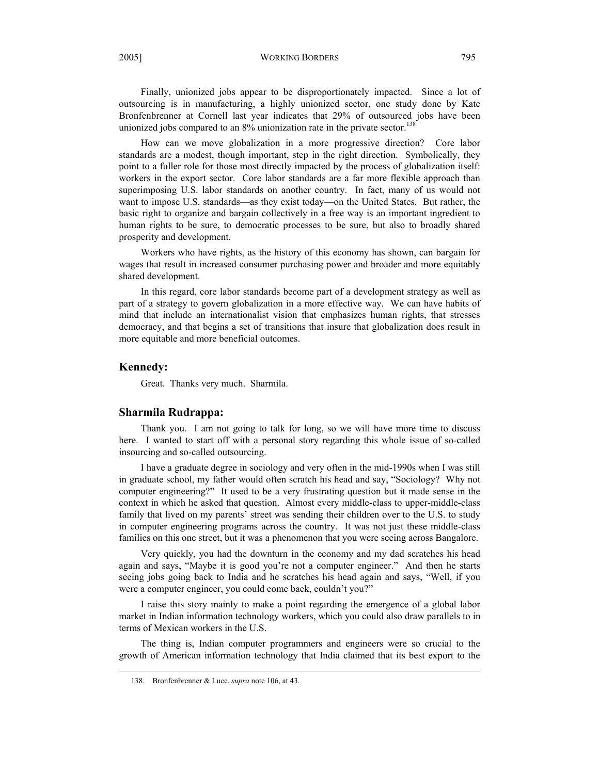2005] WORKING BORDERS 795

Finally, unionized jobs appear to be disproportionately impacted. Since a lot of outsourcing is in manufacturing, a highly unionized sector, one study done by Kate Bronfenbrenner at Cornell last year indicates that 29% of outsourced jobs have been unionized jobs compared to an  $8\%$  unionization rate in the private sector.<sup>138</sup>

How can we move globalization in a more progressive direction? Core labor standards are a modest, though important, step in the right direction. Symbolically, they point to a fuller role for those most directly impacted by the process of globalization itself: workers in the export sector. Core labor standards are a far more flexible approach than superimposing U.S. labor standards on another country. In fact, many of us would not want to impose U.S. standards—as they exist today—on the United States. But rather, the basic right to organize and bargain collectively in a free way is an important ingredient to human rights to be sure, to democratic processes to be sure, but also to broadly shared prosperity and development.

Workers who have rights, as the history of this economy has shown, can bargain for wages that result in increased consumer purchasing power and broader and more equitably shared development.

In this regard, core labor standards become part of a development strategy as well as part of a strategy to govern globalization in a more effective way. We can have habits of mind that include an internationalist vision that emphasizes human rights, that stresses democracy, and that begins a set of transitions that insure that globalization does result in more equitable and more beneficial outcomes.

## **Kennedy:**

l

Great. Thanks very much. Sharmila.

## **Sharmila Rudrappa:**

Thank you. I am not going to talk for long, so we will have more time to discuss here. I wanted to start off with a personal story regarding this whole issue of so-called insourcing and so-called outsourcing.

I have a graduate degree in sociology and very often in the mid-1990s when I was still in graduate school, my father would often scratch his head and say, "Sociology? Why not computer engineering?" It used to be a very frustrating question but it made sense in the context in which he asked that question. Almost every middle-class to upper-middle-class family that lived on my parents' street was sending their children over to the U.S. to study in computer engineering programs across the country. It was not just these middle-class families on this one street, but it was a phenomenon that you were seeing across Bangalore.

Very quickly, you had the downturn in the economy and my dad scratches his head again and says, "Maybe it is good you're not a computer engineer." And then he starts seeing jobs going back to India and he scratches his head again and says, "Well, if you were a computer engineer, you could come back, couldn't you?"

I raise this story mainly to make a point regarding the emergence of a global labor market in Indian information technology workers, which you could also draw parallels to in terms of Mexican workers in the U.S.

The thing is, Indian computer programmers and engineers were so crucial to the growth of American information technology that India claimed that its best export to the

<sup>138.</sup> Bronfenbrenner & Luce, *supra* note 106, at 43.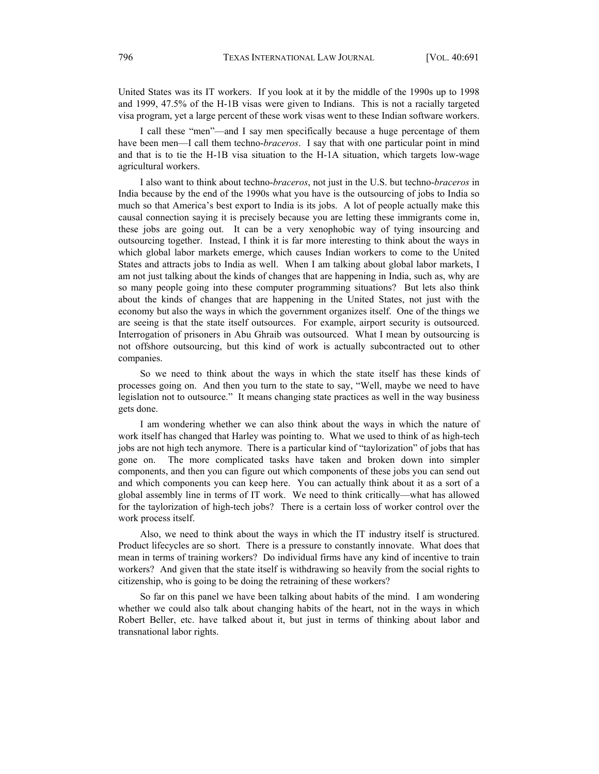United States was its IT workers. If you look at it by the middle of the 1990s up to 1998 and 1999, 47.5% of the H-1B visas were given to Indians. This is not a racially targeted visa program, yet a large percent of these work visas went to these Indian software workers.

I call these "men"—and I say men specifically because a huge percentage of them have been men—I call them techno-*braceros*. I say that with one particular point in mind and that is to tie the H-1B visa situation to the H-1A situation, which targets low-wage agricultural workers.

I also want to think about techno-*braceros*, not just in the U.S. but techno-*braceros* in India because by the end of the 1990s what you have is the outsourcing of jobs to India so much so that America's best export to India is its jobs. A lot of people actually make this causal connection saying it is precisely because you are letting these immigrants come in, these jobs are going out. It can be a very xenophobic way of tying insourcing and outsourcing together. Instead, I think it is far more interesting to think about the ways in which global labor markets emerge, which causes Indian workers to come to the United States and attracts jobs to India as well. When I am talking about global labor markets, I am not just talking about the kinds of changes that are happening in India, such as, why are so many people going into these computer programming situations? But lets also think about the kinds of changes that are happening in the United States, not just with the economy but also the ways in which the government organizes itself. One of the things we are seeing is that the state itself outsources. For example, airport security is outsourced. Interrogation of prisoners in Abu Ghraib was outsourced. What I mean by outsourcing is not offshore outsourcing, but this kind of work is actually subcontracted out to other companies.

So we need to think about the ways in which the state itself has these kinds of processes going on. And then you turn to the state to say, "Well, maybe we need to have legislation not to outsource." It means changing state practices as well in the way business gets done.

I am wondering whether we can also think about the ways in which the nature of work itself has changed that Harley was pointing to. What we used to think of as high-tech jobs are not high tech anymore. There is a particular kind of "taylorization" of jobs that has gone on. The more complicated tasks have taken and broken down into simpler components, and then you can figure out which components of these jobs you can send out and which components you can keep here. You can actually think about it as a sort of a global assembly line in terms of IT work. We need to think critically—what has allowed for the taylorization of high-tech jobs? There is a certain loss of worker control over the work process itself.

Also, we need to think about the ways in which the IT industry itself is structured. Product lifecycles are so short. There is a pressure to constantly innovate. What does that mean in terms of training workers? Do individual firms have any kind of incentive to train workers? And given that the state itself is withdrawing so heavily from the social rights to citizenship, who is going to be doing the retraining of these workers?

So far on this panel we have been talking about habits of the mind. I am wondering whether we could also talk about changing habits of the heart, not in the ways in which Robert Beller, etc. have talked about it, but just in terms of thinking about labor and transnational labor rights.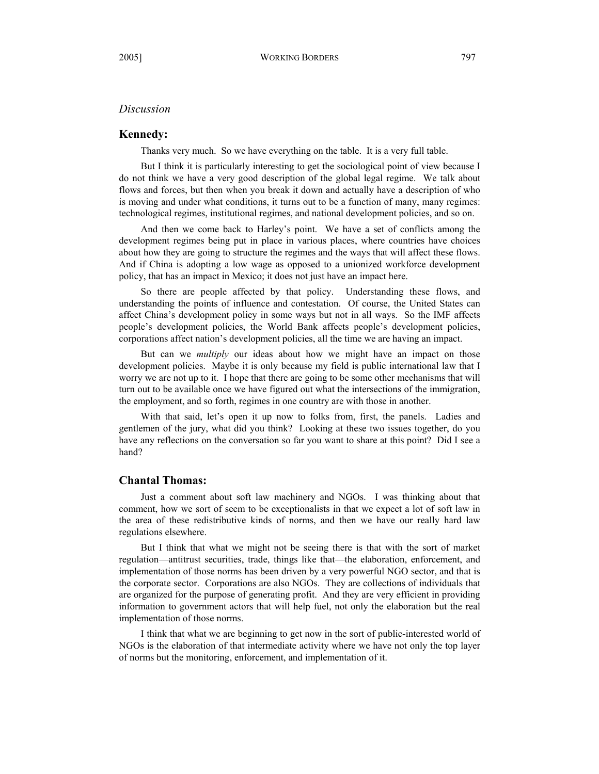## *Discussion*

## **Kennedy:**

Thanks very much. So we have everything on the table. It is a very full table.

But I think it is particularly interesting to get the sociological point of view because I do not think we have a very good description of the global legal regime. We talk about flows and forces, but then when you break it down and actually have a description of who is moving and under what conditions, it turns out to be a function of many, many regimes: technological regimes, institutional regimes, and national development policies, and so on.

And then we come back to Harley's point. We have a set of conflicts among the development regimes being put in place in various places, where countries have choices about how they are going to structure the regimes and the ways that will affect these flows. And if China is adopting a low wage as opposed to a unionized workforce development policy, that has an impact in Mexico; it does not just have an impact here.

So there are people affected by that policy. Understanding these flows, and understanding the points of influence and contestation. Of course, the United States can affect China's development policy in some ways but not in all ways. So the IMF affects people's development policies, the World Bank affects people's development policies, corporations affect nation's development policies, all the time we are having an impact.

But can we *multiply* our ideas about how we might have an impact on those development policies. Maybe it is only because my field is public international law that I worry we are not up to it. I hope that there are going to be some other mechanisms that will turn out to be available once we have figured out what the intersections of the immigration, the employment, and so forth, regimes in one country are with those in another.

With that said, let's open it up now to folks from, first, the panels. Ladies and gentlemen of the jury, what did you think? Looking at these two issues together, do you have any reflections on the conversation so far you want to share at this point? Did I see a hand?

## **Chantal Thomas:**

Just a comment about soft law machinery and NGOs. I was thinking about that comment, how we sort of seem to be exceptionalists in that we expect a lot of soft law in the area of these redistributive kinds of norms, and then we have our really hard law regulations elsewhere.

But I think that what we might not be seeing there is that with the sort of market regulation—antitrust securities, trade, things like that—the elaboration, enforcement, and implementation of those norms has been driven by a very powerful NGO sector, and that is the corporate sector. Corporations are also NGOs. They are collections of individuals that are organized for the purpose of generating profit. And they are very efficient in providing information to government actors that will help fuel, not only the elaboration but the real implementation of those norms.

I think that what we are beginning to get now in the sort of public-interested world of NGOs is the elaboration of that intermediate activity where we have not only the top layer of norms but the monitoring, enforcement, and implementation of it.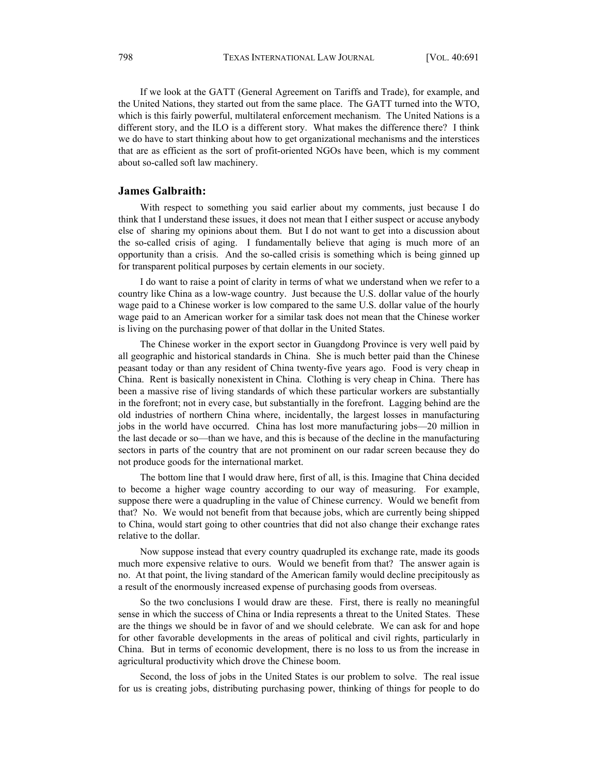If we look at the GATT (General Agreement on Tariffs and Trade), for example, and the United Nations, they started out from the same place. The GATT turned into the WTO, which is this fairly powerful, multilateral enforcement mechanism. The United Nations is a different story, and the ILO is a different story. What makes the difference there? I think we do have to start thinking about how to get organizational mechanisms and the interstices that are as efficient as the sort of profit-oriented NGOs have been, which is my comment about so-called soft law machinery.

## **James Galbraith:**

With respect to something you said earlier about my comments, just because I do think that I understand these issues, it does not mean that I either suspect or accuse anybody else of sharing my opinions about them. But I do not want to get into a discussion about the so-called crisis of aging. I fundamentally believe that aging is much more of an opportunity than a crisis. And the so-called crisis is something which is being ginned up for transparent political purposes by certain elements in our society.

I do want to raise a point of clarity in terms of what we understand when we refer to a country like China as a low-wage country. Just because the U.S. dollar value of the hourly wage paid to a Chinese worker is low compared to the same U.S. dollar value of the hourly wage paid to an American worker for a similar task does not mean that the Chinese worker is living on the purchasing power of that dollar in the United States.

The Chinese worker in the export sector in Guangdong Province is very well paid by all geographic and historical standards in China. She is much better paid than the Chinese peasant today or than any resident of China twenty-five years ago. Food is very cheap in China. Rent is basically nonexistent in China. Clothing is very cheap in China. There has been a massive rise of living standards of which these particular workers are substantially in the forefront; not in every case, but substantially in the forefront. Lagging behind are the old industries of northern China where, incidentally, the largest losses in manufacturing jobs in the world have occurred. China has lost more manufacturing jobs—20 million in the last decade or so—than we have, and this is because of the decline in the manufacturing sectors in parts of the country that are not prominent on our radar screen because they do not produce goods for the international market.

The bottom line that I would draw here, first of all, is this. Imagine that China decided to become a higher wage country according to our way of measuring. For example, suppose there were a quadrupling in the value of Chinese currency. Would we benefit from that? No. We would not benefit from that because jobs, which are currently being shipped to China, would start going to other countries that did not also change their exchange rates relative to the dollar.

Now suppose instead that every country quadrupled its exchange rate, made its goods much more expensive relative to ours. Would we benefit from that? The answer again is no. At that point, the living standard of the American family would decline precipitously as a result of the enormously increased expense of purchasing goods from overseas.

So the two conclusions I would draw are these. First, there is really no meaningful sense in which the success of China or India represents a threat to the United States. These are the things we should be in favor of and we should celebrate. We can ask for and hope for other favorable developments in the areas of political and civil rights, particularly in China. But in terms of economic development, there is no loss to us from the increase in agricultural productivity which drove the Chinese boom.

Second, the loss of jobs in the United States is our problem to solve. The real issue for us is creating jobs, distributing purchasing power, thinking of things for people to do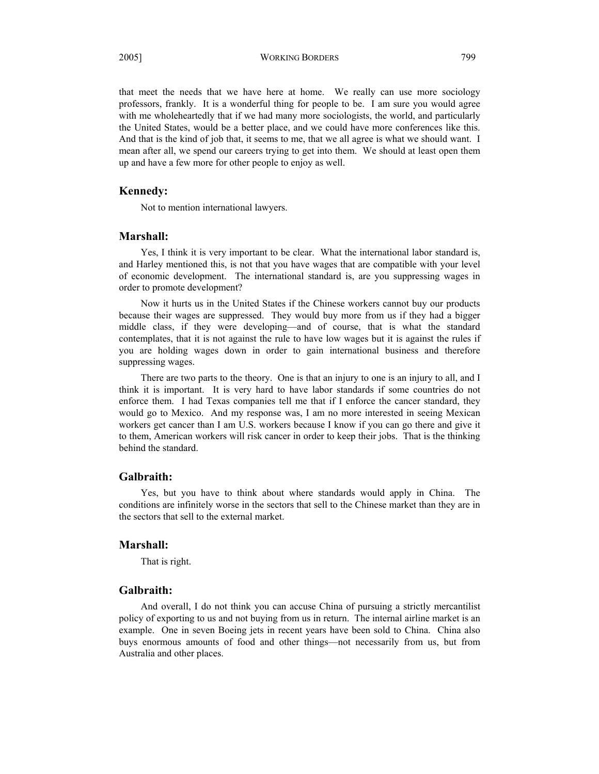2005] WORKING BORDERS 799

that meet the needs that we have here at home. We really can use more sociology professors, frankly. It is a wonderful thing for people to be. I am sure you would agree with me wholeheartedly that if we had many more sociologists, the world, and particularly the United States, would be a better place, and we could have more conferences like this. And that is the kind of job that, it seems to me, that we all agree is what we should want. I mean after all, we spend our careers trying to get into them. We should at least open them up and have a few more for other people to enjoy as well.

## **Kennedy:**

Not to mention international lawyers.

# **Marshall:**

Yes, I think it is very important to be clear. What the international labor standard is, and Harley mentioned this, is not that you have wages that are compatible with your level of economic development. The international standard is, are you suppressing wages in order to promote development?

Now it hurts us in the United States if the Chinese workers cannot buy our products because their wages are suppressed. They would buy more from us if they had a bigger middle class, if they were developing—and of course, that is what the standard contemplates, that it is not against the rule to have low wages but it is against the rules if you are holding wages down in order to gain international business and therefore suppressing wages.

There are two parts to the theory. One is that an injury to one is an injury to all, and I think it is important. It is very hard to have labor standards if some countries do not enforce them. I had Texas companies tell me that if I enforce the cancer standard, they would go to Mexico. And my response was, I am no more interested in seeing Mexican workers get cancer than I am U.S. workers because I know if you can go there and give it to them, American workers will risk cancer in order to keep their jobs. That is the thinking behind the standard.

#### **Galbraith:**

Yes, but you have to think about where standards would apply in China. The conditions are infinitely worse in the sectors that sell to the Chinese market than they are in the sectors that sell to the external market.

#### **Marshall:**

That is right.

#### **Galbraith:**

And overall, I do not think you can accuse China of pursuing a strictly mercantilist policy of exporting to us and not buying from us in return. The internal airline market is an example. One in seven Boeing jets in recent years have been sold to China. China also buys enormous amounts of food and other things—not necessarily from us, but from Australia and other places.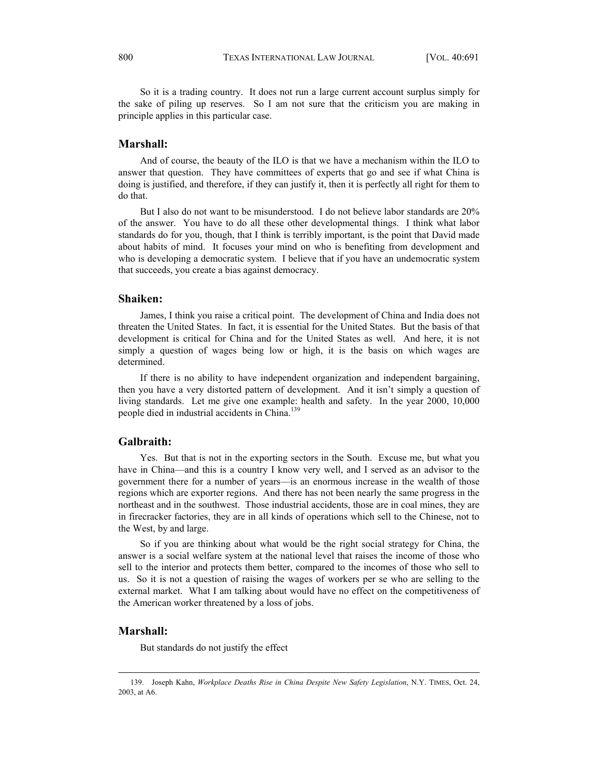So it is a trading country. It does not run a large current account surplus simply for the sake of piling up reserves. So I am not sure that the criticism you are making in principle applies in this particular case.

# **Marshall:**

And of course, the beauty of the ILO is that we have a mechanism within the ILO to answer that question. They have committees of experts that go and see if what China is doing is justified, and therefore, if they can justify it, then it is perfectly all right for them to do that.

But I also do not want to be misunderstood. I do not believe labor standards are 20% of the answer. You have to do all these other developmental things. I think what labor standards do for you, though, that I think is terribly important, is the point that David made about habits of mind. It focuses your mind on who is benefiting from development and who is developing a democratic system. I believe that if you have an undemocratic system that succeeds, you create a bias against democracy.

#### **Shaiken:**

James, I think you raise a critical point. The development of China and India does not threaten the United States. In fact, it is essential for the United States. But the basis of that development is critical for China and for the United States as well. And here, it is not simply a question of wages being low or high, it is the basis on which wages are determined.

If there is no ability to have independent organization and independent bargaining, then you have a very distorted pattern of development. And it isn't simply a question of living standards. Let me give one example: health and safety. In the year 2000, 10,000 people died in industrial accidents in China.<sup>139</sup>

# **Galbraith:**

Yes. But that is not in the exporting sectors in the South. Excuse me, but what you have in China—and this is a country I know very well, and I served as an advisor to the government there for a number of years—is an enormous increase in the wealth of those regions which are exporter regions. And there has not been nearly the same progress in the northeast and in the southwest. Those industrial accidents, those are in coal mines, they are in firecracker factories, they are in all kinds of operations which sell to the Chinese, not to the West, by and large.

So if you are thinking about what would be the right social strategy for China, the answer is a social welfare system at the national level that raises the income of those who sell to the interior and protects them better, compared to the incomes of those who sell to us. So it is not a question of raising the wages of workers per se who are selling to the external market. What I am talking about would have no effect on the competitiveness of the American worker threatened by a loss of jobs.

## **Marshall:**

-

But standards do not justify the effect

<sup>139.</sup> Joseph Kahn, *Workplace Deaths Rise in China Despite New Safety Legislation*, N.Y. TIMES, Oct. 24, 2003, at A6.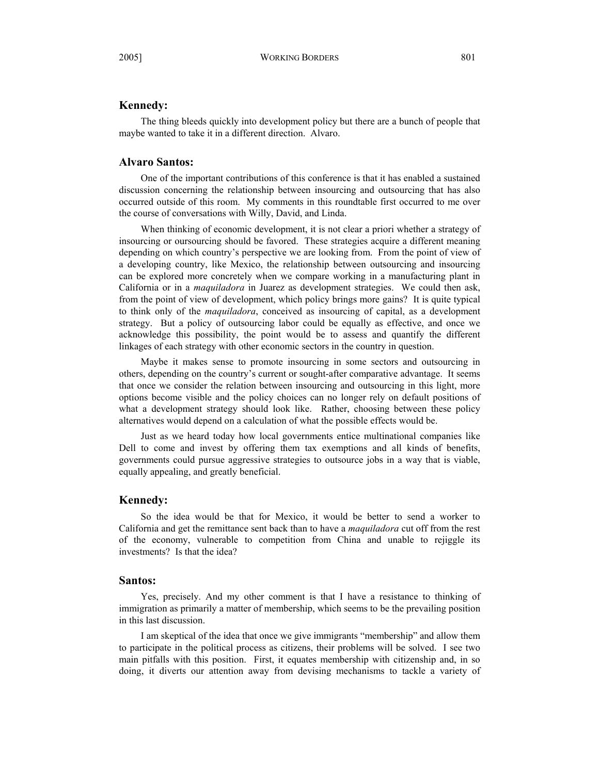#### **Kennedy:**

The thing bleeds quickly into development policy but there are a bunch of people that maybe wanted to take it in a different direction. Alvaro.

# **Alvaro Santos:**

One of the important contributions of this conference is that it has enabled a sustained discussion concerning the relationship between insourcing and outsourcing that has also occurred outside of this room. My comments in this roundtable first occurred to me over the course of conversations with Willy, David, and Linda.

When thinking of economic development, it is not clear a priori whether a strategy of insourcing or oursourcing should be favored. These strategies acquire a different meaning depending on which country's perspective we are looking from. From the point of view of a developing country, like Mexico, the relationship between outsourcing and insourcing can be explored more concretely when we compare working in a manufacturing plant in California or in a *maquiladora* in Juarez as development strategies. We could then ask, from the point of view of development, which policy brings more gains? It is quite typical to think only of the *maquiladora*, conceived as insourcing of capital, as a development strategy. But a policy of outsourcing labor could be equally as effective, and once we acknowledge this possibility, the point would be to assess and quantify the different linkages of each strategy with other economic sectors in the country in question.

Maybe it makes sense to promote insourcing in some sectors and outsourcing in others, depending on the country's current or sought-after comparative advantage. It seems that once we consider the relation between insourcing and outsourcing in this light, more options become visible and the policy choices can no longer rely on default positions of what a development strategy should look like. Rather, choosing between these policy alternatives would depend on a calculation of what the possible effects would be.

Just as we heard today how local governments entice multinational companies like Dell to come and invest by offering them tax exemptions and all kinds of benefits, governments could pursue aggressive strategies to outsource jobs in a way that is viable, equally appealing, and greatly beneficial.

## **Kennedy:**

So the idea would be that for Mexico, it would be better to send a worker to California and get the remittance sent back than to have a *maquiladora* cut off from the rest of the economy, vulnerable to competition from China and unable to rejiggle its investments? Is that the idea?

#### **Santos:**

Yes, precisely. And my other comment is that I have a resistance to thinking of immigration as primarily a matter of membership, which seems to be the prevailing position in this last discussion.

I am skeptical of the idea that once we give immigrants "membership" and allow them to participate in the political process as citizens, their problems will be solved. I see two main pitfalls with this position. First, it equates membership with citizenship and, in so doing, it diverts our attention away from devising mechanisms to tackle a variety of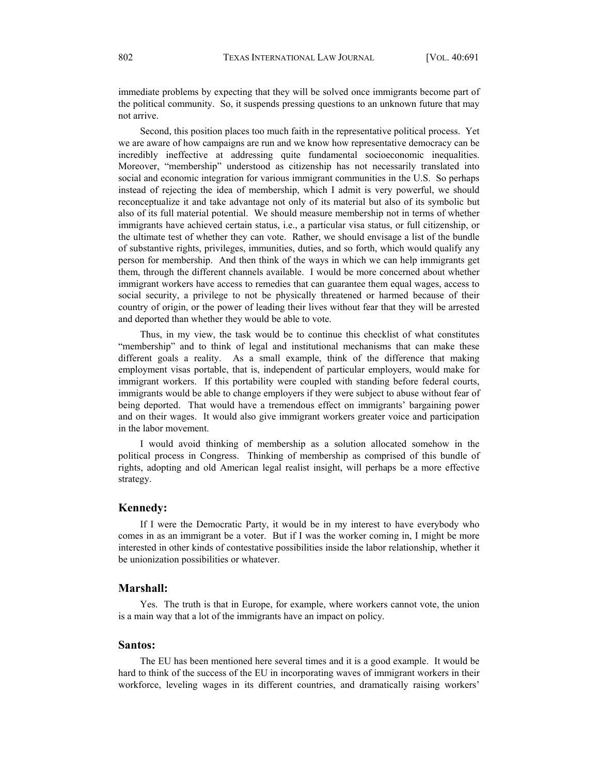immediate problems by expecting that they will be solved once immigrants become part of the political community. So, it suspends pressing questions to an unknown future that may not arrive.

Second, this position places too much faith in the representative political process. Yet we are aware of how campaigns are run and we know how representative democracy can be incredibly ineffective at addressing quite fundamental socioeconomic inequalities. Moreover, "membership" understood as citizenship has not necessarily translated into social and economic integration for various immigrant communities in the U.S. So perhaps instead of rejecting the idea of membership, which I admit is very powerful, we should reconceptualize it and take advantage not only of its material but also of its symbolic but also of its full material potential. We should measure membership not in terms of whether immigrants have achieved certain status, i.e., a particular visa status, or full citizenship, or the ultimate test of whether they can vote. Rather, we should envisage a list of the bundle of substantive rights, privileges, immunities, duties, and so forth, which would qualify any person for membership. And then think of the ways in which we can help immigrants get them, through the different channels available. I would be more concerned about whether immigrant workers have access to remedies that can guarantee them equal wages, access to social security, a privilege to not be physically threatened or harmed because of their country of origin, or the power of leading their lives without fear that they will be arrested and deported than whether they would be able to vote.

Thus, in my view, the task would be to continue this checklist of what constitutes "membership" and to think of legal and institutional mechanisms that can make these different goals a reality. As a small example, think of the difference that making employment visas portable, that is, independent of particular employers, would make for immigrant workers. If this portability were coupled with standing before federal courts, immigrants would be able to change employers if they were subject to abuse without fear of being deported. That would have a tremendous effect on immigrants' bargaining power and on their wages. It would also give immigrant workers greater voice and participation in the labor movement.

I would avoid thinking of membership as a solution allocated somehow in the political process in Congress. Thinking of membership as comprised of this bundle of rights, adopting and old American legal realist insight, will perhaps be a more effective strategy.

# **Kennedy:**

If I were the Democratic Party, it would be in my interest to have everybody who comes in as an immigrant be a voter. But if I was the worker coming in, I might be more interested in other kinds of contestative possibilities inside the labor relationship, whether it be unionization possibilities or whatever.

#### **Marshall:**

Yes. The truth is that in Europe, for example, where workers cannot vote, the union is a main way that a lot of the immigrants have an impact on policy.

# **Santos:**

The EU has been mentioned here several times and it is a good example. It would be hard to think of the success of the EU in incorporating waves of immigrant workers in their workforce, leveling wages in its different countries, and dramatically raising workers'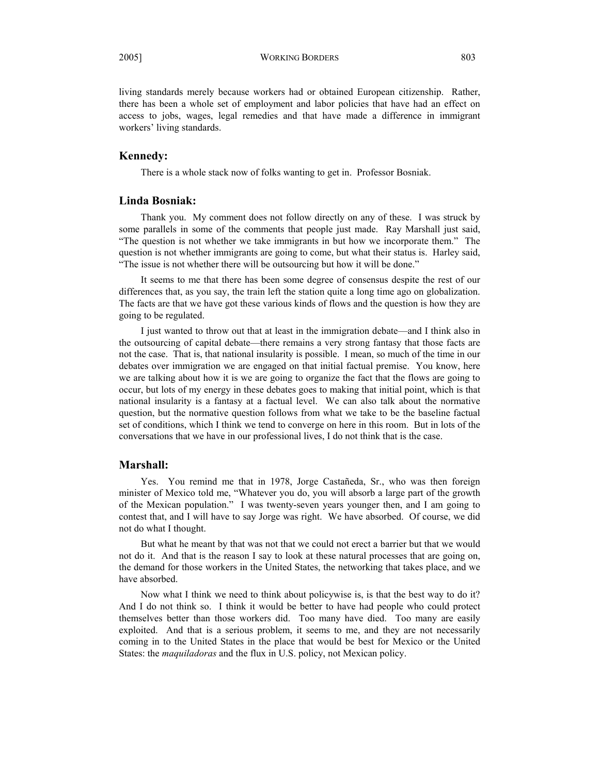living standards merely because workers had or obtained European citizenship. Rather, there has been a whole set of employment and labor policies that have had an effect on access to jobs, wages, legal remedies and that have made a difference in immigrant workers' living standards.

## **Kennedy:**

There is a whole stack now of folks wanting to get in. Professor Bosniak.

## **Linda Bosniak:**

Thank you. My comment does not follow directly on any of these. I was struck by some parallels in some of the comments that people just made. Ray Marshall just said, "The question is not whether we take immigrants in but how we incorporate them." The question is not whether immigrants are going to come, but what their status is. Harley said, "The issue is not whether there will be outsourcing but how it will be done."

It seems to me that there has been some degree of consensus despite the rest of our differences that, as you say, the train left the station quite a long time ago on globalization. The facts are that we have got these various kinds of flows and the question is how they are going to be regulated.

I just wanted to throw out that at least in the immigration debate—and I think also in the outsourcing of capital debate—there remains a very strong fantasy that those facts are not the case. That is, that national insularity is possible. I mean, so much of the time in our debates over immigration we are engaged on that initial factual premise. You know, here we are talking about how it is we are going to organize the fact that the flows are going to occur, but lots of my energy in these debates goes to making that initial point, which is that national insularity is a fantasy at a factual level. We can also talk about the normative question, but the normative question follows from what we take to be the baseline factual set of conditions, which I think we tend to converge on here in this room. But in lots of the conversations that we have in our professional lives, I do not think that is the case.

#### **Marshall:**

Yes. You remind me that in 1978, Jorge Castañeda, Sr., who was then foreign minister of Mexico told me, "Whatever you do, you will absorb a large part of the growth of the Mexican population." I was twenty-seven years younger then, and I am going to contest that, and I will have to say Jorge was right. We have absorbed. Of course, we did not do what I thought.

But what he meant by that was not that we could not erect a barrier but that we would not do it. And that is the reason I say to look at these natural processes that are going on, the demand for those workers in the United States, the networking that takes place, and we have absorbed.

Now what I think we need to think about policywise is, is that the best way to do it? And I do not think so. I think it would be better to have had people who could protect themselves better than those workers did. Too many have died. Too many are easily exploited. And that is a serious problem, it seems to me, and they are not necessarily coming in to the United States in the place that would be best for Mexico or the United States: the *maquiladoras* and the flux in U.S. policy, not Mexican policy.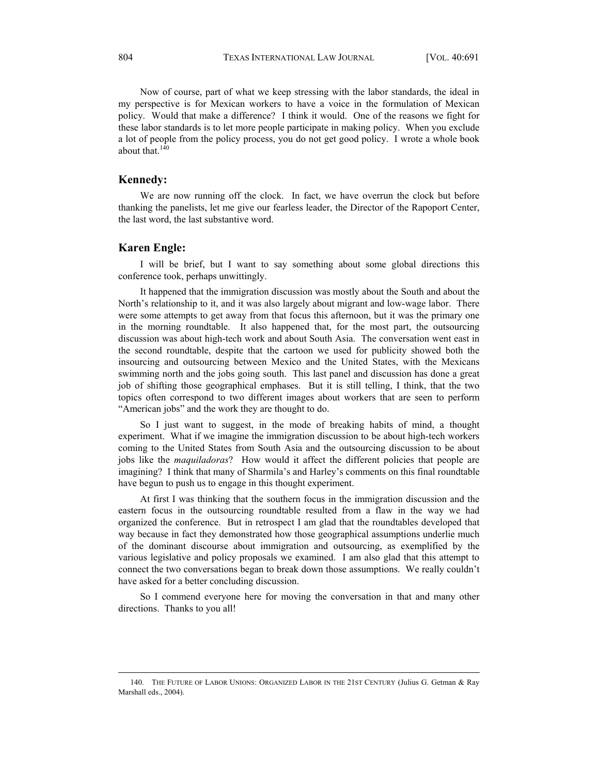Now of course, part of what we keep stressing with the labor standards, the ideal in my perspective is for Mexican workers to have a voice in the formulation of Mexican policy. Would that make a difference? I think it would. One of the reasons we fight for these labor standards is to let more people participate in making policy. When you exclude a lot of people from the policy process, you do not get good policy. I wrote a whole book about that. $140$ 

## **Kennedy:**

We are now running off the clock. In fact, we have overrun the clock but before thanking the panelists, let me give our fearless leader, the Director of the Rapoport Center, the last word, the last substantive word.

## **Karen Engle:**

-

I will be brief, but I want to say something about some global directions this conference took, perhaps unwittingly.

It happened that the immigration discussion was mostly about the South and about the North's relationship to it, and it was also largely about migrant and low-wage labor. There were some attempts to get away from that focus this afternoon, but it was the primary one in the morning roundtable. It also happened that, for the most part, the outsourcing discussion was about high-tech work and about South Asia. The conversation went east in the second roundtable, despite that the cartoon we used for publicity showed both the insourcing and outsourcing between Mexico and the United States, with the Mexicans swimming north and the jobs going south. This last panel and discussion has done a great job of shifting those geographical emphases. But it is still telling, I think, that the two topics often correspond to two different images about workers that are seen to perform "American jobs" and the work they are thought to do.

So I just want to suggest, in the mode of breaking habits of mind, a thought experiment. What if we imagine the immigration discussion to be about high-tech workers coming to the United States from South Asia and the outsourcing discussion to be about jobs like the *maquiladoras*? How would it affect the different policies that people are imagining? I think that many of Sharmila's and Harley's comments on this final roundtable have begun to push us to engage in this thought experiment.

At first I was thinking that the southern focus in the immigration discussion and the eastern focus in the outsourcing roundtable resulted from a flaw in the way we had organized the conference. But in retrospect I am glad that the roundtables developed that way because in fact they demonstrated how those geographical assumptions underlie much of the dominant discourse about immigration and outsourcing, as exemplified by the various legislative and policy proposals we examined. I am also glad that this attempt to connect the two conversations began to break down those assumptions. We really couldn't have asked for a better concluding discussion.

So I commend everyone here for moving the conversation in that and many other directions. Thanks to you all!

<sup>140.</sup> THE FUTURE OF LABOR UNIONS: ORGANIZED LABOR IN THE 21ST CENTURY (Julius G. Getman & Ray Marshall eds., 2004).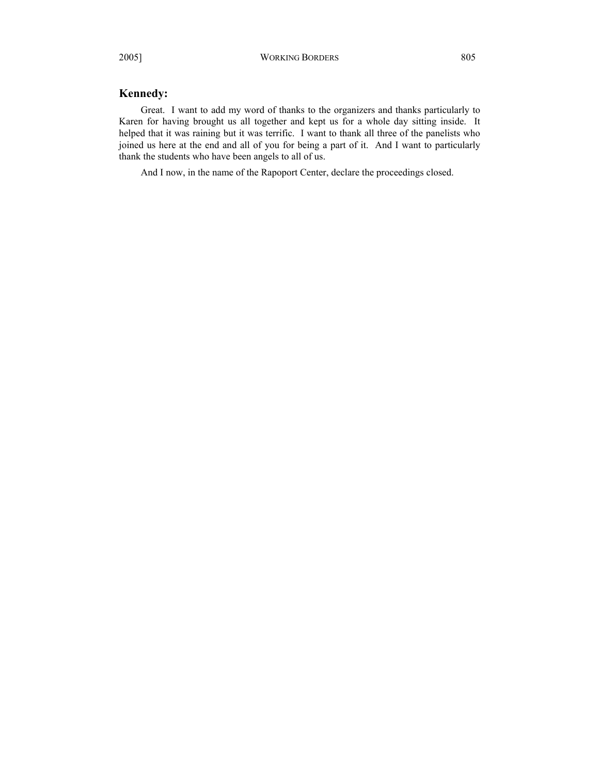# **Kennedy:**

Great. I want to add my word of thanks to the organizers and thanks particularly to Karen for having brought us all together and kept us for a whole day sitting inside. It helped that it was raining but it was terrific. I want to thank all three of the panelists who joined us here at the end and all of you for being a part of it. And I want to particularly thank the students who have been angels to all of us.

And I now, in the name of the Rapoport Center, declare the proceedings closed.